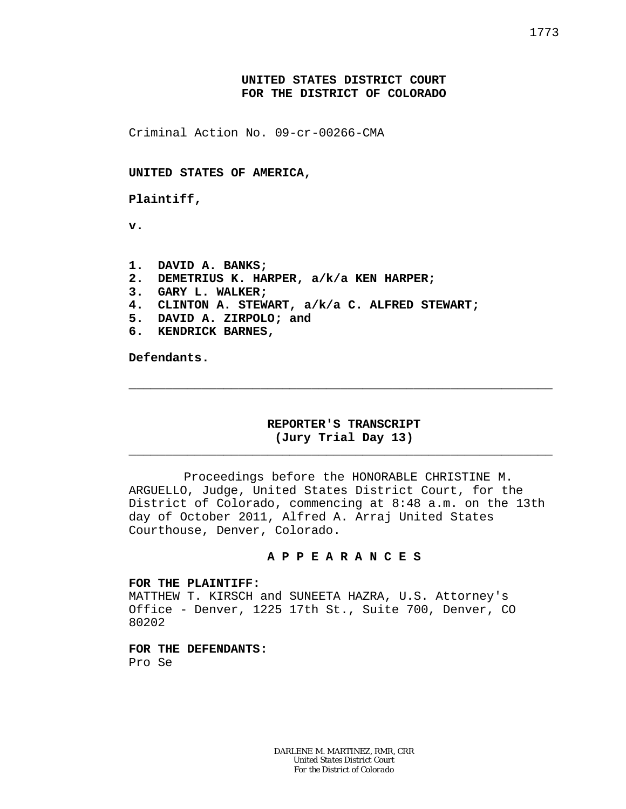## **UNITED STATES DISTRICT COURT FOR THE DISTRICT OF COLORADO**

Criminal Action No. 09-cr-00266-CMA

**UNITED STATES OF AMERICA,**

**Plaintiff,**

**v.**

- **1. DAVID A. BANKS;**
- **2. DEMETRIUS K. HARPER, a/k/a KEN HARPER;**
- **3. GARY L. WALKER;**
- **4. CLINTON A. STEWART, a/k/a C. ALFRED STEWART;**
- **5. DAVID A. ZIRPOLO; and**
- **6. KENDRICK BARNES,**

**Defendants.**

## **REPORTER'S TRANSCRIPT (Jury Trial Day 13)**

\_\_\_\_\_\_\_\_\_\_\_\_\_\_\_\_\_\_\_\_\_\_\_\_\_\_\_\_\_\_\_\_\_\_\_\_\_\_\_\_\_\_\_\_\_\_\_\_\_\_\_\_\_\_\_\_\_\_

\_\_\_\_\_\_\_\_\_\_\_\_\_\_\_\_\_\_\_\_\_\_\_\_\_\_\_\_\_\_\_\_\_\_\_\_\_\_\_\_\_\_\_\_\_\_\_\_\_\_\_\_\_\_\_\_\_\_

Proceedings before the HONORABLE CHRISTINE M. ARGUELLO, Judge, United States District Court, for the District of Colorado, commencing at 8:48 a.m. on the 13th day of October 2011, Alfred A. Arraj United States Courthouse, Denver, Colorado.

### **A P P E A R A N C E S**

#### **FOR THE PLAINTIFF:**

MATTHEW T. KIRSCH and SUNEETA HAZRA, U.S. Attorney's Office - Denver, 1225 17th St., Suite 700, Denver, CO 80202

**FOR THE DEFENDANTS:** Pro Se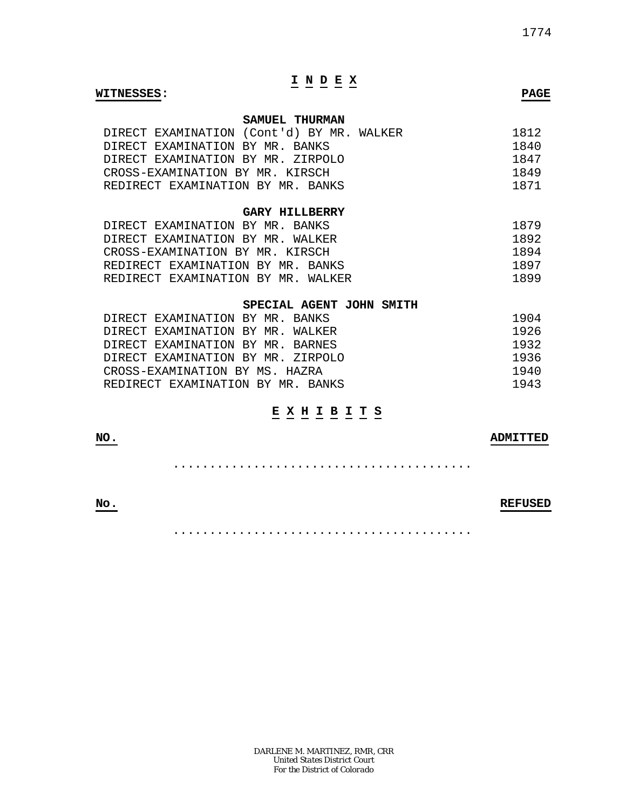# **I N D E X**

#### **WITNESSES: PAGE**

### **SAMUEL THURMAN**

| DIRECT EXAMINATION (Cont'd) BY MR. WALKER | 1812 |
|-------------------------------------------|------|
| DIRECT EXAMINATION BY MR. BANKS           | 1840 |
| DIRECT EXAMINATION BY MR. ZIRPOLO         | 1847 |
| CROSS-EXAMINATION BY MR. KIRSCH           | 1849 |
| REDIRECT EXAMINATION BY MR. BANKS         | 1871 |

#### **GARY HILLBERRY**

| DIRECT EXAMINATION BY MR. BANKS    | 1879 |
|------------------------------------|------|
| DIRECT EXAMINATION BY MR. WALKER   | 1892 |
| CROSS-EXAMINATION BY MR. KIRSCH    | 1894 |
| REDIRECT EXAMINATION BY MR. BANKS  | 1897 |
| REDIRECT EXAMINATION BY MR. WALKER | 1899 |

#### **SPECIAL AGENT JOHN SMITH**

| DIRECT EXAMINATION BY MR. BANKS   | 1904 |
|-----------------------------------|------|
| DIRECT EXAMINATION BY MR. WALKER  | 1926 |
| DIRECT EXAMINATION BY MR. BARNES  | 1932 |
| DIRECT EXAMINATION BY MR. ZIRPOLO | 1936 |
| CROSS-EXAMINATION BY MS. HAZRA    | 1940 |
| REDIRECT EXAMINATION BY MR. BANKS | 1943 |

## **E X H I B I T S**

| <b>NO</b><br>and the control of the con- | חסייידאמת |
|------------------------------------------|-----------|
|                                          |           |

## **No. REFUSED**

.........................................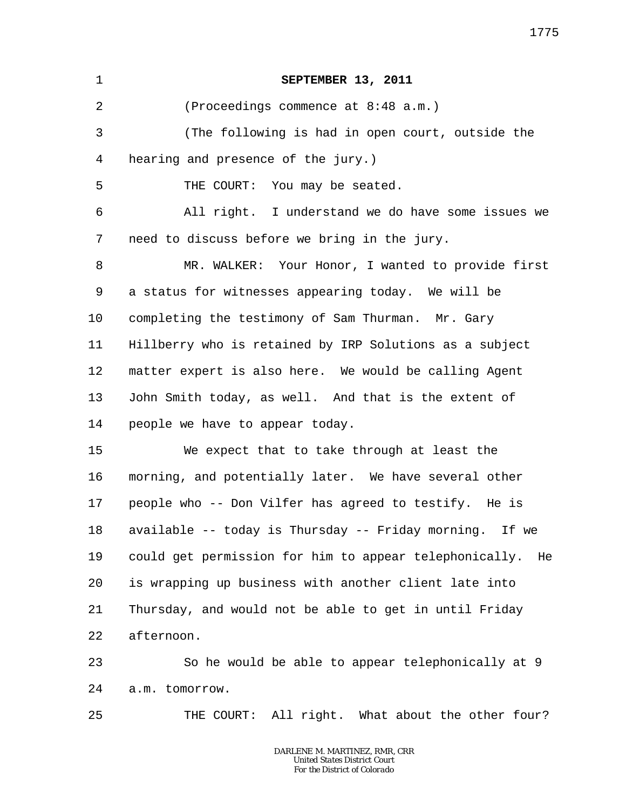| $\mathbf 1$    | SEPTEMBER 13, 2011                                           |
|----------------|--------------------------------------------------------------|
| $\overline{2}$ | (Proceedings commence at 8:48 a.m.)                          |
| 3              | (The following is had in open court, outside the             |
| 4              | hearing and presence of the jury.)                           |
| 5              | THE COURT: You may be seated.                                |
| 6              | All right. I understand we do have some issues we            |
| 7              | need to discuss before we bring in the jury.                 |
| 8              | MR. WALKER: Your Honor, I wanted to provide first            |
| 9              | a status for witnesses appearing today. We will be           |
| $10 \,$        | completing the testimony of Sam Thurman. Mr. Gary            |
| 11             | Hillberry who is retained by IRP Solutions as a subject      |
| 12             | matter expert is also here. We would be calling Agent        |
| 13             | John Smith today, as well. And that is the extent of         |
| 14             | people we have to appear today.                              |
| 15             | We expect that to take through at least the                  |
| 16             | morning, and potentially later. We have several other        |
| 17             | people who -- Don Vilfer has agreed to testify. He is        |
| 18             | available -- today is Thursday -- Friday morning. If we      |
| 19             | could get permission for him to appear telephonically.<br>He |
| 20             | is wrapping up business with another client late into        |
| 21             | Thursday, and would not be able to get in until Friday       |
| 22             | afternoon.                                                   |
| 23             | So he would be able to appear telephonically at 9            |
| 24             | a.m. tomorrow.                                               |

25 THE COURT: All right. What about the other four?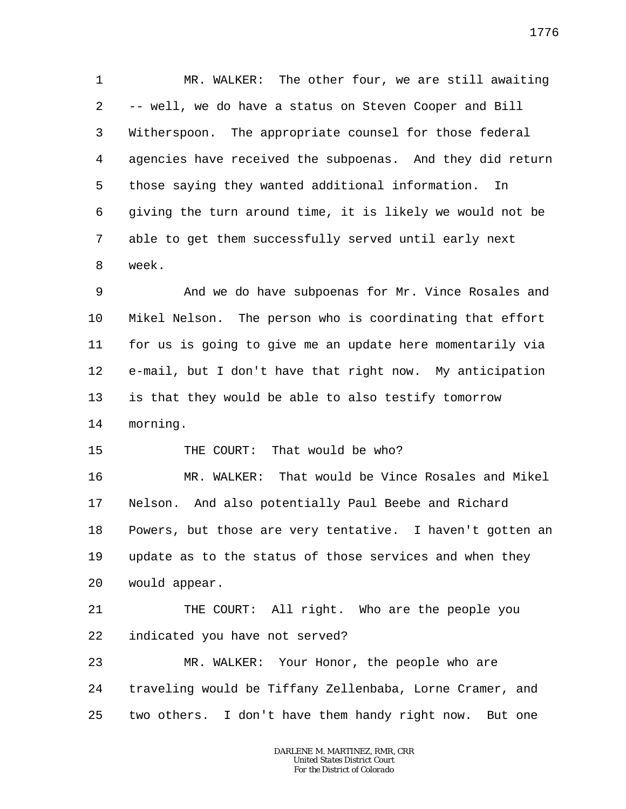1 2 3 4 5 6 7 8 MR. WALKER: The other four, we are still awaiting -- well, we do have a status on Steven Cooper and Bill Witherspoon. The appropriate counsel for those federal agencies have received the subpoenas. And they did return those saying they wanted additional information. In giving the turn around time, it is likely we would not be able to get them successfully served until early next week.

9 10 11 12 13 14 And we do have subpoenas for Mr. Vince Rosales and Mikel Nelson. The person who is coordinating that effort for us is going to give me an update here momentarily via e-mail, but I don't have that right now. My anticipation is that they would be able to also testify tomorrow morning.

15 THE COURT: That would be who?

16 17 18 19 20 MR. WALKER: That would be Vince Rosales and Mikel Nelson. And also potentially Paul Beebe and Richard Powers, but those are very tentative. I haven't gotten an update as to the status of those services and when they would appear.

21 22 THE COURT: All right. Who are the people you indicated you have not served?

23 24 25 MR. WALKER: Your Honor, the people who are traveling would be Tiffany Zellenbaba, Lorne Cramer, and two others. I don't have them handy right now. But one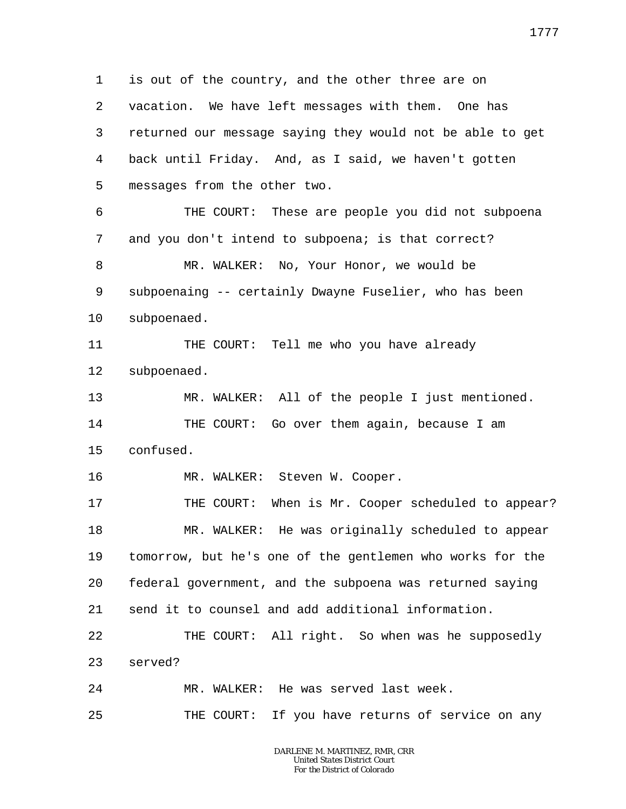1 2 3 4 5 6 7 8 9 10 11 12 13 14 15 16 17 18 19 20 21 22 23 24 25 is out of the country, and the other three are on vacation. We have left messages with them. One has returned our message saying they would not be able to get back until Friday. And, as I said, we haven't gotten messages from the other two. THE COURT: These are people you did not subpoena and you don't intend to subpoena; is that correct? MR. WALKER: No, Your Honor, we would be subpoenaing -- certainly Dwayne Fuselier, who has been subpoenaed. THE COURT: Tell me who you have already subpoenaed. MR. WALKER: All of the people I just mentioned. THE COURT: Go over them again, because I am confused. MR. WALKER: Steven W. Cooper. THE COURT: When is Mr. Cooper scheduled to appear? MR. WALKER: He was originally scheduled to appear tomorrow, but he's one of the gentlemen who works for the federal government, and the subpoena was returned saying send it to counsel and add additional information. THE COURT: All right. So when was he supposedly served? MR. WALKER: He was served last week. THE COURT: If you have returns of service on any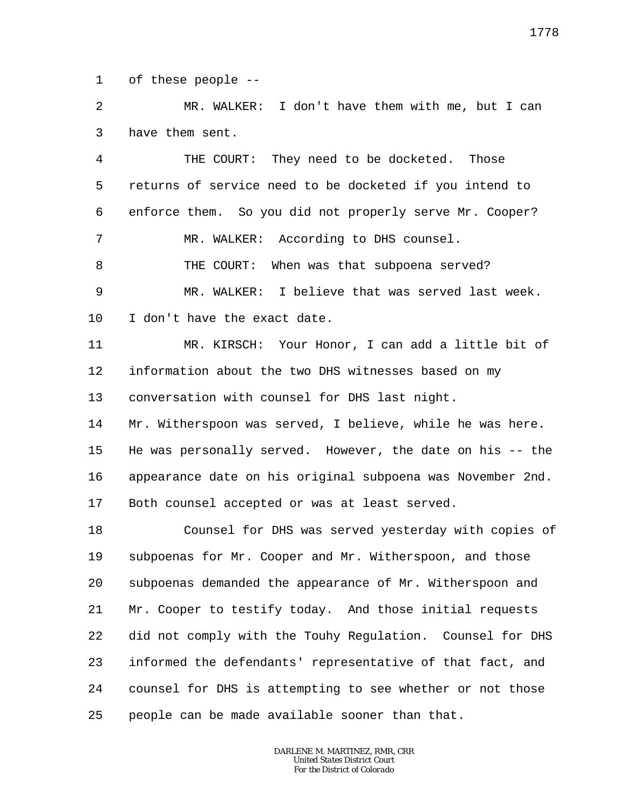1 of these people --

 $\overline{a}$ 3 MR. WALKER: I don't have them with me, but I can have them sent.

4 5 6 7 8 9 10 THE COURT: They need to be docketed. Those returns of service need to be docketed if you intend to enforce them. So you did not properly serve Mr. Cooper? MR. WALKER: According to DHS counsel. THE COURT: When was that subpoena served? MR. WALKER: I believe that was served last week. I don't have the exact date.

11 12 13 MR. KIRSCH: Your Honor, I can add a little bit of information about the two DHS witnesses based on my conversation with counsel for DHS last night.

14 15 16 17 Mr. Witherspoon was served, I believe, while he was here. He was personally served. However, the date on his -- the appearance date on his original subpoena was November 2nd. Both counsel accepted or was at least served.

18 19 20 21 22 23 24 25 Counsel for DHS was served yesterday with copies of subpoenas for Mr. Cooper and Mr. Witherspoon, and those subpoenas demanded the appearance of Mr. Witherspoon and Mr. Cooper to testify today. And those initial requests did not comply with the Touhy Regulation. Counsel for DHS informed the defendants' representative of that fact, and counsel for DHS is attempting to see whether or not those people can be made available sooner than that.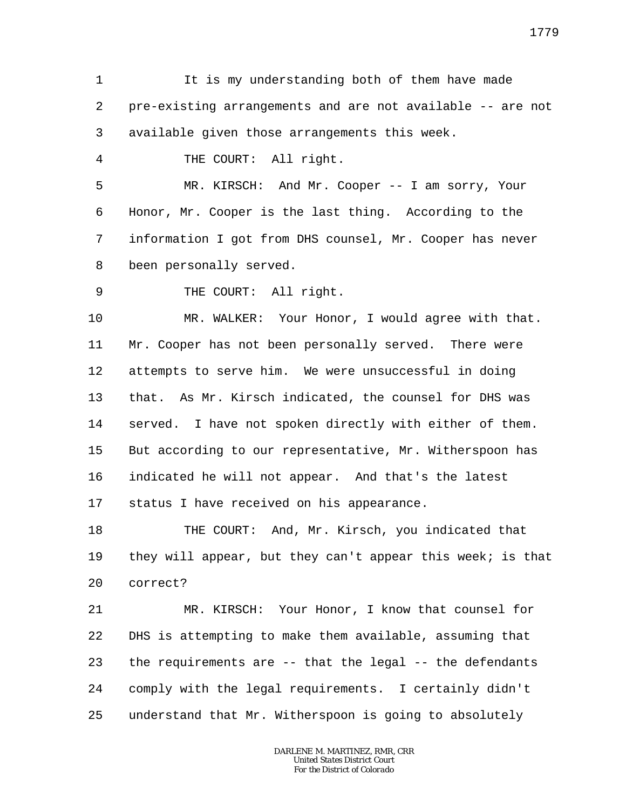1 2 3 It is my understanding both of them have made pre-existing arrangements and are not available -- are not available given those arrangements this week.

THE COURT: All right.

4

5 6 7 8 MR. KIRSCH: And Mr. Cooper -- I am sorry, Your Honor, Mr. Cooper is the last thing. According to the information I got from DHS counsel, Mr. Cooper has never been personally served.

9 THE COURT: All right.

10 11 12 13 14 15 16 17 MR. WALKER: Your Honor, I would agree with that. Mr. Cooper has not been personally served. There were attempts to serve him. We were unsuccessful in doing that. As Mr. Kirsch indicated, the counsel for DHS was served. I have not spoken directly with either of them. But according to our representative, Mr. Witherspoon has indicated he will not appear. And that's the latest status I have received on his appearance.

18 19 20 THE COURT: And, Mr. Kirsch, you indicated that they will appear, but they can't appear this week; is that correct?

21 22 23 24 25 MR. KIRSCH: Your Honor, I know that counsel for DHS is attempting to make them available, assuming that the requirements are -- that the legal -- the defendants comply with the legal requirements. I certainly didn't understand that Mr. Witherspoon is going to absolutely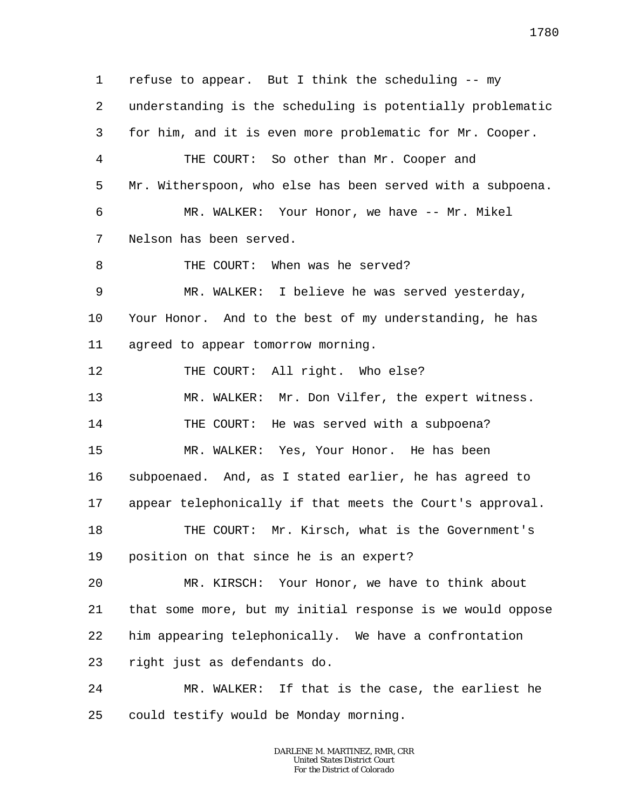1 2 3 4 5 6 7 8 9 10 11 12 13 14 15 16 17 18 19 20 21 22 23 24 25 refuse to appear. But I think the scheduling -- my understanding is the scheduling is potentially problematic for him, and it is even more problematic for Mr. Cooper. THE COURT: So other than Mr. Cooper and Mr. Witherspoon, who else has been served with a subpoena. MR. WALKER: Your Honor, we have -- Mr. Mikel Nelson has been served. THE COURT: When was he served? MR. WALKER: I believe he was served yesterday, Your Honor. And to the best of my understanding, he has agreed to appear tomorrow morning. THE COURT: All right. Who else? MR. WALKER: Mr. Don Vilfer, the expert witness. THE COURT: He was served with a subpoena? MR. WALKER: Yes, Your Honor. He has been subpoenaed. And, as I stated earlier, he has agreed to appear telephonically if that meets the Court's approval. THE COURT: Mr. Kirsch, what is the Government's position on that since he is an expert? MR. KIRSCH: Your Honor, we have to think about that some more, but my initial response is we would oppose him appearing telephonically. We have a confrontation right just as defendants do. MR. WALKER: If that is the case, the earliest he could testify would be Monday morning.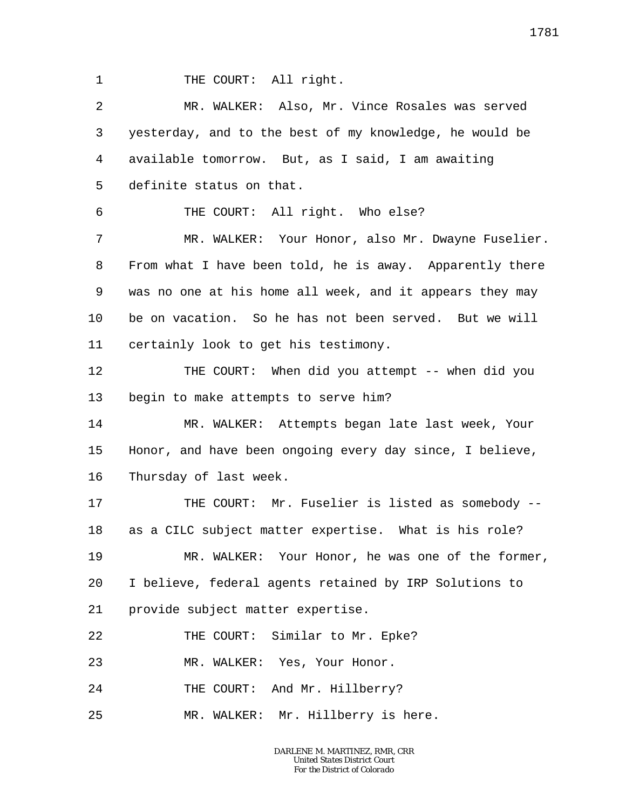1

THE COURT: All right.

2 3 4 5 6 7 8 9 10 11 12 13 14 15 16 17 18 19 20 21 22 23 24 25 MR. WALKER: Also, Mr. Vince Rosales was served yesterday, and to the best of my knowledge, he would be available tomorrow. But, as I said, I am awaiting definite status on that. THE COURT: All right. Who else? MR. WALKER: Your Honor, also Mr. Dwayne Fuselier. From what I have been told, he is away. Apparently there was no one at his home all week, and it appears they may be on vacation. So he has not been served. But we will certainly look to get his testimony. THE COURT: When did you attempt -- when did you begin to make attempts to serve him? MR. WALKER: Attempts began late last week, Your Honor, and have been ongoing every day since, I believe, Thursday of last week. THE COURT: Mr. Fuselier is listed as somebody - as a CILC subject matter expertise. What is his role? MR. WALKER: Your Honor, he was one of the former, I believe, federal agents retained by IRP Solutions to provide subject matter expertise. THE COURT: Similar to Mr. Epke? MR. WALKER: Yes, Your Honor. THE COURT: And Mr. Hillberry? MR. WALKER: Mr. Hillberry is here.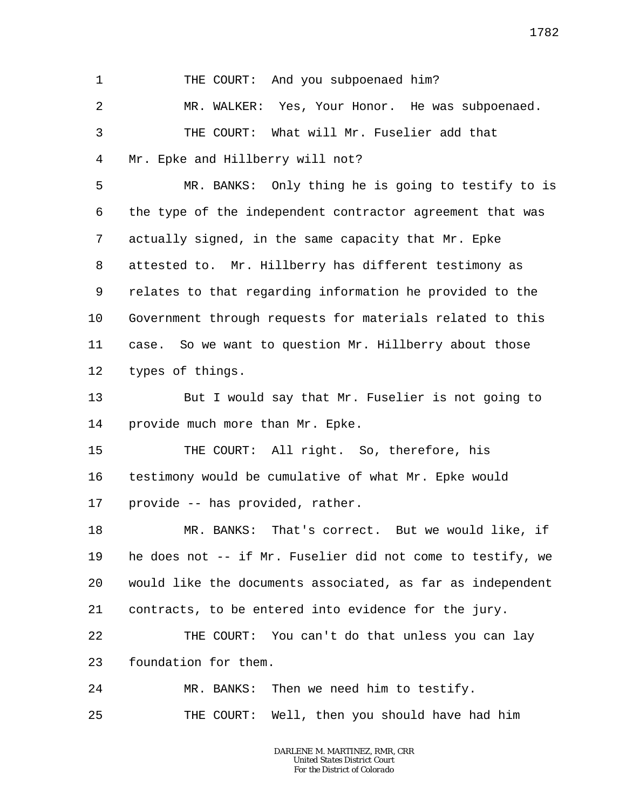1 2 3 4 5 6 7 8 9 10 11 12 13 14 15 16 17 18 19 20 21 22 23 24 25 THE COURT: And you subpoenaed him? MR. WALKER: Yes, Your Honor. He was subpoenaed. THE COURT: What will Mr. Fuselier add that Mr. Epke and Hillberry will not? MR. BANKS: Only thing he is going to testify to is the type of the independent contractor agreement that was actually signed, in the same capacity that Mr. Epke attested to. Mr. Hillberry has different testimony as relates to that regarding information he provided to the Government through requests for materials related to this case. So we want to question Mr. Hillberry about those types of things. But I would say that Mr. Fuselier is not going to provide much more than Mr. Epke. THE COURT: All right. So, therefore, his testimony would be cumulative of what Mr. Epke would provide -- has provided, rather. MR. BANKS: That's correct. But we would like, if he does not -- if Mr. Fuselier did not come to testify, we would like the documents associated, as far as independent contracts, to be entered into evidence for the jury. THE COURT: You can't do that unless you can lay foundation for them. MR. BANKS: Then we need him to testify. THE COURT: Well, then you should have had him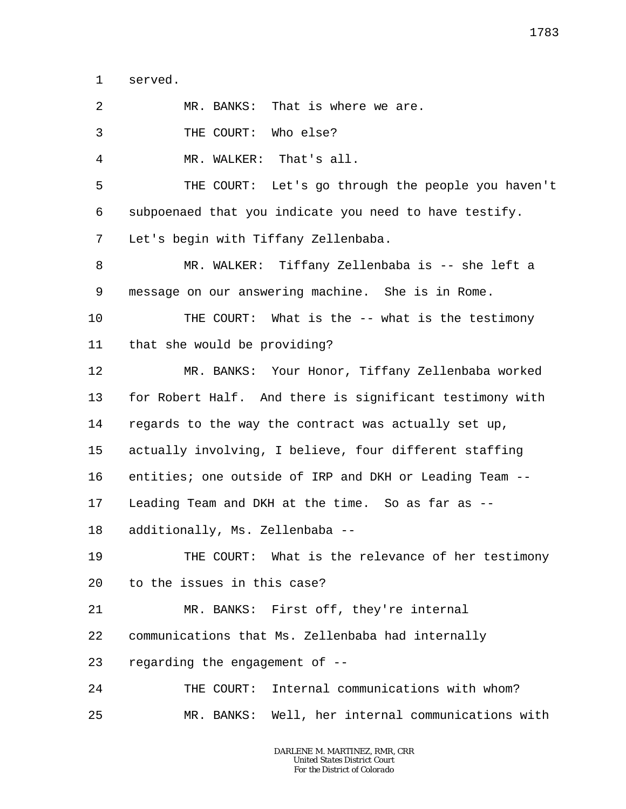1 served.

 $\overline{a}$ MR. BANKS: That is where we are.

3 THE COURT: Who else?

4 MR. WALKER: That's all.

5 6 7 THE COURT: Let's go through the people you haven't subpoenaed that you indicate you need to have testify. Let's begin with Tiffany Zellenbaba.

8 9 MR. WALKER: Tiffany Zellenbaba is -- she left a message on our answering machine. She is in Rome.

10 11 THE COURT: What is the -- what is the testimony that she would be providing?

12 13 14 15 16 17 18 MR. BANKS: Your Honor, Tiffany Zellenbaba worked for Robert Half. And there is significant testimony with regards to the way the contract was actually set up, actually involving, I believe, four different staffing entities; one outside of IRP and DKH or Leading Team -- Leading Team and DKH at the time. So as far as - additionally, Ms. Zellenbaba --

19 20 THE COURT: What is the relevance of her testimony to the issues in this case?

21 MR. BANKS: First off, they're internal

22 communications that Ms. Zellenbaba had internally

23 regarding the engagement of --

24 25 THE COURT: Internal communications with whom? MR. BANKS: Well, her internal communications with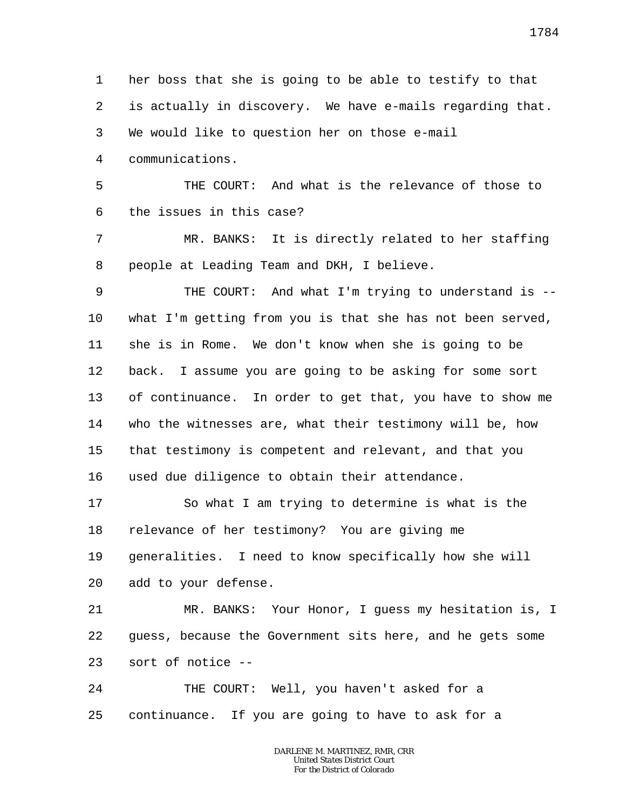1 2 3 4 her boss that she is going to be able to testify to that is actually in discovery. We have e-mails regarding that. We would like to question her on those e-mail communications.

5 6 THE COURT: And what is the relevance of those to the issues in this case?

7 8 MR. BANKS: It is directly related to her staffing people at Leading Team and DKH, I believe.

9 10 11 12 13 14 15 16 THE COURT: And what I'm trying to understand is - what I'm getting from you is that she has not been served, she is in Rome. We don't know when she is going to be back. I assume you are going to be asking for some sort of continuance. In order to get that, you have to show me who the witnesses are, what their testimony will be, how that testimony is competent and relevant, and that you used due diligence to obtain their attendance.

17 18 19 20 So what I am trying to determine is what is the relevance of her testimony? You are giving me generalities. I need to know specifically how she will add to your defense.

21 22 23 MR. BANKS: Your Honor, I guess my hesitation is, I guess, because the Government sits here, and he gets some sort of notice --

24 25 THE COURT: Well, you haven't asked for a continuance. If you are going to have to ask for a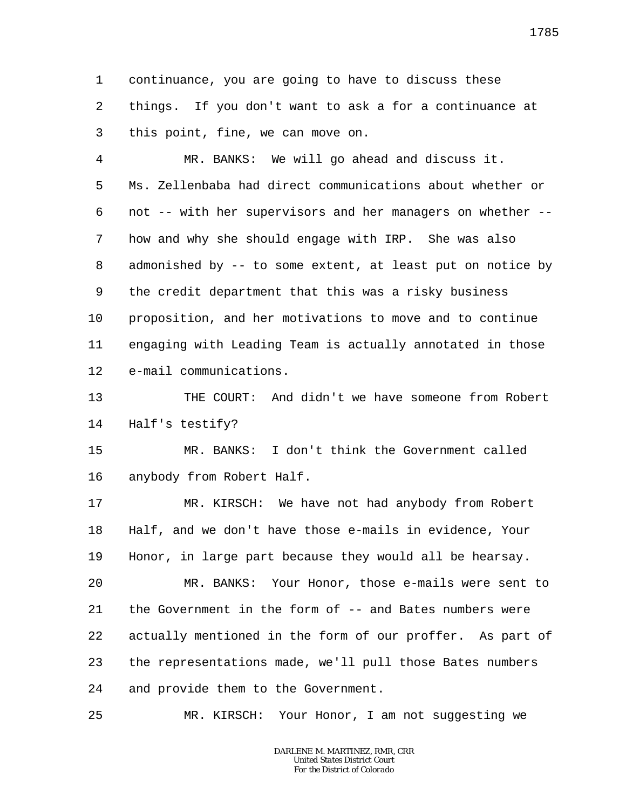1 2 3 continuance, you are going to have to discuss these things. If you don't want to ask a for a continuance at this point, fine, we can move on.

4 5 6 7 8 9 10 11 12 MR. BANKS: We will go ahead and discuss it. Ms. Zellenbaba had direct communications about whether or not -- with her supervisors and her managers on whether - how and why she should engage with IRP. She was also admonished by -- to some extent, at least put on notice by the credit department that this was a risky business proposition, and her motivations to move and to continue engaging with Leading Team is actually annotated in those e-mail communications.

13 14 THE COURT: And didn't we have someone from Robert Half's testify?

15 16 MR. BANKS: I don't think the Government called anybody from Robert Half.

17 18 19 20 21 22 23 24 MR. KIRSCH: We have not had anybody from Robert Half, and we don't have those e-mails in evidence, Your Honor, in large part because they would all be hearsay. MR. BANKS: Your Honor, those e-mails were sent to the Government in the form of -- and Bates numbers were actually mentioned in the form of our proffer. As part of the representations made, we'll pull those Bates numbers and provide them to the Government.

25 MR. KIRSCH: Your Honor, I am not suggesting we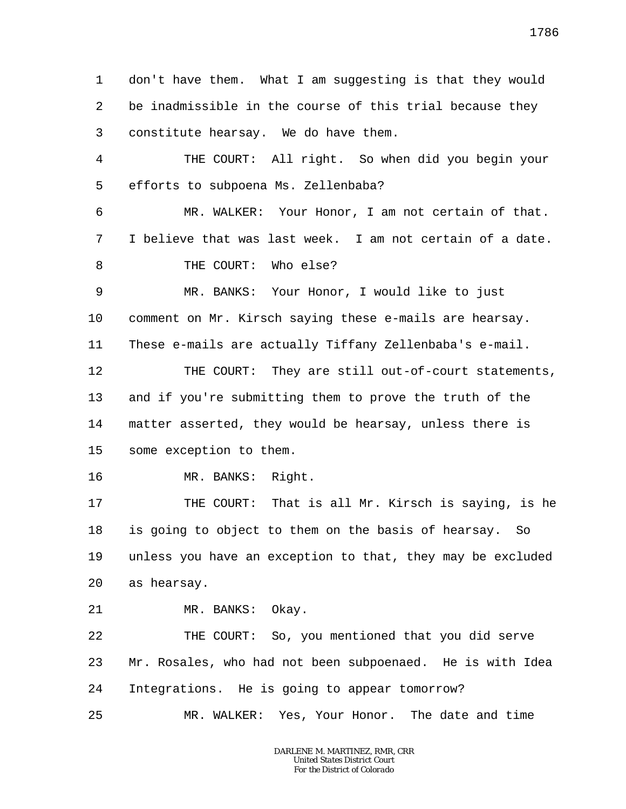1 2 3 4 5 6 7 8 9 10 11 12 13 14 15 16 17 18 19 20 21 22 23 24 25 don't have them. What I am suggesting is that they would be inadmissible in the course of this trial because they constitute hearsay. We do have them. THE COURT: All right. So when did you begin your efforts to subpoena Ms. Zellenbaba? MR. WALKER: Your Honor, I am not certain of that. I believe that was last week. I am not certain of a date. THE COURT: Who else? MR. BANKS: Your Honor, I would like to just comment on Mr. Kirsch saying these e-mails are hearsay. These e-mails are actually Tiffany Zellenbaba's e-mail. THE COURT: They are still out-of-court statements, and if you're submitting them to prove the truth of the matter asserted, they would be hearsay, unless there is some exception to them. MR. BANKS: Right. THE COURT: That is all Mr. Kirsch is saying, is he is going to object to them on the basis of hearsay. So unless you have an exception to that, they may be excluded as hearsay. MR. BANKS: Okay. THE COURT: So, you mentioned that you did serve Mr. Rosales, who had not been subpoenaed. He is with Idea Integrations. He is going to appear tomorrow? MR. WALKER: Yes, Your Honor. The date and time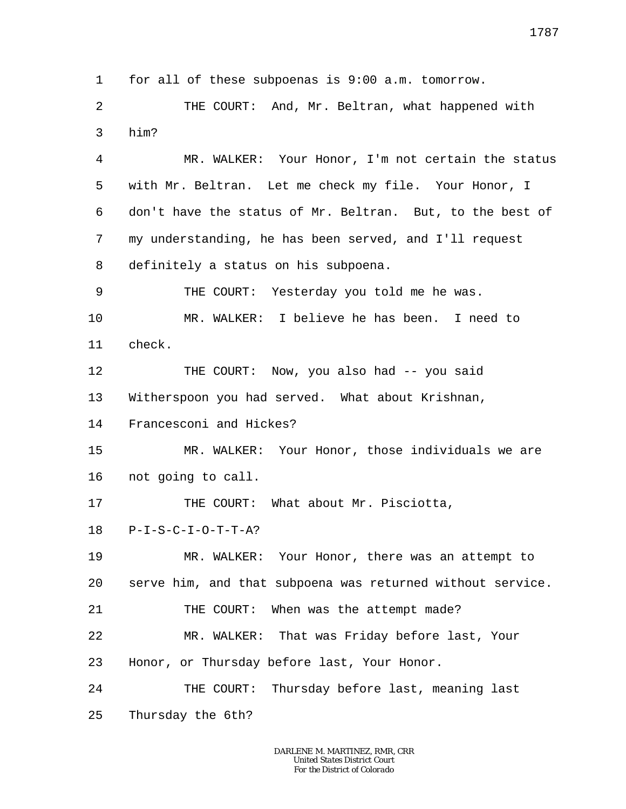1 for all of these subpoenas is 9:00 a.m. tomorrow.

 $\overline{a}$ 3 THE COURT: And, Mr. Beltran, what happened with him?

4 5 6 7 8 MR. WALKER: Your Honor, I'm not certain the status with Mr. Beltran. Let me check my file. Your Honor, I don't have the status of Mr. Beltran. But, to the best of my understanding, he has been served, and I'll request definitely a status on his subpoena.

9 10 11 THE COURT: Yesterday you told me he was. MR. WALKER: I believe he has been. I need to check.

12 13 THE COURT: Now, you also had -- you said Witherspoon you had served. What about Krishnan,

14 Francesconi and Hickes?

15 16 MR. WALKER: Your Honor, those individuals we are not going to call.

17 THE COURT: What about Mr. Pisciotta,

18  $P-I-S-C-I-O-T-T-A?$ 

19 20 MR. WALKER: Your Honor, there was an attempt to serve him, and that subpoena was returned without service.

21 THE COURT: When was the attempt made?

22 MR. WALKER: That was Friday before last, Your

23 Honor, or Thursday before last, Your Honor.

24 THE COURT: Thursday before last, meaning last

25 Thursday the 6th?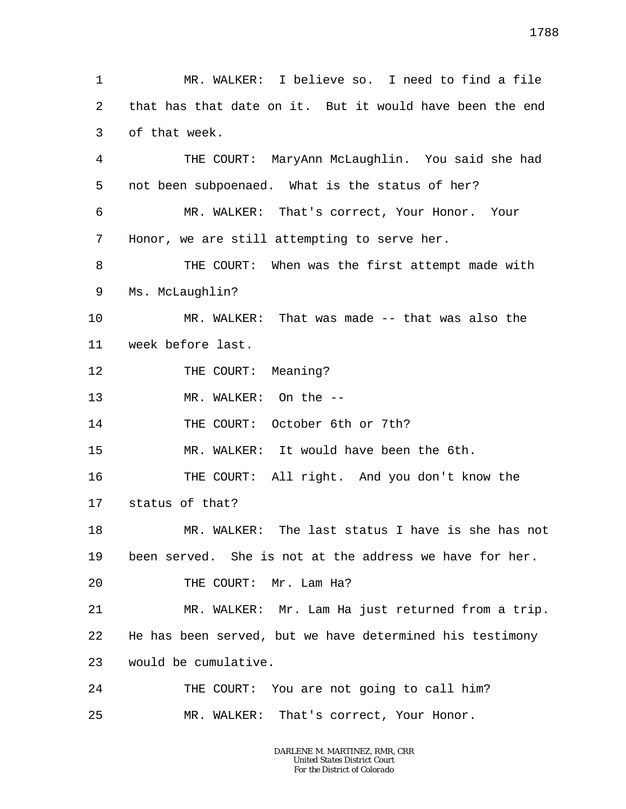1 2 3 4 5 6 7 8 9 10 11 12 13 14 15 16 17 18 19 20 21 22 23 24 25 MR. WALKER: I believe so. I need to find a file that has that date on it. But it would have been the end of that week. THE COURT: MaryAnn McLaughlin. You said she had not been subpoenaed. What is the status of her? MR. WALKER: That's correct, Your Honor. Your Honor, we are still attempting to serve her. THE COURT: When was the first attempt made with Ms. McLaughlin? MR. WALKER: That was made -- that was also the week before last. THE COURT: Meaning? MR. WALKER: On the -- THE COURT: October 6th or 7th? MR. WALKER: It would have been the 6th. THE COURT: All right. And you don't know the status of that? MR. WALKER: The last status I have is she has not been served. She is not at the address we have for her. THE COURT: Mr. Lam Ha? MR. WALKER: Mr. Lam Ha just returned from a trip. He has been served, but we have determined his testimony would be cumulative. THE COURT: You are not going to call him? MR. WALKER: That's correct, Your Honor.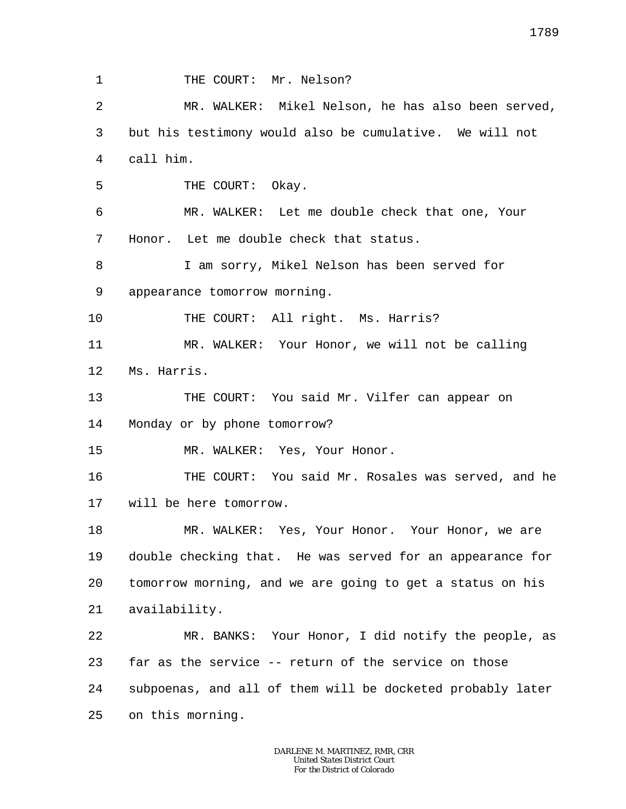1 2 3 4 5 6 7 8 9 10 11 12 13 14 15 16 17 18 19 20 21 22 23 24 25 THE COURT: Mr. Nelson? MR. WALKER: Mikel Nelson, he has also been served, but his testimony would also be cumulative. We will not call him. THE COURT: Okay. MR. WALKER: Let me double check that one, Your Honor. Let me double check that status. I am sorry, Mikel Nelson has been served for appearance tomorrow morning. THE COURT: All right. Ms. Harris? MR. WALKER: Your Honor, we will not be calling Ms. Harris. THE COURT: You said Mr. Vilfer can appear on Monday or by phone tomorrow? MR. WALKER: Yes, Your Honor. THE COURT: You said Mr. Rosales was served, and he will be here tomorrow. MR. WALKER: Yes, Your Honor. Your Honor, we are double checking that. He was served for an appearance for tomorrow morning, and we are going to get a status on his availability. MR. BANKS: Your Honor, I did notify the people, as far as the service -- return of the service on those subpoenas, and all of them will be docketed probably later on this morning.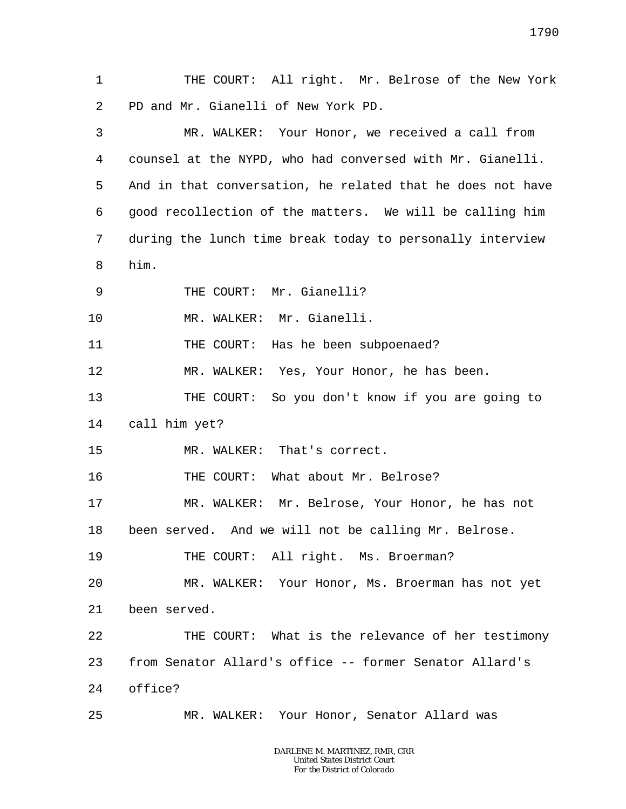1 2 3 4 5 6 7 8 9 10 11 12 13 14 15 16 17 18 19 20 21 22 23 24 25 THE COURT: All right. Mr. Belrose of the New York PD and Mr. Gianelli of New York PD. MR. WALKER: Your Honor, we received a call from counsel at the NYPD, who had conversed with Mr. Gianelli. And in that conversation, he related that he does not have good recollection of the matters. We will be calling him during the lunch time break today to personally interview him. THE COURT: Mr. Gianelli? MR. WALKER: Mr. Gianelli. THE COURT: Has he been subpoenaed? MR. WALKER: Yes, Your Honor, he has been. THE COURT: So you don't know if you are going to call him yet? MR. WALKER: That's correct. THE COURT: What about Mr. Belrose? MR. WALKER: Mr. Belrose, Your Honor, he has not been served. And we will not be calling Mr. Belrose. THE COURT: All right. Ms. Broerman? MR. WALKER: Your Honor, Ms. Broerman has not yet been served. THE COURT: What is the relevance of her testimony from Senator Allard's office -- former Senator Allard's office? MR. WALKER: Your Honor, Senator Allard was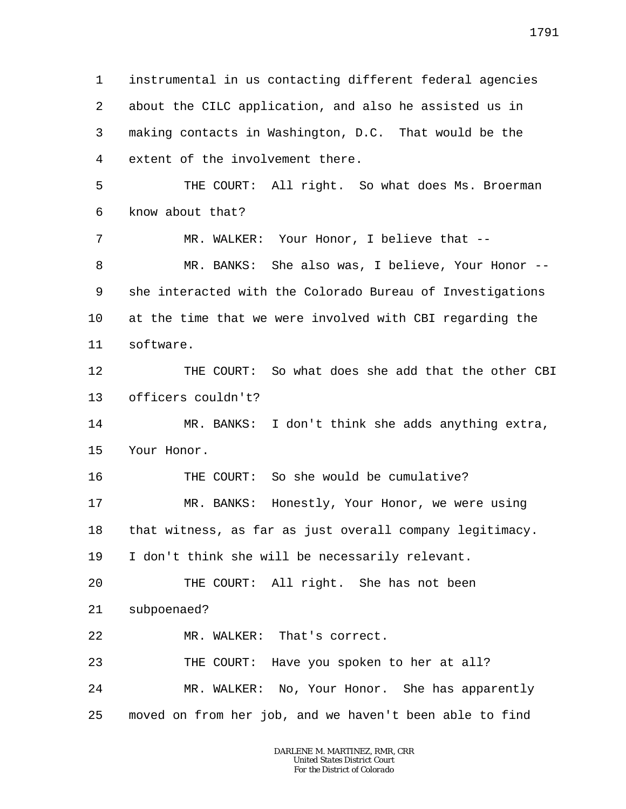1 2 3 4 5 6 7 8 9 10 11 12 13 14 15 16 17 18 19 20 21 22 23 24 25 instrumental in us contacting different federal agencies about the CILC application, and also he assisted us in making contacts in Washington, D.C. That would be the extent of the involvement there. THE COURT: All right. So what does Ms. Broerman know about that? MR. WALKER: Your Honor, I believe that --MR. BANKS: She also was, I believe, Your Honor -she interacted with the Colorado Bureau of Investigations at the time that we were involved with CBI regarding the software. THE COURT: So what does she add that the other CBI officers couldn't? MR. BANKS: I don't think she adds anything extra, Your Honor. THE COURT: So she would be cumulative? MR. BANKS: Honestly, Your Honor, we were using that witness, as far as just overall company legitimacy. I don't think she will be necessarily relevant. THE COURT: All right. She has not been subpoenaed? MR. WALKER: That's correct. THE COURT: Have you spoken to her at all? MR. WALKER: No, Your Honor. She has apparently moved on from her job, and we haven't been able to find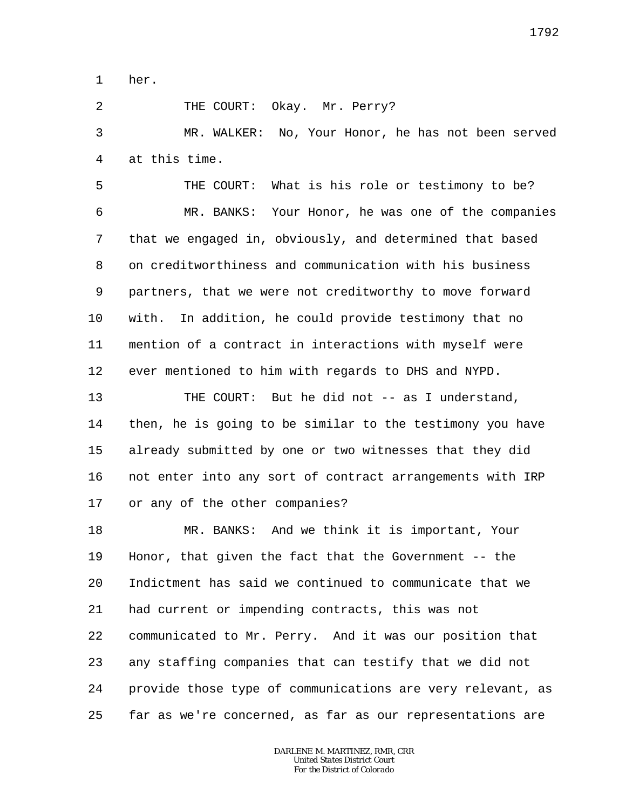1 her.

2

THE COURT: Okay. Mr. Perry?

3 4 MR. WALKER: No, Your Honor, he has not been served at this time.

5 6 7 8 9 10 11 12 THE COURT: What is his role or testimony to be? MR. BANKS: Your Honor, he was one of the companies that we engaged in, obviously, and determined that based on creditworthiness and communication with his business partners, that we were not creditworthy to move forward with. In addition, he could provide testimony that no mention of a contract in interactions with myself were ever mentioned to him with regards to DHS and NYPD.

13 14 15 16 17 THE COURT: But he did not -- as I understand, then, he is going to be similar to the testimony you have already submitted by one or two witnesses that they did not enter into any sort of contract arrangements with IRP or any of the other companies?

18 19 20 21 22 23 24 25 MR. BANKS: And we think it is important, Your Honor, that given the fact that the Government -- the Indictment has said we continued to communicate that we had current or impending contracts, this was not communicated to Mr. Perry. And it was our position that any staffing companies that can testify that we did not provide those type of communications are very relevant, as far as we're concerned, as far as our representations are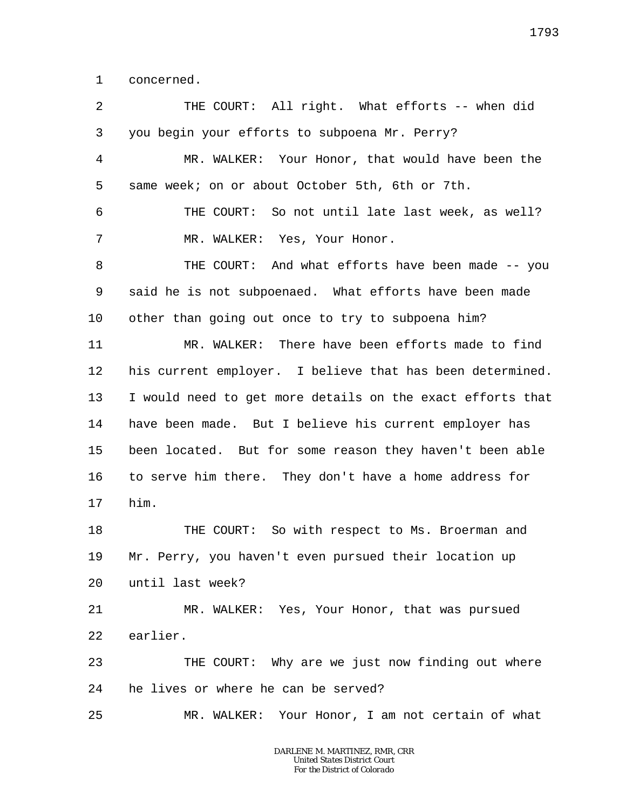1 concerned.

2 3 4 5 6 7 8 9 10 11 12 13 14 15 16 17 18 19  $2.0$ 21 22 23 24 25 THE COURT: All right. What efforts -- when did you begin your efforts to subpoena Mr. Perry? MR. WALKER: Your Honor, that would have been the same week; on or about October 5th, 6th or 7th. THE COURT: So not until late last week, as well? MR. WALKER: Yes, Your Honor. THE COURT: And what efforts have been made -- you said he is not subpoenaed. What efforts have been made other than going out once to try to subpoena him? MR. WALKER: There have been efforts made to find his current employer. I believe that has been determined. I would need to get more details on the exact efforts that have been made. But I believe his current employer has been located. But for some reason they haven't been able to serve him there. They don't have a home address for him. THE COURT: So with respect to Ms. Broerman and Mr. Perry, you haven't even pursued their location up until last week? MR. WALKER: Yes, Your Honor, that was pursued earlier. THE COURT: Why are we just now finding out where he lives or where he can be served? MR. WALKER: Your Honor, I am not certain of what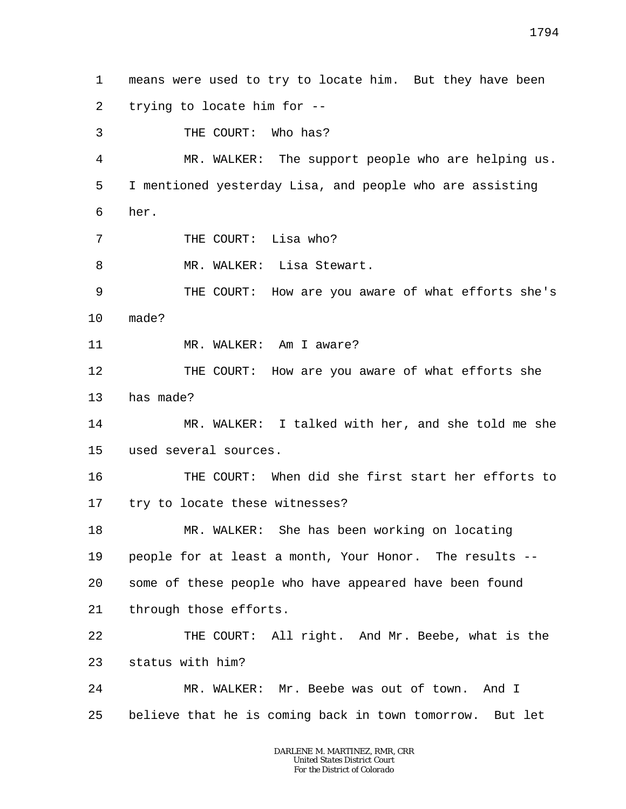1 2 means were used to try to locate him. But they have been trying to locate him for --

4 5 6 MR. WALKER: The support people who are helping us. I mentioned yesterday Lisa, and people who are assisting her.

7 THE COURT: Lisa who?

3

8 MR. WALKER: Lisa Stewart.

THE COURT: Who has?

9 10 THE COURT: How are you aware of what efforts she's made?

11 MR. WALKER: Am I aware?

12 13 THE COURT: How are you aware of what efforts she has made?

14 15 MR. WALKER: I talked with her, and she told me she used several sources.

16 17 THE COURT: When did she first start her efforts to try to locate these witnesses?

18 19 20 21 MR. WALKER: She has been working on locating people for at least a month, Your Honor. The results - some of these people who have appeared have been found through those efforts.

22 23 THE COURT: All right. And Mr. Beebe, what is the status with him?

24 25 MR. WALKER: Mr. Beebe was out of town. And I believe that he is coming back in town tomorrow. But let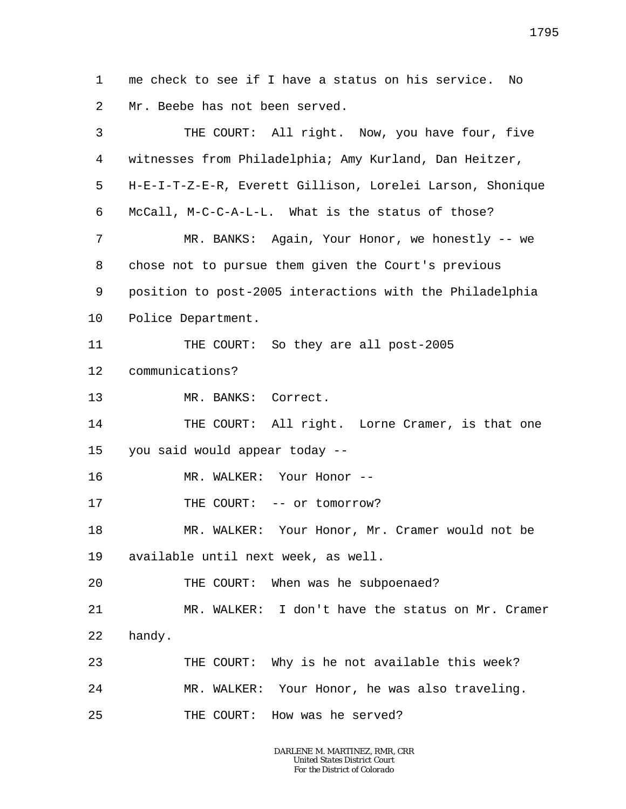1 2 me check to see if I have a status on his service. No Mr. Beebe has not been served.

| 3       | THE COURT: All right. Now, you have four, five            |
|---------|-----------------------------------------------------------|
| 4       | witnesses from Philadelphia; Amy Kurland, Dan Heitzer,    |
| 5       | H-E-I-T-Z-E-R, Everett Gillison, Lorelei Larson, Shonique |
| 6       | McCall, M-C-C-A-L-L. What is the status of those?         |
| 7       | MR. BANKS: Again, Your Honor, we honestly -- we           |
| 8       | chose not to pursue them given the Court's previous       |
| 9       | position to post-2005 interactions with the Philadelphia  |
| $10 \,$ | Police Department.                                        |
| 11      | So they are all post-2005<br>THE COURT:                   |
| 12      | communications?                                           |
| 13      | MR. BANKS: Correct.                                       |
| 14      | THE COURT: All right. Lorne Cramer, is that one           |
| 15      | you said would appear today --                            |
| 16      | MR. WALKER: Your Honor --                                 |
| 17      | THE COURT: -- or tomorrow?                                |
| 18      | MR. WALKER: Your Honor, Mr. Cramer would not be           |
| 19      | available until next week, as well.                       |
| 20      | THE COURT: When was he subpoenaed?                        |
| 21      | MR. WALKER: I don't have the status on Mr. Cramer         |
| 22      | handy.                                                    |
| 23      | THE COURT: Why is he not available this week?             |
| 24      | MR. WALKER: Your Honor, he was also traveling.            |
| 25      | THE COURT: How was he served?                             |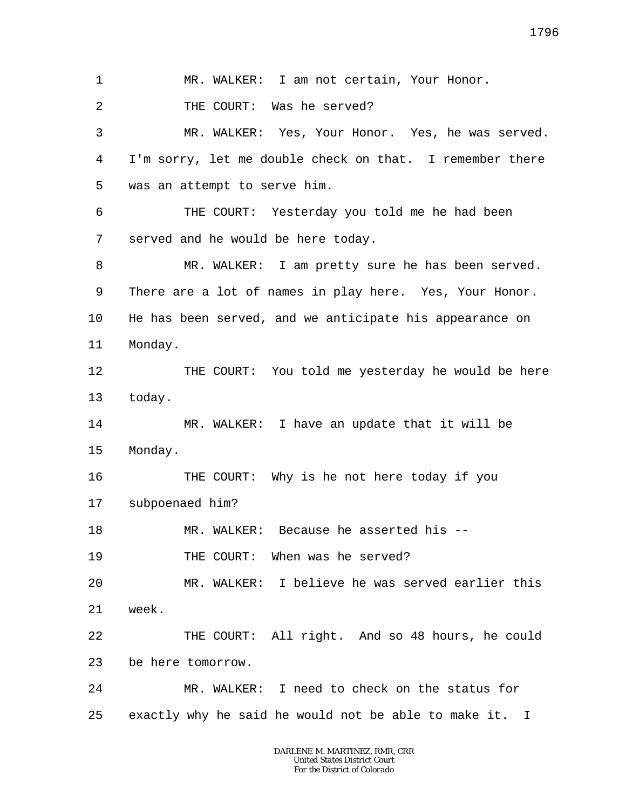1 2 3 4 5 6 7 8 9 10 11 12 13 14 15 16 17 18 19 20 21 22 23 24 25 MR. WALKER: I am not certain, Your Honor. THE COURT: Was he served? MR. WALKER: Yes, Your Honor. Yes, he was served. I'm sorry, let me double check on that. I remember there was an attempt to serve him. THE COURT: Yesterday you told me he had been served and he would be here today. MR. WALKER: I am pretty sure he has been served. There are a lot of names in play here. Yes, Your Honor. He has been served, and we anticipate his appearance on Monday. THE COURT: You told me yesterday he would be here today. MR. WALKER: I have an update that it will be Monday. THE COURT: Why is he not here today if you subpoenaed him? MR. WALKER: Because he asserted his --THE COURT: When was he served? MR. WALKER: I believe he was served earlier this week. THE COURT: All right. And so 48 hours, he could be here tomorrow. MR. WALKER: I need to check on the status for exactly why he said he would not be able to make it. I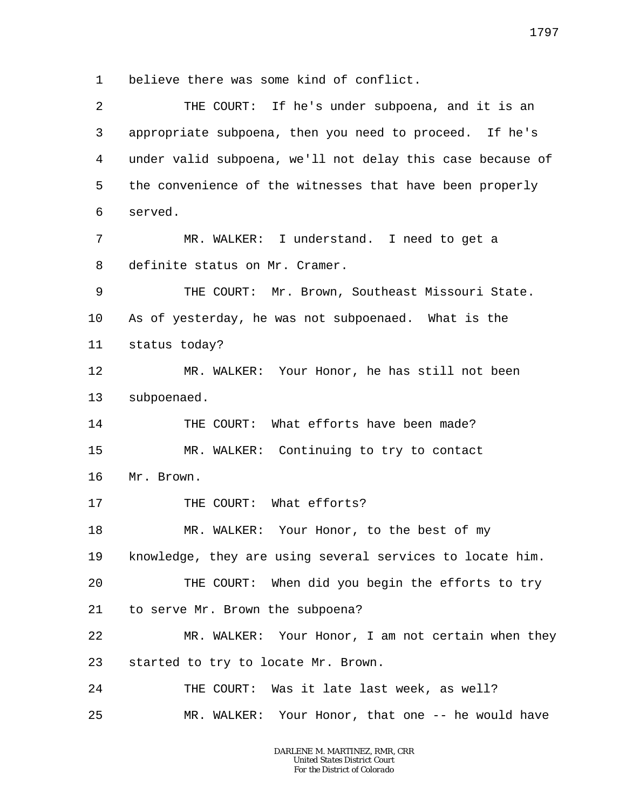1 believe there was some kind of conflict.

| 2       | THE COURT: If he's under subpoena, and it is an            |
|---------|------------------------------------------------------------|
| 3       | appropriate subpoena, then you need to proceed. If he's    |
| 4       | under valid subpoena, we'll not delay this case because of |
| 5       | the convenience of the witnesses that have been properly   |
| 6       | served.                                                    |
| 7       | MR. WALKER: I understand. I need to get a                  |
| 8       | definite status on Mr. Cramer.                             |
| 9       | THE COURT: Mr. Brown, Southeast Missouri State.            |
| $10 \,$ | As of yesterday, he was not subpoenaed. What is the        |
| 11      | status today?                                              |
| 12      | MR. WALKER: Your Honor, he has still not been              |
| 13      | subpoenaed.                                                |
| 14      | THE COURT: What efforts have been made?                    |
| 15      | MR. WALKER: Continuing to try to contact                   |
| 16      | Mr. Brown.                                                 |
| 17      | THE COURT: What efforts?                                   |
| 18      | MR. WALKER: Your Honor, to the best of my                  |
| 19      | knowledge, they are using several services to locate him.  |
| 20      | THE COURT: When did you begin the efforts to try           |
| 21      | to serve Mr. Brown the subpoena?                           |
| 22      | MR. WALKER: Your Honor, I am not certain when they         |
| 23      | started to try to locate Mr. Brown.                        |
| 24      | THE COURT: Was it late last week, as well?                 |
| 25      | MR. WALKER: Your Honor, that one -- he would have          |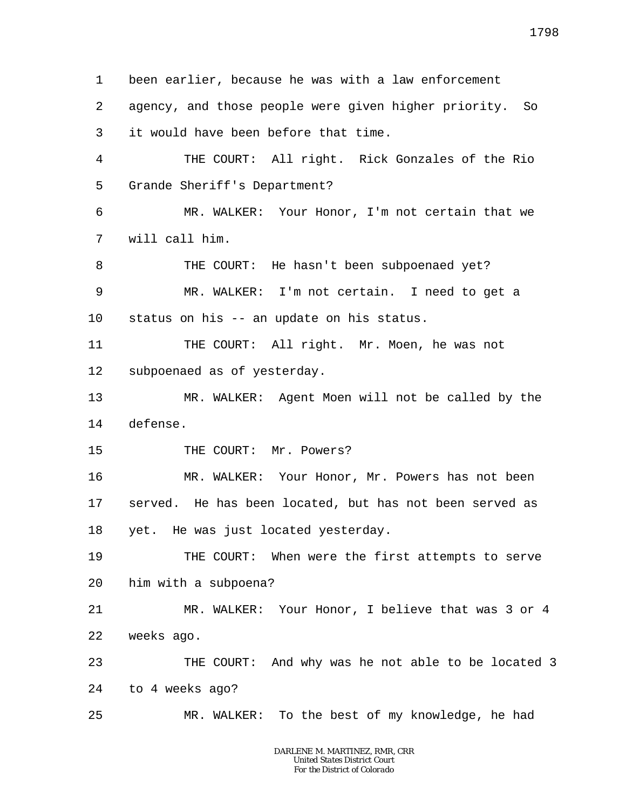1 2 3 4 5 6 7 8 9 10 11 12 13 14 15 16 17 18 19 20 21 22 23 24 25 been earlier, because he was with a law enforcement agency, and those people were given higher priority. So it would have been before that time. THE COURT: All right. Rick Gonzales of the Rio Grande Sheriff's Department? MR. WALKER: Your Honor, I'm not certain that we will call him. THE COURT: He hasn't been subpoenaed yet? MR. WALKER: I'm not certain. I need to get a status on his -- an update on his status. THE COURT: All right. Mr. Moen, he was not subpoenaed as of yesterday. MR. WALKER: Agent Moen will not be called by the defense. THE COURT: Mr. Powers? MR. WALKER: Your Honor, Mr. Powers has not been served. He has been located, but has not been served as yet. He was just located yesterday. THE COURT: When were the first attempts to serve him with a subpoena? MR. WALKER: Your Honor, I believe that was 3 or 4 weeks ago. THE COURT: And why was he not able to be located 3 to 4 weeks ago? MR. WALKER: To the best of my knowledge, he had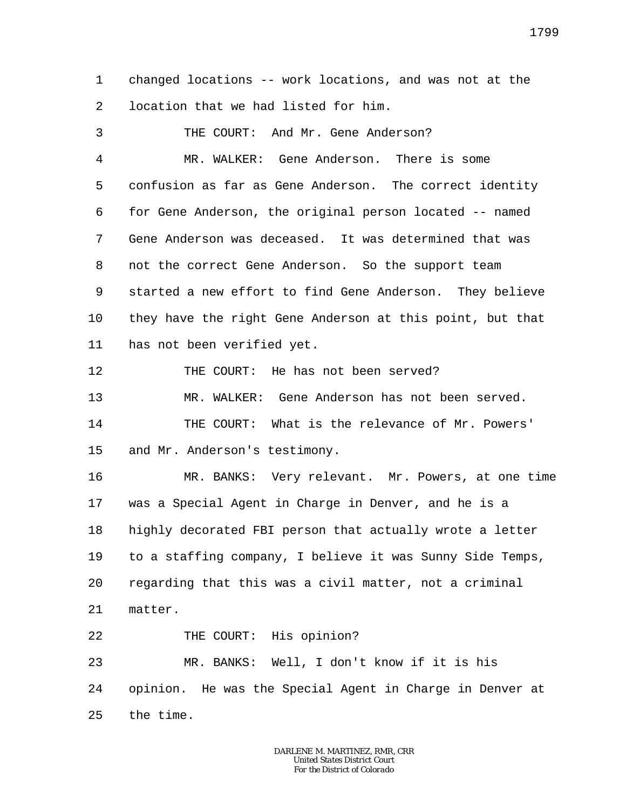1 2 changed locations -- work locations, and was not at the location that we had listed for him.

3 4 5 6 7 8 9 10 11 12 13 14 15 16 17 18 19 20 21 22 23 24 25 THE COURT: And Mr. Gene Anderson? MR. WALKER: Gene Anderson. There is some confusion as far as Gene Anderson. The correct identity for Gene Anderson, the original person located -- named Gene Anderson was deceased. It was determined that was not the correct Gene Anderson. So the support team started a new effort to find Gene Anderson. They believe they have the right Gene Anderson at this point, but that has not been verified yet. THE COURT: He has not been served? MR. WALKER: Gene Anderson has not been served. THE COURT: What is the relevance of Mr. Powers' and Mr. Anderson's testimony. MR. BANKS: Very relevant. Mr. Powers, at one time was a Special Agent in Charge in Denver, and he is a highly decorated FBI person that actually wrote a letter to a staffing company, I believe it was Sunny Side Temps, regarding that this was a civil matter, not a criminal matter. THE COURT: His opinion? MR. BANKS: Well, I don't know if it is his opinion. He was the Special Agent in Charge in Denver at the time.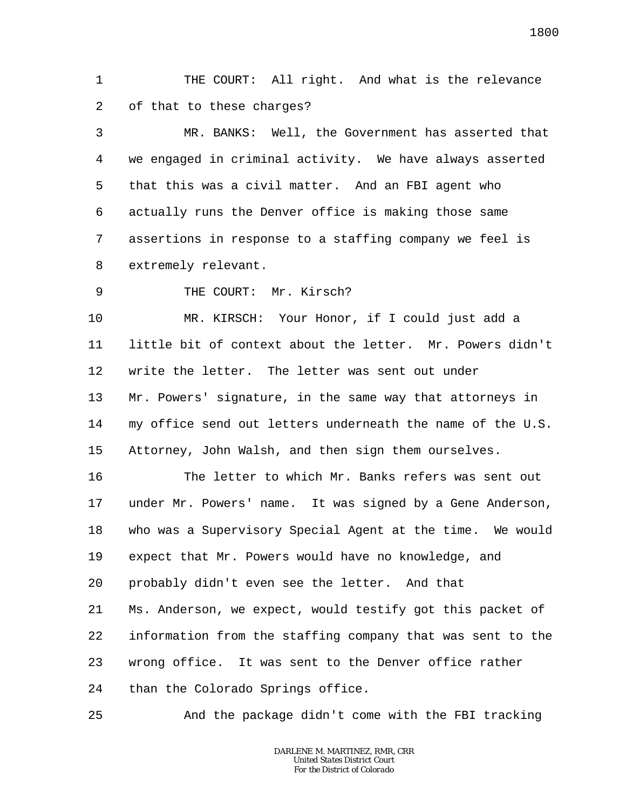1 2 THE COURT: All right. And what is the relevance of that to these charges?

3 4 5 6 7 8 MR. BANKS: Well, the Government has asserted that we engaged in criminal activity. We have always asserted that this was a civil matter. And an FBI agent who actually runs the Denver office is making those same assertions in response to a staffing company we feel is extremely relevant.

9 THE COURT: Mr. Kirsch?

25

10 11 12 13 14 15 MR. KIRSCH: Your Honor, if I could just add a little bit of context about the letter. Mr. Powers didn't write the letter. The letter was sent out under Mr. Powers' signature, in the same way that attorneys in my office send out letters underneath the name of the U.S. Attorney, John Walsh, and then sign them ourselves.

16 17 18 19 20 21 22 23 24 The letter to which Mr. Banks refers was sent out under Mr. Powers' name. It was signed by a Gene Anderson, who was a Supervisory Special Agent at the time. We would expect that Mr. Powers would have no knowledge, and probably didn't even see the letter. And that Ms. Anderson, we expect, would testify got this packet of information from the staffing company that was sent to the wrong office. It was sent to the Denver office rather than the Colorado Springs office.

And the package didn't come with the FBI tracking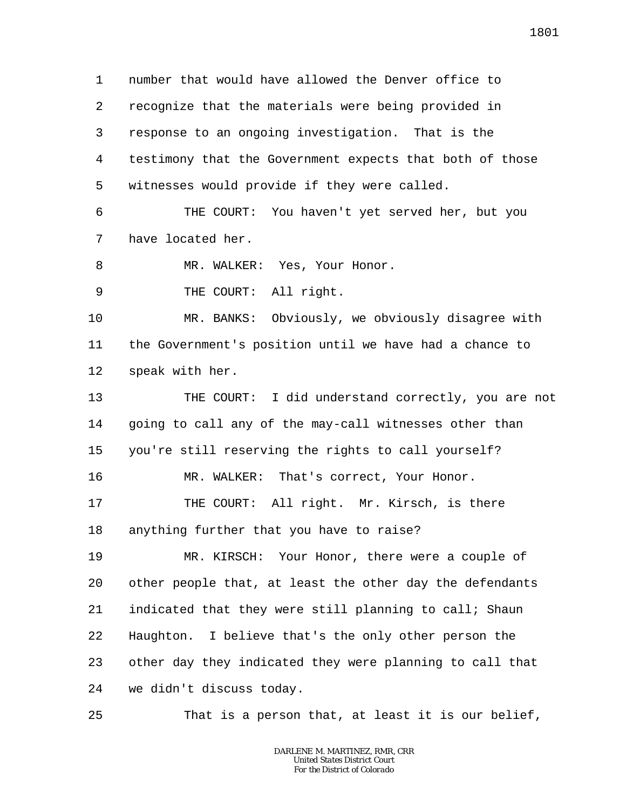1 2 3 4 5 number that would have allowed the Denver office to recognize that the materials were being provided in response to an ongoing investigation. That is the testimony that the Government expects that both of those witnesses would provide if they were called.

6 7 THE COURT: You haven't yet served her, but you have located her.

8 MR. WALKER: Yes, Your Honor.

9 THE COURT: All right.

25

10 11 12 MR. BANKS: Obviously, we obviously disagree with the Government's position until we have had a chance to speak with her.

13 14 15 THE COURT: I did understand correctly, you are not going to call any of the may-call witnesses other than you're still reserving the rights to call yourself?

16 17 18 MR. WALKER: That's correct, Your Honor. THE COURT: All right. Mr. Kirsch, is there anything further that you have to raise?

19 20 21 22 23 24 MR. KIRSCH: Your Honor, there were a couple of other people that, at least the other day the defendants indicated that they were still planning to call; Shaun Haughton. I believe that's the only other person the other day they indicated they were planning to call that we didn't discuss today.

That is a person that, at least it is our belief,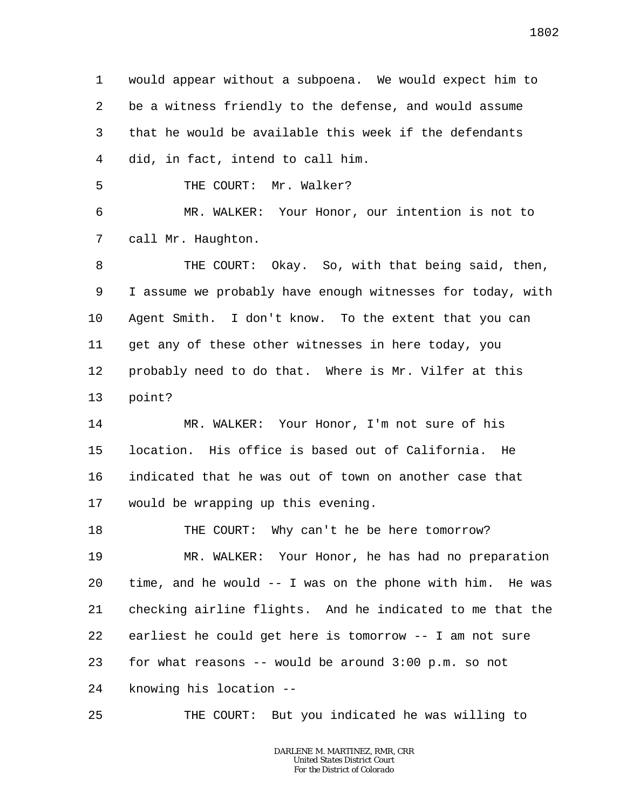1 2 3 4 would appear without a subpoena. We would expect him to be a witness friendly to the defense, and would assume that he would be available this week if the defendants did, in fact, intend to call him.

5 THE COURT: Mr. Walker?

6 7 MR. WALKER: Your Honor, our intention is not to call Mr. Haughton.

8 9 10 11 12 13 THE COURT: Okay. So, with that being said, then, I assume we probably have enough witnesses for today, with Agent Smith. I don't know. To the extent that you can get any of these other witnesses in here today, you probably need to do that. Where is Mr. Vilfer at this point?

14 15 16 17 MR. WALKER: Your Honor, I'm not sure of his location. His office is based out of California. He indicated that he was out of town on another case that would be wrapping up this evening.

18 19 20 21 22 23 24 THE COURT: Why can't he be here tomorrow? MR. WALKER: Your Honor, he has had no preparation time, and he would -- I was on the phone with him. He was checking airline flights. And he indicated to me that the earliest he could get here is tomorrow -- I am not sure for what reasons  $-$ - would be around  $3:00$  p.m. so not knowing his location --

25 THE COURT: But you indicated he was willing to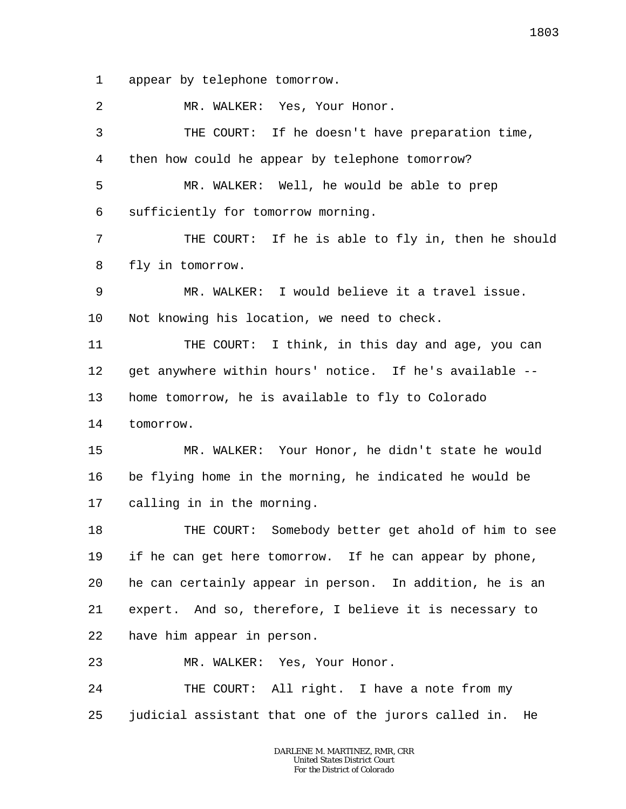1 appear by telephone tomorrow.

2 3 4 5 6 7 8 9 10 11 12 13 14 15 16 17 18 19 20 21 22 23 24 25 MR. WALKER: Yes, Your Honor. THE COURT: If he doesn't have preparation time, then how could he appear by telephone tomorrow? MR. WALKER: Well, he would be able to prep sufficiently for tomorrow morning. THE COURT: If he is able to fly in, then he should fly in tomorrow. MR. WALKER: I would believe it a travel issue. Not knowing his location, we need to check. THE COURT: I think, in this day and age, you can get anywhere within hours' notice. If he's available - home tomorrow, he is available to fly to Colorado tomorrow. MR. WALKER: Your Honor, he didn't state he would be flying home in the morning, he indicated he would be calling in in the morning. THE COURT: Somebody better get ahold of him to see if he can get here tomorrow. If he can appear by phone, he can certainly appear in person. In addition, he is an expert. And so, therefore, I believe it is necessary to have him appear in person. MR. WALKER: Yes, Your Honor. THE COURT: All right. I have a note from my judicial assistant that one of the jurors called in. He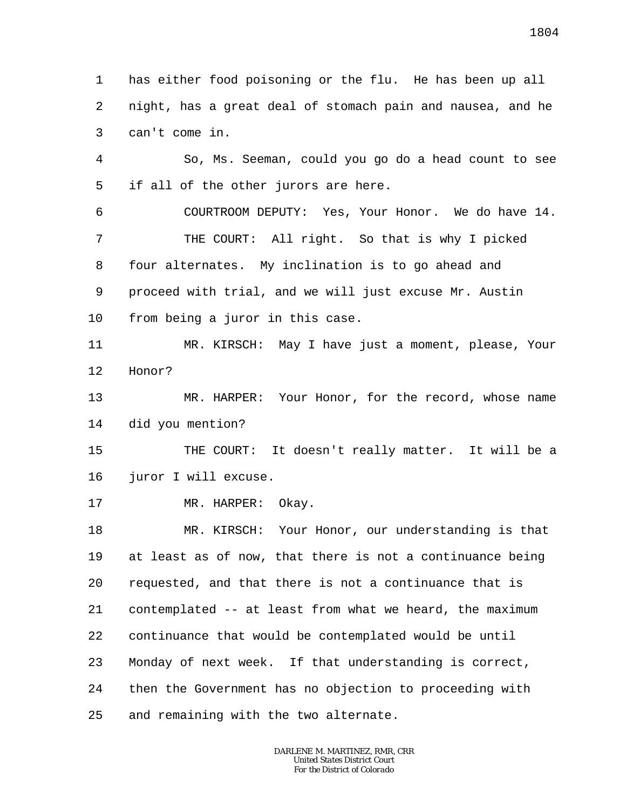1 2 3 has either food poisoning or the flu. He has been up all night, has a great deal of stomach pain and nausea, and he can't come in.

4 5 So, Ms. Seeman, could you go do a head count to see if all of the other jurors are here.

6 7 8 9 10 COURTROOM DEPUTY: Yes, Your Honor. We do have 14. THE COURT: All right. So that is why I picked four alternates. My inclination is to go ahead and proceed with trial, and we will just excuse Mr. Austin from being a juror in this case.

11 12 MR. KIRSCH: May I have just a moment, please, Your Honor?

13 14 MR. HARPER: Your Honor, for the record, whose name did you mention?

15 16 THE COURT: It doesn't really matter. It will be a juror I will excuse.

17 MR. HARPER: Okay.

18 19 20 21 22 23 24 25 MR. KIRSCH: Your Honor, our understanding is that at least as of now, that there is not a continuance being requested, and that there is not a continuance that is contemplated -- at least from what we heard, the maximum continuance that would be contemplated would be until Monday of next week. If that understanding is correct, then the Government has no objection to proceeding with and remaining with the two alternate.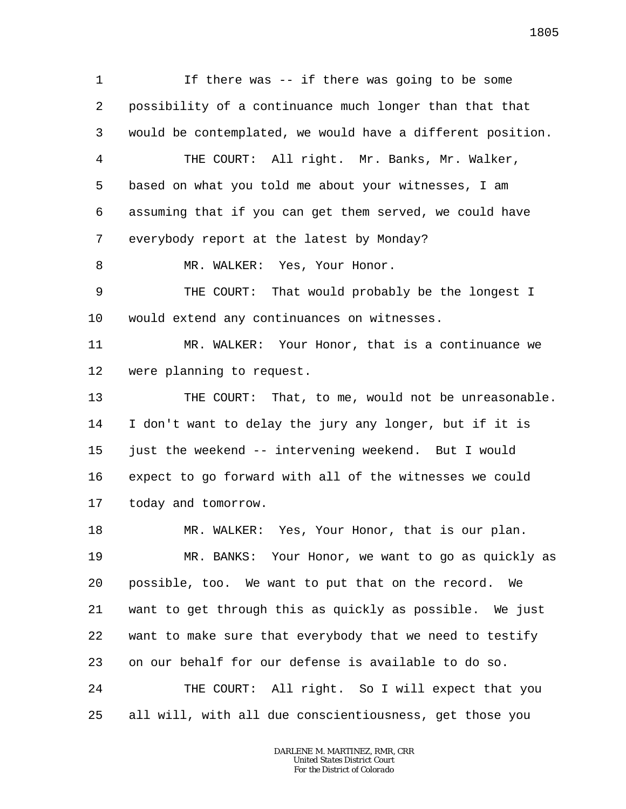1 2 3 4 5 6 7 8 9 10 11 12 13 14 15 16 17 18 19 20 21 22 23 24 If there was -- if there was going to be some possibility of a continuance much longer than that that would be contemplated, we would have a different position. THE COURT: All right. Mr. Banks, Mr. Walker, based on what you told me about your witnesses, I am assuming that if you can get them served, we could have everybody report at the latest by Monday? MR. WALKER: Yes, Your Honor. THE COURT: That would probably be the longest I would extend any continuances on witnesses. MR. WALKER: Your Honor, that is a continuance we were planning to request. THE COURT: That, to me, would not be unreasonable. I don't want to delay the jury any longer, but if it is just the weekend -- intervening weekend. But I would expect to go forward with all of the witnesses we could today and tomorrow. MR. WALKER: Yes, Your Honor, that is our plan. MR. BANKS: Your Honor, we want to go as quickly as possible, too. We want to put that on the record. We want to get through this as quickly as possible. We just want to make sure that everybody that we need to testify on our behalf for our defense is available to do so. THE COURT: All right. So I will expect that you

25 all will, with all due conscientiousness, get those you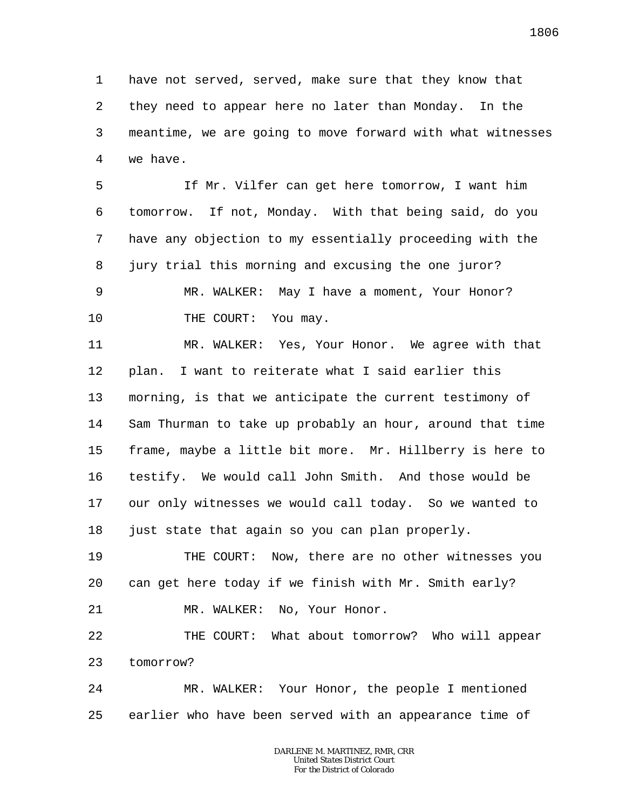1 2 3 4 have not served, served, make sure that they know that they need to appear here no later than Monday. In the meantime, we are going to move forward with what witnesses we have.

5 6 7 8 9 10 If Mr. Vilfer can get here tomorrow, I want him tomorrow. If not, Monday. With that being said, do you have any objection to my essentially proceeding with the jury trial this morning and excusing the one juror? MR. WALKER: May I have a moment, Your Honor? THE COURT: You may.

11 12 13 14 15 16 17 18 MR. WALKER: Yes, Your Honor. We agree with that plan. I want to reiterate what I said earlier this morning, is that we anticipate the current testimony of Sam Thurman to take up probably an hour, around that time frame, maybe a little bit more. Mr. Hillberry is here to testify. We would call John Smith. And those would be our only witnesses we would call today. So we wanted to just state that again so you can plan properly.

19 20 THE COURT: Now, there are no other witnesses you can get here today if we finish with Mr. Smith early?

21 MR. WALKER: No, Your Honor.

22 23 THE COURT: What about tomorrow? Who will appear tomorrow?

24 25 MR. WALKER: Your Honor, the people I mentioned earlier who have been served with an appearance time of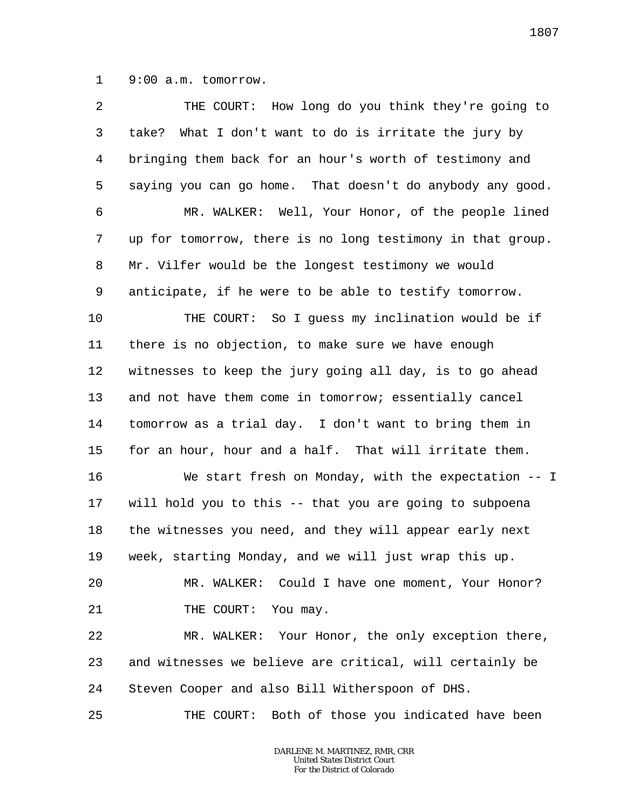1 9:00 a.m. tomorrow.

| $\overline{a}$ | THE COURT: How long do you think they're going to          |
|----------------|------------------------------------------------------------|
| 3              | What I don't want to do is irritate the jury by<br>take?   |
| 4              | bringing them back for an hour's worth of testimony and    |
| 5              | saying you can go home. That doesn't do anybody any good.  |
| 6              | MR. WALKER: Well, Your Honor, of the people lined          |
| 7              | up for tomorrow, there is no long testimony in that group. |
| 8              | Mr. Vilfer would be the longest testimony we would         |
| 9              | anticipate, if he were to be able to testify tomorrow.     |
| $10 \,$        | THE COURT: So I guess my inclination would be if           |
| 11             | there is no objection, to make sure we have enough         |
| 12             | witnesses to keep the jury going all day, is to go ahead   |
| 13             | and not have them come in tomorrow; essentially cancel     |
| 14             | tomorrow as a trial day. I don't want to bring them in     |
| 15             | for an hour, hour and a half. That will irritate them.     |
| 16             | We start fresh on Monday, with the expectation -- I        |
| 17             | will hold you to this -- that you are going to subpoena    |
| 18             | the witnesses you need, and they will appear early next    |
| 19             | week, starting Monday, and we will just wrap this up.      |
| 20             | MR. WALKER: Could I have one moment, Your Honor?           |
| 21             | THE COURT: You may.                                        |
| 22             | MR. WALKER: Your Honor, the only exception there,          |
| 23             | and witnesses we believe are critical, will certainly be   |
| 24             | Steven Cooper and also Bill Witherspoon of DHS.            |
| 25             | THE COURT: Both of those you indicated have been           |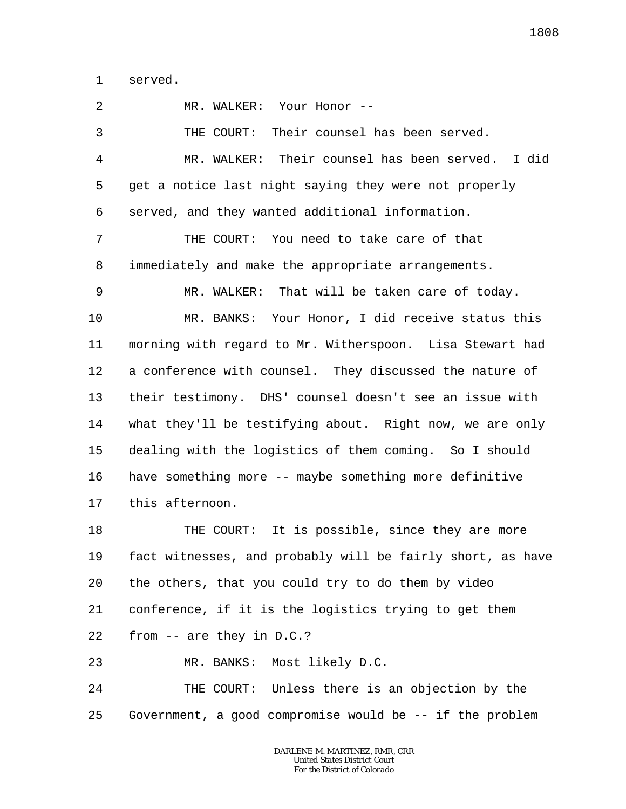1 served.

2 3 4 5 6 7 8 9 10 11 12 13 14 15 16 17 18 19 20 21 22 23 24 25 MR. WALKER: Your Honor -- THE COURT: Their counsel has been served. MR. WALKER: Their counsel has been served. I did get a notice last night saying they were not properly served, and they wanted additional information. THE COURT: You need to take care of that immediately and make the appropriate arrangements. MR. WALKER: That will be taken care of today. MR. BANKS: Your Honor, I did receive status this morning with regard to Mr. Witherspoon. Lisa Stewart had a conference with counsel. They discussed the nature of their testimony. DHS' counsel doesn't see an issue with what they'll be testifying about. Right now, we are only dealing with the logistics of them coming. So I should have something more -- maybe something more definitive this afternoon. THE COURT: It is possible, since they are more fact witnesses, and probably will be fairly short, as have the others, that you could try to do them by video conference, if it is the logistics trying to get them from -- are they in D.C.? MR. BANKS: Most likely D.C. THE COURT: Unless there is an objection by the Government, a good compromise would be -- if the problem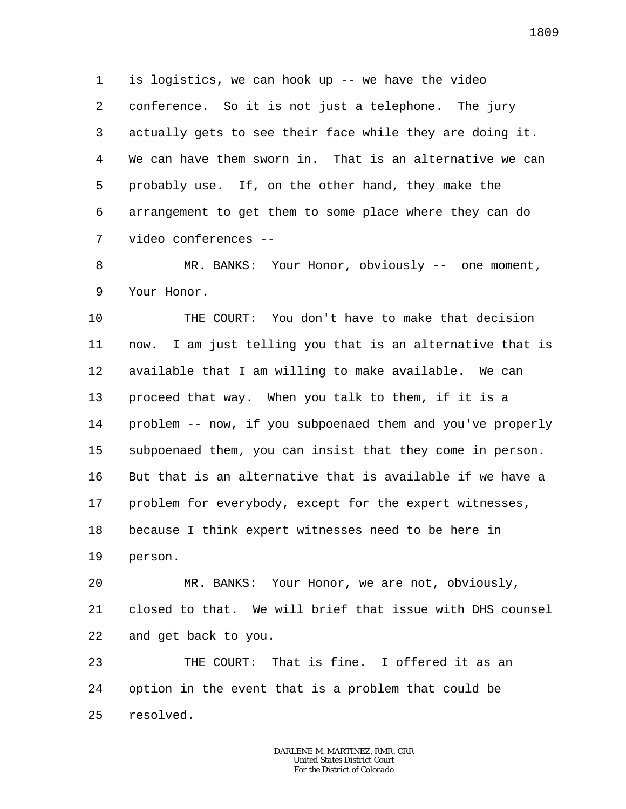1 2 3 4 5 6 7 is logistics, we can hook up -- we have the video conference. So it is not just a telephone. The jury actually gets to see their face while they are doing it. We can have them sworn in. That is an alternative we can probably use. If, on the other hand, they make the arrangement to get them to some place where they can do video conferences --

8 9 MR. BANKS: Your Honor, obviously -- one moment, Your Honor.

10 11 12 13 14 15 16 17 18 19 THE COURT: You don't have to make that decision now. I am just telling you that is an alternative that is available that I am willing to make available. We can proceed that way. When you talk to them, if it is a problem -- now, if you subpoenaed them and you've properly subpoenaed them, you can insist that they come in person. But that is an alternative that is available if we have a problem for everybody, except for the expert witnesses, because I think expert witnesses need to be here in person.

20 21 22 MR. BANKS: Your Honor, we are not, obviously, closed to that. We will brief that issue with DHS counsel and get back to you.

23 24 25 THE COURT: That is fine. I offered it as an option in the event that is a problem that could be resolved.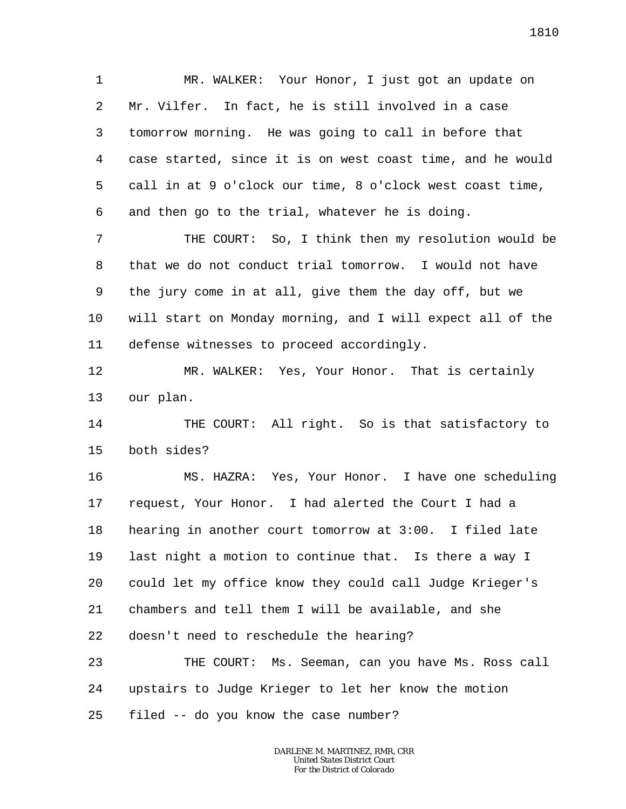1 2 3 4 5 6 MR. WALKER: Your Honor, I just got an update on Mr. Vilfer. In fact, he is still involved in a case tomorrow morning. He was going to call in before that case started, since it is on west coast time, and he would call in at 9 o'clock our time, 8 o'clock west coast time, and then go to the trial, whatever he is doing.

7 8 9 10 11 THE COURT: So, I think then my resolution would be that we do not conduct trial tomorrow. I would not have the jury come in at all, give them the day off, but we will start on Monday morning, and I will expect all of the defense witnesses to proceed accordingly.

12 13 MR. WALKER: Yes, Your Honor. That is certainly our plan.

14 15 THE COURT: All right. So is that satisfactory to both sides?

16 17 18 19 20 21 22 MS. HAZRA: Yes, Your Honor. I have one scheduling request, Your Honor. I had alerted the Court I had a hearing in another court tomorrow at 3:00. I filed late last night a motion to continue that. Is there a way I could let my office know they could call Judge Krieger's chambers and tell them I will be available, and she doesn't need to reschedule the hearing?

23 24 25 THE COURT: Ms. Seeman, can you have Ms. Ross call upstairs to Judge Krieger to let her know the motion filed -- do you know the case number?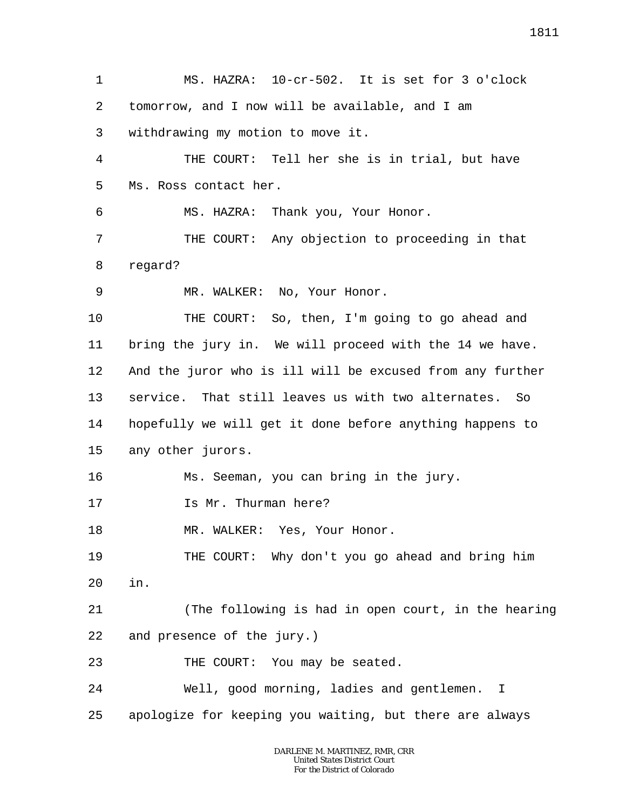1 2 3 4 5 6 7 8 9 10 11 12 13 14 15 16 17 18 19 20 21 22 23 24 25 MS. HAZRA: 10-cr-502. It is set for 3 o'clock tomorrow, and I now will be available, and I am withdrawing my motion to move it. THE COURT: Tell her she is in trial, but have Ms. Ross contact her. MS. HAZRA: Thank you, Your Honor. THE COURT: Any objection to proceeding in that regard? MR. WALKER: No, Your Honor. THE COURT: So, then, I'm going to go ahead and bring the jury in. We will proceed with the 14 we have. And the juror who is ill will be excused from any further service. That still leaves us with two alternates. So hopefully we will get it done before anything happens to any other jurors. Ms. Seeman, you can bring in the jury. Is Mr. Thurman here? MR. WALKER: Yes, Your Honor. THE COURT: Why don't you go ahead and bring him in. (The following is had in open court, in the hearing and presence of the jury.) THE COURT: You may be seated. Well, good morning, ladies and gentlemen. I apologize for keeping you waiting, but there are always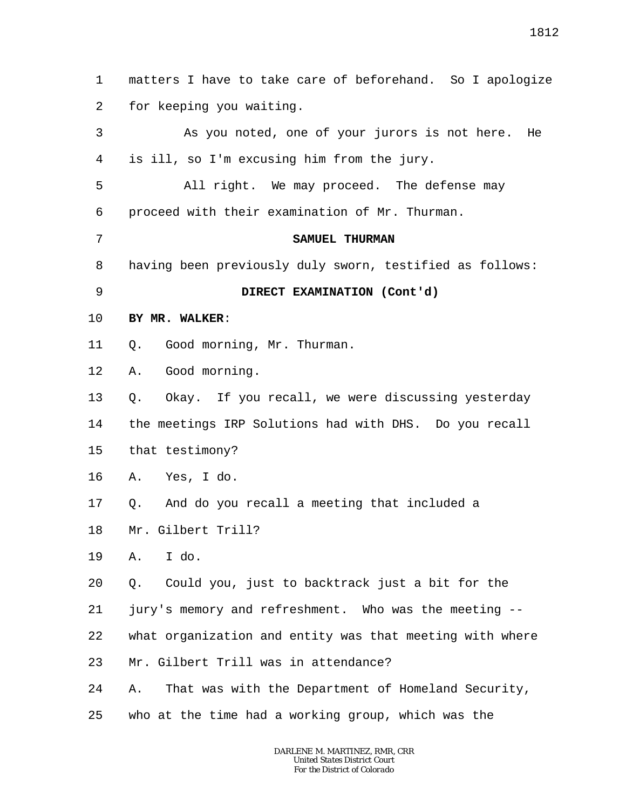1 2 3 4 5 6 7 8 9 10 11 12 13 14 15 16 17 18 19 20 21 22 23 24 25 matters I have to take care of beforehand. So I apologize for keeping you waiting. As you noted, one of your jurors is not here. He is ill, so I'm excusing him from the jury. All right. We may proceed. The defense may proceed with their examination of Mr. Thurman. **SAMUEL THURMAN** having been previously duly sworn, testified as follows: **DIRECT EXAMINATION (Cont'd) BY MR. WALKER**: Q. Good morning, Mr. Thurman. A. Good morning. Q. Okay. If you recall, we were discussing yesterday the meetings IRP Solutions had with DHS. Do you recall that testimony? A. Yes, I do. Q. And do you recall a meeting that included a Mr. Gilbert Trill? A. I do. Q. Could you, just to backtrack just a bit for the jury's memory and refreshment. Who was the meeting - what organization and entity was that meeting with where Mr. Gilbert Trill was in attendance? A. That was with the Department of Homeland Security, who at the time had a working group, which was the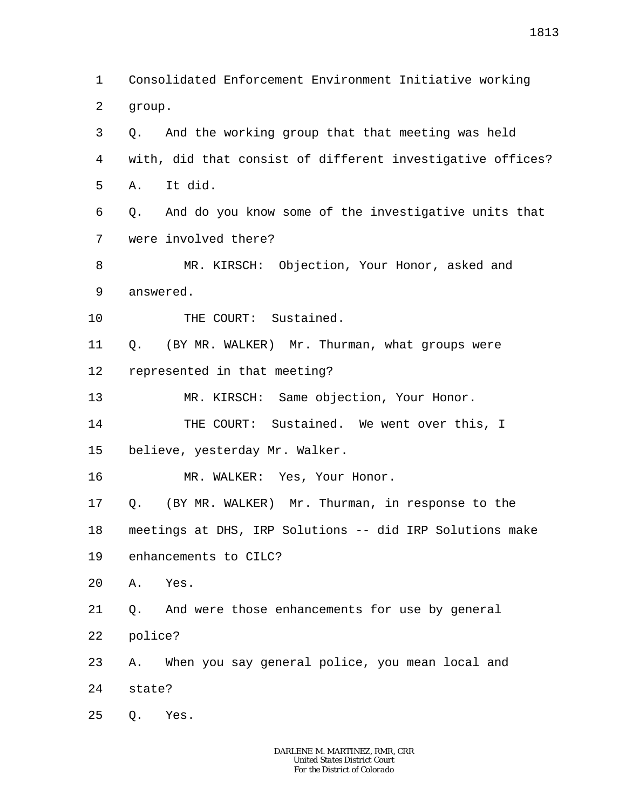1 2 Consolidated Enforcement Environment Initiative working group.

3 4 5 Q. And the working group that that meeting was held with, did that consist of different investigative offices? A. It did.

6 7 Q. And do you know some of the investigative units that were involved there?

8 9 MR. KIRSCH: Objection, Your Honor, asked and answered.

10 THE COURT: Sustained.

11 12 Q. (BY MR. WALKER) Mr. Thurman, what groups were represented in that meeting?

13 MR. KIRSCH: Same objection, Your Honor.

14 THE COURT: Sustained. We went over this, I

15 believe, yesterday Mr. Walker.

16 MR. WALKER: Yes, Your Honor.

17 Q. (BY MR. WALKER) Mr. Thurman, in response to the

18 meetings at DHS, IRP Solutions -- did IRP Solutions make

19 enhancements to CILC?

20 A. Yes.

21 22 Q. And were those enhancements for use by general police?

23 24 A. When you say general police, you mean local and state?

25 Q. Yes.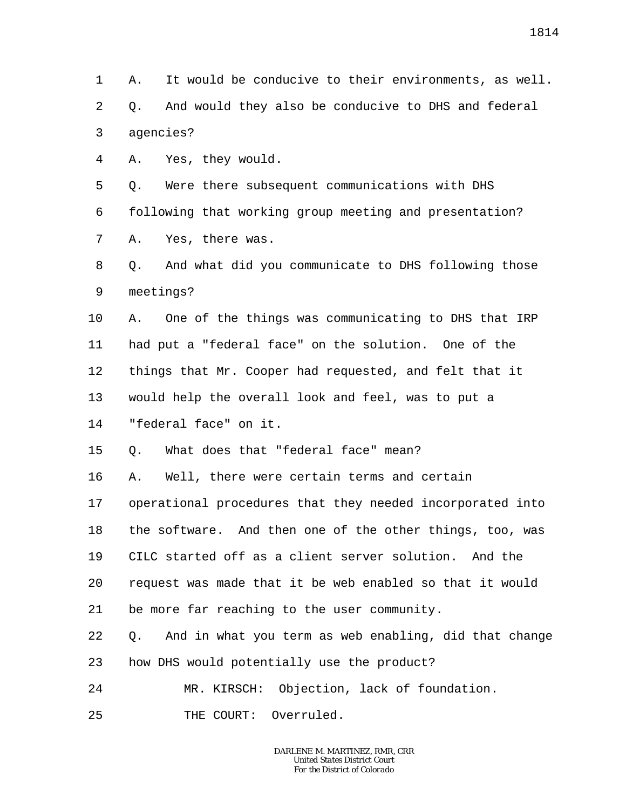1 2 3 A. It would be conducive to their environments, as well. Q. And would they also be conducive to DHS and federal agencies?

4 A. Yes, they would.

5 6 7 Q. Were there subsequent communications with DHS following that working group meeting and presentation? A. Yes, there was.

8 9 Q. And what did you communicate to DHS following those meetings?

10 11 12 13 14 A. One of the things was communicating to DHS that IRP had put a "federal face" on the solution. One of the things that Mr. Cooper had requested, and felt that it would help the overall look and feel, was to put a "federal face" on it.

- 15 Q. What does that "federal face" mean?
- 16 A. Well, there were certain terms and certain

17 18 19 20 21 operational procedures that they needed incorporated into the software. And then one of the other things, too, was CILC started off as a client server solution. And the request was made that it be web enabled so that it would be more far reaching to the user community.

- 22 Q. And in what you term as web enabling, did that change
- 23 how DHS would potentially use the product?
- 24 MR. KIRSCH: Objection, lack of foundation.
- 25 THE COURT: Overruled.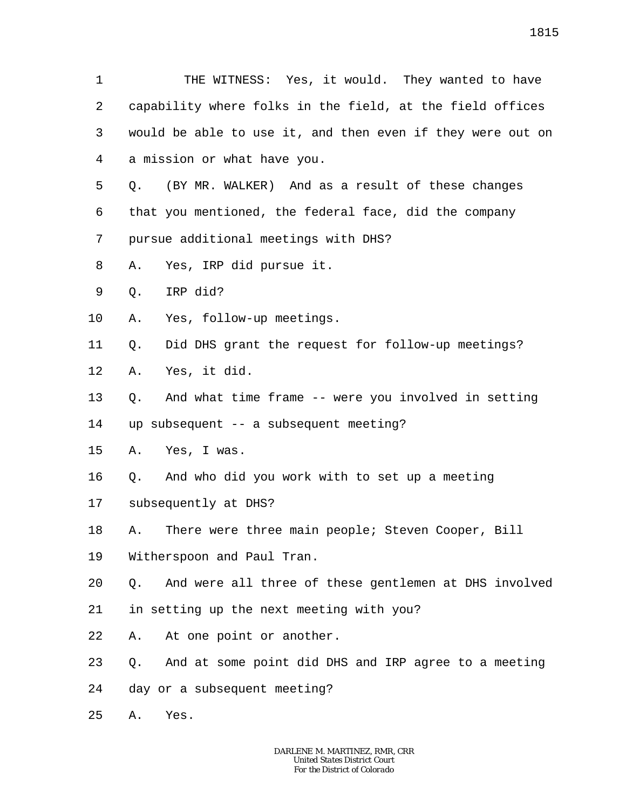1 2 3 4 5 6 7 8 9 10 11 12 13 14 15 16 17 18 19  $2.0$ 21 22 23 24 25 THE WITNESS: Yes, it would. They wanted to have capability where folks in the field, at the field offices would be able to use it, and then even if they were out on a mission or what have you. Q. (BY MR. WALKER) And as a result of these changes that you mentioned, the federal face, did the company pursue additional meetings with DHS? A. Yes, IRP did pursue it. Q. IRP did? A. Yes, follow-up meetings. Q. Did DHS grant the request for follow-up meetings? A. Yes, it did. Q. And what time frame -- were you involved in setting up subsequent -- a subsequent meeting? A. Yes, I was. Q. And who did you work with to set up a meeting subsequently at DHS? A. There were three main people; Steven Cooper, Bill Witherspoon and Paul Tran. Q. And were all three of these gentlemen at DHS involved in setting up the next meeting with you? A. At one point or another. Q. And at some point did DHS and IRP agree to a meeting day or a subsequent meeting? A. Yes.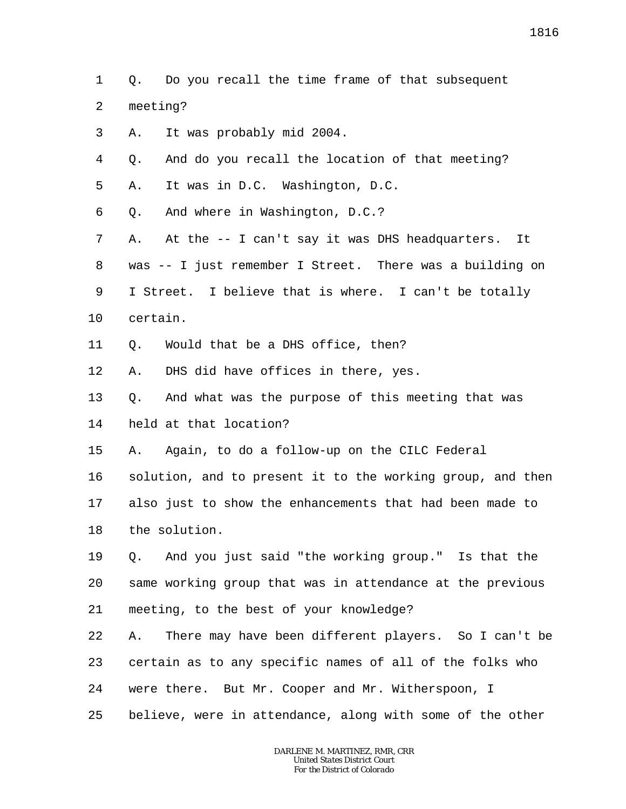1 2 3 4 5 6 7 8 9 10 11 12 13 14 15 16 17 18 19 20 21 22 23 24 25 *DARLENE M. MARTINEZ, RMR, CRR* Q. Do you recall the time frame of that subsequent meeting? A. It was probably mid 2004. Q. And do you recall the location of that meeting? A. It was in D.C. Washington, D.C. Q. And where in Washington, D.C.? A. At the -- I can't say it was DHS headquarters. It was -- I just remember I Street. There was a building on I Street. I believe that is where. I can't be totally certain. Q. Would that be a DHS office, then? A. DHS did have offices in there, yes. Q. And what was the purpose of this meeting that was held at that location? A. Again, to do a follow-up on the CILC Federal solution, and to present it to the working group, and then also just to show the enhancements that had been made to the solution. Q. And you just said "the working group." Is that the same working group that was in attendance at the previous meeting, to the best of your knowledge? A. There may have been different players. So I can't be certain as to any specific names of all of the folks who were there. But Mr. Cooper and Mr. Witherspoon, I believe, were in attendance, along with some of the other

*United States District Court For the District of Colorado*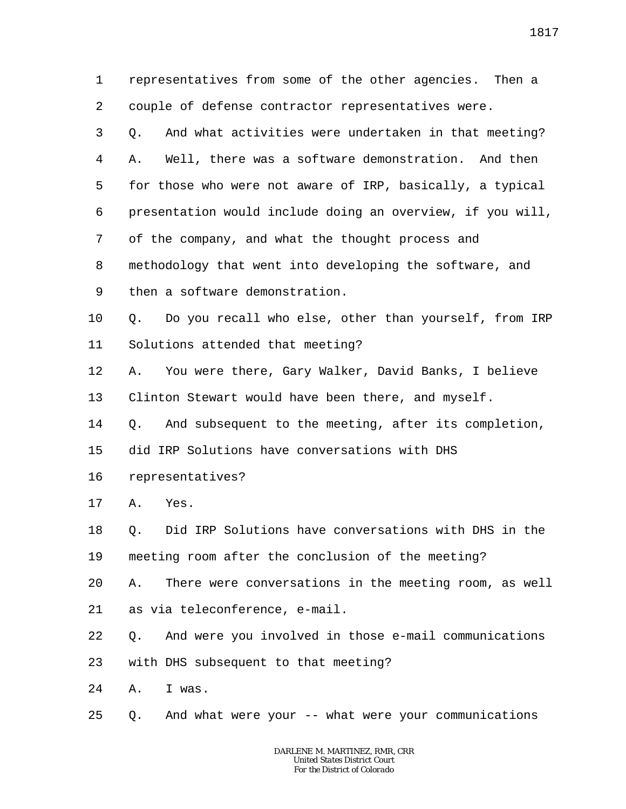1 2 representatives from some of the other agencies. Then a couple of defense contractor representatives were.

3 4 5 6 7 8 9 Q. And what activities were undertaken in that meeting? A. Well, there was a software demonstration. And then for those who were not aware of IRP, basically, a typical presentation would include doing an overview, if you will, of the company, and what the thought process and methodology that went into developing the software, and then a software demonstration.

10 11 Q. Do you recall who else, other than yourself, from IRP Solutions attended that meeting?

12 13 A. You were there, Gary Walker, David Banks, I believe Clinton Stewart would have been there, and myself.

14 Q. And subsequent to the meeting, after its completion,

15 did IRP Solutions have conversations with DHS

16 representatives?

17 A. Yes.

18 19 Q. Did IRP Solutions have conversations with DHS in the meeting room after the conclusion of the meeting?

20 A. There were conversations in the meeting room, as well

21 as via teleconference, e-mail.

22 Q. And were you involved in those e-mail communications

23 with DHS subsequent to that meeting?

24 A. I was.

25 Q. And what were your -- what were your communications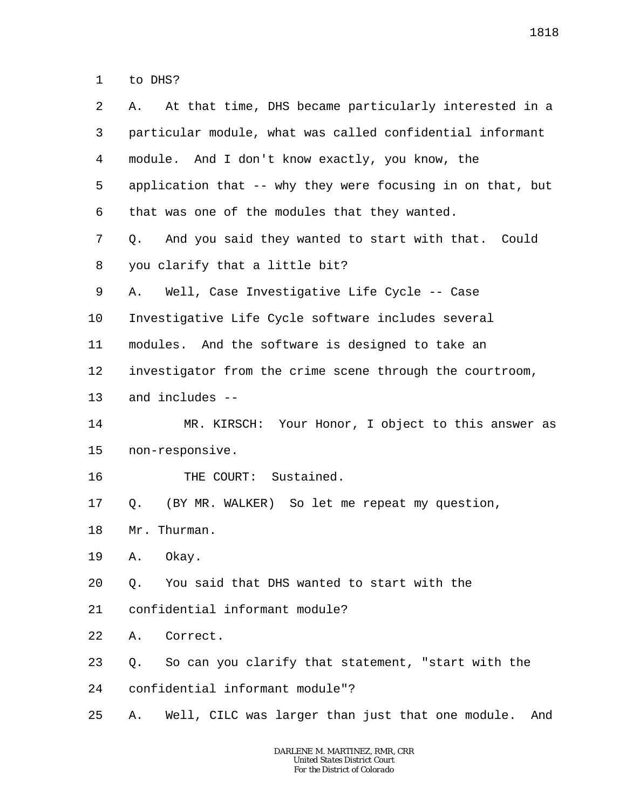1 to DHS?

| 2  | At that time, DHS became particularly interested in a<br>А.   |
|----|---------------------------------------------------------------|
| 3  | particular module, what was called confidential informant     |
| 4  | module. And I don't know exactly, you know, the               |
| 5  | application that -- why they were focusing in on that, but    |
| 6  | that was one of the modules that they wanted.                 |
| 7  | And you said they wanted to start with that. Could<br>Q.      |
| 8  | you clarify that a little bit?                                |
| 9  | Well, Case Investigative Life Cycle -- Case<br>Α.             |
| 10 | Investigative Life Cycle software includes several            |
| 11 | modules. And the software is designed to take an              |
| 12 | investigator from the crime scene through the courtroom,      |
| 13 | and includes --                                               |
| 14 | MR. KIRSCH: Your Honor, I object to this answer as            |
| 15 | non-responsive.                                               |
| 16 | THE COURT: Sustained.                                         |
| 17 | (BY MR. WALKER) So let me repeat my question,<br>Q.           |
| 18 | Mr. Thurman.                                                  |
| 19 | Okay.<br>Α.                                                   |
| 20 | You said that DHS wanted to start with the<br>Q.              |
| 21 | confidential informant module?                                |
| 22 | Correct.<br>Α.                                                |
| 23 | So can you clarify that statement, "start with the<br>Q.      |
| 24 | confidential informant module"?                               |
| 25 | Well, CILC was larger than just that one module.<br>And<br>Α. |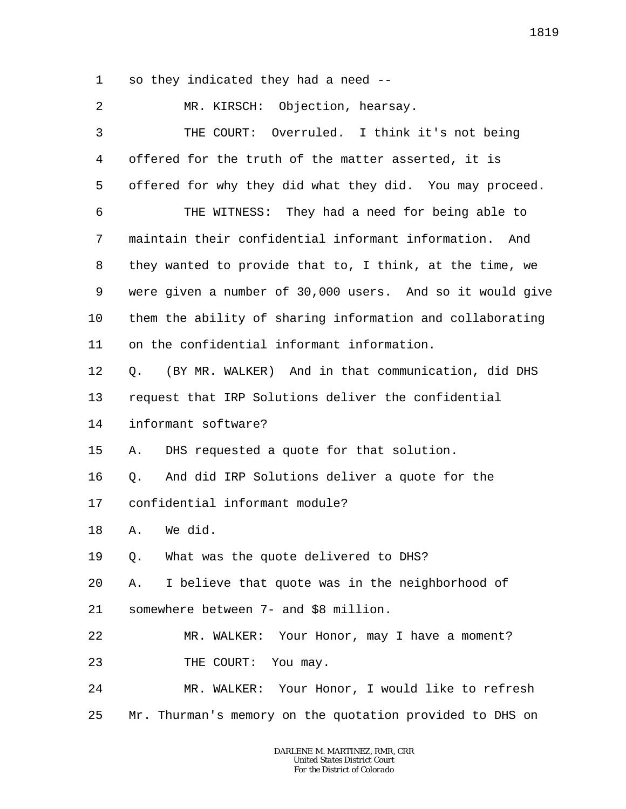1 so they indicated they had a need --

2 MR. KIRSCH: Objection, hearsay.

3 4 5 6 7 8 9 10 11 12 13 14 15 16 17 18 19 20 21 22 23 24 25 THE COURT: Overruled. I think it's not being offered for the truth of the matter asserted, it is offered for why they did what they did. You may proceed. THE WITNESS: They had a need for being able to maintain their confidential informant information. And they wanted to provide that to, I think, at the time, we were given a number of 30,000 users. And so it would give them the ability of sharing information and collaborating on the confidential informant information. Q. (BY MR. WALKER) And in that communication, did DHS request that IRP Solutions deliver the confidential informant software? A. DHS requested a quote for that solution. Q. And did IRP Solutions deliver a quote for the confidential informant module? A. We did. Q. What was the quote delivered to DHS? A. I believe that quote was in the neighborhood of somewhere between 7- and \$8 million. MR. WALKER: Your Honor, may I have a moment? THE COURT: You may. MR. WALKER: Your Honor, I would like to refresh Mr. Thurman's memory on the quotation provided to DHS on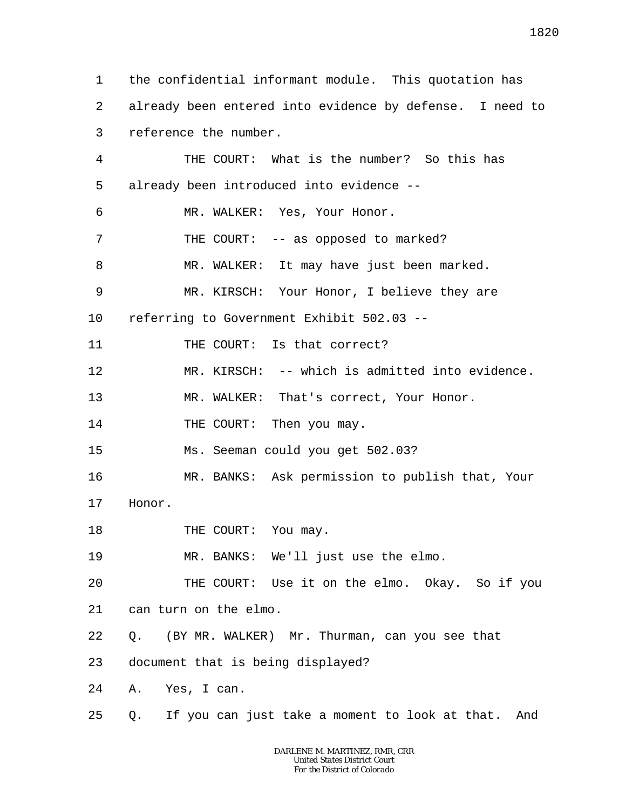1 2 3 4 5 6 7 8 9 10 11 12 13 14 15 16 17 18 19 20 21 22 23 24 25 the confidential informant module. This quotation has already been entered into evidence by defense. I need to reference the number. THE COURT: What is the number? So this has already been introduced into evidence -- MR. WALKER: Yes, Your Honor. THE COURT: -- as opposed to marked? MR. WALKER: It may have just been marked. MR. KIRSCH: Your Honor, I believe they are referring to Government Exhibit 502.03 -- THE COURT: Is that correct? MR. KIRSCH: -- which is admitted into evidence. MR. WALKER: That's correct, Your Honor. THE COURT: Then you may. Ms. Seeman could you get 502.03? MR. BANKS: Ask permission to publish that, Your Honor. THE COURT: You may. MR. BANKS: We'll just use the elmo. THE COURT: Use it on the elmo. Okay. So if you can turn on the elmo. Q. (BY MR. WALKER) Mr. Thurman, can you see that document that is being displayed? A. Yes, I can. Q. If you can just take a moment to look at that. And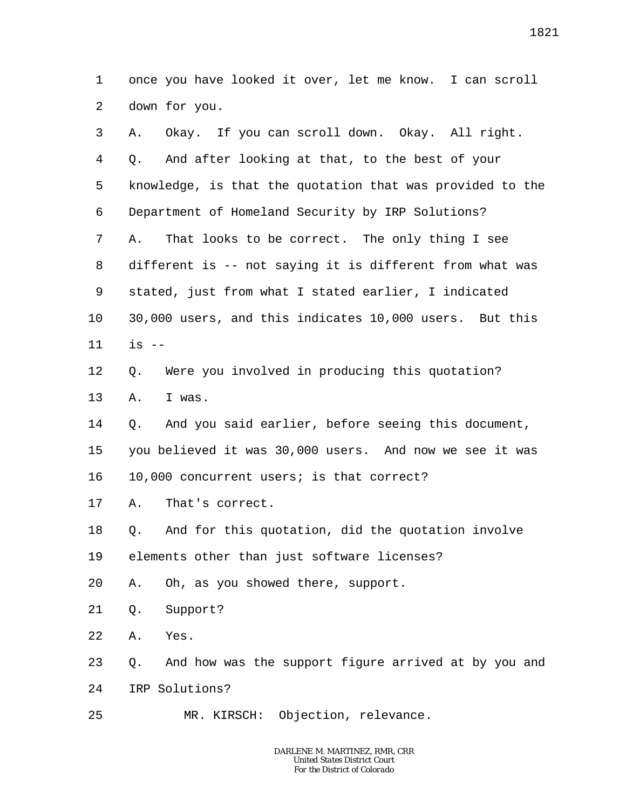1 2 once you have looked it over, let me know. I can scroll down for you.

| 3  | Okay. If you can scroll down. Okay. All right.<br>Α.       |
|----|------------------------------------------------------------|
| 4  | And after looking at that, to the best of your<br>Q.       |
| 5  | knowledge, is that the quotation that was provided to the  |
| 6  | Department of Homeland Security by IRP Solutions?          |
| 7  | That looks to be correct. The only thing I see<br>Α.       |
| 8  | different is -- not saying it is different from what was   |
| 9  | stated, just from what I stated earlier, I indicated       |
| 10 | 30,000 users, and this indicates 10,000 users. But this    |
| 11 | $is$ $-$                                                   |
| 12 | Were you involved in producing this quotation?<br>Q.       |
| 13 | I was.<br>Α.                                               |
| 14 | And you said earlier, before seeing this document,<br>Q.   |
| 15 | you believed it was 30,000 users. And now we see it was    |
| 16 | 10,000 concurrent users; is that correct?                  |
| 17 | That's correct.<br>Α.                                      |
| 18 | And for this quotation, did the quotation involve<br>Q.    |
| 19 | elements other than just software licenses?                |
| 20 | A. Oh, as you showed there, support.                       |
| 21 | Support?<br>Q.                                             |
| 22 | Yes.<br>Α.                                                 |
| 23 | And how was the support figure arrived at by you and<br>Q. |
| 24 | IRP Solutions?                                             |
| 25 | MR. KIRSCH: Objection, relevance.                          |
|    |                                                            |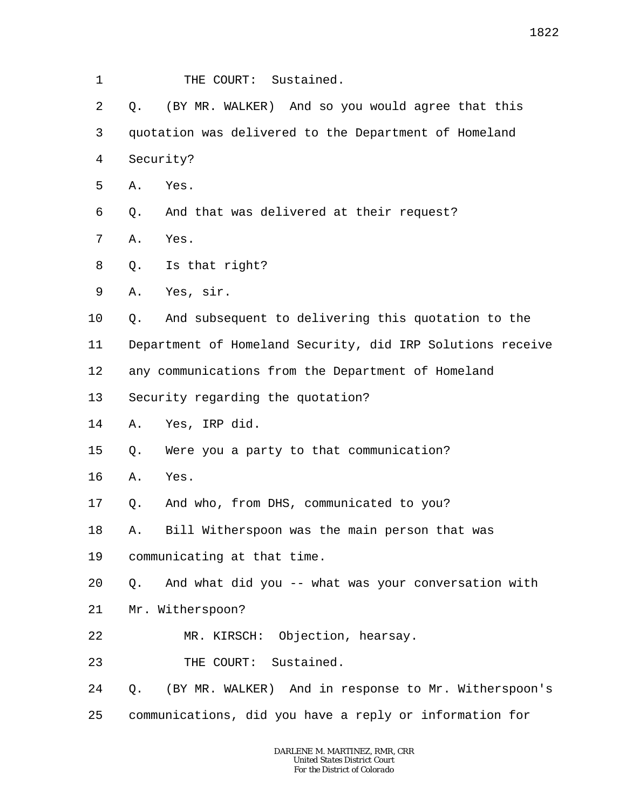- 1 THE COURT: Sustained.
- 2 3 4 Q. (BY MR. WALKER) And so you would agree that this quotation was delivered to the Department of Homeland Security?
- 5 A. Yes.
- 6 Q. And that was delivered at their request?
- 7 A. Yes.
- 8 Q. Is that right?
- 9 A. Yes, sir.
- 10 Q. And subsequent to delivering this quotation to the
- 11 Department of Homeland Security, did IRP Solutions receive
- 12 any communications from the Department of Homeland
- 13 Security regarding the quotation?
- 14 A. Yes, IRP did.
- 15 Q. Were you a party to that communication?
- 16 A. Yes.
- 17 Q. And who, from DHS, communicated to you?
- 18 A. Bill Witherspoon was the main person that was
- 19 communicating at that time.
- 20 Q. And what did you -- what was your conversation with
- 21 Mr. Witherspoon?
- 22 MR. KIRSCH: Objection, hearsay.
- 23 THE COURT: Sustained.
- 24 Q. (BY MR. WALKER) And in response to Mr. Witherspoon's
- 25 communications, did you have a reply or information for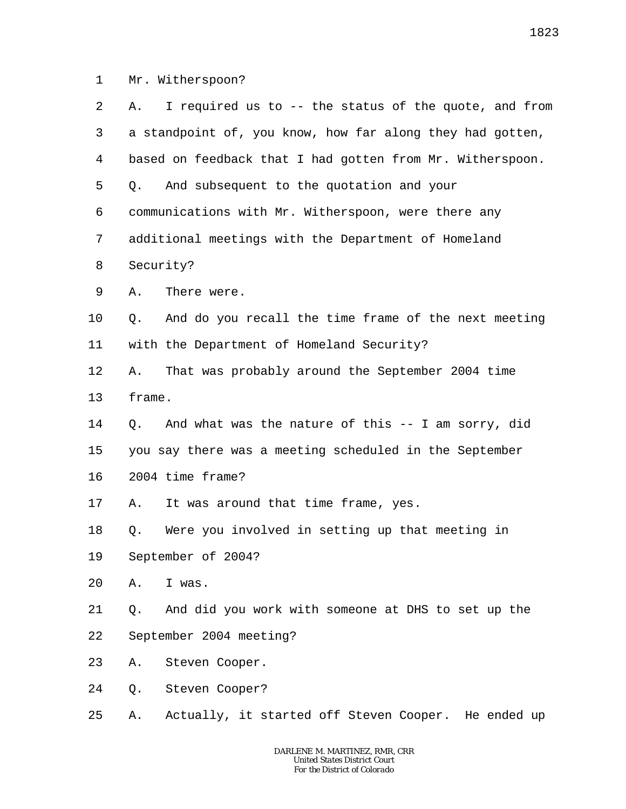1 Mr. Witherspoon?

| 2       | Α.        | I required us to -- the status of the quote, and from     |
|---------|-----------|-----------------------------------------------------------|
| 3       |           | a standpoint of, you know, how far along they had gotten, |
| 4       |           | based on feedback that I had gotten from Mr. Witherspoon. |
| 5       | Q.        | And subsequent to the quotation and your                  |
| 6       |           | communications with Mr. Witherspoon, were there any       |
| 7       |           | additional meetings with the Department of Homeland       |
| 8       | Security? |                                                           |
| 9       | Α.        | There were.                                               |
| $10 \,$ | Q.        | And do you recall the time frame of the next meeting      |
| 11      |           | with the Department of Homeland Security?                 |
| 12      | Α.        | That was probably around the September 2004 time          |
| 13      | frame.    |                                                           |
| 14      | Q.        | And what was the nature of this -- I am sorry, did        |
| 15      |           | you say there was a meeting scheduled in the September    |
| 16      |           | 2004 time frame?                                          |
| 17      | Α.        | It was around that time frame, yes.                       |
| 18      | Q.        | Were you involved in setting up that meeting in           |
| 19      |           | September of 2004?                                        |
| 20      | Α.        | I was.                                                    |
| 21      | Q.        | And did you work with someone at DHS to set up the        |
| 22      |           | September 2004 meeting?                                   |
| 23      | Α.        | Steven Cooper.                                            |
| 24      | Q.        | Steven Cooper?                                            |
| 25      | Α.        | Actually, it started off Steven Cooper. He ended up       |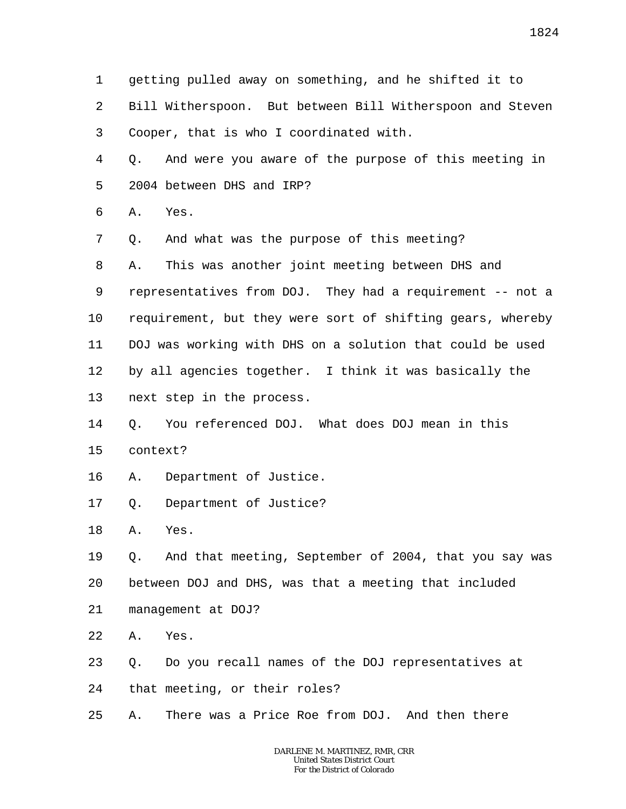1 2 3 4 5 6 7 8 9 10 11 12 13 14 15 16 17 18 19 20 21 22 23 24 25 getting pulled away on something, and he shifted it to Bill Witherspoon. But between Bill Witherspoon and Steven Cooper, that is who I coordinated with. Q. And were you aware of the purpose of this meeting in 2004 between DHS and IRP? A. Yes. Q. And what was the purpose of this meeting? A. This was another joint meeting between DHS and representatives from DOJ. They had a requirement -- not a requirement, but they were sort of shifting gears, whereby DOJ was working with DHS on a solution that could be used by all agencies together. I think it was basically the next step in the process. Q. You referenced DOJ. What does DOJ mean in this context? A. Department of Justice. Q. Department of Justice? A. Yes. Q. And that meeting, September of 2004, that you say was between DOJ and DHS, was that a meeting that included management at DOJ? A. Yes. Q. Do you recall names of the DOJ representatives at that meeting, or their roles? A. There was a Price Roe from DOJ. And then there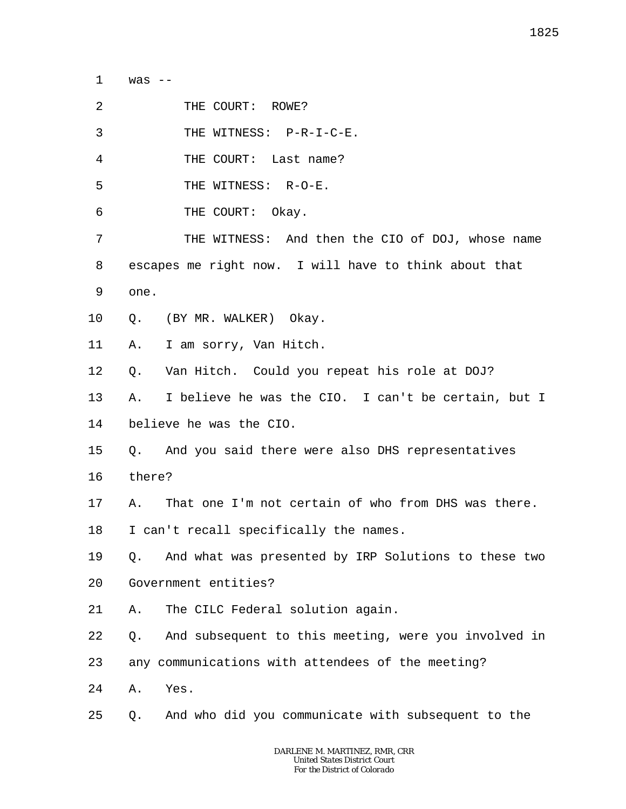1 was --

 $\overline{a}$ THE COURT: ROWE?

3 THE WITNESS: P-R-I-C-E.

- 4 THE COURT: Last name?
- 5 THE WITNESS: R-O-E.
- 6 THE COURT: Okay.

7 8 9 THE WITNESS: And then the CIO of DOJ, whose name escapes me right now. I will have to think about that one.

- 10 Q. (BY MR. WALKER) Okay.
- 11 A. I am sorry, Van Hitch.
- 12 Q. Van Hitch. Could you repeat his role at DOJ?
- 13 A. I believe he was the CIO. I can't be certain, but I
- 14 believe he was the CIO.
- 15 Q. And you said there were also DHS representatives
- 16 there?
- 17 A. That one I'm not certain of who from DHS was there.
- 18 I can't recall specifically the names.
- 19 20 Q. And what was presented by IRP Solutions to these two Government entities?
- 21 A. The CILC Federal solution again.
- 22 Q. And subsequent to this meeting, were you involved in
- 23 any communications with attendees of the meeting?
- 24 A. Yes.
- 25 Q. And who did you communicate with subsequent to the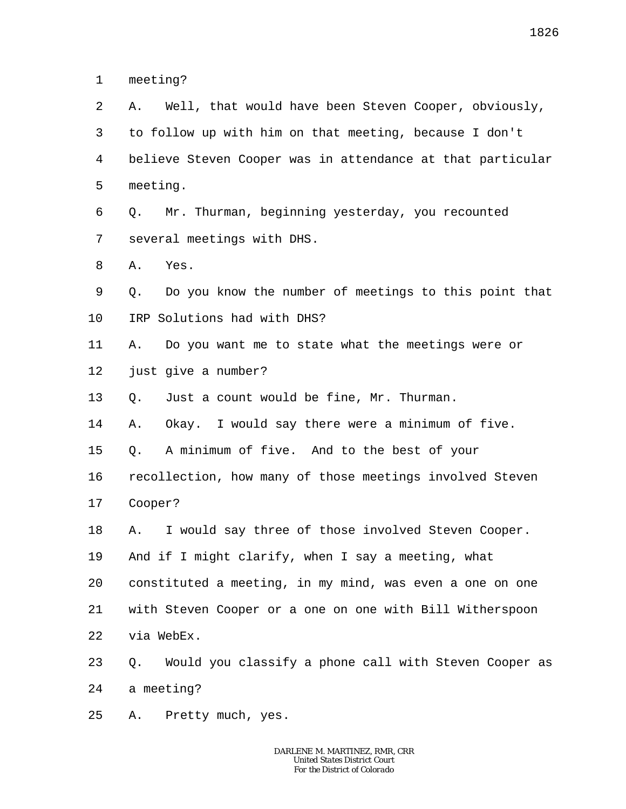1 meeting?

2 3 4 5 6 7 8 9 10 11 12 13 14 15 16 17 18 19 20 21 22 23 24 25 A. Well, that would have been Steven Cooper, obviously, to follow up with him on that meeting, because I don't believe Steven Cooper was in attendance at that particular meeting. Q. Mr. Thurman, beginning yesterday, you recounted several meetings with DHS. A. Yes. Q. Do you know the number of meetings to this point that IRP Solutions had with DHS? A. Do you want me to state what the meetings were or just give a number? Q. Just a count would be fine, Mr. Thurman. A. Okay. I would say there were a minimum of five. Q. A minimum of five. And to the best of your recollection, how many of those meetings involved Steven Cooper? A. I would say three of those involved Steven Cooper. And if I might clarify, when I say a meeting, what constituted a meeting, in my mind, was even a one on one with Steven Cooper or a one on one with Bill Witherspoon via WebEx. Q. Would you classify a phone call with Steven Cooper as a meeting? A. Pretty much, yes.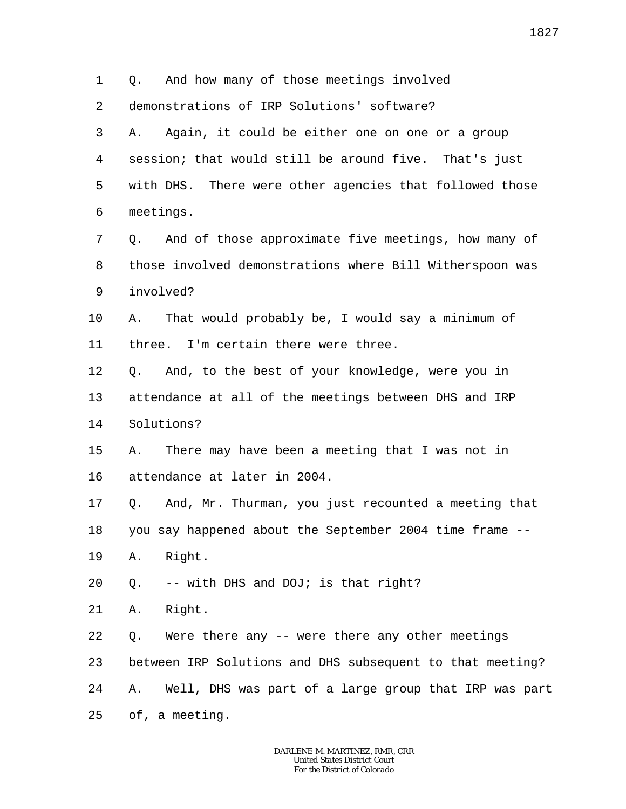1 2 3 4 5 6 7 8 9 10 11 12 13 14 15 16 17 18 19 20 21 22 23 24 25 Q. And how many of those meetings involved demonstrations of IRP Solutions' software? A. Again, it could be either one on one or a group session; that would still be around five. That's just with DHS. There were other agencies that followed those meetings. Q. And of those approximate five meetings, how many of those involved demonstrations where Bill Witherspoon was involved? A. That would probably be, I would say a minimum of three. I'm certain there were three. Q. And, to the best of your knowledge, were you in attendance at all of the meetings between DHS and IRP Solutions? A. There may have been a meeting that I was not in attendance at later in 2004. Q. And, Mr. Thurman, you just recounted a meeting that you say happened about the September 2004 time frame -- A. Right. Q. -- with DHS and DOJ; is that right? A. Right. Q. Were there any -- were there any other meetings between IRP Solutions and DHS subsequent to that meeting? A. Well, DHS was part of a large group that IRP was part of, a meeting.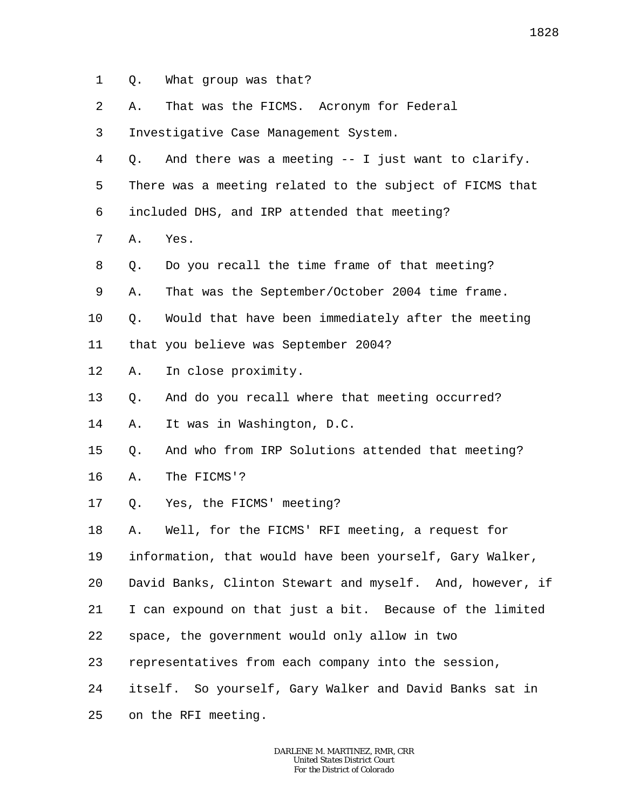- 1 Q. What group was that?
- $\overline{a}$ A. That was the FICMS. Acronym for Federal
- 3 Investigative Case Management System.
- 4 Q. And there was a meeting -- I just want to clarify.
- 5 6 There was a meeting related to the subject of FICMS that included DHS, and IRP attended that meeting?
- 7 A. Yes.
- 8 Q. Do you recall the time frame of that meeting?
- 9 A. That was the September/October 2004 time frame.
- 10 Q. Would that have been immediately after the meeting
- 11 that you believe was September 2004?
- 12 A. In close proximity.
- 13 Q. And do you recall where that meeting occurred?
- 14 A. It was in Washington, D.C.
- 15 Q. And who from IRP Solutions attended that meeting?
- 16 A. The FICMS'?
- 17 Q. Yes, the FICMS' meeting?
- 18 A. Well, for the FICMS' RFI meeting, a request for
- 19 information, that would have been yourself, Gary Walker,
- 20 David Banks, Clinton Stewart and myself. And, however, if
- 21 I can expound on that just a bit. Because of the limited
- 22 space, the government would only allow in two
- 23 representatives from each company into the session,
- 24 itself. So yourself, Gary Walker and David Banks sat in
- 25 on the RFI meeting.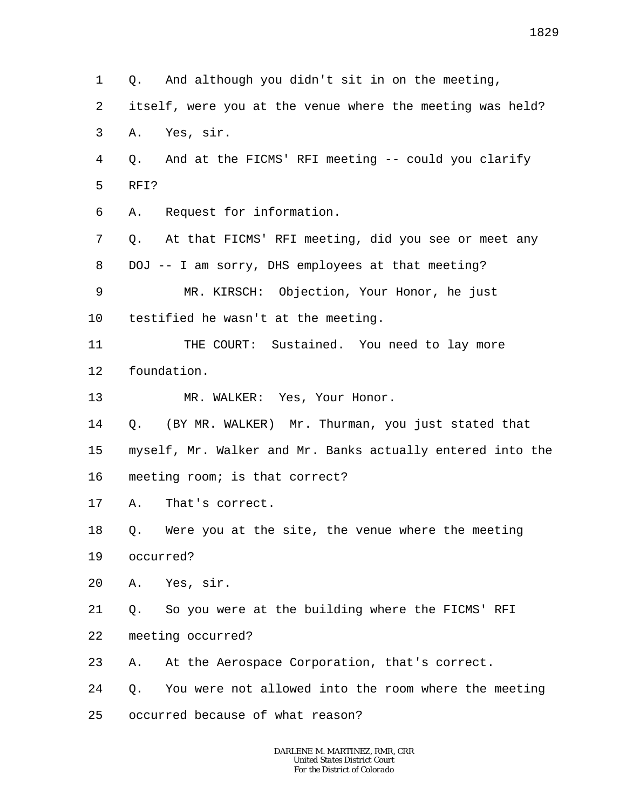1 2 3 4 5 6 7 8 9 10 11 12 13 14 15 16 17 18 19 20 21 22 23 24 25 Q. And although you didn't sit in on the meeting, itself, were you at the venue where the meeting was held? A. Yes, sir. Q. And at the FICMS' RFI meeting -- could you clarify RFI? A. Request for information. Q. At that FICMS' RFI meeting, did you see or meet any DOJ -- I am sorry, DHS employees at that meeting? MR. KIRSCH: Objection, Your Honor, he just testified he wasn't at the meeting. THE COURT: Sustained. You need to lay more foundation. MR. WALKER: Yes, Your Honor. Q. (BY MR. WALKER) Mr. Thurman, you just stated that myself, Mr. Walker and Mr. Banks actually entered into the meeting room; is that correct? A. That's correct. Q. Were you at the site, the venue where the meeting occurred? A. Yes, sir. Q. So you were at the building where the FICMS' RFI meeting occurred? A. At the Aerospace Corporation, that's correct. Q. You were not allowed into the room where the meeting occurred because of what reason?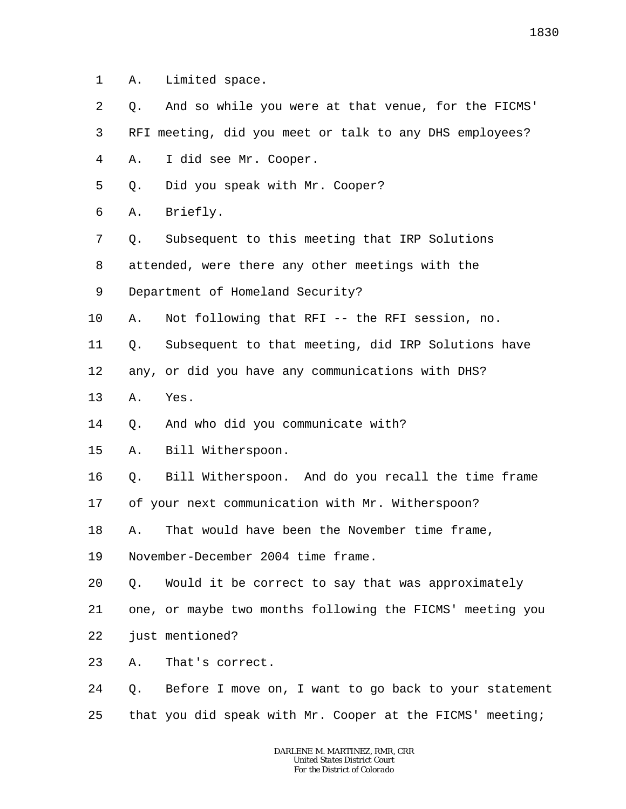1 A. Limited space.

2 3 4 5 Q. And so while you were at that venue, for the FICMS' RFI meeting, did you meet or talk to any DHS employees? A. I did see Mr. Cooper. Q. Did you speak with Mr. Cooper?

6 A. Briefly.

7 Q. Subsequent to this meeting that IRP Solutions

8 attended, were there any other meetings with the

9 Department of Homeland Security?

10 A. Not following that RFI -- the RFI session, no.

11 Q. Subsequent to that meeting, did IRP Solutions have

12 any, or did you have any communications with DHS?

13 A. Yes.

14 Q. And who did you communicate with?

15 A. Bill Witherspoon.

16 Q. Bill Witherspoon. And do you recall the time frame

17 of your next communication with Mr. Witherspoon?

18 A. That would have been the November time frame,

19 November-December 2004 time frame.

20 Q. Would it be correct to say that was approximately

21 one, or maybe two months following the FICMS' meeting you

22 just mentioned?

23 A. That's correct.

24 25 Q. Before I move on, I want to go back to your statement that you did speak with Mr. Cooper at the FICMS' meeting;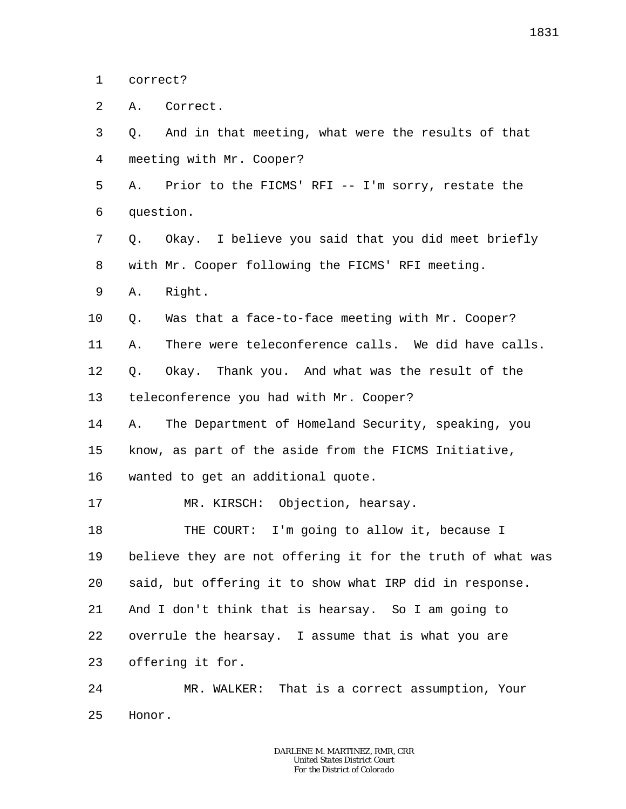1 correct?

 $\overline{a}$ A. Correct.

3 4 Q. And in that meeting, what were the results of that meeting with Mr. Cooper?

5 6 A. Prior to the FICMS' RFI -- I'm sorry, restate the question.

7 8 Q. Okay. I believe you said that you did meet briefly with Mr. Cooper following the FICMS' RFI meeting.

9 A. Right.

10 Q. Was that a face-to-face meeting with Mr. Cooper?

11 A. There were teleconference calls. We did have calls.

12 13 Q. Okay. Thank you. And what was the result of the teleconference you had with Mr. Cooper?

14 15 A. The Department of Homeland Security, speaking, you know, as part of the aside from the FICMS Initiative,

16 wanted to get an additional quote.

17 MR. KIRSCH: Objection, hearsay.

18 19 20 21 22 23 THE COURT: I'm going to allow it, because I believe they are not offering it for the truth of what was said, but offering it to show what IRP did in response. And I don't think that is hearsay. So I am going to overrule the hearsay. I assume that is what you are offering it for.

24 25 MR. WALKER: That is a correct assumption, Your Honor.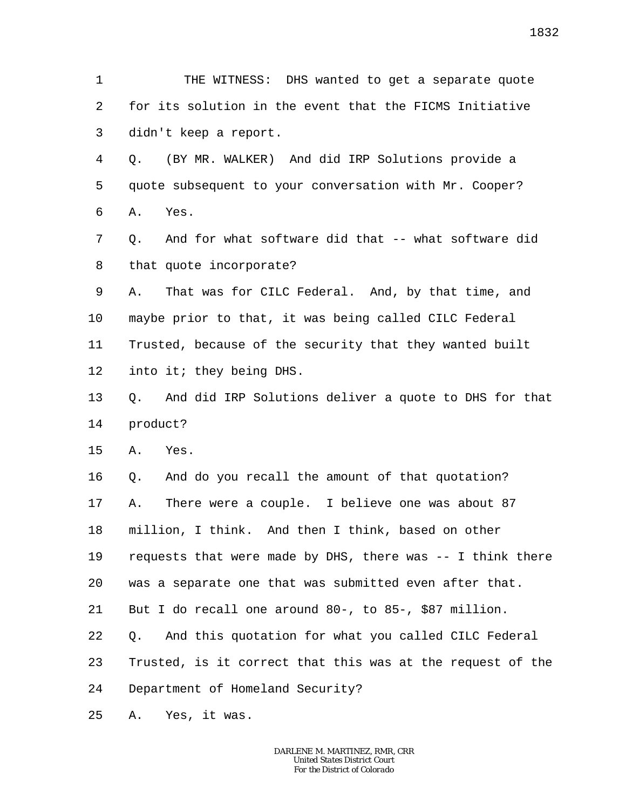1 2 3 THE WITNESS: DHS wanted to get a separate quote for its solution in the event that the FICMS Initiative didn't keep a report.

4 5 6 Q. (BY MR. WALKER) And did IRP Solutions provide a quote subsequent to your conversation with Mr. Cooper? A. Yes.

7 8 Q. And for what software did that -- what software did that quote incorporate?

9 10 11 12 A. That was for CILC Federal. And, by that time, and maybe prior to that, it was being called CILC Federal Trusted, because of the security that they wanted built into it; they being DHS.

13 14 Q. And did IRP Solutions deliver a quote to DHS for that product?

15 A. Yes.

16 17 18 19 20 21 22 23 24 Q. And do you recall the amount of that quotation? A. There were a couple. I believe one was about 87 million, I think. And then I think, based on other requests that were made by DHS, there was -- I think there was a separate one that was submitted even after that. But I do recall one around 80-, to 85-, \$87 million. Q. And this quotation for what you called CILC Federal Trusted, is it correct that this was at the request of the Department of Homeland Security?

25 A. Yes, it was.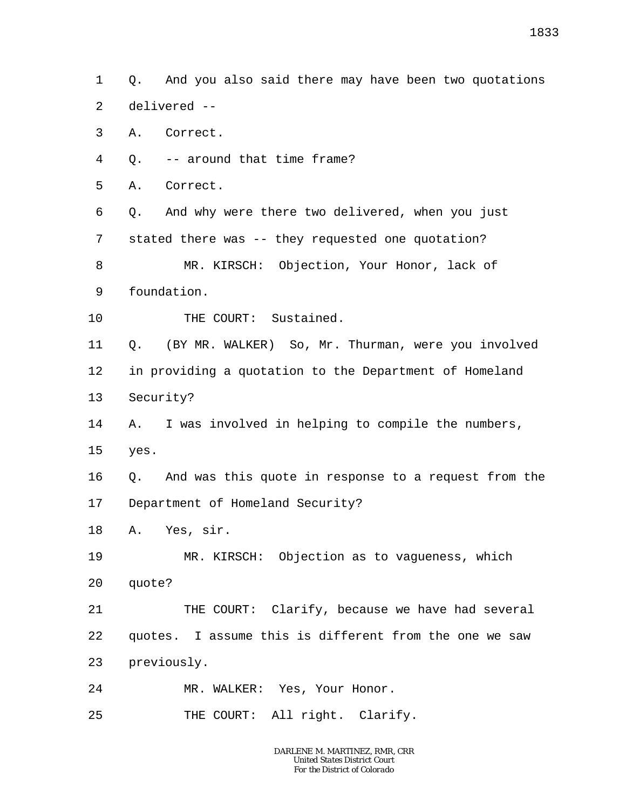1 2 Q. And you also said there may have been two quotations delivered --

3 A. Correct.

4 Q. -- around that time frame?

5 A. Correct.

6 7 Q. And why were there two delivered, when you just stated there was -- they requested one quotation?

8 9 MR. KIRSCH: Objection, Your Honor, lack of foundation.

10 THE COURT: Sustained.

11 12 13 Q. (BY MR. WALKER) So, Mr. Thurman, were you involved in providing a quotation to the Department of Homeland Security?

14 15 A. I was involved in helping to compile the numbers, yes.

16 17 Q. And was this quote in response to a request from the Department of Homeland Security?

18 A. Yes, sir.

19 20 MR. KIRSCH: Objection as to vagueness, which quote?

21 22 23 THE COURT: Clarify, because we have had several quotes. I assume this is different from the one we saw previously.

24 MR. WALKER: Yes, Your Honor.

25 THE COURT: All right. Clarify.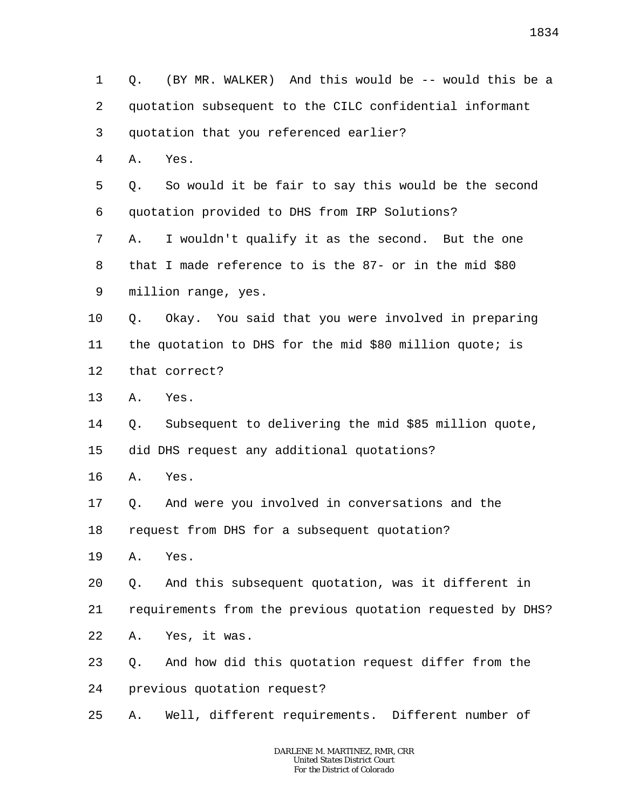1 2 3 4 5 6 7 8 9 10 11 12 13 14 15 16 17 18 19 20 21 22 23 24 25 Q. (BY MR. WALKER) And this would be -- would this be a quotation subsequent to the CILC confidential informant quotation that you referenced earlier? A. Yes. Q. So would it be fair to say this would be the second quotation provided to DHS from IRP Solutions? A. I wouldn't qualify it as the second. But the one that I made reference to is the 87- or in the mid \$80 million range, yes. Q. Okay. You said that you were involved in preparing the quotation to DHS for the mid \$80 million quote; is that correct? A. Yes. Q. Subsequent to delivering the mid \$85 million quote, did DHS request any additional quotations? A. Yes. Q. And were you involved in conversations and the request from DHS for a subsequent quotation? A. Yes. Q. And this subsequent quotation, was it different in requirements from the previous quotation requested by DHS? A. Yes, it was. Q. And how did this quotation request differ from the previous quotation request? A. Well, different requirements. Different number of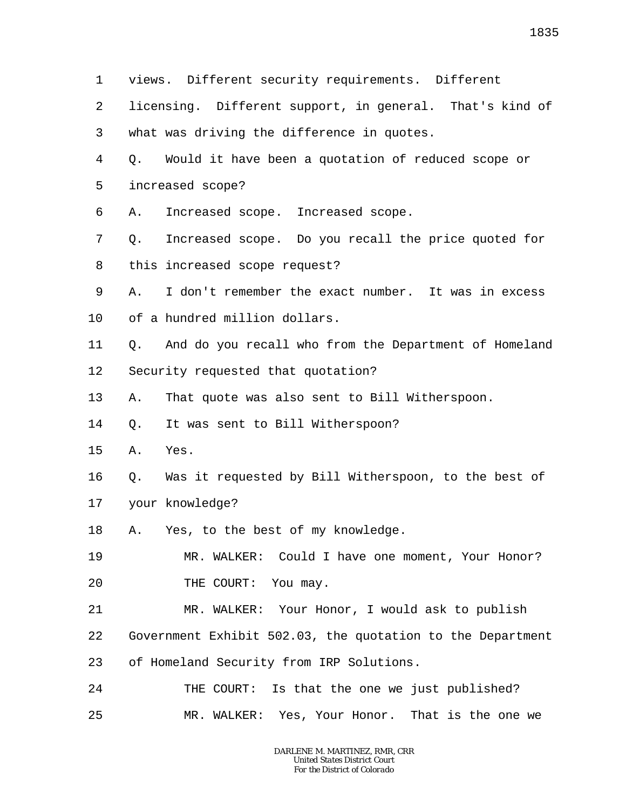1 2 3 4 5 6 7 8 9 10 11 12 13 14 15 16 17 18 19 20 21 22 23 24 25 views. Different security requirements. Different licensing. Different support, in general. That's kind of what was driving the difference in quotes. Q. Would it have been a quotation of reduced scope or increased scope? A. Increased scope. Increased scope. Q. Increased scope. Do you recall the price quoted for this increased scope request? A. I don't remember the exact number. It was in excess of a hundred million dollars. Q. And do you recall who from the Department of Homeland Security requested that quotation? A. That quote was also sent to Bill Witherspoon. Q. It was sent to Bill Witherspoon? A. Yes. Q. Was it requested by Bill Witherspoon, to the best of your knowledge? A. Yes, to the best of my knowledge. MR. WALKER: Could I have one moment, Your Honor? THE COURT: You may. MR. WALKER: Your Honor, I would ask to publish Government Exhibit 502.03, the quotation to the Department of Homeland Security from IRP Solutions. THE COURT: Is that the one we just published? MR. WALKER: Yes, Your Honor. That is the one we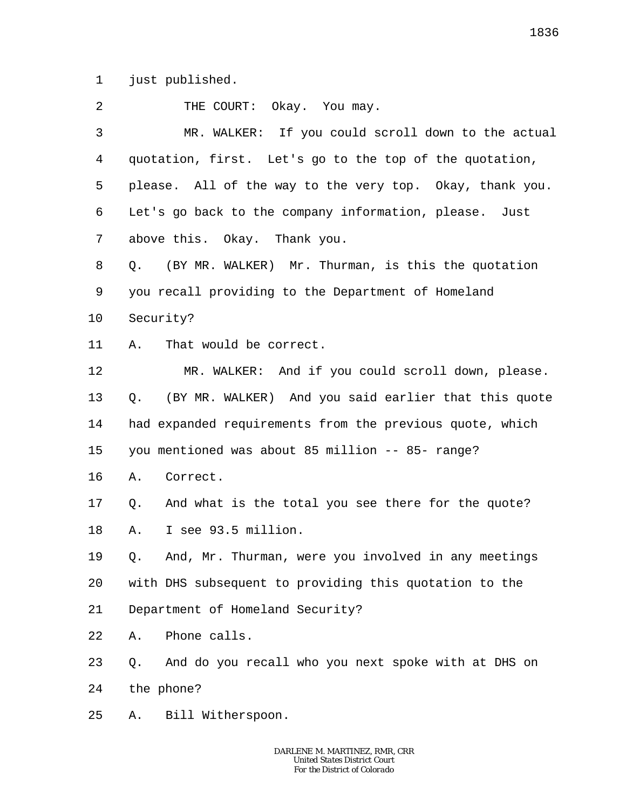1 just published.

| 2       | THE COURT: Okay. You may.                                  |
|---------|------------------------------------------------------------|
| 3       | MR. WALKER: If you could scroll down to the actual         |
| 4       | quotation, first. Let's go to the top of the quotation,    |
| 5       | please. All of the way to the very top. Okay, thank you.   |
| 6       | Let's go back to the company information, please. Just     |
| 7       | above this. Okay. Thank you.                               |
| 8       | (BY MR. WALKER) Mr. Thurman, is this the quotation<br>Q.   |
| 9       | you recall providing to the Department of Homeland         |
| $10 \,$ | Security?                                                  |
| 11      | That would be correct.<br>Α.                               |
| 12      | MR. WALKER: And if you could scroll down, please.          |
| 13      | (BY MR. WALKER) And you said earlier that this quote<br>Q. |
| 14      | had expanded requirements from the previous quote, which   |
| 15      | you mentioned was about 85 million -- 85- range?           |
| 16      | Correct.<br>Α.                                             |
| 17      | And what is the total you see there for the quote?<br>Q.   |
| 18      | I see 93.5 million.<br>Α.                                  |
| 19      | Q. And, Mr. Thurman, were you involved in any meetings     |
| 20      | with DHS subsequent to providing this quotation to the     |
| 21      | Department of Homeland Security?                           |
| 22      | Phone calls.<br>Α.                                         |
| 23      | And do you recall who you next spoke with at DHS on<br>Q.  |
| 24      | the phone?                                                 |
| 25      | Bill Witherspoon.<br>Α.                                    |
|         |                                                            |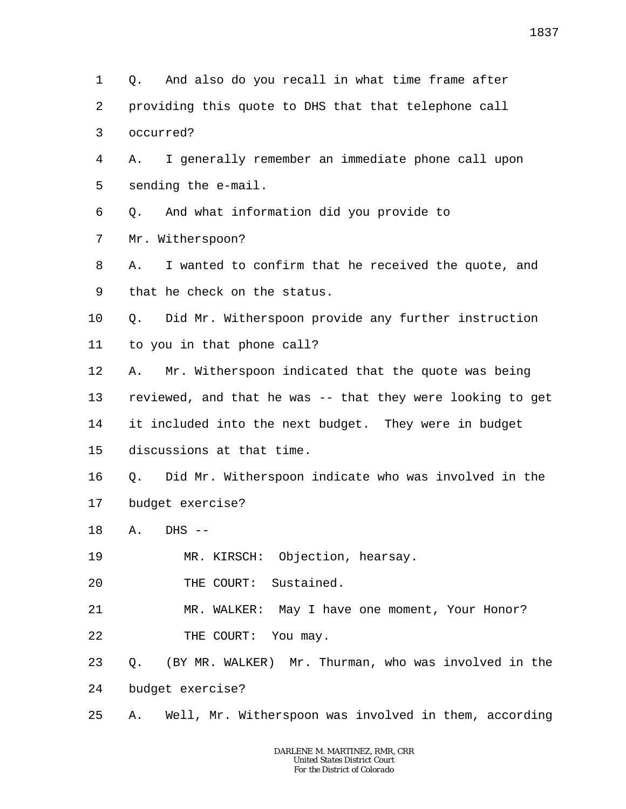1 2 3 4 5 6 7 8 9 10 11 12 13 14 15 16 17 18 19 20 21 22 23 24 25 Q. And also do you recall in what time frame after providing this quote to DHS that that telephone call occurred? A. I generally remember an immediate phone call upon sending the e-mail. Q. And what information did you provide to Mr. Witherspoon? A. I wanted to confirm that he received the quote, and that he check on the status. Q. Did Mr. Witherspoon provide any further instruction to you in that phone call? A. Mr. Witherspoon indicated that the quote was being reviewed, and that he was -- that they were looking to get it included into the next budget. They were in budget discussions at that time. Q. Did Mr. Witherspoon indicate who was involved in the budget exercise?  $A.$  DHS  $-$ MR. KIRSCH: Objection, hearsay. THE COURT: Sustained. MR. WALKER: May I have one moment, Your Honor? THE COURT: You may. Q. (BY MR. WALKER) Mr. Thurman, who was involved in the budget exercise? A. Well, Mr. Witherspoon was involved in them, according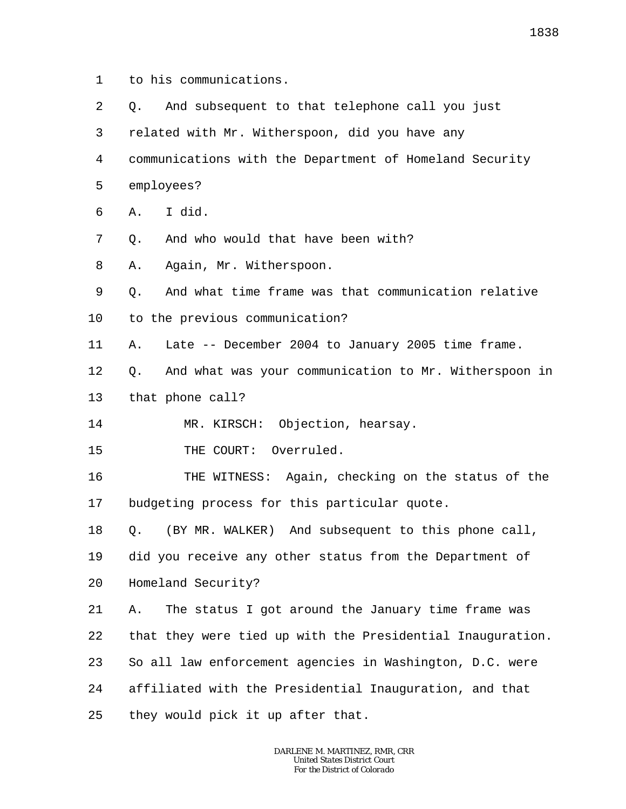- 1 to his communications.
- 2 3 4 5 6 7 8 9 10 11 12 13 14 15 16 17 18 19 20 21 22 23 24 25 Q. And subsequent to that telephone call you just related with Mr. Witherspoon, did you have any communications with the Department of Homeland Security employees? A. I did. Q. And who would that have been with? A. Again, Mr. Witherspoon. Q. And what time frame was that communication relative to the previous communication? A. Late -- December 2004 to January 2005 time frame. Q. And what was your communication to Mr. Witherspoon in that phone call? MR. KIRSCH: Objection, hearsay. THE COURT: Overruled. THE WITNESS: Again, checking on the status of the budgeting process for this particular quote. Q. (BY MR. WALKER) And subsequent to this phone call, did you receive any other status from the Department of Homeland Security? A. The status I got around the January time frame was that they were tied up with the Presidential Inauguration. So all law enforcement agencies in Washington, D.C. were affiliated with the Presidential Inauguration, and that they would pick it up after that.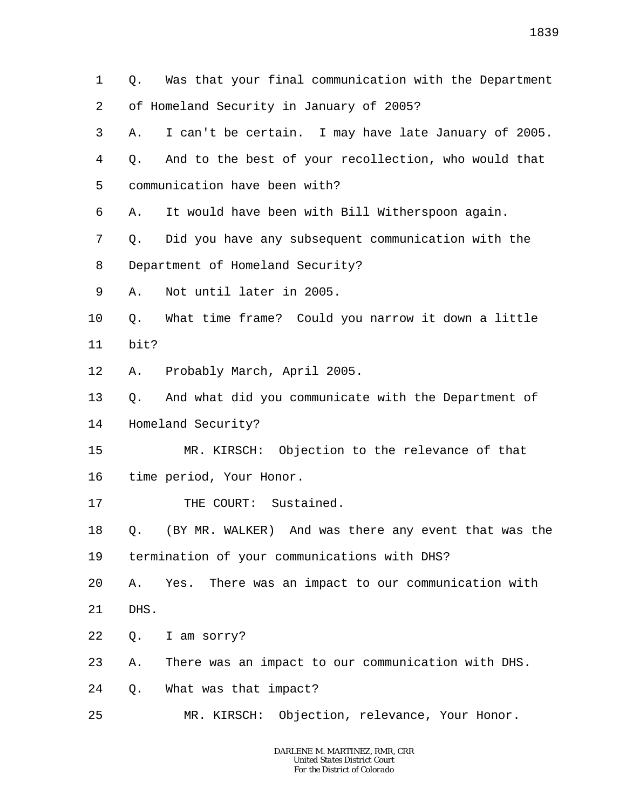1 2 3 4 5 6 7 8 9 10 11 12 13 14 15 16 17 18 19 20 21 22 23 24 25 Q. Was that your final communication with the Department of Homeland Security in January of 2005? A. I can't be certain. I may have late January of 2005. Q. And to the best of your recollection, who would that communication have been with? A. It would have been with Bill Witherspoon again. Q. Did you have any subsequent communication with the Department of Homeland Security? A. Not until later in 2005. Q. What time frame? Could you narrow it down a little bit? A. Probably March, April 2005. Q. And what did you communicate with the Department of Homeland Security? MR. KIRSCH: Objection to the relevance of that time period, Your Honor. THE COURT: Sustained. Q. (BY MR. WALKER) And was there any event that was the termination of your communications with DHS? A. Yes. There was an impact to our communication with DHS. Q. I am sorry? A. There was an impact to our communication with DHS. Q. What was that impact? MR. KIRSCH: Objection, relevance, Your Honor.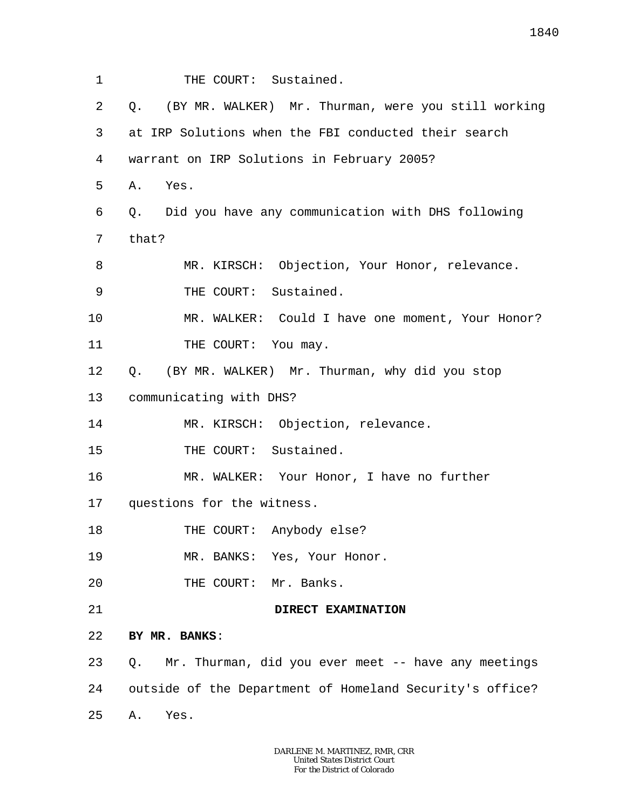1 2 3 4 5 6 7 8 9 10 11 12 13 14 15 16 17 18 19 20 21 22 23 24 25 THE COURT: Sustained. Q. (BY MR. WALKER) Mr. Thurman, were you still working at IRP Solutions when the FBI conducted their search warrant on IRP Solutions in February 2005? A. Yes. Q. Did you have any communication with DHS following that? MR. KIRSCH: Objection, Your Honor, relevance. THE COURT: Sustained. MR. WALKER: Could I have one moment, Your Honor? THE COURT: You may. Q. (BY MR. WALKER) Mr. Thurman, why did you stop communicating with DHS? MR. KIRSCH: Objection, relevance. THE COURT: Sustained. MR. WALKER: Your Honor, I have no further questions for the witness. THE COURT: Anybody else? MR. BANKS: Yes, Your Honor. THE COURT: Mr. Banks. **DIRECT EXAMINATION BY MR. BANKS**: Q. Mr. Thurman, did you ever meet -- have any meetings outside of the Department of Homeland Security's office? A. Yes.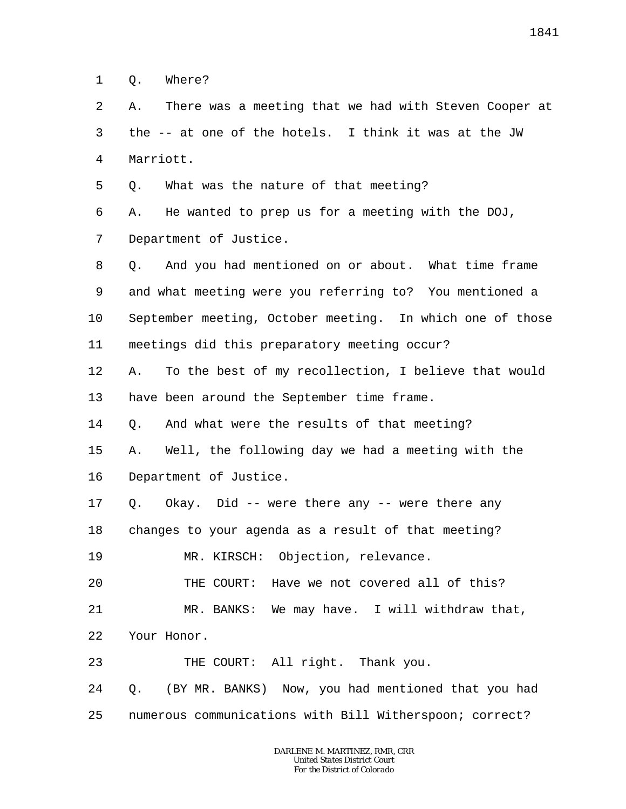1 Q. Where?

2 3 4 A. There was a meeting that we had with Steven Cooper at the -- at one of the hotels. I think it was at the JW Marriott.

5 Q. What was the nature of that meeting?

6 7 A. He wanted to prep us for a meeting with the DOJ, Department of Justice.

8 9 10 11 Q. And you had mentioned on or about. What time frame and what meeting were you referring to? You mentioned a September meeting, October meeting. In which one of those meetings did this preparatory meeting occur?

12 13 A. To the best of my recollection, I believe that would have been around the September time frame.

14 Q. And what were the results of that meeting?

15 16 A. Well, the following day we had a meeting with the Department of Justice.

17 Q. Okay. Did -- were there any -- were there any

18 changes to your agenda as a result of that meeting?

19 MR. KIRSCH: Objection, relevance.

20 THE COURT: Have we not covered all of this?

21 MR. BANKS: We may have. I will withdraw that,

22 Your Honor.

23 THE COURT: All right. Thank you.

24 25 Q. (BY MR. BANKS) Now, you had mentioned that you had numerous communications with Bill Witherspoon; correct?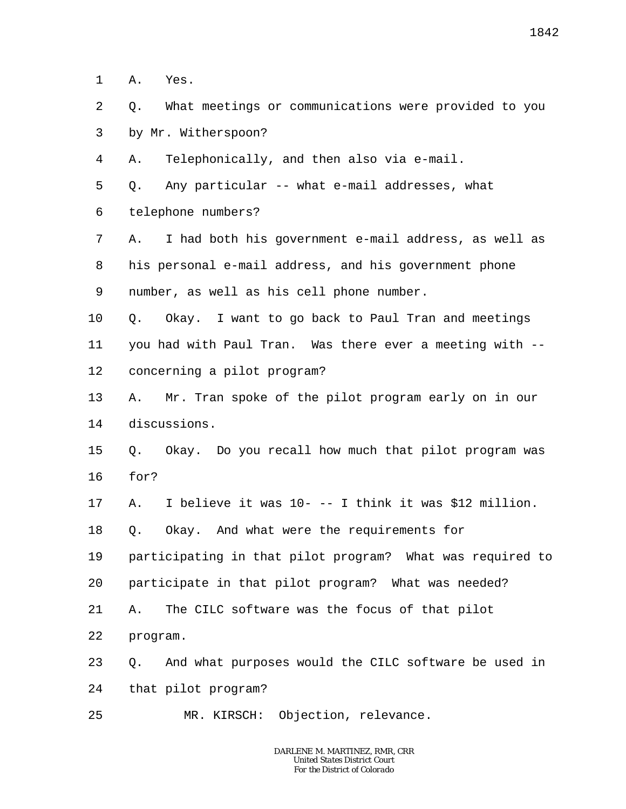1 A. Yes.

2 3 Q. What meetings or communications were provided to you by Mr. Witherspoon?

4 A. Telephonically, and then also via e-mail.

5 Q. Any particular -- what e-mail addresses, what

6 telephone numbers?

7 8 9 A. I had both his government e-mail address, as well as his personal e-mail address, and his government phone number, as well as his cell phone number.

10 11 12 Q. Okay. I want to go back to Paul Tran and meetings you had with Paul Tran. Was there ever a meeting with - concerning a pilot program?

13 14 A. Mr. Tran spoke of the pilot program early on in our discussions.

## 15 16 Q. Okay. Do you recall how much that pilot program was for?

17 A. I believe it was 10- -- I think it was \$12 million.

18 Q. Okay. And what were the requirements for

19 participating in that pilot program? What was required to

20 participate in that pilot program? What was needed?

21 A. The CILC software was the focus of that pilot

22 program.

23 24 Q. And what purposes would the CILC software be used in that pilot program?

25 MR. KIRSCH: Objection, relevance.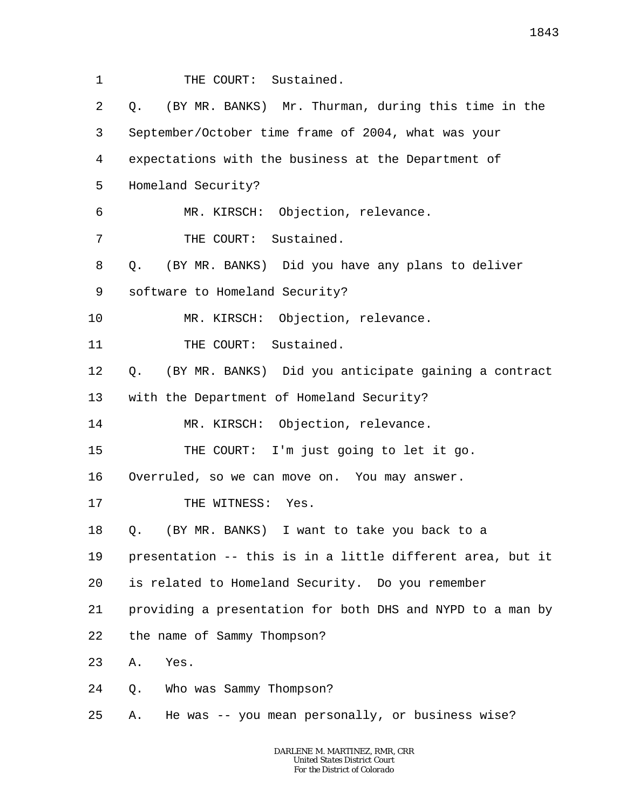1 2 3 4 5 6 7 8 9 10 11 12 13 14 15 16 17 18 19 20 21 22 23 24 25 THE COURT: Sustained. Q. (BY MR. BANKS) Mr. Thurman, during this time in the September/October time frame of 2004, what was your expectations with the business at the Department of Homeland Security? MR. KIRSCH: Objection, relevance. THE COURT: Sustained. Q. (BY MR. BANKS) Did you have any plans to deliver software to Homeland Security? MR. KIRSCH: Objection, relevance. THE COURT: Sustained. Q. (BY MR. BANKS) Did you anticipate gaining a contract with the Department of Homeland Security? MR. KIRSCH: Objection, relevance. THE COURT: I'm just going to let it go. Overruled, so we can move on. You may answer. THE WITNESS: Yes. Q. (BY MR. BANKS) I want to take you back to a presentation -- this is in a little different area, but it is related to Homeland Security. Do you remember providing a presentation for both DHS and NYPD to a man by the name of Sammy Thompson? A. Yes. Q. Who was Sammy Thompson? A. He was -- you mean personally, or business wise?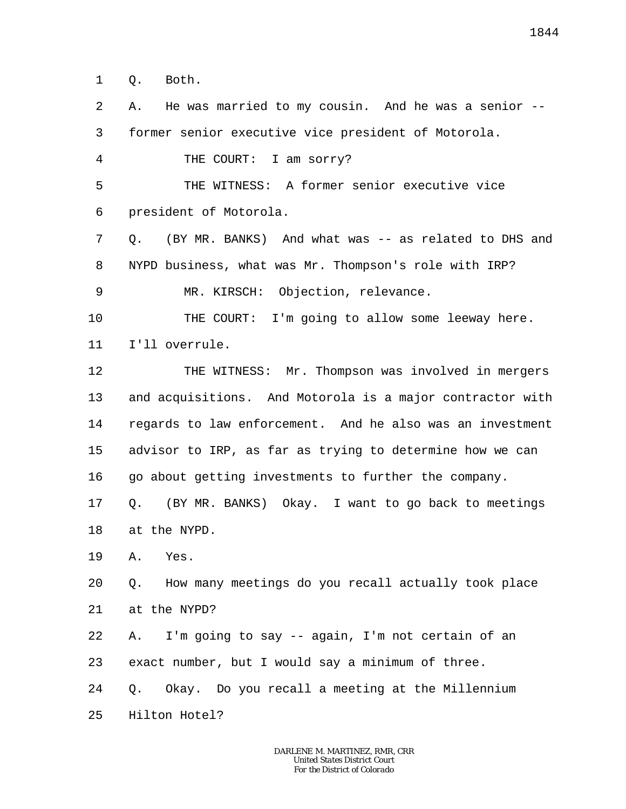1 Q. Both.

2 3 4 5 6 7 8 9 10 11 12 13 14 15 16 17 18 19 20 21 22 23 24 25 A. He was married to my cousin. And he was a senior - former senior executive vice president of Motorola. THE COURT: I am sorry? THE WITNESS: A former senior executive vice president of Motorola. Q. (BY MR. BANKS) And what was -- as related to DHS and NYPD business, what was Mr. Thompson's role with IRP? MR. KIRSCH: Objection, relevance. THE COURT: I'm going to allow some leeway here. I'll overrule. THE WITNESS: Mr. Thompson was involved in mergers and acquisitions. And Motorola is a major contractor with regards to law enforcement. And he also was an investment advisor to IRP, as far as trying to determine how we can go about getting investments to further the company. Q. (BY MR. BANKS) Okay. I want to go back to meetings at the NYPD. A. Yes. Q. How many meetings do you recall actually took place at the NYPD? A. I'm going to say -- again, I'm not certain of an exact number, but I would say a minimum of three. Q. Okay. Do you recall a meeting at the Millennium Hilton Hotel?

*For the District of Colorado*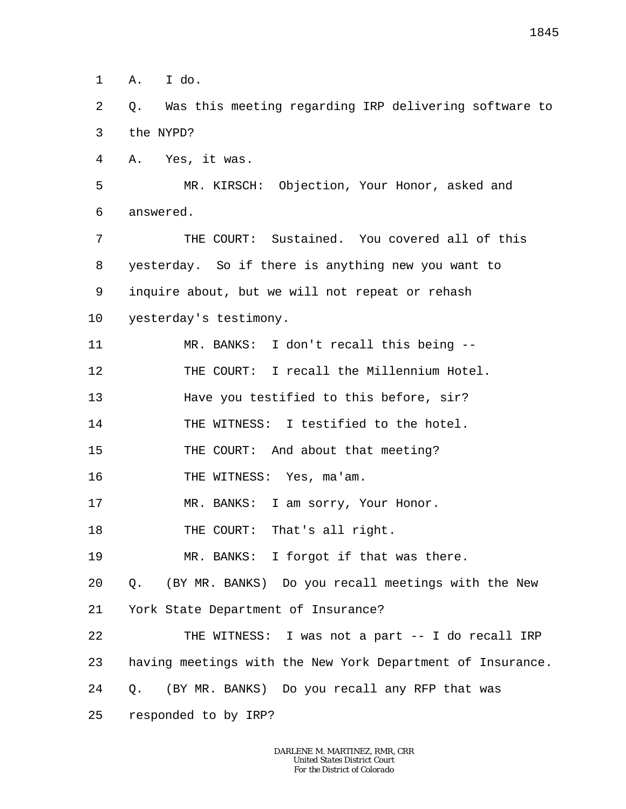1 A. I do.

2 3 Q. Was this meeting regarding IRP delivering software to the NYPD?

4 A. Yes, it was.

5 6 MR. KIRSCH: Objection, Your Honor, asked and answered.

7 8 9 10 THE COURT: Sustained. You covered all of this yesterday. So if there is anything new you want to inquire about, but we will not repeat or rehash yesterday's testimony.

11 12 13 14 15 16 17 18 19 20 21 22 23 24 25 MR. BANKS: I don't recall this being -- THE COURT: I recall the Millennium Hotel. Have you testified to this before, sir? THE WITNESS: I testified to the hotel. THE COURT: And about that meeting? THE WITNESS: Yes, ma'am. MR. BANKS: I am sorry, Your Honor. THE COURT: That's all right. MR. BANKS: I forgot if that was there. Q. (BY MR. BANKS) Do you recall meetings with the New York State Department of Insurance? THE WITNESS: I was not a part -- I do recall IRP having meetings with the New York Department of Insurance. Q. (BY MR. BANKS) Do you recall any RFP that was responded to by IRP?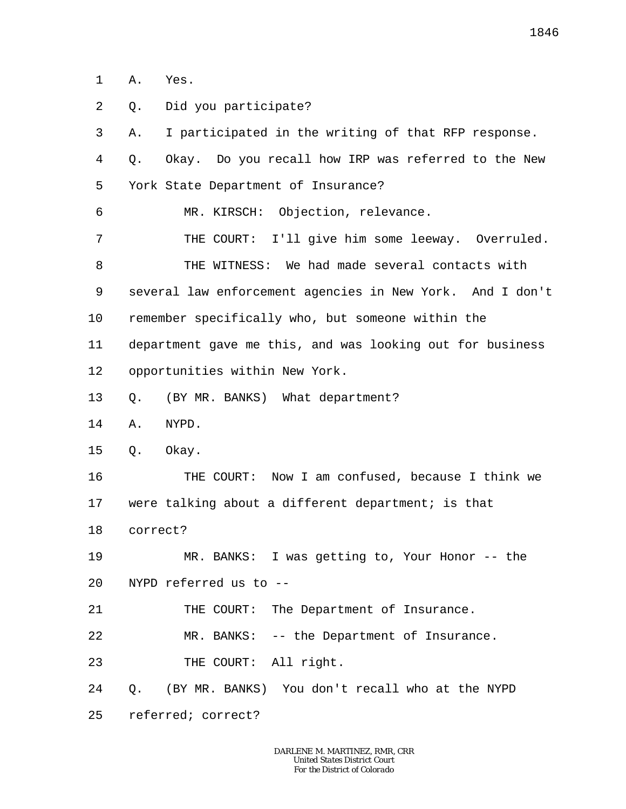1 A. Yes.

2 3 4 5 6 7 8 9 10 11 12 13 14 15 16 17 18 19 20 21 22 23 24 25 Q. Did you participate? A. I participated in the writing of that RFP response. Q. Okay. Do you recall how IRP was referred to the New York State Department of Insurance? MR. KIRSCH: Objection, relevance. THE COURT: I'll give him some leeway. Overruled. THE WITNESS: We had made several contacts with several law enforcement agencies in New York. And I don't remember specifically who, but someone within the department gave me this, and was looking out for business opportunities within New York. Q. (BY MR. BANKS) What department? A. NYPD. Q. Okay. THE COURT: Now I am confused, because I think we were talking about a different department; is that correct? MR. BANKS: I was getting to, Your Honor -- the NYPD referred us to -- THE COURT: The Department of Insurance. MR. BANKS: -- the Department of Insurance. THE COURT: All right. Q. (BY MR. BANKS) You don't recall who at the NYPD referred; correct?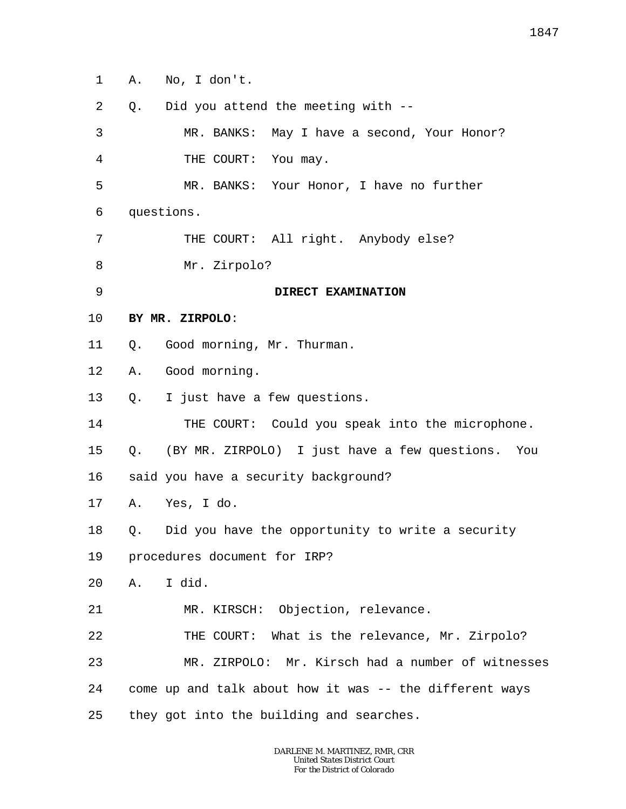1 A. No, I don't.

| 2  | Q. | Did you attend the meeting with --                      |
|----|----|---------------------------------------------------------|
| 3  |    | MR. BANKS:<br>May I have a second, Your Honor?          |
| 4  |    | THE COURT: You may.                                     |
| 5  |    | MR. BANKS: Your Honor, I have no further                |
| 6  |    | questions.                                              |
| 7  |    | THE COURT: All right. Anybody else?                     |
| 8  |    | Mr. Zirpolo?                                            |
| 9  |    | DIRECT EXAMINATION                                      |
| 10 |    | BY MR. ZIRPOLO:                                         |
| 11 | Q. | Good morning, Mr. Thurman.                              |
| 12 | Α. | Good morning.                                           |
| 13 | Q. | I just have a few questions.                            |
| 14 |    | THE COURT: Could you speak into the microphone.         |
| 15 | Q. | (BY MR. ZIRPOLO) I just have a few questions.<br>You    |
| 16 |    | said you have a security background?                    |
| 17 |    | A. Yes, I do.                                           |
| 18 | Q. | Did you have the opportunity to write a security        |
| 19 |    | procedures document for IRP?                            |
| 20 | Α. | I did.                                                  |
| 21 |    | MR. KIRSCH: Objection, relevance.                       |
| 22 |    | THE COURT: What is the relevance, Mr. Zirpolo?          |
| 23 |    | MR. ZIRPOLO: Mr. Kirsch had a number of witnesses       |
| 24 |    | come up and talk about how it was -- the different ways |
| 25 |    | they got into the building and searches.                |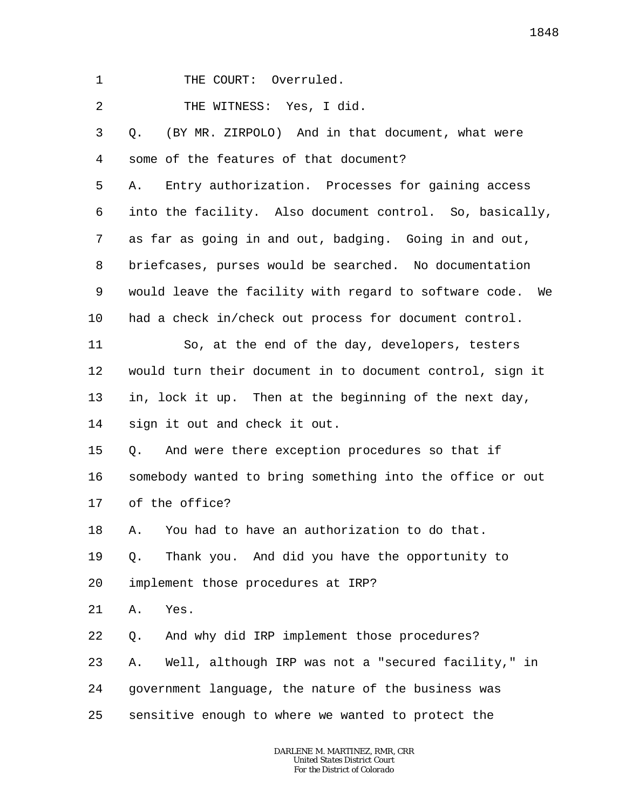1 THE COURT: Overruled.

2 THE WITNESS: Yes, I did.

3 4 5 6 7 8 9 10 11 12 13 14 15 16 17 18 19 20 21 22 23 24 25 Q. (BY MR. ZIRPOLO) And in that document, what were some of the features of that document? A. Entry authorization. Processes for gaining access into the facility. Also document control. So, basically, as far as going in and out, badging. Going in and out, briefcases, purses would be searched. No documentation would leave the facility with regard to software code. We had a check in/check out process for document control. So, at the end of the day, developers, testers would turn their document in to document control, sign it in, lock it up. Then at the beginning of the next day, sign it out and check it out. Q. And were there exception procedures so that if somebody wanted to bring something into the office or out of the office? A. You had to have an authorization to do that. Q. Thank you. And did you have the opportunity to implement those procedures at IRP? A. Yes. Q. And why did IRP implement those procedures? A. Well, although IRP was not a "secured facility," in government language, the nature of the business was sensitive enough to where we wanted to protect the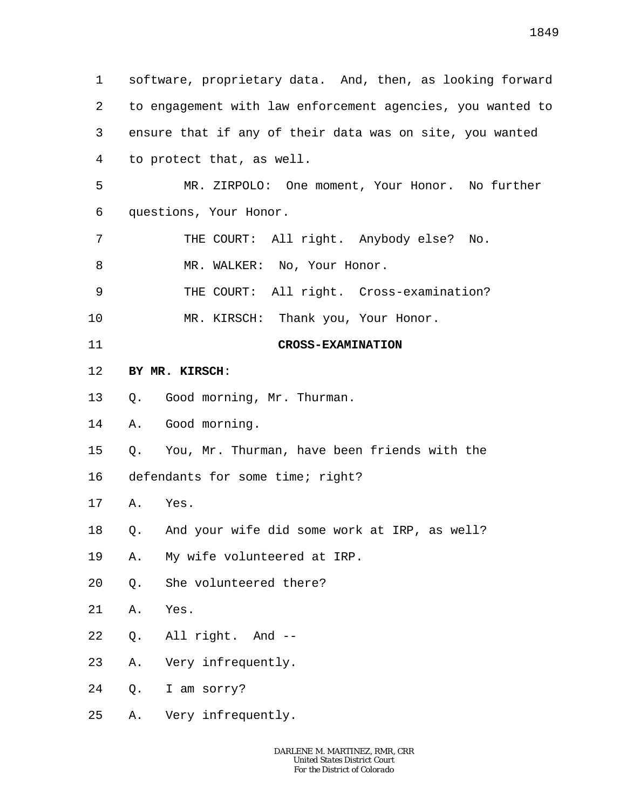1 2 3 4 5 6 7 8 9 10 11 12 13 14 15 16 17 18 19 20 21 22 23 24 25 software, proprietary data. And, then, as looking forward to engagement with law enforcement agencies, you wanted to ensure that if any of their data was on site, you wanted to protect that, as well. MR. ZIRPOLO: One moment, Your Honor. No further questions, Your Honor. THE COURT: All right. Anybody else? No. MR. WALKER: No, Your Honor. THE COURT: All right. Cross-examination? MR. KIRSCH: Thank you, Your Honor. **CROSS-EXAMINATION BY MR. KIRSCH**: Q. Good morning, Mr. Thurman. A. Good morning. Q. You, Mr. Thurman, have been friends with the defendants for some time; right? A. Yes. Q. And your wife did some work at IRP, as well? A. My wife volunteered at IRP. Q. She volunteered there? A. Yes. Q. All right. And -- A. Very infrequently. Q. I am sorry? A. Very infrequently.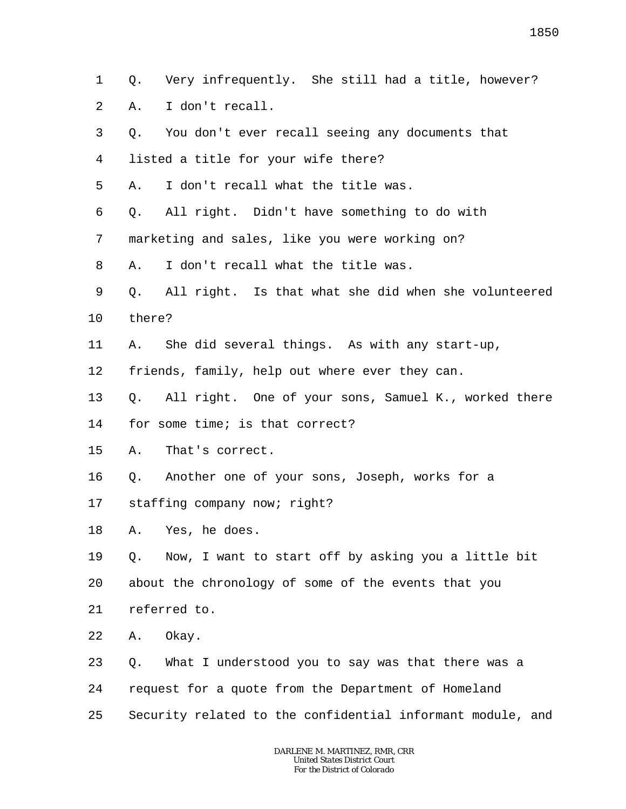1 2 Q. Very infrequently. She still had a title, however? A. I don't recall.

3 4 5 6 7 8 9 10 11 12 13 14 15 16 17 18 19 20 21 22 23 24 25 Q. You don't ever recall seeing any documents that listed a title for your wife there? A. I don't recall what the title was. Q. All right. Didn't have something to do with marketing and sales, like you were working on? A. I don't recall what the title was. Q. All right. Is that what she did when she volunteered there? A. She did several things. As with any start-up, friends, family, help out where ever they can. Q. All right. One of your sons, Samuel K., worked there for some time; is that correct? A. That's correct. Q. Another one of your sons, Joseph, works for a staffing company now; right? A. Yes, he does. Q. Now, I want to start off by asking you a little bit about the chronology of some of the events that you referred to. A. Okay. Q. What I understood you to say was that there was a request for a quote from the Department of Homeland Security related to the confidential informant module, and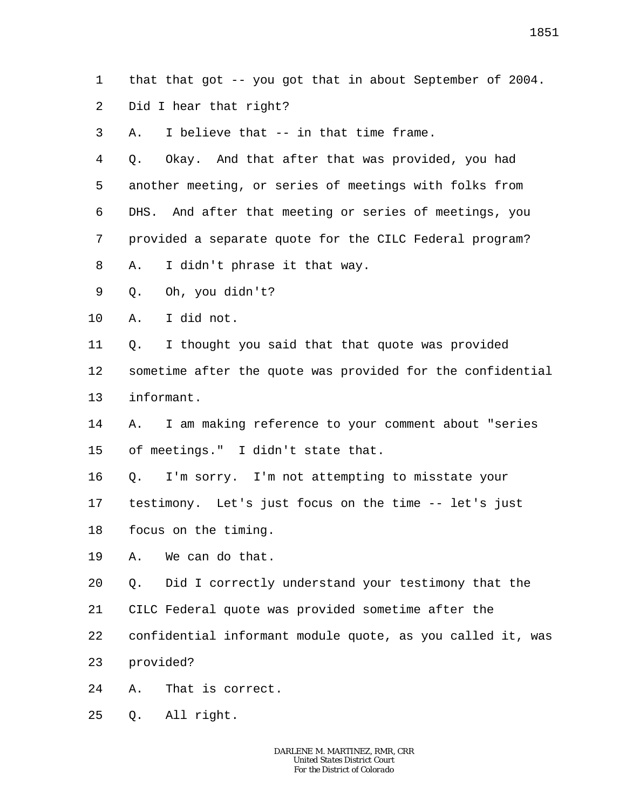1 that that got -- you got that in about September of 2004.

2 Did I hear that right?

3 A. I believe that -- in that time frame.

4 5 6 7 8 Q. Okay. And that after that was provided, you had another meeting, or series of meetings with folks from DHS. And after that meeting or series of meetings, you provided a separate quote for the CILC Federal program? A. I didn't phrase it that way.

9 Q. Oh, you didn't?

10 A. I did not.

11 12 13 Q. I thought you said that that quote was provided sometime after the quote was provided for the confidential informant.

- 14 15 A. I am making reference to your comment about "series of meetings." I didn't state that.
- 16 Q. I'm sorry. I'm not attempting to misstate your
- 17 testimony. Let's just focus on the time -- let's just

18 focus on the timing.

19 A. We can do that.

20 Q. Did I correctly understand your testimony that the

- 21 CILC Federal quote was provided sometime after the
- 22 confidential informant module quote, as you called it, was
- 23 provided?
- 24 A. That is correct.
- 25 Q. All right.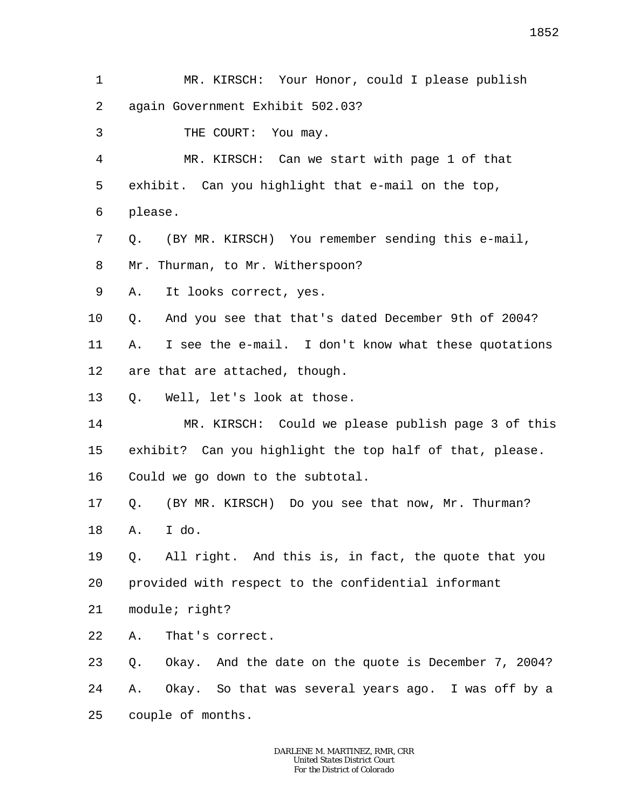- 1 2 MR. KIRSCH: Your Honor, could I please publish again Government Exhibit 502.03?
- 3 THE COURT: You may.

4 5 6 MR. KIRSCH: Can we start with page 1 of that exhibit. Can you highlight that e-mail on the top, please.

- 7 8 Q. (BY MR. KIRSCH) You remember sending this e-mail, Mr. Thurman, to Mr. Witherspoon?
- 9 A. It looks correct, yes.

10 Q. And you see that that's dated December 9th of 2004?

11 12 A. I see the e-mail. I don't know what these quotations are that are attached, though.

13 Q. Well, let's look at those.

14 15 16 MR. KIRSCH: Could we please publish page 3 of this exhibit? Can you highlight the top half of that, please. Could we go down to the subtotal.

17 Q. (BY MR. KIRSCH) Do you see that now, Mr. Thurman?

18 A. I do.

19 20 Q. All right. And this is, in fact, the quote that you provided with respect to the confidential informant

21 module; right?

22 A. That's correct.

23 24 25 Q. Okay. And the date on the quote is December 7, 2004? A. Okay. So that was several years ago. I was off by a couple of months.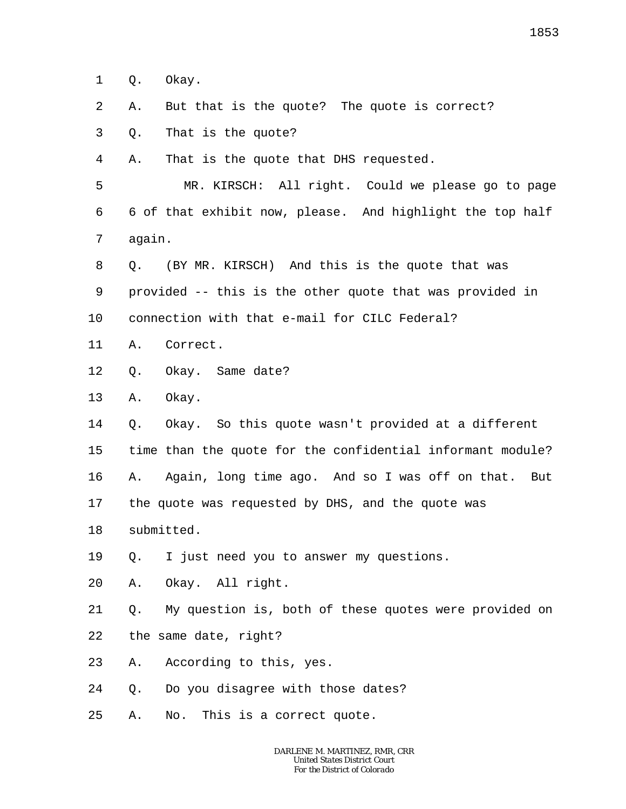1 Q. Okay.

- 2 A. But that is the quote? The quote is correct?
- 3 Q. That is the quote?

4 A. That is the quote that DHS requested.

5 6 7 MR. KIRSCH: All right. Could we please go to page 6 of that exhibit now, please. And highlight the top half again.

- 8 9 Q. (BY MR. KIRSCH) And this is the quote that was provided -- this is the other quote that was provided in
- 10 connection with that e-mail for CILC Federal?
- 11 A. Correct.
- 12 Q. Okay. Same date?
- 13 A. Okay.

14 15 16 17 Q. Okay. So this quote wasn't provided at a different time than the quote for the confidential informant module? A. Again, long time ago. And so I was off on that. But the quote was requested by DHS, and the quote was

- 18 submitted.
- 19 Q. I just need you to answer my questions.
- 20 A. Okay. All right.

21 22 Q. My question is, both of these quotes were provided on the same date, right?

- 23 A. According to this, yes.
- 24 Q. Do you disagree with those dates?
- 25 A. No. This is a correct quote.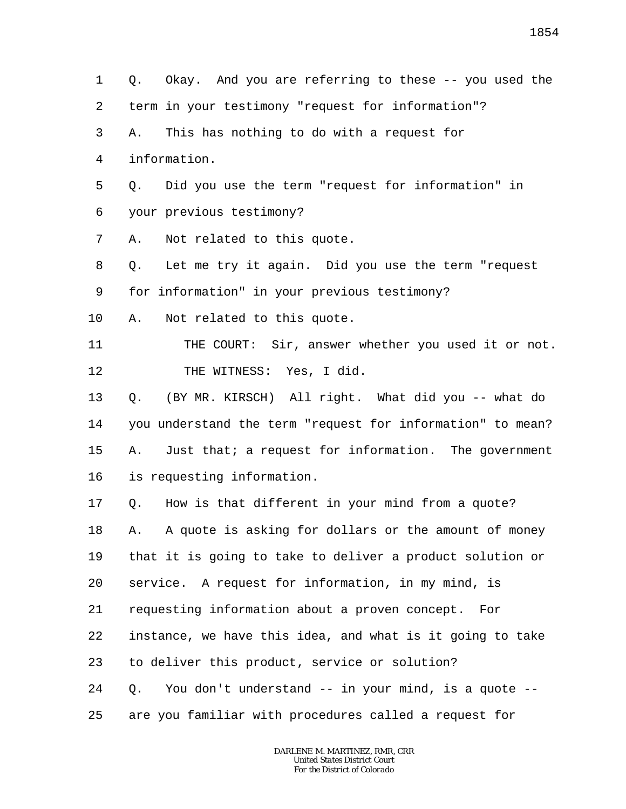1 2 3 4 5 6 7 8 9 10 11 12 13 14 15 16 17 18 19 20 21 22 23 24 25 Q. Okay. And you are referring to these -- you used the term in your testimony "request for information"? A. This has nothing to do with a request for information. Q. Did you use the term "request for information" in your previous testimony? A. Not related to this quote. Q. Let me try it again. Did you use the term "request for information" in your previous testimony? A. Not related to this quote. THE COURT: Sir, answer whether you used it or not. THE WITNESS: Yes, I did. Q. (BY MR. KIRSCH) All right. What did you -- what do you understand the term "request for information" to mean? A. Just that; a request for information. The government is requesting information. Q. How is that different in your mind from a quote? A. A quote is asking for dollars or the amount of money that it is going to take to deliver a product solution or service. A request for information, in my mind, is requesting information about a proven concept. For instance, we have this idea, and what is it going to take to deliver this product, service or solution? Q. You don't understand -- in your mind, is a quote - are you familiar with procedures called a request for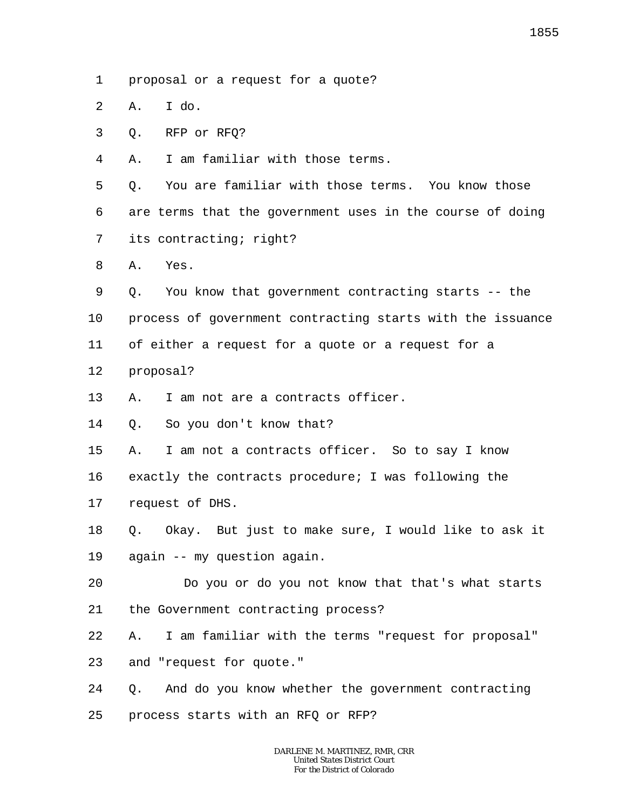- 1 proposal or a request for a quote?
- $\overline{a}$ A. I do.
- 3 Q. RFP or RFQ?
- 4 A. I am familiar with those terms.

5 6 7 Q. You are familiar with those terms. You know those are terms that the government uses in the course of doing its contracting; right?

- 8 A. Yes.
- 9 Q. You know that government contracting starts -- the
- 10 process of government contracting starts with the issuance
- 11 of either a request for a quote or a request for a
- 12 proposal?
- 13 A. I am not are a contracts officer.
- 14 Q. So you don't know that?
- 15 A. I am not a contracts officer. So to say I know
- 16 exactly the contracts procedure; I was following the
- 17 request of DHS.
- 18 19 Q. Okay. But just to make sure, I would like to ask it again -- my question again.
- 20 21 Do you or do you not know that that's what starts the Government contracting process?
- 22 A. I am familiar with the terms "request for proposal"
- 23 and "request for quote."
- 24 Q. And do you know whether the government contracting
- 25 process starts with an RFQ or RFP?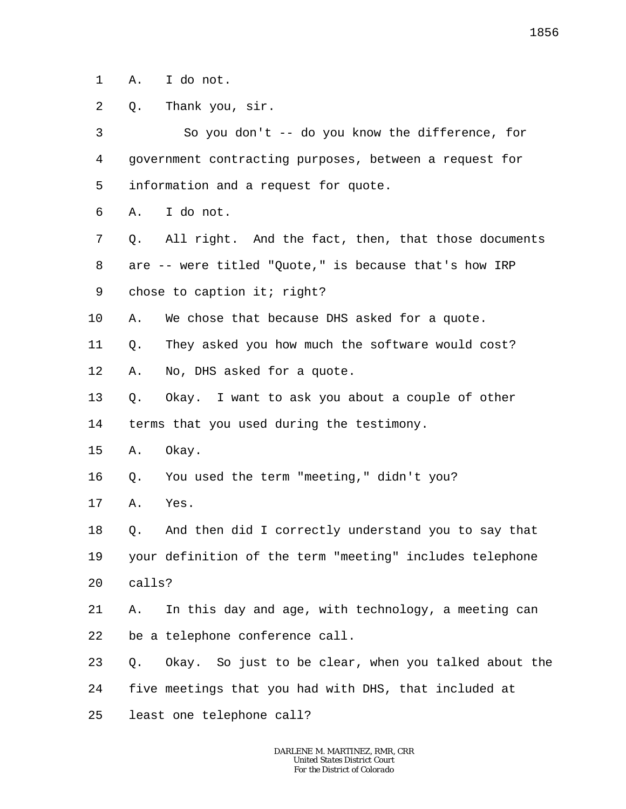1 A. I do not.

2 Q. Thank you, sir.

3 4 5 6 7 8 9 10 11 12 13 14 15 16 17 18 19 20 21 22 23 24 25 So you don't -- do you know the difference, for government contracting purposes, between a request for information and a request for quote. A. I do not. Q. All right. And the fact, then, that those documents are -- were titled "Quote," is because that's how IRP chose to caption it; right? A. We chose that because DHS asked for a quote. Q. They asked you how much the software would cost? A. No, DHS asked for a quote. Q. Okay. I want to ask you about a couple of other terms that you used during the testimony. A. Okay. Q. You used the term "meeting," didn't you? A. Yes. Q. And then did I correctly understand you to say that your definition of the term "meeting" includes telephone calls? A. In this day and age, with technology, a meeting can be a telephone conference call. Q. Okay. So just to be clear, when you talked about the five meetings that you had with DHS, that included at least one telephone call?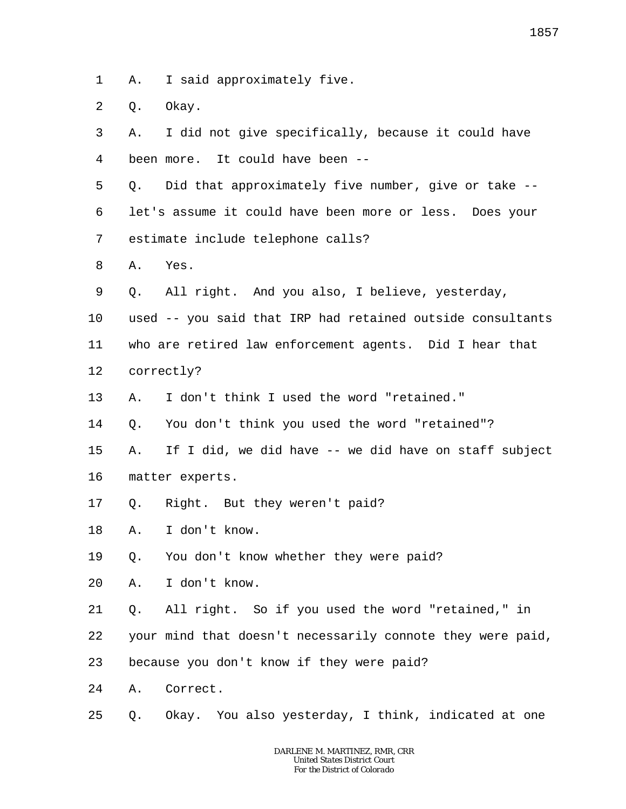1 A. I said approximately five.

2 Q. Okay.

3 4 5 6 7 8 9 10 11 12 13 14 15 16 17 18 19 20 21 22 23 24 25 A. I did not give specifically, because it could have been more. It could have been -- Q. Did that approximately five number, give or take - let's assume it could have been more or less. Does your estimate include telephone calls? A. Yes. Q. All right. And you also, I believe, yesterday, used -- you said that IRP had retained outside consultants who are retired law enforcement agents. Did I hear that correctly? A. I don't think I used the word "retained." Q. You don't think you used the word "retained"? A. If I did, we did have -- we did have on staff subject matter experts. Q. Right. But they weren't paid? A. I don't know. Q. You don't know whether they were paid? A. I don't know. Q. All right. So if you used the word "retained," in your mind that doesn't necessarily connote they were paid, because you don't know if they were paid? A. Correct. Q. Okay. You also yesterday, I think, indicated at one

1857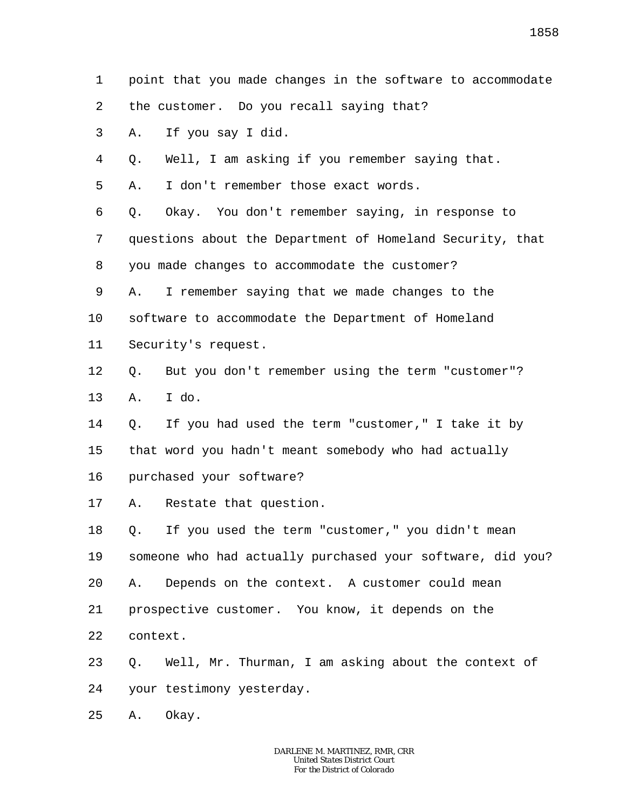point that you made changes in the software to accommodate

2 the customer. Do you recall saying that?

3 A. If you say I did.

1

4 Q. Well, I am asking if you remember saying that.

5 A. I don't remember those exact words.

6 7 8 Q. Okay. You don't remember saying, in response to questions about the Department of Homeland Security, that you made changes to accommodate the customer?

9 10 A. I remember saying that we made changes to the software to accommodate the Department of Homeland

11 Security's request.

12 13 Q. But you don't remember using the term "customer"? A. I do.

14 15 16 Q. If you had used the term "customer," I take it by that word you hadn't meant somebody who had actually purchased your software?

17 A. Restate that question.

18 19 20 21 22 Q. If you used the term "customer," you didn't mean someone who had actually purchased your software, did you? A. Depends on the context. A customer could mean prospective customer. You know, it depends on the context.

23 24 Q. Well, Mr. Thurman, I am asking about the context of your testimony yesterday.

25 A. Okay.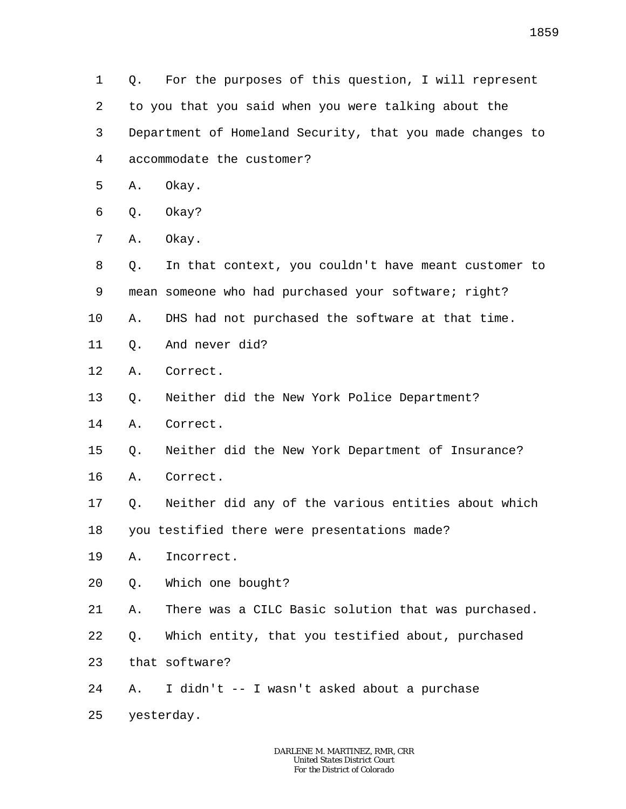1 2 3 4 Q. For the purposes of this question, I will represent to you that you said when you were talking about the Department of Homeland Security, that you made changes to accommodate the customer?

- 5 A. Okay.
- 6 Q. Okay?
- 7 A. Okay.
- 8 9 Q. In that context, you couldn't have meant customer to mean someone who had purchased your software; right?
- 10 A. DHS had not purchased the software at that time.
- 11 Q. And never did?
- 12 A. Correct.
- 13 Q. Neither did the New York Police Department?
- 14 A. Correct.
- 15 Q. Neither did the New York Department of Insurance?
- 16 A. Correct.
- 17 Q. Neither did any of the various entities about which

18 you testified there were presentations made?

- 19 A. Incorrect.
- 20 Q. Which one bought?
- 21 A. There was a CILC Basic solution that was purchased.
- 22 Q. Which entity, that you testified about, purchased
- 23 that software?
- 24 A. I didn't -- I wasn't asked about a purchase
- 25 yesterday.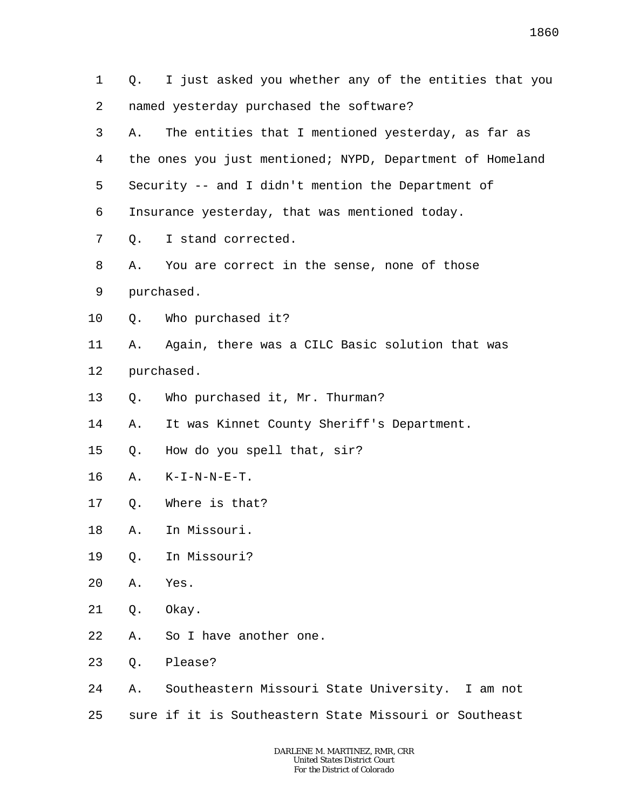1 2 3 4 5 6 7 8 9 10 11 12 13 14 15 16 17 18 19 20 21 22 23 24 25 Q. I just asked you whether any of the entities that you named yesterday purchased the software? A. The entities that I mentioned yesterday, as far as the ones you just mentioned; NYPD, Department of Homeland Security -- and I didn't mention the Department of Insurance yesterday, that was mentioned today. Q. I stand corrected. A. You are correct in the sense, none of those purchased. Q. Who purchased it? A. Again, there was a CILC Basic solution that was purchased. Q. Who purchased it, Mr. Thurman? A. It was Kinnet County Sheriff's Department. Q. How do you spell that, sir? A. K-I-N-N-E-T. Q. Where is that? A. In Missouri. Q. In Missouri? A. Yes. Q. Okay. A. So I have another one. Q. Please? A. Southeastern Missouri State University. I am not sure if it is Southeastern State Missouri or Southeast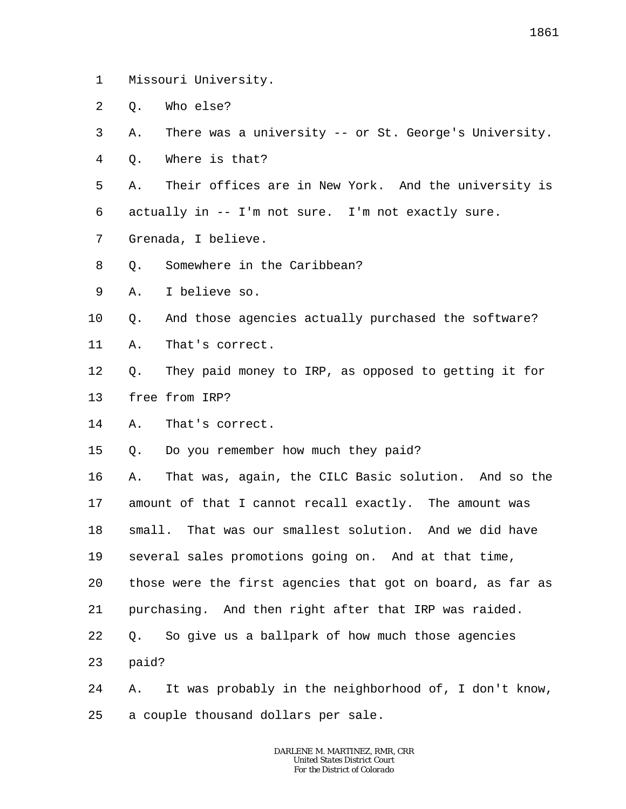- 1 Missouri University.
- $\overline{a}$ Q. Who else?
- 3 A. There was a university -- or St. George's University.
- 4 Q. Where is that?
- 5 6 A. Their offices are in New York. And the university is actually in -- I'm not sure. I'm not exactly sure.
- 7 Grenada, I believe.
- 8 Q. Somewhere in the Caribbean?
- 9 A. I believe so.
- 10 Q. And those agencies actually purchased the software?
- 11 A. That's correct.
- 12 13 Q. They paid money to IRP, as opposed to getting it for free from IRP?
- 14 A. That's correct.
- 15 Q. Do you remember how much they paid?
- 16 17 18 19 20 21 22 23 A. That was, again, the CILC Basic solution. And so the amount of that I cannot recall exactly. The amount was small. That was our smallest solution. And we did have several sales promotions going on. And at that time, those were the first agencies that got on board, as far as purchasing. And then right after that IRP was raided. Q. So give us a ballpark of how much those agencies paid?
- 24 25 A. It was probably in the neighborhood of, I don't know, a couple thousand dollars per sale.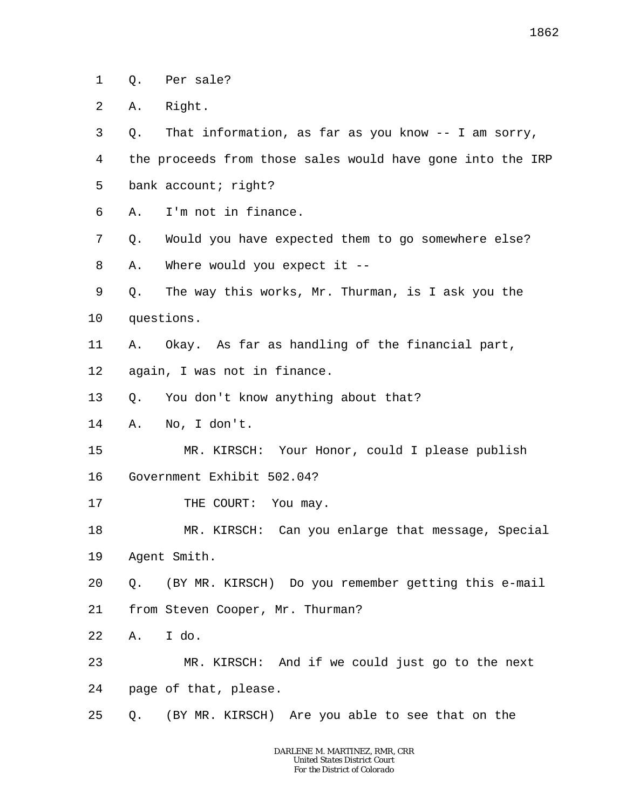1 Q. Per sale?

2 A. Right.

3 4 5 Q. That information, as far as you know -- I am sorry, the proceeds from those sales would have gone into the IRP bank account; right?

- 6 A. I'm not in finance.
- 7 Q. Would you have expected them to go somewhere else?

8 A. Where would you expect it --

- 9 10 Q. The way this works, Mr. Thurman, is I ask you the questions.
- 11 A. Okay. As far as handling of the financial part,
- 12 again, I was not in finance.
- 13 Q. You don't know anything about that?
- 14 A. No, I don't.
- 15 MR. KIRSCH: Your Honor, could I please publish
- 16 Government Exhibit 502.04?
- 17 THE COURT: You may.
- 18 19 MR. KIRSCH: Can you enlarge that message, Special Agent Smith.
- 20 Q. (BY MR. KIRSCH) Do you remember getting this e-mail
- 21 from Steven Cooper, Mr. Thurman?
- 22 A. I do.
- 23 24 MR. KIRSCH: And if we could just go to the next page of that, please.
- 25 Q. (BY MR. KIRSCH) Are you able to see that on the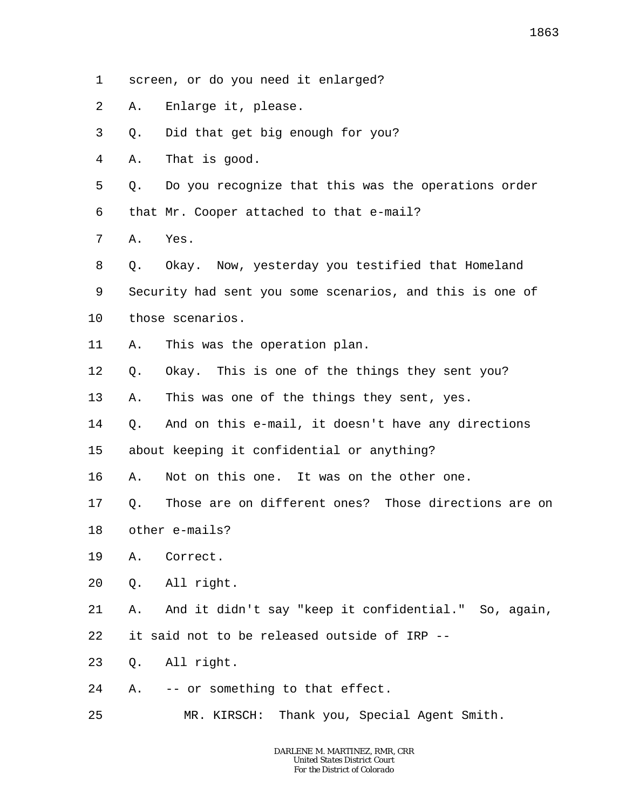- 1 screen, or do you need it enlarged?
- 2 A. Enlarge it, please.
- 3 Q. Did that get big enough for you?
- 4 A. That is good.

5 6 Q. Do you recognize that this was the operations order that Mr. Cooper attached to that e-mail?

7 A. Yes.

8 9 10 Q. Okay. Now, yesterday you testified that Homeland Security had sent you some scenarios, and this is one of those scenarios.

- 11 A. This was the operation plan.
- 12 Q. Okay. This is one of the things they sent you?
- 13 A. This was one of the things they sent, yes.
- 14 Q. And on this e-mail, it doesn't have any directions
- 15 about keeping it confidential or anything?
- 16 A. Not on this one. It was on the other one.

17 18 Q. Those are on different ones? Those directions are on other e-mails?

- 19 A. Correct.
- 20 Q. All right.

21 22 A. And it didn't say "keep it confidential." So, again, it said not to be released outside of IRP --

- 23 Q. All right.
- 24 A. -- or something to that effect.
- 25 MR. KIRSCH: Thank you, Special Agent Smith.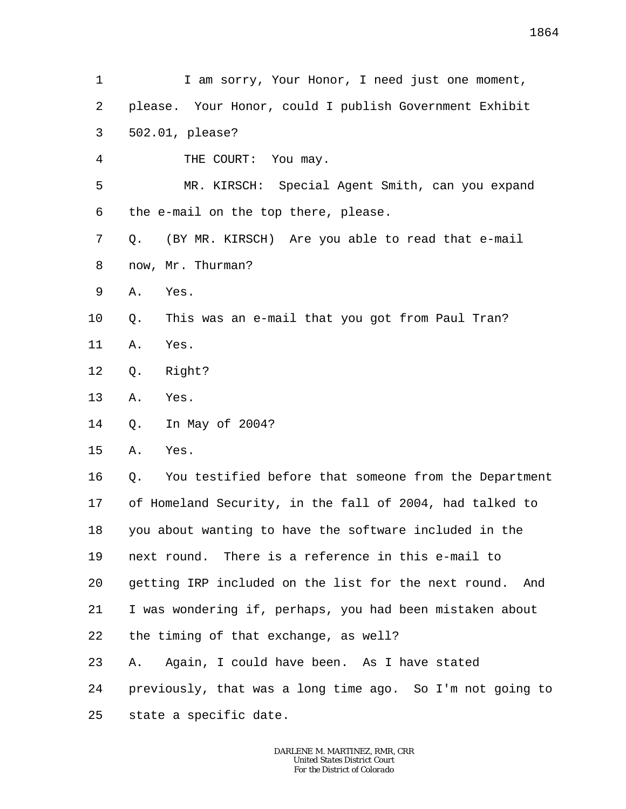1 2 3 4 5 6 7 8 9 10 11 12 13 14 15 16 17 18 19 20 21 22 23 24 25 I am sorry, Your Honor, I need just one moment, please. Your Honor, could I publish Government Exhibit 502.01, please? THE COURT: You may. MR. KIRSCH: Special Agent Smith, can you expand the e-mail on the top there, please. Q. (BY MR. KIRSCH) Are you able to read that e-mail now, Mr. Thurman? A. Yes. Q. This was an e-mail that you got from Paul Tran? A. Yes. Q. Right? A. Yes. Q. In May of 2004? A. Yes. Q. You testified before that someone from the Department of Homeland Security, in the fall of 2004, had talked to you about wanting to have the software included in the next round. There is a reference in this e-mail to getting IRP included on the list for the next round. And I was wondering if, perhaps, you had been mistaken about the timing of that exchange, as well? A. Again, I could have been. As I have stated previously, that was a long time ago. So I'm not going to state a specific date.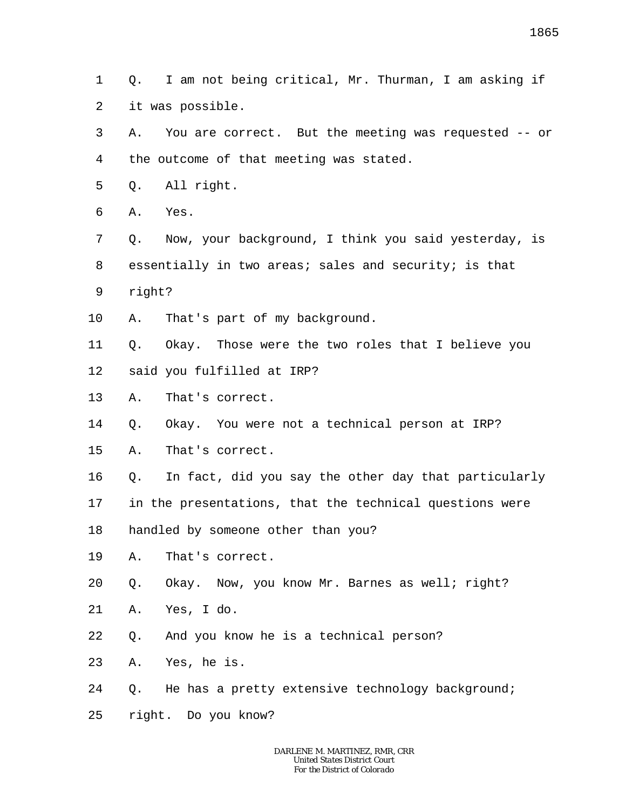1 2 Q. I am not being critical, Mr. Thurman, I am asking if it was possible.

3 4 A. You are correct. But the meeting was requested -- or the outcome of that meeting was stated.

5 Q. All right.

6 A. Yes.

7 8 9 Q. Now, your background, I think you said yesterday, is essentially in two areas; sales and security; is that right?

10 A. That's part of my background.

11 12 Q. Okay. Those were the two roles that I believe you said you fulfilled at IRP?

13 A. That's correct.

14 Q. Okay. You were not a technical person at IRP?

15 A. That's correct.

16 Q. In fact, did you say the other day that particularly

17 in the presentations, that the technical questions were

18 handled by someone other than you?

19 A. That's correct.

20 Q. Okay. Now, you know Mr. Barnes as well; right?

21 A. Yes, I do.

22 Q. And you know he is a technical person?

23 A. Yes, he is.

24 Q. He has a pretty extensive technology background;

25 right. Do you know?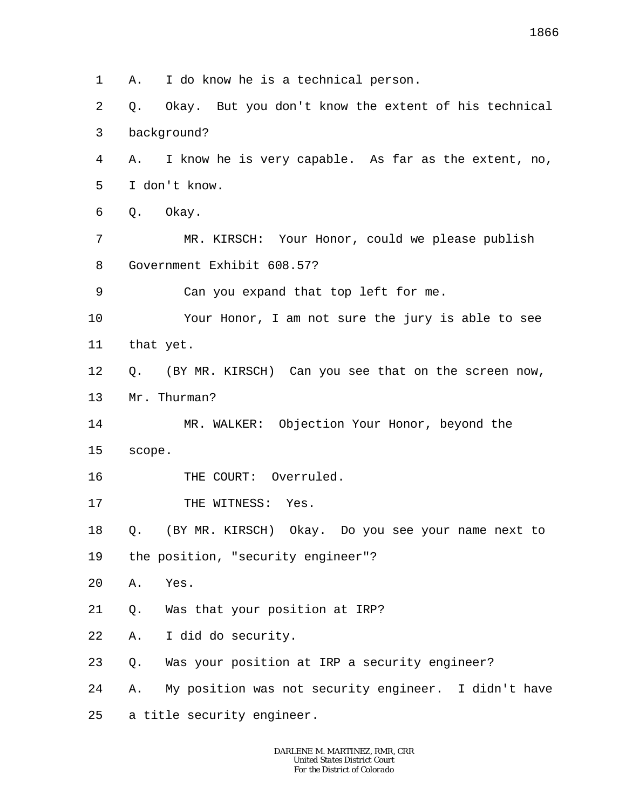1 2 3 4 5 6 7 8 9 10 11 12 13 14 15 16 17 18 19 20 21 22 23 24 25 A. I do know he is a technical person. Q. Okay. But you don't know the extent of his technical background? A. I know he is very capable. As far as the extent, no, I don't know. Q. Okay. MR. KIRSCH: Your Honor, could we please publish Government Exhibit 608.57? Can you expand that top left for me. Your Honor, I am not sure the jury is able to see that yet. Q. (BY MR. KIRSCH) Can you see that on the screen now, Mr. Thurman? MR. WALKER: Objection Your Honor, beyond the scope. THE COURT: Overruled. THE WITNESS: Yes. Q. (BY MR. KIRSCH) Okay. Do you see your name next to the position, "security engineer"? A. Yes. Q. Was that your position at IRP? A. I did do security. Q. Was your position at IRP a security engineer? A. My position was not security engineer. I didn't have a title security engineer.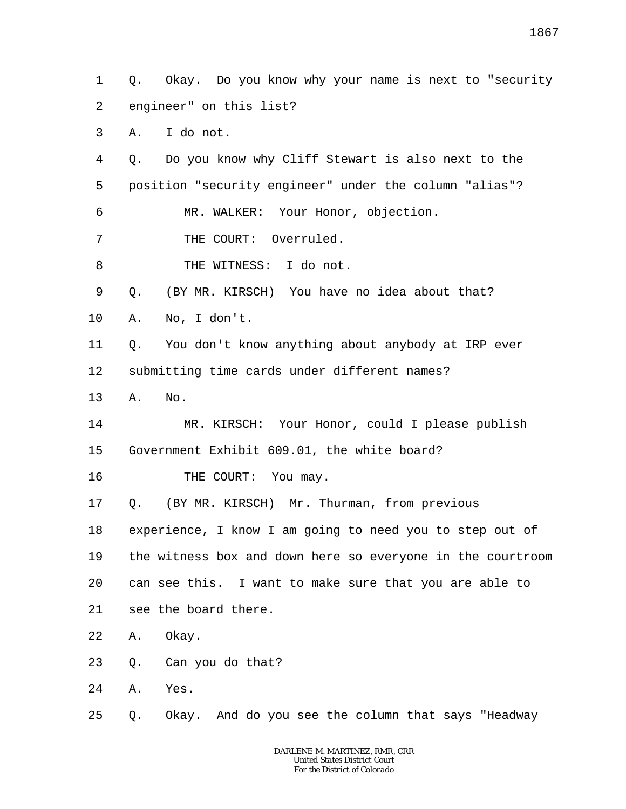1 2 Q. Okay. Do you know why your name is next to "security engineer" on this list?

3 A. I do not.

4 5 6 Q. Do you know why Cliff Stewart is also next to the position "security engineer" under the column "alias"? MR. WALKER: Your Honor, objection.

7 THE COURT: Overruled.

8 THE WITNESS: I do not.

9 Q. (BY MR. KIRSCH) You have no idea about that?

10 A. No, I don't.

11 12 Q. You don't know anything about anybody at IRP ever submitting time cards under different names?

13 A. No.

14 15 MR. KIRSCH: Your Honor, could I please publish Government Exhibit 609.01, the white board?

16 THE COURT: You may.

17 Q. (BY MR. KIRSCH) Mr. Thurman, from previous

18 experience, I know I am going to need you to step out of

19 the witness box and down here so everyone in the courtroom

20 can see this. I want to make sure that you are able to

21 see the board there.

22 A. Okay.

23 Q. Can you do that?

24 A. Yes.

25 Q. Okay. And do you see the column that says "Headway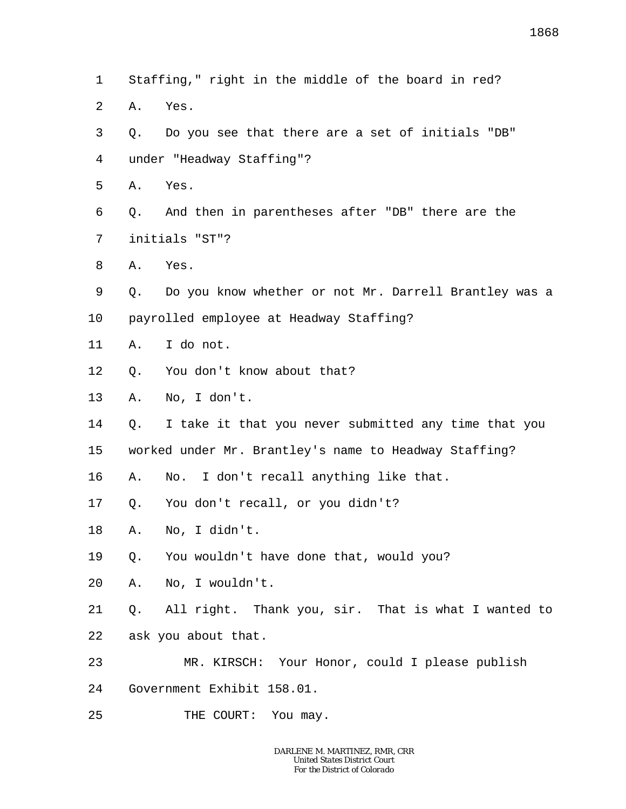- 1  $\overline{a}$ 3 4 5 6 7 8 9 10 11 12 13 14 15 16 17 18 19 20 21 22 23 24 Staffing," right in the middle of the board in red? A. Yes. Q. Do you see that there are a set of initials "DB" under "Headway Staffing"? A. Yes. Q. And then in parentheses after "DB" there are the initials "ST"? A. Yes. Q. Do you know whether or not Mr. Darrell Brantley was a payrolled employee at Headway Staffing? A. I do not. Q. You don't know about that? A. No, I don't. Q. I take it that you never submitted any time that you worked under Mr. Brantley's name to Headway Staffing? A. No. I don't recall anything like that. Q. You don't recall, or you didn't? A. No, I didn't. Q. You wouldn't have done that, would you? A. No, I wouldn't. Q. All right. Thank you, sir. That is what I wanted to ask you about that. MR. KIRSCH: Your Honor, could I please publish Government Exhibit 158.01.
- 25 THE COURT: You may.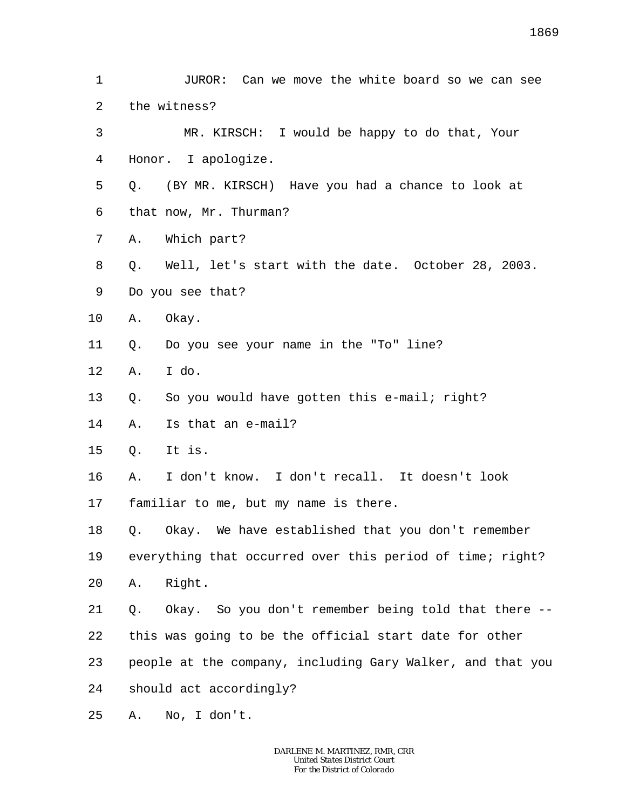1 2 3 4 5 6 7 8 9 10 11 12 13 14 15 16 17 18 19 20 21 22 23 24 25 JUROR: Can we move the white board so we can see the witness? MR. KIRSCH: I would be happy to do that, Your Honor. I apologize. Q. (BY MR. KIRSCH) Have you had a chance to look at that now, Mr. Thurman? A. Which part? Q. Well, let's start with the date. October 28, 2003. Do you see that? A. Okay. Q. Do you see your name in the "To" line? A. I do. Q. So you would have gotten this e-mail; right? A. Is that an e-mail? Q. It is. A. I don't know. I don't recall. It doesn't look familiar to me, but my name is there. Q. Okay. We have established that you don't remember everything that occurred over this period of time; right? A. Right. Q. Okay. So you don't remember being told that there - this was going to be the official start date for other people at the company, including Gary Walker, and that you should act accordingly? A. No, I don't.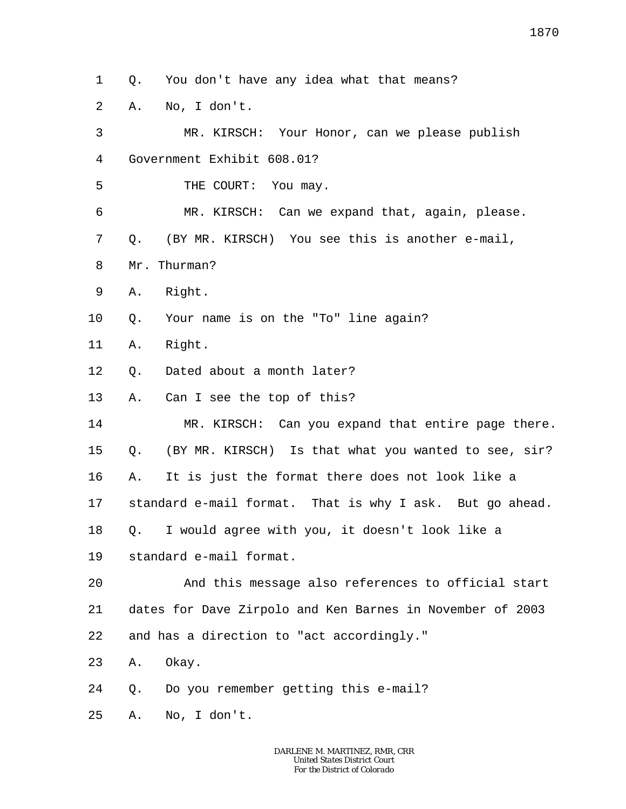1 Q. You don't have any idea what that means?

2 A. No, I don't.

3 4 5 6 7 8 9 10 11 12 13 14 15 16 17 18 19 20 21 22 23 24 25 MR. KIRSCH: Your Honor, can we please publish Government Exhibit 608.01? THE COURT: You may. MR. KIRSCH: Can we expand that, again, please. Q. (BY MR. KIRSCH) You see this is another e-mail, Mr. Thurman? A. Right. Q. Your name is on the "To" line again? A. Right. Q. Dated about a month later? A. Can I see the top of this? MR. KIRSCH: Can you expand that entire page there. Q. (BY MR. KIRSCH) Is that what you wanted to see, sir? A. It is just the format there does not look like a standard e-mail format. That is why I ask. But go ahead. Q. I would agree with you, it doesn't look like a standard e-mail format. And this message also references to official start dates for Dave Zirpolo and Ken Barnes in November of 2003 and has a direction to "act accordingly." A. Okay. Q. Do you remember getting this e-mail? A. No, I don't.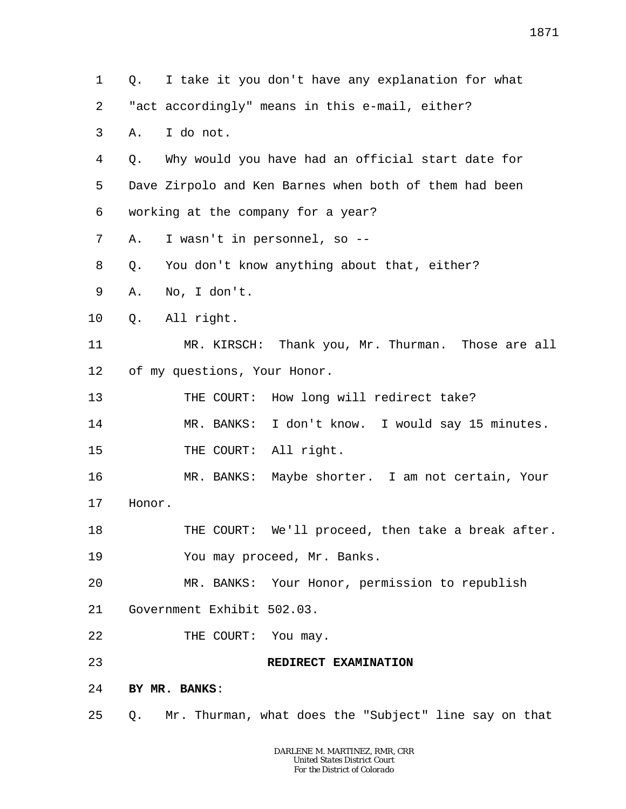1 2 3 4 5 6 7 8 9 10 11 12 13 14 15 16 17 18 19 20 21 22 23 24 25 Q. I take it you don't have any explanation for what "act accordingly" means in this e-mail, either? A. I do not. Q. Why would you have had an official start date for Dave Zirpolo and Ken Barnes when both of them had been working at the company for a year? A. I wasn't in personnel, so -- Q. You don't know anything about that, either? A. No, I don't. Q. All right. MR. KIRSCH: Thank you, Mr. Thurman. Those are all of my questions, Your Honor. THE COURT: How long will redirect take? MR. BANKS: I don't know. I would say 15 minutes. THE COURT: All right. MR. BANKS: Maybe shorter. I am not certain, Your Honor. THE COURT: We'll proceed, then take a break after. You may proceed, Mr. Banks. MR. BANKS: Your Honor, permission to republish Government Exhibit 502.03. THE COURT: You may. **REDIRECT EXAMINATION BY MR. BANKS**: Q. Mr. Thurman, what does the "Subject" line say on that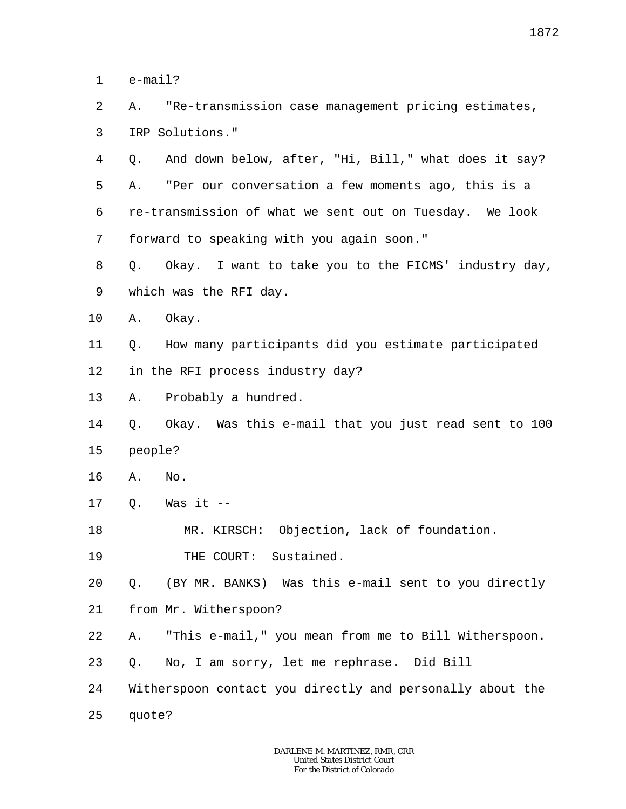1 e-mail?

 $\overline{a}$ 3 A. "Re-transmission case management pricing estimates, IRP Solutions."

4 5 6 7 Q. And down below, after, "Hi, Bill," what does it say? A. "Per our conversation a few moments ago, this is a re-transmission of what we sent out on Tuesday. We look forward to speaking with you again soon."

8 9 Q. Okay. I want to take you to the FICMS' industry day, which was the RFI day.

10 A. Okay.

11 12 Q. How many participants did you estimate participated in the RFI process industry day?

13 A. Probably a hundred.

14 15 Q. Okay. Was this e-mail that you just read sent to 100 people?

- 16 A. No.
- 17  $O.$  Was it  $-$

18 MR. KIRSCH: Objection, lack of foundation.

19 THE COURT: Sustained.

20 Q. (BY MR. BANKS) Was this e-mail sent to you directly

21 from Mr. Witherspoon?

- 22 A. "This e-mail," you mean from me to Bill Witherspoon.
- 23 Q. No, I am sorry, let me rephrase. Did Bill
- 24 Witherspoon contact you directly and personally about the

25 quote?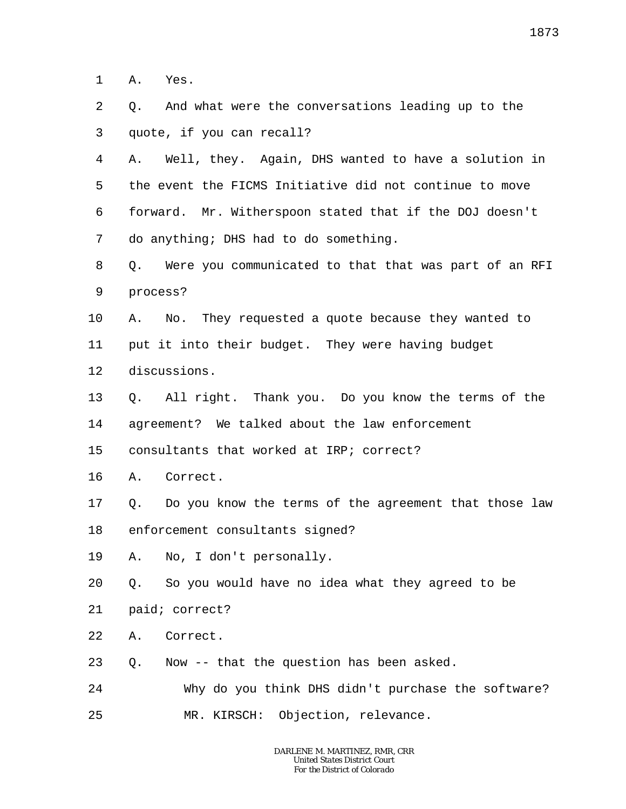1 A. Yes.

- $\overline{a}$ 3 Q. And what were the conversations leading up to the quote, if you can recall?
- 4 5 6 7 A. Well, they. Again, DHS wanted to have a solution in the event the FICMS Initiative did not continue to move forward. Mr. Witherspoon stated that if the DOJ doesn't do anything; DHS had to do something.
- 8 9 Q. Were you communicated to that that was part of an RFI process?
- 10 A. No. They requested a quote because they wanted to
- 11 put it into their budget. They were having budget
- 12 discussions.
- 13 14 Q. All right. Thank you. Do you know the terms of the agreement? We talked about the law enforcement
- 15 consultants that worked at IRP; correct?
- 16 A. Correct.
- 17 18 Q. Do you know the terms of the agreement that those law enforcement consultants signed?
- 19 A. No, I don't personally.
- 20 Q. So you would have no idea what they agreed to be
- 21 paid; correct?
- 22 A. Correct.
- 23 Q. Now -- that the question has been asked.
- 24 Why do you think DHS didn't purchase the software?
- 25 MR. KIRSCH: Objection, relevance.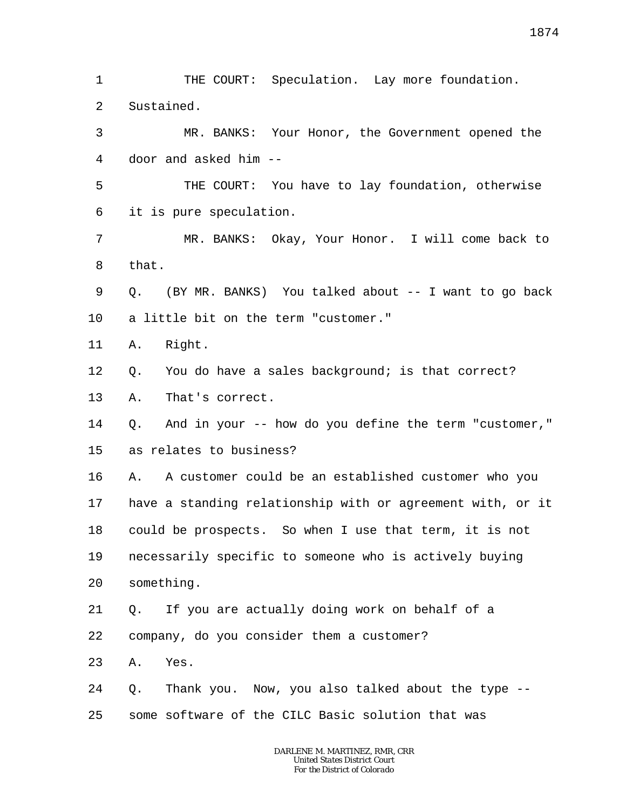1 2 THE COURT: Speculation. Lay more foundation. Sustained.

3 4 MR. BANKS: Your Honor, the Government opened the door and asked him --

5 6 THE COURT: You have to lay foundation, otherwise it is pure speculation.

7 8 MR. BANKS: Okay, Your Honor. I will come back to that.

9 10 Q. (BY MR. BANKS) You talked about -- I want to go back a little bit on the term "customer."

11 A. Right.

12 Q. You do have a sales background; is that correct?

13 A. That's correct.

14 15 Q. And in your -- how do you define the term "customer," as relates to business?

16 17 18 19 20 A. A customer could be an established customer who you have a standing relationship with or agreement with, or it could be prospects. So when I use that term, it is not necessarily specific to someone who is actively buying something.

21 22 Q. If you are actually doing work on behalf of a

company, do you consider them a customer?

23 A. Yes.

24 25 Q. Thank you. Now, you also talked about the type - some software of the CILC Basic solution that was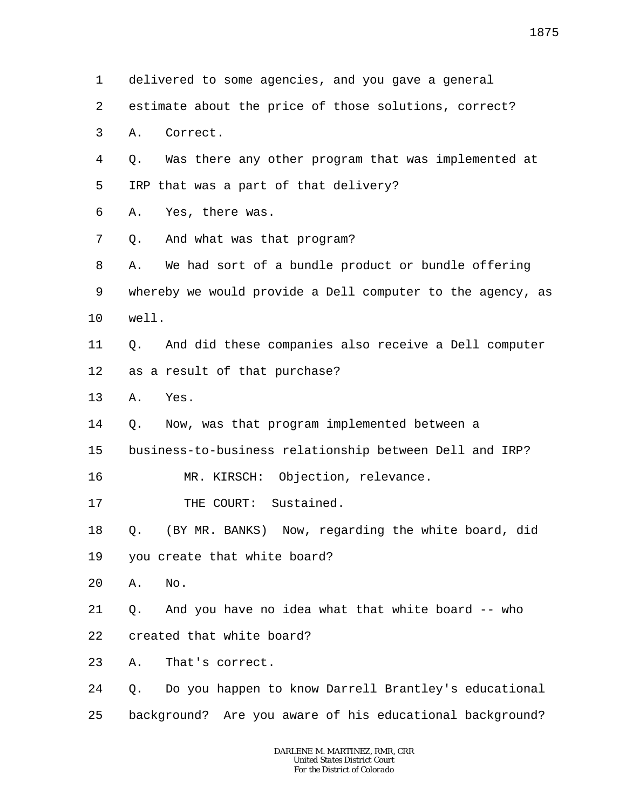| 1  | delivered to some agencies, and you gave a general         |
|----|------------------------------------------------------------|
| 2  | estimate about the price of those solutions, correct?      |
| 3  | Correct.<br>Α.                                             |
| 4  | Was there any other program that was implemented at<br>Q.  |
| 5  | IRP that was a part of that delivery?                      |
| 6  | Yes, there was.<br>Α.                                      |
| 7  | And what was that program?<br>Q.                           |
| 8  | We had sort of a bundle product or bundle offering<br>Α.   |
| 9  | whereby we would provide a Dell computer to the agency, as |
| 10 | well.                                                      |
| 11 | And did these companies also receive a Dell computer<br>Q. |
| 12 | as a result of that purchase?                              |
| 13 | Α.<br>Yes.                                                 |
| 14 | Now, was that program implemented between a<br>Q.          |
| 15 | business-to-business relationship between Dell and IRP?    |
| 16 | MR. KIRSCH: Objection, relevance.                          |
| 17 | THE COURT: Sustained.                                      |
| 18 | (BY MR. BANKS) Now, regarding the white board, did<br>Q.   |
| 19 | you create that white board?                               |
| 20 | No.<br>Α.                                                  |
| 21 | And you have no idea what that white board -- who<br>Q.    |
| 22 | created that white board?                                  |
| 23 | That's correct.<br>Α.                                      |
| 24 | Do you happen to know Darrell Brantley's educational<br>Q. |
| 25 | background? Are you aware of his educational background?   |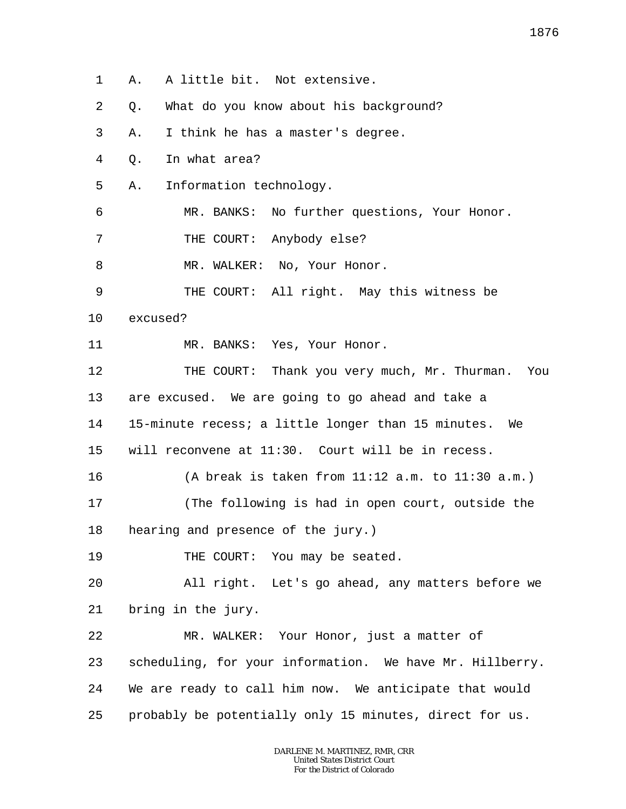1 2 3 4 5 6 7 8 9 10 11 12 13 14 15 16 17 18 19 20 21 22 23 24 25 A. A little bit. Not extensive. Q. What do you know about his background? A. I think he has a master's degree. Q. In what area? A. Information technology. MR. BANKS: No further questions, Your Honor. THE COURT: Anybody else? MR. WALKER: No, Your Honor. THE COURT: All right. May this witness be excused? MR. BANKS: Yes, Your Honor. THE COURT: Thank you very much, Mr. Thurman. You are excused. We are going to go ahead and take a 15-minute recess; a little longer than 15 minutes. We will reconvene at 11:30. Court will be in recess. (A break is taken from 11:12 a.m. to 11:30 a.m.) (The following is had in open court, outside the hearing and presence of the jury.) THE COURT: You may be seated. All right. Let's go ahead, any matters before we bring in the jury. MR. WALKER: Your Honor, just a matter of scheduling, for your information. We have Mr. Hillberry. We are ready to call him now. We anticipate that would probably be potentially only 15 minutes, direct for us.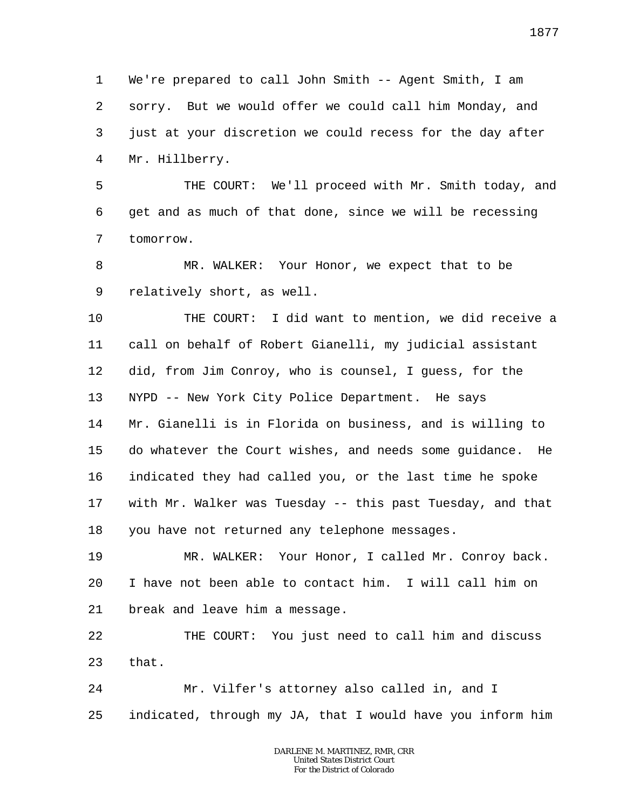1 2 3 4 We're prepared to call John Smith -- Agent Smith, I am sorry. But we would offer we could call him Monday, and just at your discretion we could recess for the day after Mr. Hillberry.

5 6 7 THE COURT: We'll proceed with Mr. Smith today, and get and as much of that done, since we will be recessing tomorrow.

8 9 MR. WALKER: Your Honor, we expect that to be relatively short, as well.

10 11 12 13 14 15 16 17 18 THE COURT: I did want to mention, we did receive a call on behalf of Robert Gianelli, my judicial assistant did, from Jim Conroy, who is counsel, I guess, for the NYPD -- New York City Police Department. He says Mr. Gianelli is in Florida on business, and is willing to do whatever the Court wishes, and needs some guidance. He indicated they had called you, or the last time he spoke with Mr. Walker was Tuesday -- this past Tuesday, and that you have not returned any telephone messages.

19 20 21 MR. WALKER: Your Honor, I called Mr. Conroy back. I have not been able to contact him. I will call him on break and leave him a message.

22 23 THE COURT: You just need to call him and discuss that.

24 25 Mr. Vilfer's attorney also called in, and I indicated, through my JA, that I would have you inform him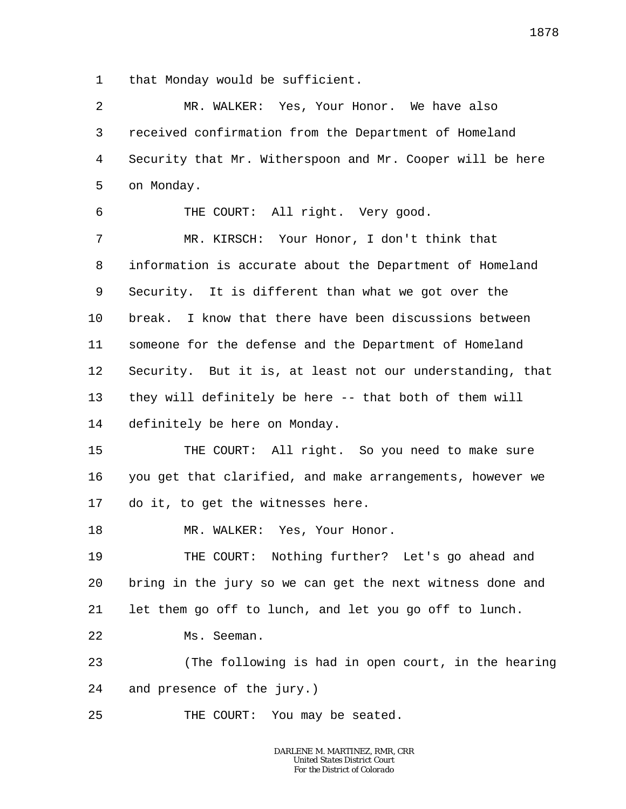1 that Monday would be sufficient.

| 2       | MR. WALKER: Yes, Your Honor. We have also                 |
|---------|-----------------------------------------------------------|
| 3       | received confirmation from the Department of Homeland     |
| 4       | Security that Mr. Witherspoon and Mr. Cooper will be here |
| 5       | on Monday.                                                |
| 6       | THE COURT: All right. Very good.                          |
| 7       | MR. KIRSCH: Your Honor, I don't think that                |
| 8       | information is accurate about the Department of Homeland  |
| 9       | Security. It is different than what we got over the       |
| $10 \,$ | break. I know that there have been discussions between    |
| 11      | someone for the defense and the Department of Homeland    |
| 12      | Security. But it is, at least not our understanding, that |
| 13      | they will definitely be here -- that both of them will    |
| 14      | definitely be here on Monday.                             |
| 15      | THE COURT: All right. So you need to make sure            |
| 16      | you get that clarified, and make arrangements, however we |
| 17      | do it, to get the witnesses here.                         |
| 18      | MR. WALKER: Yes, Your Honor.                              |
| 19      | THE COURT: Nothing further? Let's go ahead and            |
| 20      | bring in the jury so we can get the next witness done and |
| 21      | let them go off to lunch, and let you go off to lunch.    |
| 22      | Ms. Seeman.                                               |
| 23      | (The following is had in open court, in the hearing       |
| 24      | and presence of the jury.)                                |
| 25      | THE COURT: You may be seated.                             |
|         |                                                           |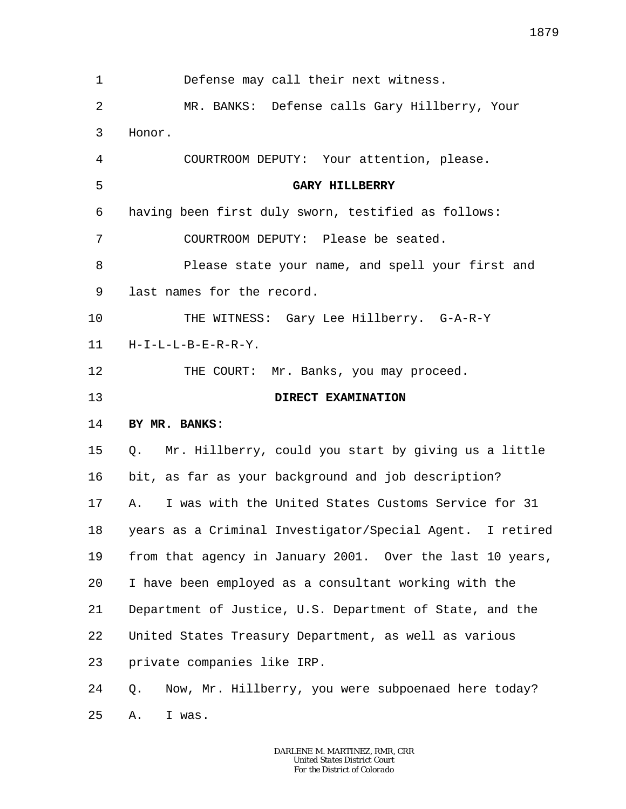| 1              | Defense may call their next witness.                      |
|----------------|-----------------------------------------------------------|
| $\overline{2}$ | MR. BANKS: Defense calls Gary Hillberry, Your             |
| 3              | Honor.                                                    |
| 4              | COURTROOM DEPUTY: Your attention, please.                 |
| 5              | <b>GARY HILLBERRY</b>                                     |
| 6              | having been first duly sworn, testified as follows:       |
| 7              | COURTROOM DEPUTY: Please be seated.                       |
| 8              | Please state your name, and spell your first and          |
| 9              | last names for the record.                                |
| 10             | THE WITNESS: Gary Lee Hillberry. G-A-R-Y                  |
| 11             | $H-I-L-L-B-E-R-R-Y$ .                                     |
| 12             | THE COURT: Mr. Banks, you may proceed.                    |
| 13             | DIRECT EXAMINATION                                        |
| 14             | BY MR. BANKS:                                             |
| 15             | Q. Mr. Hillberry, could you start by giving us a little   |
| 16             | bit, as far as your background and job description?       |
| 17             | I was with the United States Customs Service for 31<br>Α. |
| 18             | years as a Criminal Investigator/Special Agent. I retired |
| 19             | from that agency in January 2001. Over the last 10 years, |
| 20             | I have been employed as a consultant working with the     |
| 21             | Department of Justice, U.S. Department of State, and the  |
| 22             | United States Treasury Department, as well as various     |
| 23             | private companies like IRP.                               |
| 24             | Now, Mr. Hillberry, you were subpoenaed here today?<br>Q. |
| 25             | I was.<br>Α.                                              |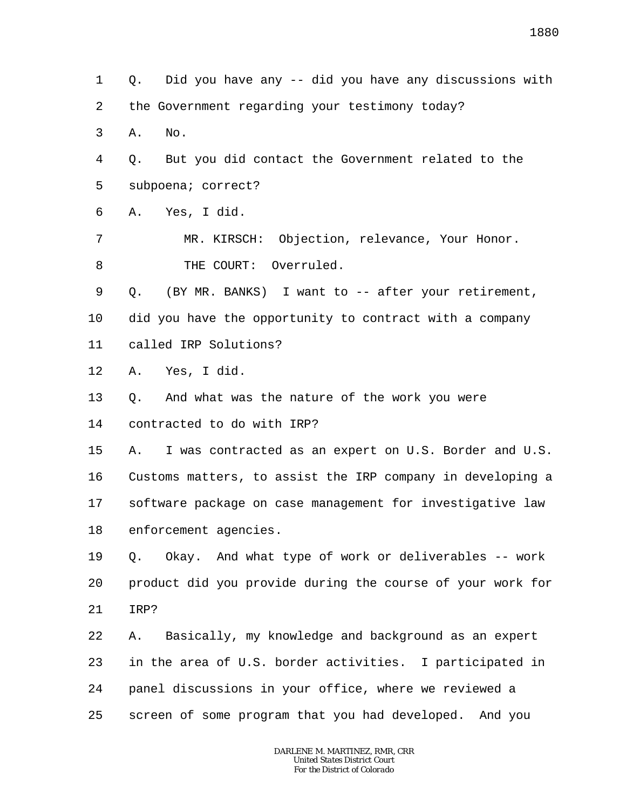2 3 4 5 6 7 8 9 10 11 12 13 14 the Government regarding your testimony today? A. No. Q. But you did contact the Government related to the subpoena; correct? A. Yes, I did. MR. KIRSCH: Objection, relevance, Your Honor. THE COURT: Overruled. Q. (BY MR. BANKS) I want to -- after your retirement, did you have the opportunity to contract with a company called IRP Solutions? A. Yes, I did. Q. And what was the nature of the work you were contracted to do with IRP?

Q. Did you have any -- did you have any discussions with

1

15

16 17 18 A. I was contracted as an expert on U.S. Border and U.S. Customs matters, to assist the IRP company in developing a software package on case management for investigative law enforcement agencies.

19 20 21 Q. Okay. And what type of work or deliverables -- work product did you provide during the course of your work for IRP?

22 23 24 25 A. Basically, my knowledge and background as an expert in the area of U.S. border activities. I participated in panel discussions in your office, where we reviewed a screen of some program that you had developed. And you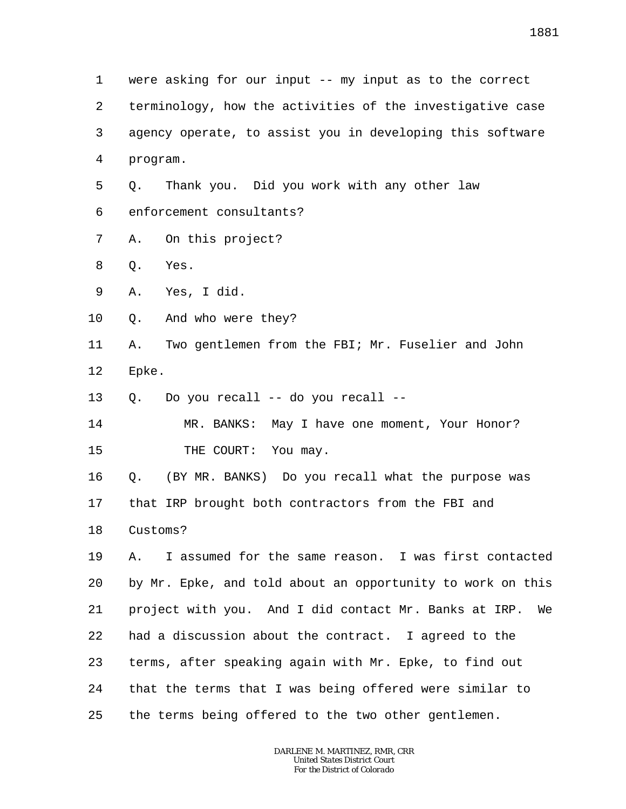1 2 3 4 5 6 7 8 9 10 11 12 13 14 15 16 17 18 19 20 21 22 23 24 25 were asking for our input -- my input as to the correct terminology, how the activities of the investigative case agency operate, to assist you in developing this software program. Q. Thank you. Did you work with any other law enforcement consultants? A. On this project? Q. Yes. A. Yes, I did. Q. And who were they? A. Two gentlemen from the FBI; Mr. Fuselier and John Epke. Q. Do you recall -- do you recall -- MR. BANKS: May I have one moment, Your Honor? THE COURT: You may. Q. (BY MR. BANKS) Do you recall what the purpose was that IRP brought both contractors from the FBI and Customs? A. I assumed for the same reason. I was first contacted by Mr. Epke, and told about an opportunity to work on this project with you. And I did contact Mr. Banks at IRP. We had a discussion about the contract. I agreed to the terms, after speaking again with Mr. Epke, to find out that the terms that I was being offered were similar to the terms being offered to the two other gentlemen.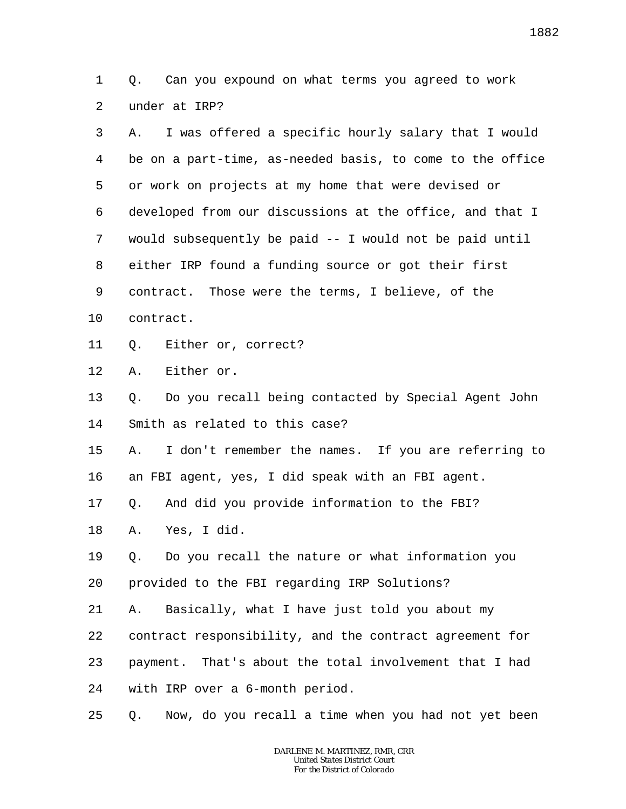1 2 Q. Can you expound on what terms you agreed to work under at IRP?

| 3  | I was offered a specific hourly salary that I would<br>Α. |
|----|-----------------------------------------------------------|
| 4  | be on a part-time, as-needed basis, to come to the office |
| 5  | or work on projects at my home that were devised or       |
| 6  | developed from our discussions at the office, and that I  |
| 7  | would subsequently be paid -- I would not be paid until   |
| 8  | either IRP found a funding source or got their first      |
| 9  | contract. Those were the terms, I believe, of the         |
| 10 | contract.                                                 |
| 11 | Either or, correct?<br>Q.                                 |
| 12 | Either or.<br>Α.                                          |
| 13 | Do you recall being contacted by Special Agent John<br>Q. |
| 14 | Smith as related to this case?                            |
| 15 | I don't remember the names. If you are referring to<br>Α. |
| 16 | an FBI agent, yes, I did speak with an FBI agent.         |
| 17 | And did you provide information to the FBI?<br>Q.         |
| 18 | Yes, I did.<br>Α.                                         |
| 19 | Do you recall the nature or what information you<br>Q.    |
| 20 | provided to the FBI regarding IRP Solutions?              |
| 21 | Basically, what I have just told you about my<br>Α.       |
| 22 | contract responsibility, and the contract agreement for   |
| 23 | payment. That's about the total involvement that I had    |
| 24 | with IRP over a 6-month period.                           |
| 25 | Now, do you recall a time when you had not yet been<br>Q. |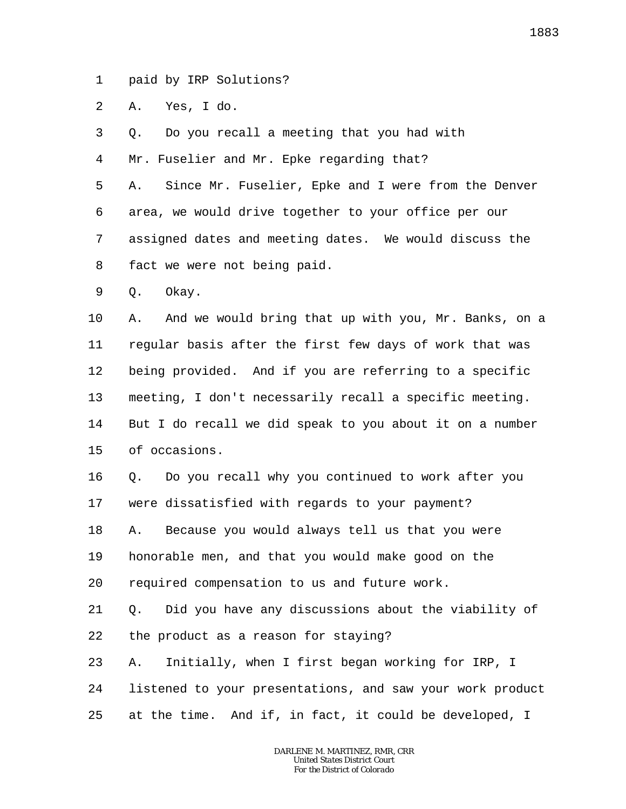1 paid by IRP Solutions?

2 A. Yes, I do.

3 Q. Do you recall a meeting that you had with

4 Mr. Fuselier and Mr. Epke regarding that?

5 6 7 8 A. Since Mr. Fuselier, Epke and I were from the Denver area, we would drive together to your office per our assigned dates and meeting dates. We would discuss the fact we were not being paid.

9 Q. Okay.

10 11 12 13 14 15 A. And we would bring that up with you, Mr. Banks, on a regular basis after the first few days of work that was being provided. And if you are referring to a specific meeting, I don't necessarily recall a specific meeting. But I do recall we did speak to you about it on a number of occasions.

16 17 Q. Do you recall why you continued to work after you were dissatisfied with regards to your payment?

18 19 A. Because you would always tell us that you were honorable men, and that you would make good on the

20 required compensation to us and future work.

21 22 Q. Did you have any discussions about the viability of the product as a reason for staying?

23 24 25 A. Initially, when I first began working for IRP, I listened to your presentations, and saw your work product at the time. And if, in fact, it could be developed, I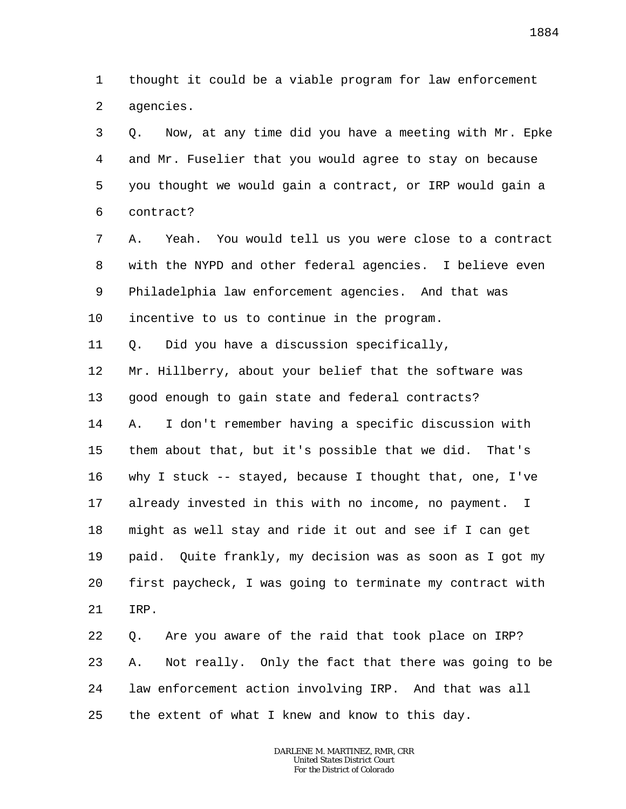1 2 thought it could be a viable program for law enforcement agencies.

3 4 5 6 Q. Now, at any time did you have a meeting with Mr. Epke and Mr. Fuselier that you would agree to stay on because you thought we would gain a contract, or IRP would gain a contract?

7 8 9 10 A. Yeah. You would tell us you were close to a contract with the NYPD and other federal agencies. I believe even Philadelphia law enforcement agencies. And that was incentive to us to continue in the program.

11 Q. Did you have a discussion specifically,

12 13 14 15 16 17 18 19 20 21 Mr. Hillberry, about your belief that the software was good enough to gain state and federal contracts? A. I don't remember having a specific discussion with them about that, but it's possible that we did. That's why I stuck -- stayed, because I thought that, one, I've already invested in this with no income, no payment. I might as well stay and ride it out and see if I can get paid. Quite frankly, my decision was as soon as I got my first paycheck, I was going to terminate my contract with IRP.

22 23 24 25 Q. Are you aware of the raid that took place on IRP? A. Not really. Only the fact that there was going to be law enforcement action involving IRP. And that was all the extent of what I knew and know to this day.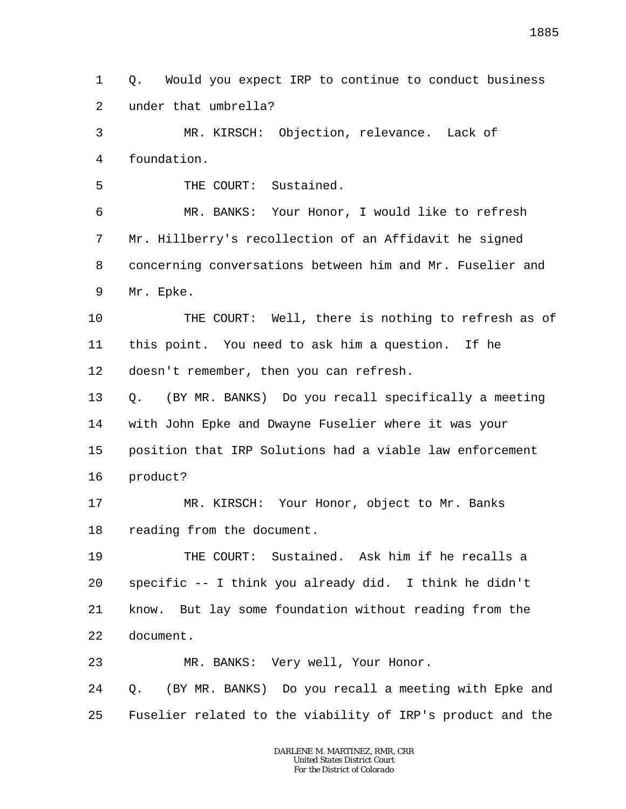1 2 Q. Would you expect IRP to continue to conduct business under that umbrella?

3 4 MR. KIRSCH: Objection, relevance. Lack of foundation.

5 THE COURT: Sustained.

6 7 8 9 MR. BANKS: Your Honor, I would like to refresh Mr. Hillberry's recollection of an Affidavit he signed concerning conversations between him and Mr. Fuselier and Mr. Epke.

10 11 12 THE COURT: Well, there is nothing to refresh as of this point. You need to ask him a question. If he doesn't remember, then you can refresh.

13 14 15 16 Q. (BY MR. BANKS) Do you recall specifically a meeting with John Epke and Dwayne Fuselier where it was your position that IRP Solutions had a viable law enforcement product?

17 18 MR. KIRSCH: Your Honor, object to Mr. Banks reading from the document.

19 20 21 22 THE COURT: Sustained. Ask him if he recalls a specific -- I think you already did. I think he didn't know. But lay some foundation without reading from the document.

23 MR. BANKS: Very well, Your Honor.

24 25 Q. (BY MR. BANKS) Do you recall a meeting with Epke and Fuselier related to the viability of IRP's product and the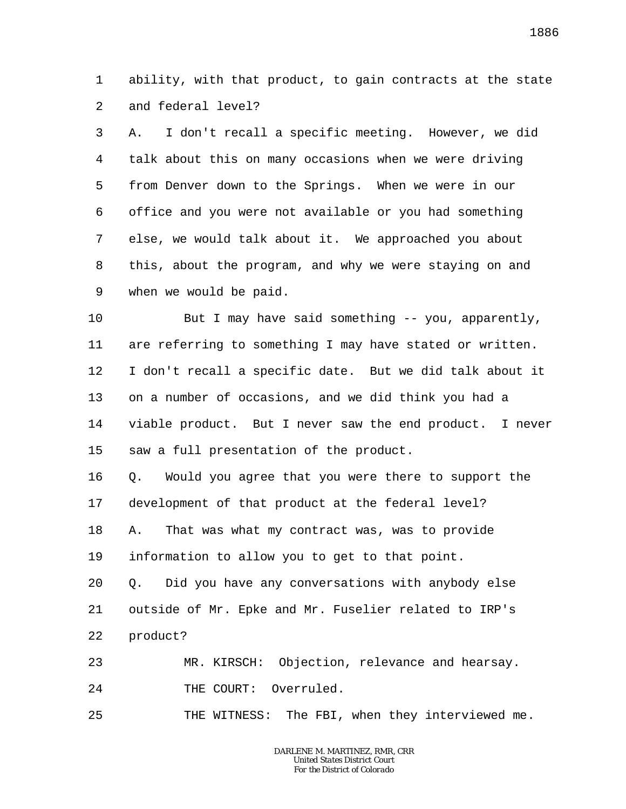1 2 ability, with that product, to gain contracts at the state and federal level?

3 4 5 6 7 8 9 A. I don't recall a specific meeting. However, we did talk about this on many occasions when we were driving from Denver down to the Springs. When we were in our office and you were not available or you had something else, we would talk about it. We approached you about this, about the program, and why we were staying on and when we would be paid.

10 11 12 13 14 15 But I may have said something -- you, apparently, are referring to something I may have stated or written. I don't recall a specific date. But we did talk about it on a number of occasions, and we did think you had a viable product. But I never saw the end product. I never saw a full presentation of the product.

16 17 18 19 Q. Would you agree that you were there to support the development of that product at the federal level? A. That was what my contract was, was to provide information to allow you to get to that point.

20 21 22 Q. Did you have any conversations with anybody else outside of Mr. Epke and Mr. Fuselier related to IRP's product?

23 24 MR. KIRSCH: Objection, relevance and hearsay. THE COURT: Overruled.

25 THE WITNESS: The FBI, when they interviewed me.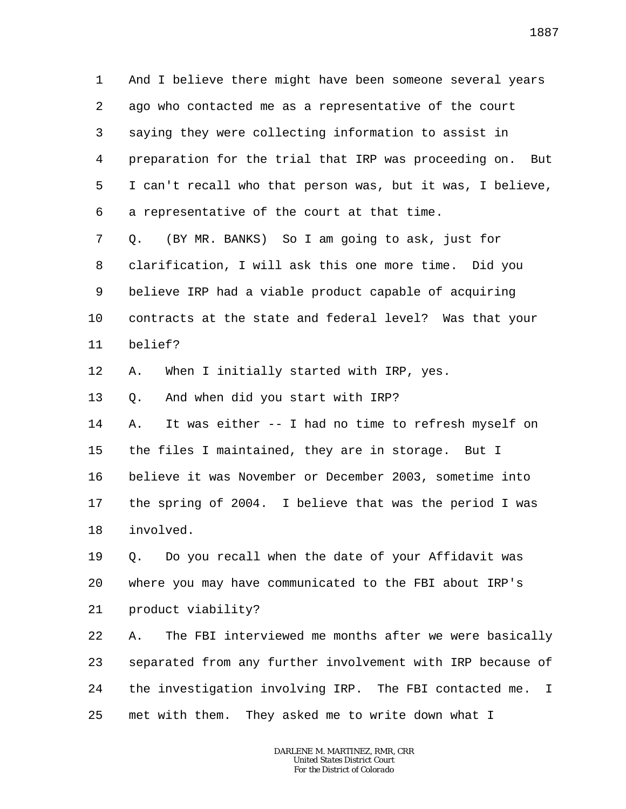1 2 3 4 5 6 And I believe there might have been someone several years ago who contacted me as a representative of the court saying they were collecting information to assist in preparation for the trial that IRP was proceeding on. But I can't recall who that person was, but it was, I believe, a representative of the court at that time.

7 8 9 10 11 Q. (BY MR. BANKS) So I am going to ask, just for clarification, I will ask this one more time. Did you believe IRP had a viable product capable of acquiring contracts at the state and federal level? Was that your belief?

12 A. When I initially started with IRP, yes.

13 Q. And when did you start with IRP?

14 15 16 17 18 A. It was either -- I had no time to refresh myself on the files I maintained, they are in storage. But I believe it was November or December 2003, sometime into the spring of 2004. I believe that was the period I was involved.

19 20 21 Q. Do you recall when the date of your Affidavit was where you may have communicated to the FBI about IRP's product viability?

22 23 24 25 A. The FBI interviewed me months after we were basically separated from any further involvement with IRP because of the investigation involving IRP. The FBI contacted me. I met with them. They asked me to write down what I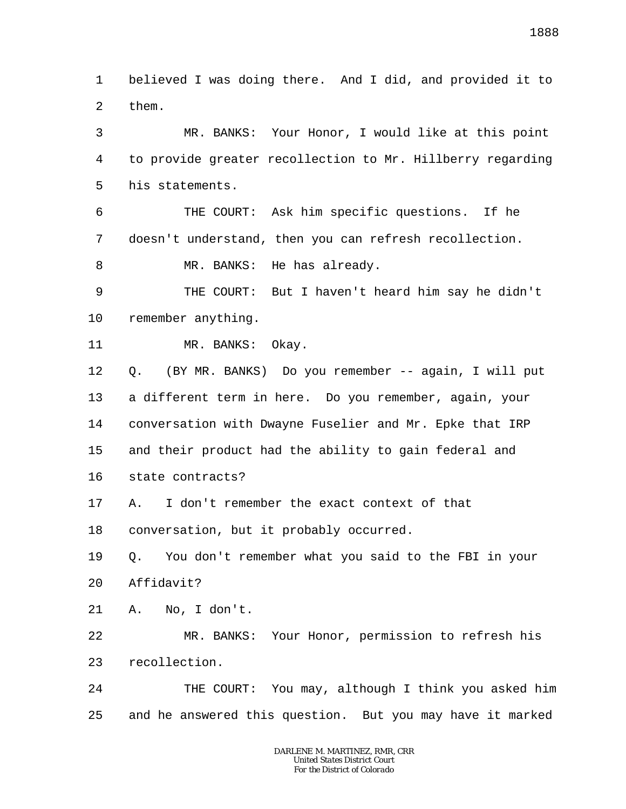1 2 believed I was doing there. And I did, and provided it to them.

3 4 5 MR. BANKS: Your Honor, I would like at this point to provide greater recollection to Mr. Hillberry regarding his statements.

6 7 8 THE COURT: Ask him specific questions. If he doesn't understand, then you can refresh recollection. MR. BANKS: He has already.

9 10 THE COURT: But I haven't heard him say he didn't remember anything.

## 11 MR. BANKS: Okay.

12 13 14 15 16 Q. (BY MR. BANKS) Do you remember -- again, I will put a different term in here. Do you remember, again, your conversation with Dwayne Fuselier and Mr. Epke that IRP and their product had the ability to gain federal and state contracts?

17 A. I don't remember the exact context of that

18 conversation, but it probably occurred.

19 20 Q. You don't remember what you said to the FBI in your Affidavit?

21 A. No, I don't.

22 23 MR. BANKS: Your Honor, permission to refresh his recollection.

24 25 THE COURT: You may, although I think you asked him and he answered this question. But you may have it marked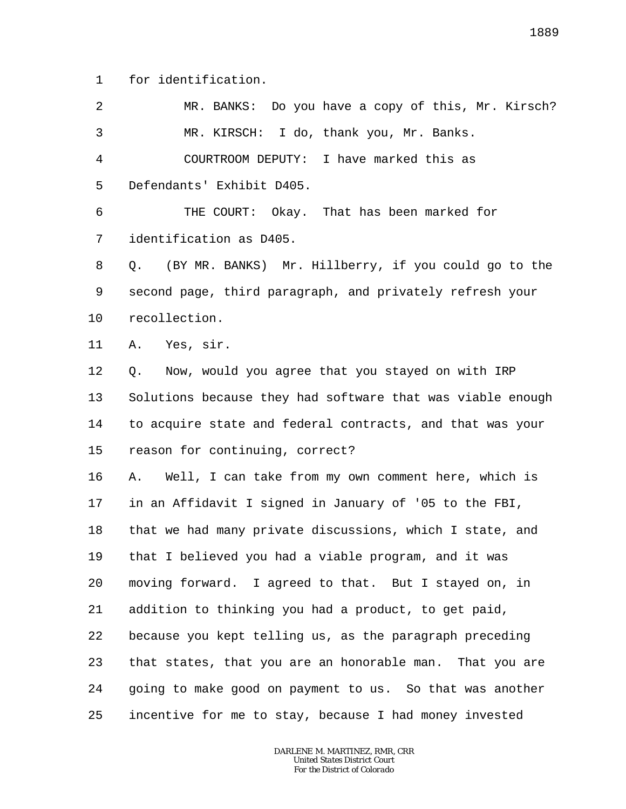1 for identification.

2 3 4 5 6 7 8 9 10 11 12 13 14 15 16 17 18 19 20 21 22 23 24 MR. BANKS: Do you have a copy of this, Mr. Kirsch? MR. KIRSCH: I do, thank you, Mr. Banks. COURTROOM DEPUTY: I have marked this as Defendants' Exhibit D405. THE COURT: Okay. That has been marked for identification as D405. Q. (BY MR. BANKS) Mr. Hillberry, if you could go to the second page, third paragraph, and privately refresh your recollection. A. Yes, sir. Q. Now, would you agree that you stayed on with IRP Solutions because they had software that was viable enough to acquire state and federal contracts, and that was your reason for continuing, correct? A. Well, I can take from my own comment here, which is in an Affidavit I signed in January of '05 to the FBI, that we had many private discussions, which I state, and that I believed you had a viable program, and it was moving forward. I agreed to that. But I stayed on, in addition to thinking you had a product, to get paid, because you kept telling us, as the paragraph preceding that states, that you are an honorable man. That you are going to make good on payment to us. So that was another

25 incentive for me to stay, because I had money invested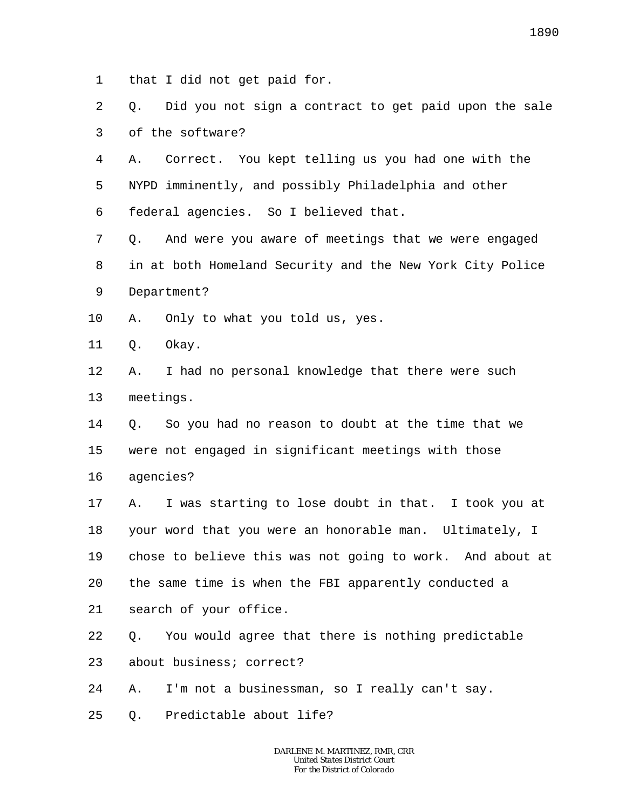1 that I did not get paid for.

2 3 Q. Did you not sign a contract to get paid upon the sale of the software?

4 5 6 A. Correct. You kept telling us you had one with the NYPD imminently, and possibly Philadelphia and other federal agencies. So I believed that.

7 8 9 Q. And were you aware of meetings that we were engaged in at both Homeland Security and the New York City Police Department?

10 A. Only to what you told us, yes.

11 Q. Okay.

12 13 A. I had no personal knowledge that there were such meetings.

14 15 16 Q. So you had no reason to doubt at the time that we were not engaged in significant meetings with those agencies?

17 18 19 20 A. I was starting to lose doubt in that. I took you at your word that you were an honorable man. Ultimately, I chose to believe this was not going to work. And about at the same time is when the FBI apparently conducted a

21 search of your office.

22 Q. You would agree that there is nothing predictable

23 about business; correct?

24 A. I'm not a businessman, so I really can't say.

25 Q. Predictable about life?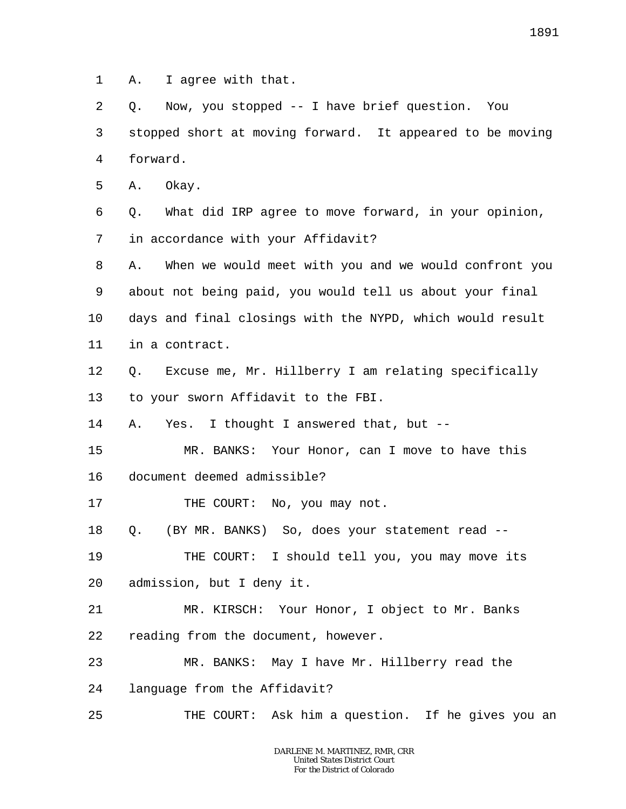1 A. I agree with that.

2 3 4 Q. Now, you stopped -- I have brief question. You stopped short at moving forward. It appeared to be moving forward.

5 A. Okay.

6 7 Q. What did IRP agree to move forward, in your opinion, in accordance with your Affidavit?

8 9 10 11 A. When we would meet with you and we would confront you about not being paid, you would tell us about your final days and final closings with the NYPD, which would result in a contract.

12 13 Q. Excuse me, Mr. Hillberry I am relating specifically to your sworn Affidavit to the FBI.

14 A. Yes. I thought I answered that, but --

15 MR. BANKS: Your Honor, can I move to have this

16 document deemed admissible?

17 THE COURT: No, you may not.

18 Q. (BY MR. BANKS) So, does your statement read --

19 20 THE COURT: I should tell you, you may move its admission, but I deny it.

21 22 MR. KIRSCH: Your Honor, I object to Mr. Banks reading from the document, however.

23 MR. BANKS: May I have Mr. Hillberry read the

24 language from the Affidavit?

25 THE COURT: Ask him a question. If he gives you an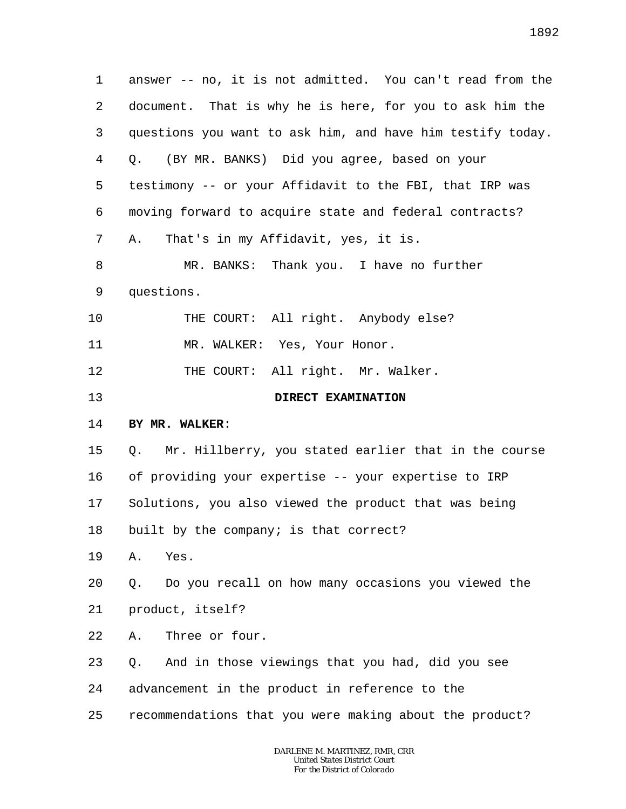1 2 3 4 5 6 7 8 9 10 11 12 13 14 15 16 17 18 19 20 21 22 23 24 25 answer -- no, it is not admitted. You can't read from the document. That is why he is here, for you to ask him the questions you want to ask him, and have him testify today. Q. (BY MR. BANKS) Did you agree, based on your testimony -- or your Affidavit to the FBI, that IRP was moving forward to acquire state and federal contracts? A. That's in my Affidavit, yes, it is. MR. BANKS: Thank you. I have no further questions. THE COURT: All right. Anybody else? MR. WALKER: Yes, Your Honor. THE COURT: All right. Mr. Walker. **DIRECT EXAMINATION BY MR. WALKER**: Q. Mr. Hillberry, you stated earlier that in the course of providing your expertise -- your expertise to IRP Solutions, you also viewed the product that was being built by the company; is that correct? A. Yes. Q. Do you recall on how many occasions you viewed the product, itself? A. Three or four. Q. And in those viewings that you had, did you see advancement in the product in reference to the recommendations that you were making about the product?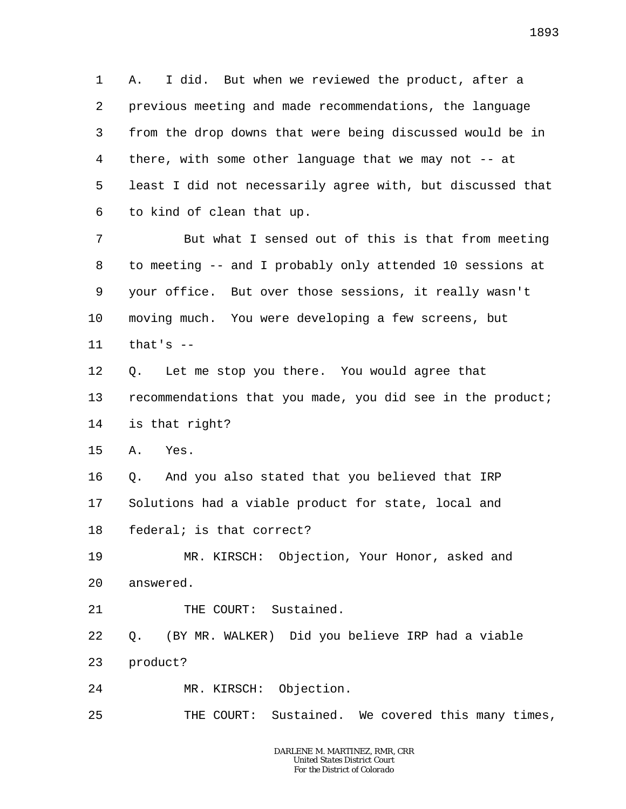1 2 3 4 5 6 A. I did. But when we reviewed the product, after a previous meeting and made recommendations, the language from the drop downs that were being discussed would be in there, with some other language that we may not -- at least I did not necessarily agree with, but discussed that to kind of clean that up.

7 8 9 10 11 But what I sensed out of this is that from meeting to meeting -- and I probably only attended 10 sessions at your office. But over those sessions, it really wasn't moving much. You were developing a few screens, but that's  $-$ 

12 13 14 Q. Let me stop you there. You would agree that recommendations that you made, you did see in the product; is that right?

15 A. Yes.

16 17 18 Q. And you also stated that you believed that IRP Solutions had a viable product for state, local and federal; is that correct?

19 20 MR. KIRSCH: Objection, Your Honor, asked and answered.

21 THE COURT: Sustained.

22 23 Q. (BY MR. WALKER) Did you believe IRP had a viable product?

24 MR. KIRSCH: Objection.

25 THE COURT: Sustained. We covered this many times,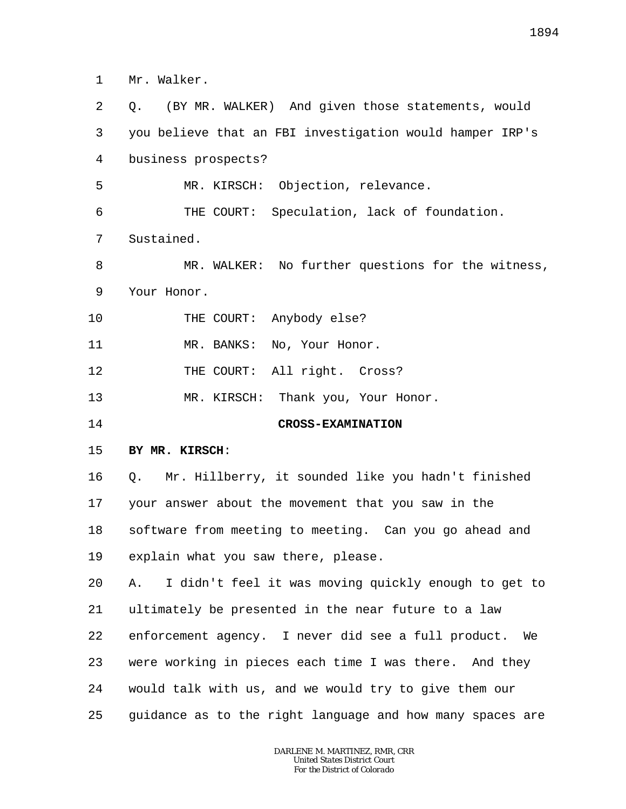1 Mr. Walker.

2 3 4 5 6 7 8 9 10 11 12 13 14 15 16 17 18 19 20 21 22 23 24 25 Q. (BY MR. WALKER) And given those statements, would you believe that an FBI investigation would hamper IRP's business prospects? MR. KIRSCH: Objection, relevance. THE COURT: Speculation, lack of foundation. Sustained. MR. WALKER: No further questions for the witness, Your Honor. THE COURT: Anybody else? MR. BANKS: No, Your Honor. THE COURT: All right. Cross? MR. KIRSCH: Thank you, Your Honor. **CROSS-EXAMINATION BY MR. KIRSCH**: Q. Mr. Hillberry, it sounded like you hadn't finished your answer about the movement that you saw in the software from meeting to meeting. Can you go ahead and explain what you saw there, please. A. I didn't feel it was moving quickly enough to get to ultimately be presented in the near future to a law enforcement agency. I never did see a full product. We were working in pieces each time I was there. And they would talk with us, and we would try to give them our guidance as to the right language and how many spaces are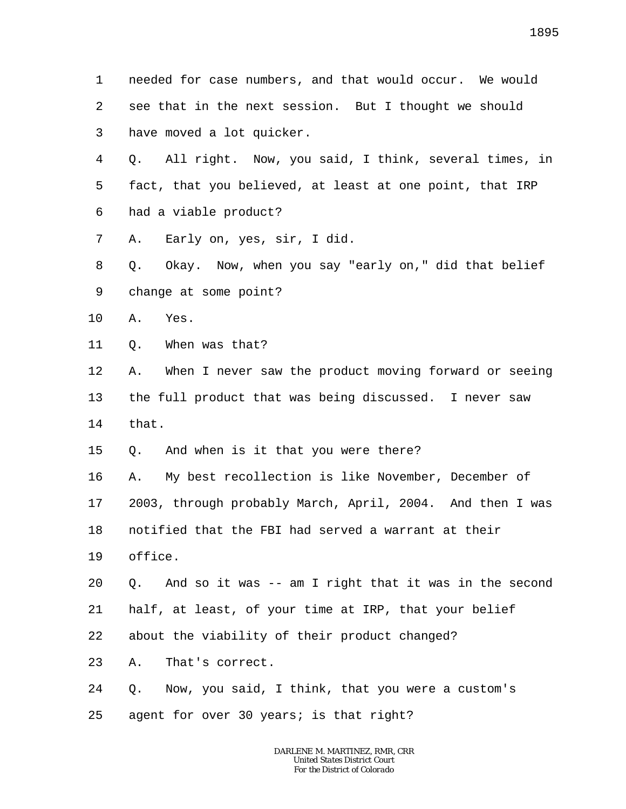1 2 3 needed for case numbers, and that would occur. We would see that in the next session. But I thought we should have moved a lot quicker.

4 5 6 Q. All right. Now, you said, I think, several times, in fact, that you believed, at least at one point, that IRP had a viable product?

7 A. Early on, yes, sir, I did.

8 9 Q. Okay. Now, when you say "early on," did that belief change at some point?

10 A. Yes.

11 Q. When was that?

12 13 14 A. When I never saw the product moving forward or seeing the full product that was being discussed. I never saw that.

15 Q. And when is it that you were there?

16 17 A. My best recollection is like November, December of 2003, through probably March, April, 2004. And then I was

18 notified that the FBI had served a warrant at their

19 office.

20 21 Q. And so it was -- am I right that it was in the second half, at least, of your time at IRP, that your belief

22 about the viability of their product changed?

23 A. That's correct.

24 Q. Now, you said, I think, that you were a custom's

25 agent for over 30 years; is that right?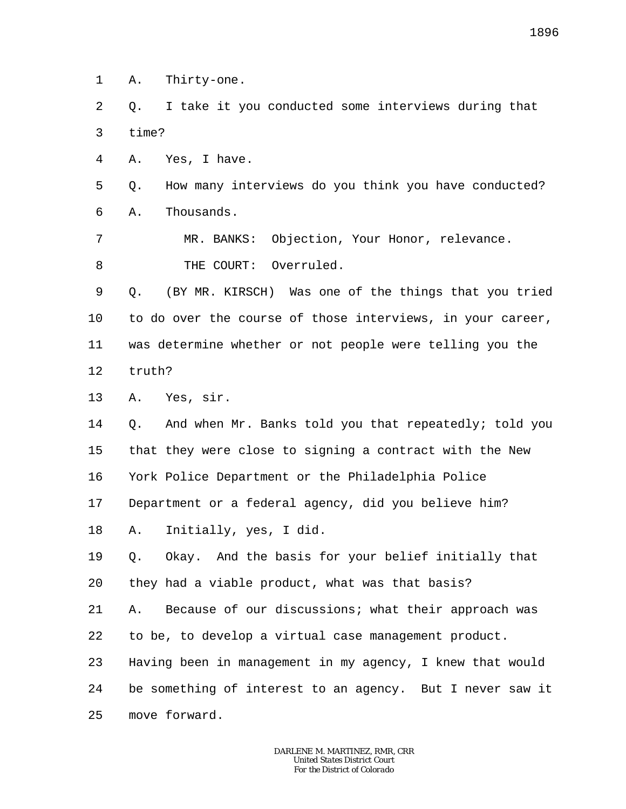1 A. Thirty-one.

2 3 Q. I take it you conducted some interviews during that time?

4 A. Yes, I have.

5 6 Q. How many interviews do you think you have conducted? A. Thousands.

7 8 MR. BANKS: Objection, Your Honor, relevance. THE COURT: Overruled.

9 10 11 12 Q. (BY MR. KIRSCH) Was one of the things that you tried to do over the course of those interviews, in your career, was determine whether or not people were telling you the truth?

13 A. Yes, sir.

14 15 16 17 Q. And when Mr. Banks told you that repeatedly; told you that they were close to signing a contract with the New York Police Department or the Philadelphia Police Department or a federal agency, did you believe him?

18 A. Initially, yes, I did.

19 20 Q. Okay. And the basis for your belief initially that they had a viable product, what was that basis?

21 22 A. Because of our discussions; what their approach was to be, to develop a virtual case management product.

23 24 Having been in management in my agency, I knew that would be something of interest to an agency. But I never saw it

25 move forward.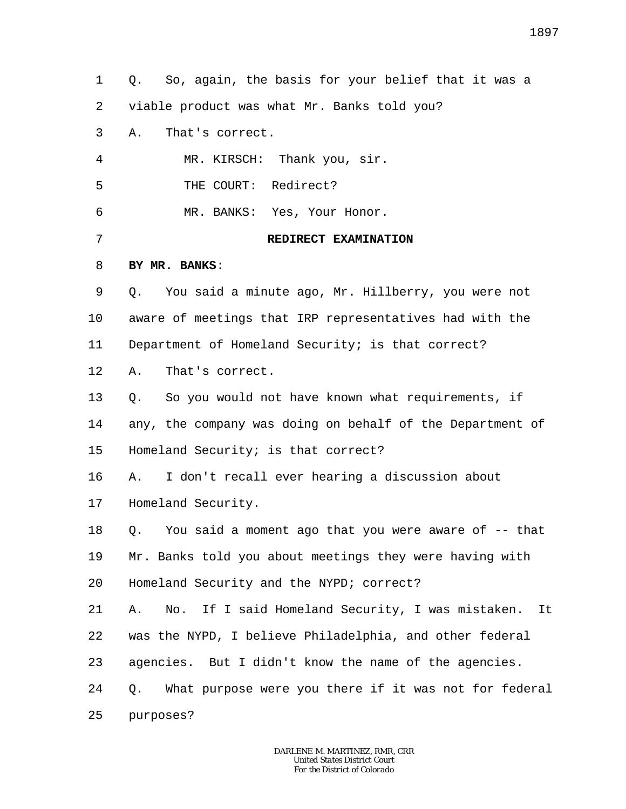1 2 3 4 5 6 7 8 9 10 11 12 13 14 15 16 17 18 19 20 21 22 23 24 25 Q. So, again, the basis for your belief that it was a viable product was what Mr. Banks told you? A. That's correct. MR. KIRSCH: Thank you, sir. THE COURT: Redirect? MR. BANKS: Yes, Your Honor. **REDIRECT EXAMINATION BY MR. BANKS**: Q. You said a minute ago, Mr. Hillberry, you were not aware of meetings that IRP representatives had with the Department of Homeland Security; is that correct? A. That's correct. Q. So you would not have known what requirements, if any, the company was doing on behalf of the Department of Homeland Security; is that correct? A. I don't recall ever hearing a discussion about Homeland Security. Q. You said a moment ago that you were aware of -- that Mr. Banks told you about meetings they were having with Homeland Security and the NYPD; correct? A. No. If I said Homeland Security, I was mistaken. It was the NYPD, I believe Philadelphia, and other federal agencies. But I didn't know the name of the agencies. Q. What purpose were you there if it was not for federal purposes?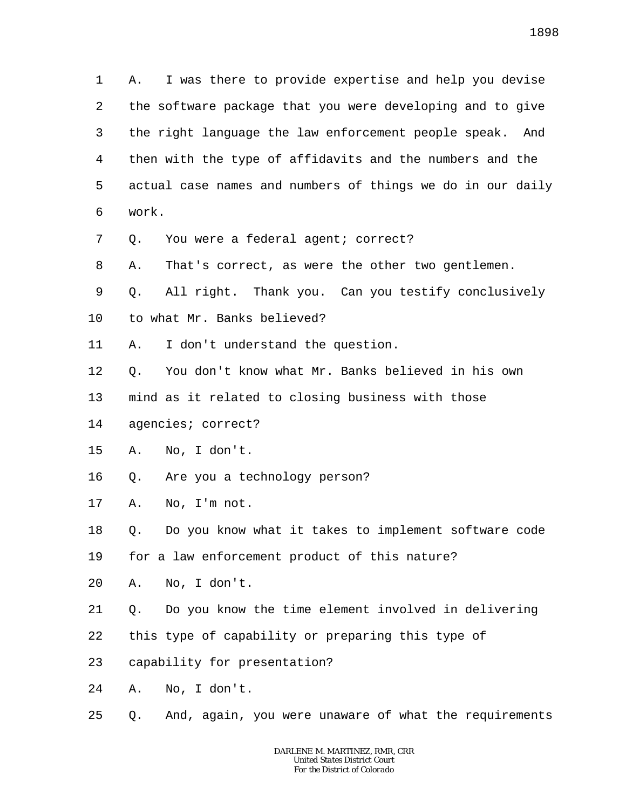1898

1 2 3 4 5 6 7 8 9 10 A. I was there to provide expertise and help you devise the software package that you were developing and to give the right language the law enforcement people speak. And then with the type of affidavits and the numbers and the actual case names and numbers of things we do in our daily work. Q. You were a federal agent; correct? A. That's correct, as were the other two gentlemen. Q. All right. Thank you. Can you testify conclusively to what Mr. Banks believed?

- 11 A. I don't understand the question.
- 12 Q. You don't know what Mr. Banks believed in his own
- 13 mind as it related to closing business with those
- 14 agencies; correct?
- 15 A. No, I don't.
- 16 Q. Are you a technology person?
- 17 A. No, I'm not.
- 18 Q. Do you know what it takes to implement software code
- 19 for a law enforcement product of this nature?
- 20 A. No, I don't.
- 21 Q. Do you know the time element involved in delivering
- 22 this type of capability or preparing this type of
- 23 capability for presentation?
- 24 A. No, I don't.
- 25 Q. And, again, you were unaware of what the requirements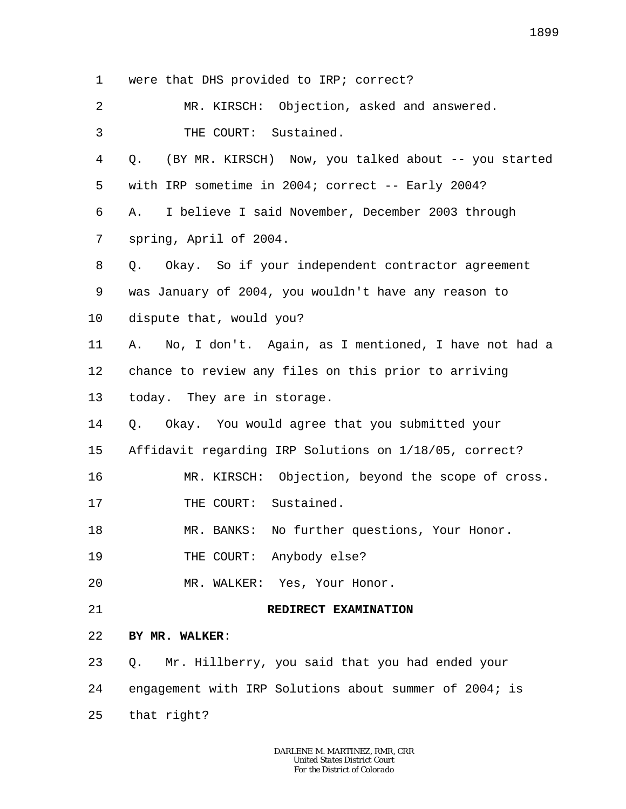1 2 3 4 5 6 7 8 9 10 11 12 13 14 15 16 17 18 19 20 21 22 23 24 25 were that DHS provided to IRP; correct? MR. KIRSCH: Objection, asked and answered. THE COURT: Sustained. Q. (BY MR. KIRSCH) Now, you talked about -- you started with IRP sometime in 2004; correct -- Early 2004? A. I believe I said November, December 2003 through spring, April of 2004. Q. Okay. So if your independent contractor agreement was January of 2004, you wouldn't have any reason to dispute that, would you? A. No, I don't. Again, as I mentioned, I have not had a chance to review any files on this prior to arriving today. They are in storage. Q. Okay. You would agree that you submitted your Affidavit regarding IRP Solutions on 1/18/05, correct? MR. KIRSCH: Objection, beyond the scope of cross. THE COURT: Sustained. MR. BANKS: No further questions, Your Honor. THE COURT: Anybody else? MR. WALKER: Yes, Your Honor. **REDIRECT EXAMINATION BY MR. WALKER**: Q. Mr. Hillberry, you said that you had ended your engagement with IRP Solutions about summer of 2004; is that right?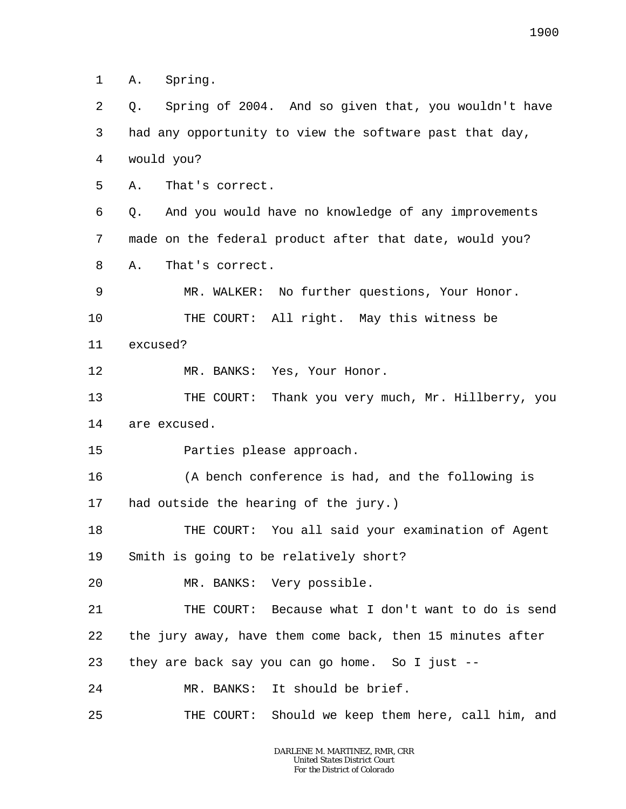1 A. Spring.

2 3 4 Q. Spring of 2004. And so given that, you wouldn't have had any opportunity to view the software past that day, would you?

5 A. That's correct.

6 7 8 Q. And you would have no knowledge of any improvements made on the federal product after that date, would you? A. That's correct.

9 10 11 MR. WALKER: No further questions, Your Honor. THE COURT: All right. May this witness be excused?

12 MR. BANKS: Yes, Your Honor.

13 14 THE COURT: Thank you very much, Mr. Hillberry, you are excused.

15 Parties please approach.

16 17 (A bench conference is had, and the following is had outside the hearing of the jury.)

18 19 THE COURT: You all said your examination of Agent Smith is going to be relatively short?

20 MR. BANKS: Very possible.

21 22 23 24 THE COURT: Because what I don't want to do is send the jury away, have them come back, then 15 minutes after they are back say you can go home. So I just -- MR. BANKS: It should be brief.

25 THE COURT: Should we keep them here, call him, and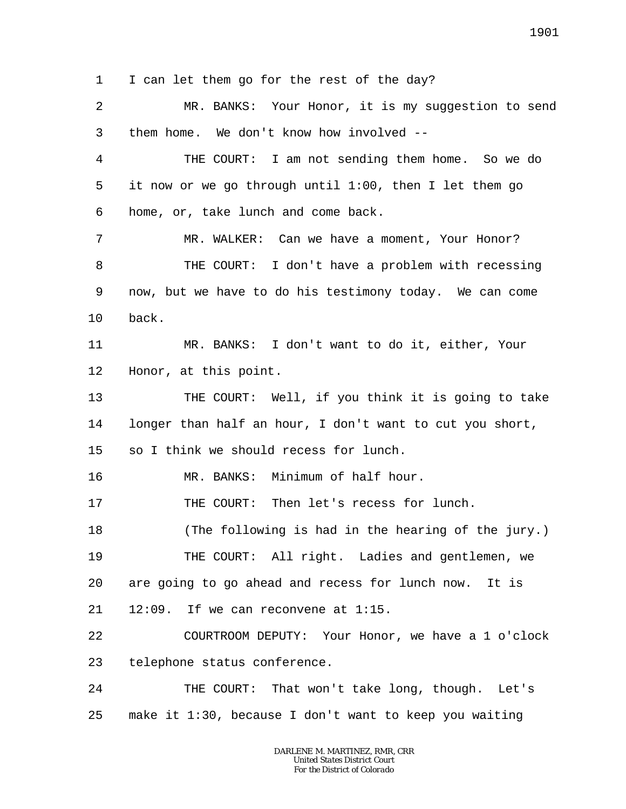1 2 3 4 5 6 7 8 9 10 11 12 13 14 15 16 17 18 19 20 21 22 23 24 25 I can let them go for the rest of the day? MR. BANKS: Your Honor, it is my suggestion to send them home. We don't know how involved -- THE COURT: I am not sending them home. So we do it now or we go through until 1:00, then I let them go home, or, take lunch and come back. MR. WALKER: Can we have a moment, Your Honor? THE COURT: I don't have a problem with recessing now, but we have to do his testimony today. We can come back. MR. BANKS: I don't want to do it, either, Your Honor, at this point. THE COURT: Well, if you think it is going to take longer than half an hour, I don't want to cut you short, so I think we should recess for lunch. MR. BANKS: Minimum of half hour. THE COURT: Then let's recess for lunch. (The following is had in the hearing of the jury.) THE COURT: All right. Ladies and gentlemen, we are going to go ahead and recess for lunch now. It is 12:09. If we can reconvene at 1:15. COURTROOM DEPUTY: Your Honor, we have a 1 o'clock telephone status conference. THE COURT: That won't take long, though. Let's make it 1:30, because I don't want to keep you waiting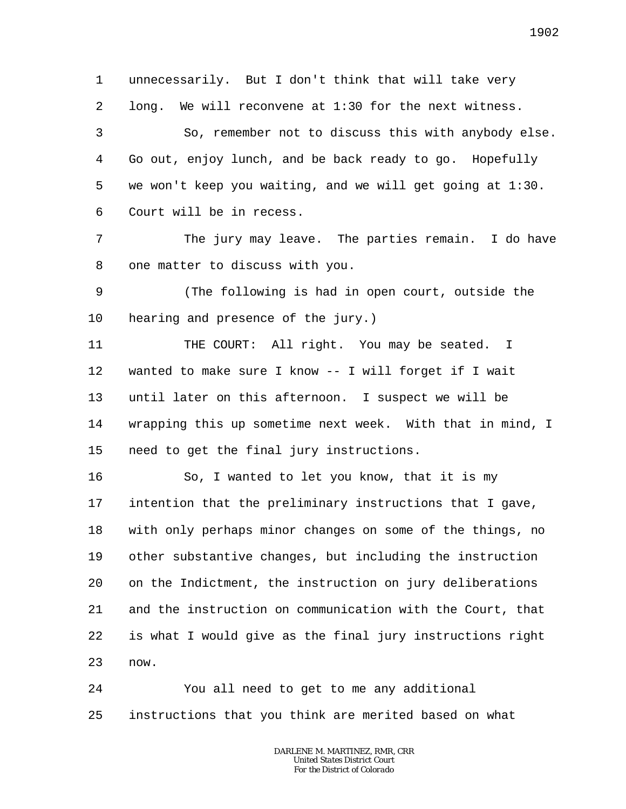1 2 3 4 5 6 7 8 9 10 11 12 13 14 15 16 17 18 unnecessarily. But I don't think that will take very long. We will reconvene at 1:30 for the next witness. So, remember not to discuss this with anybody else. Go out, enjoy lunch, and be back ready to go. Hopefully we won't keep you waiting, and we will get going at 1:30. Court will be in recess. The jury may leave. The parties remain. I do have one matter to discuss with you. (The following is had in open court, outside the hearing and presence of the jury.) THE COURT: All right. You may be seated. I wanted to make sure I know -- I will forget if I wait until later on this afternoon. I suspect we will be wrapping this up sometime next week. With that in mind, I need to get the final jury instructions. So, I wanted to let you know, that it is my intention that the preliminary instructions that I gave, with only perhaps minor changes on some of the things, no

24 25 You all need to get to me any additional instructions that you think are merited based on what

19

20

21

22

23

now.

*DARLENE M. MARTINEZ, RMR, CRR United States District Court For the District of Colorado*

other substantive changes, but including the instruction

on the Indictment, the instruction on jury deliberations

and the instruction on communication with the Court, that

is what I would give as the final jury instructions right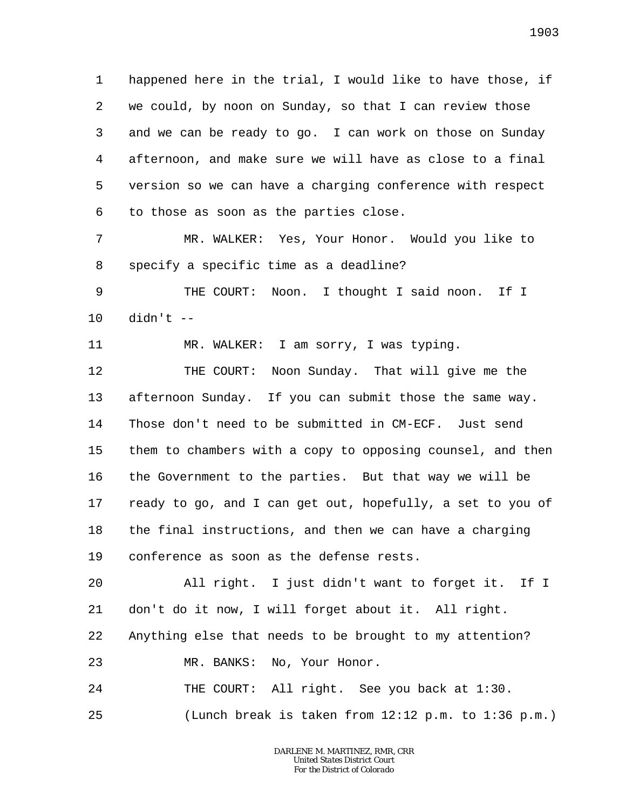1 2 3 4 5 6 happened here in the trial, I would like to have those, if we could, by noon on Sunday, so that I can review those and we can be ready to go. I can work on those on Sunday afternoon, and make sure we will have as close to a final version so we can have a charging conference with respect to those as soon as the parties close.

7 8 MR. WALKER: Yes, Your Honor. Would you like to specify a specific time as a deadline?

9 10 THE COURT: Noon. I thought I said noon. If I didn't --

11 MR. WALKER: I am sorry, I was typing.

12 13 14 15 16 17 18 19 THE COURT: Noon Sunday. That will give me the afternoon Sunday. If you can submit those the same way. Those don't need to be submitted in CM-ECF. Just send them to chambers with a copy to opposing counsel, and then the Government to the parties. But that way we will be ready to go, and I can get out, hopefully, a set to you of the final instructions, and then we can have a charging conference as soon as the defense rests.

20 21 22 23 All right. I just didn't want to forget it. If I don't do it now, I will forget about it. All right. Anything else that needs to be brought to my attention? MR. BANKS: No, Your Honor.

24 25 THE COURT: All right. See you back at 1:30. (Lunch break is taken from 12:12 p.m. to 1:36 p.m.)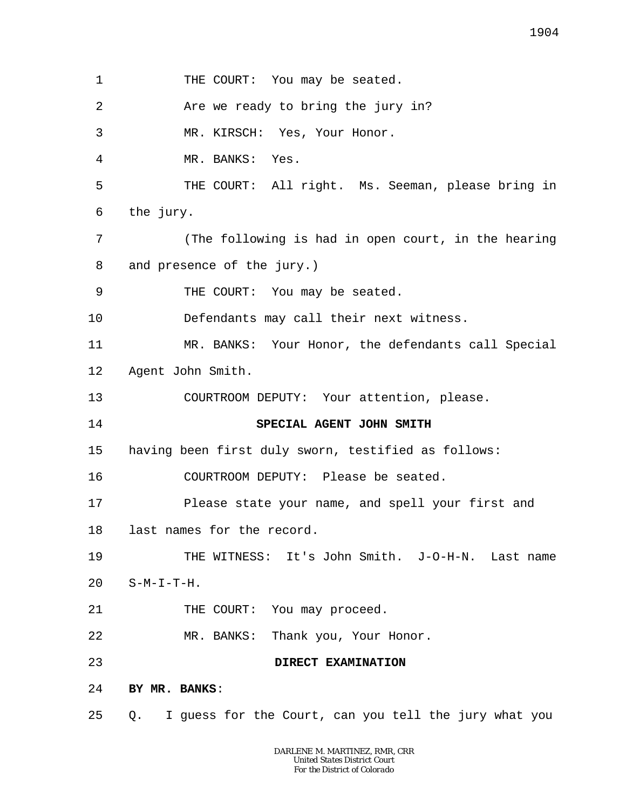1 2 3 4 5 6 7 8 9 10 11 12 13 14 15 16 17 18 19 20 21 22 23 24 25 THE COURT: You may be seated. Are we ready to bring the jury in? MR. KIRSCH: Yes, Your Honor. MR. BANKS: Yes. THE COURT: All right. Ms. Seeman, please bring in the jury. (The following is had in open court, in the hearing and presence of the jury.) THE COURT: You may be seated. Defendants may call their next witness. MR. BANKS: Your Honor, the defendants call Special Agent John Smith. COURTROOM DEPUTY: Your attention, please. **SPECIAL AGENT JOHN SMITH** having been first duly sworn, testified as follows: COURTROOM DEPUTY: Please be seated. Please state your name, and spell your first and last names for the record. THE WITNESS: It's John Smith. J-O-H-N. Last name  $S-M-T-T-H.$ THE COURT: You may proceed. MR. BANKS: Thank you, Your Honor. **DIRECT EXAMINATION BY MR. BANKS**: Q. I guess for the Court, can you tell the jury what you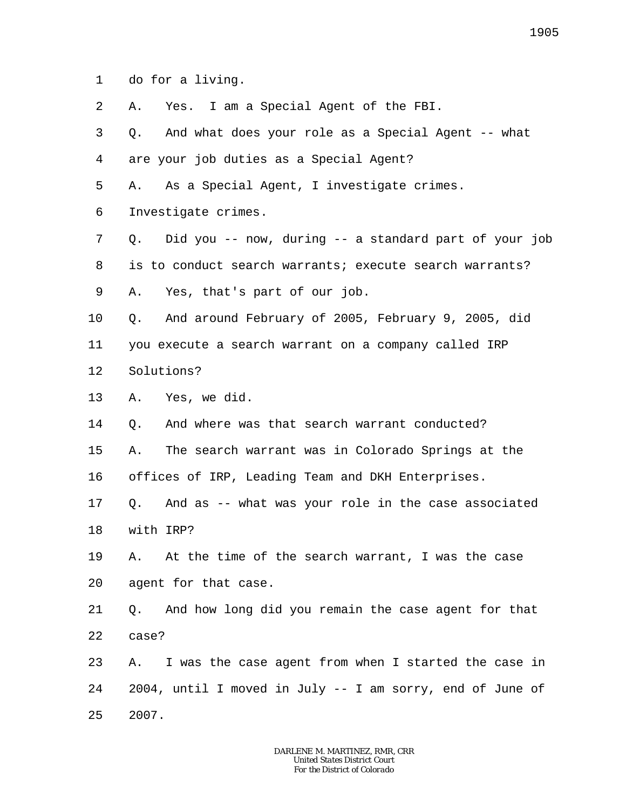1 do for a living.

2 A. Yes. I am a Special Agent of the FBI.

3 4 Q. And what does your role as a Special Agent -- what are your job duties as a Special Agent?

5 A. As a Special Agent, I investigate crimes.

6 Investigate crimes.

7 8 9 Q. Did you -- now, during -- a standard part of your job is to conduct search warrants; execute search warrants? A. Yes, that's part of our job.

10 11 12 Q. And around February of 2005, February 9, 2005, did you execute a search warrant on a company called IRP Solutions?

13 A. Yes, we did.

14 15 16 Q. And where was that search warrant conducted? A. The search warrant was in Colorado Springs at the offices of IRP, Leading Team and DKH Enterprises.

17 18 Q. And as -- what was your role in the case associated with IRP?

19 20 A. At the time of the search warrant, I was the case agent for that case.

21 22 Q. And how long did you remain the case agent for that case?

23 24 25 A. I was the case agent from when I started the case in 2004, until I moved in July -- I am sorry, end of June of 2007.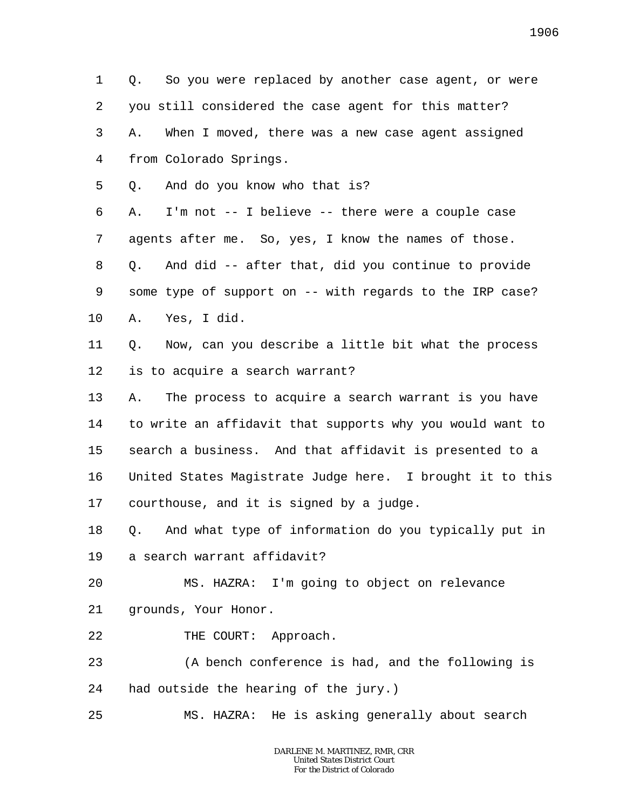1 2 3 4 Q. So you were replaced by another case agent, or were you still considered the case agent for this matter? A. When I moved, there was a new case agent assigned from Colorado Springs.

5 Q. And do you know who that is?

6 7 8 9 10 A. I'm not -- I believe -- there were a couple case agents after me. So, yes, I know the names of those. Q. And did -- after that, did you continue to provide some type of support on -- with regards to the IRP case? A. Yes, I did.

11 12 Q. Now, can you describe a little bit what the process is to acquire a search warrant?

13 14 15 16 17 A. The process to acquire a search warrant is you have to write an affidavit that supports why you would want to search a business. And that affidavit is presented to a United States Magistrate Judge here. I brought it to this courthouse, and it is signed by a judge.

18 19 Q. And what type of information do you typically put in a search warrant affidavit?

20 21 MS. HAZRA: I'm going to object on relevance grounds, Your Honor.

22 THE COURT: Approach.

23 24 (A bench conference is had, and the following is had outside the hearing of the jury.)

25 MS. HAZRA: He is asking generally about search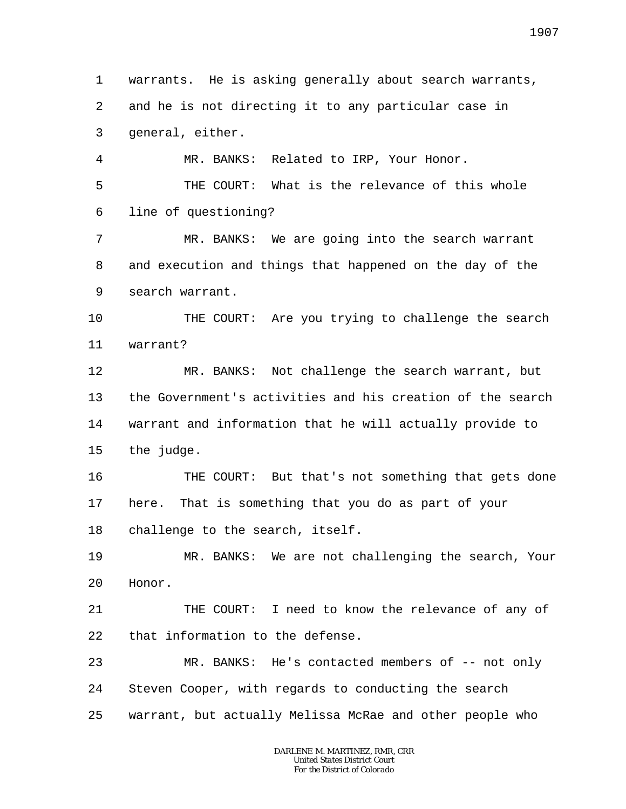1 2 3 4 5 6 7 8 9 10 11 12 13 14 15 16 17 18 19 20 21 22 23 24 25 warrants. He is asking generally about search warrants, and he is not directing it to any particular case in general, either. MR. BANKS: Related to IRP, Your Honor. THE COURT: What is the relevance of this whole line of questioning? MR. BANKS: We are going into the search warrant and execution and things that happened on the day of the search warrant. THE COURT: Are you trying to challenge the search warrant? MR. BANKS: Not challenge the search warrant, but the Government's activities and his creation of the search warrant and information that he will actually provide to the judge. THE COURT: But that's not something that gets done here. That is something that you do as part of your challenge to the search, itself. MR. BANKS: We are not challenging the search, Your Honor. THE COURT: I need to know the relevance of any of that information to the defense. MR. BANKS: He's contacted members of -- not only Steven Cooper, with regards to conducting the search warrant, but actually Melissa McRae and other people who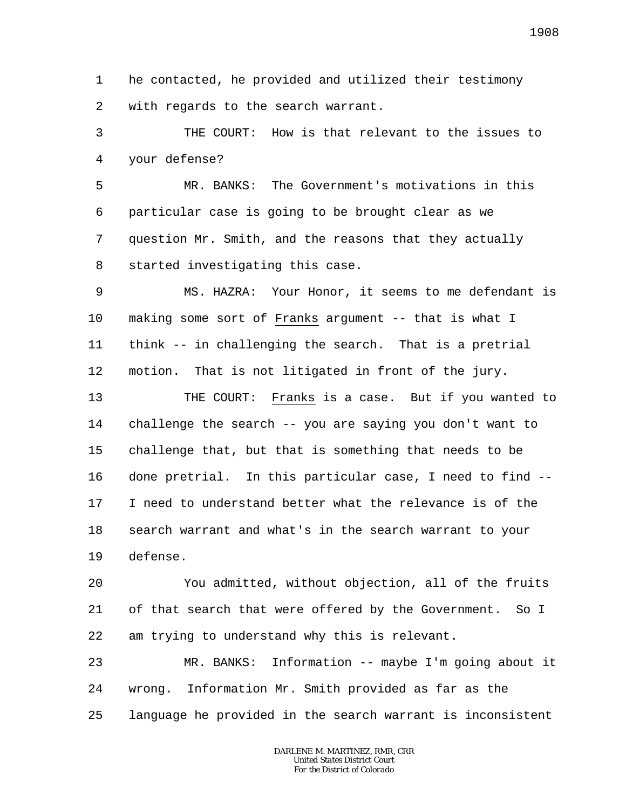1 2 he contacted, he provided and utilized their testimony with regards to the search warrant.

3 4 THE COURT: How is that relevant to the issues to your defense?

5 6 7 8 MR. BANKS: The Government's motivations in this particular case is going to be brought clear as we question Mr. Smith, and the reasons that they actually started investigating this case.

9 10 11 12 MS. HAZRA: Your Honor, it seems to me defendant is making some sort of Franks argument -- that is what I think -- in challenging the search. That is a pretrial motion. That is not litigated in front of the jury.

13 14 15 16 17 18 19 THE COURT: Franks is a case. But if you wanted to challenge the search -- you are saying you don't want to challenge that, but that is something that needs to be done pretrial. In this particular case, I need to find -- I need to understand better what the relevance is of the search warrant and what's in the search warrant to your defense.

20 21 22 You admitted, without objection, all of the fruits of that search that were offered by the Government. So I am trying to understand why this is relevant.

23 24 25 MR. BANKS: Information -- maybe I'm going about it wrong. Information Mr. Smith provided as far as the language he provided in the search warrant is inconsistent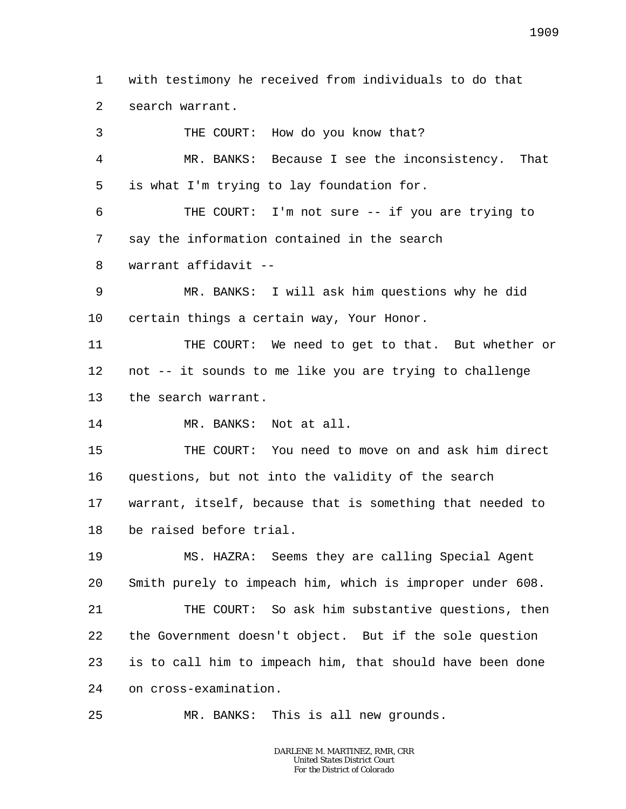1  $\overline{a}$ with testimony he received from individuals to do that search warrant.

3 4 5 6 7 8 9 10 11 12 13 14 15 16 17 18 19 20 21 22 23 24 THE COURT: How do you know that? MR. BANKS: Because I see the inconsistency. That is what I'm trying to lay foundation for. THE COURT: I'm not sure -- if you are trying to say the information contained in the search warrant affidavit -- MR. BANKS: I will ask him questions why he did certain things a certain way, Your Honor. THE COURT: We need to get to that. But whether or not -- it sounds to me like you are trying to challenge the search warrant. MR. BANKS: Not at all. THE COURT: You need to move on and ask him direct questions, but not into the validity of the search warrant, itself, because that is something that needed to be raised before trial. MS. HAZRA: Seems they are calling Special Agent Smith purely to impeach him, which is improper under 608. THE COURT: So ask him substantive questions, then the Government doesn't object. But if the sole question is to call him to impeach him, that should have been done on cross-examination.

25 MR. BANKS: This is all new grounds.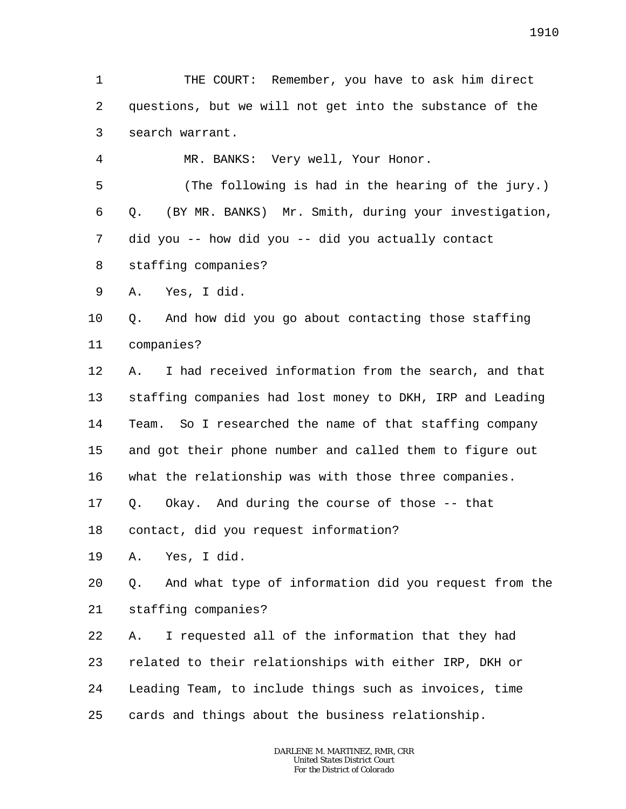1 2 3 THE COURT: Remember, you have to ask him direct questions, but we will not get into the substance of the search warrant.

MR. BANKS: Very well, Your Honor.

5 6 7 8 (The following is had in the hearing of the jury.) Q. (BY MR. BANKS) Mr. Smith, during your investigation, did you -- how did you -- did you actually contact staffing companies?

9 A. Yes, I did.

4

10 11 Q. And how did you go about contacting those staffing companies?

12 13 14 15 16 A. I had received information from the search, and that staffing companies had lost money to DKH, IRP and Leading Team. So I researched the name of that staffing company and got their phone number and called them to figure out what the relationship was with those three companies.

17 Q. Okay. And during the course of those -- that

18 contact, did you request information?

19 A. Yes, I did.

20 21 Q. And what type of information did you request from the staffing companies?

22 23 24 25 A. I requested all of the information that they had related to their relationships with either IRP, DKH or Leading Team, to include things such as invoices, time cards and things about the business relationship.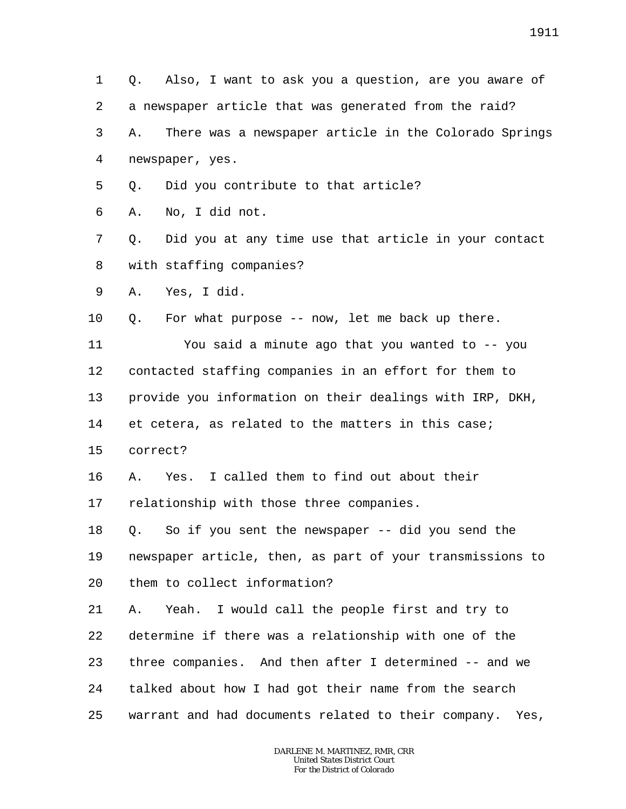3 4 5 6 7 8 9 10 11 12 13 14 15 16 17 18 19 20 21 22 23 24 25 *DARLENE M. MARTINEZ, RMR, CRR United States District Court For the District of Colorado* a newspaper article that was generated from the raid? A. There was a newspaper article in the Colorado Springs newspaper, yes. Q. Did you contribute to that article? A. No, I did not. Q. Did you at any time use that article in your contact with staffing companies? A. Yes, I did. Q. For what purpose -- now, let me back up there. You said a minute ago that you wanted to -- you contacted staffing companies in an effort for them to provide you information on their dealings with IRP, DKH, et cetera, as related to the matters in this case; correct? A. Yes. I called them to find out about their relationship with those three companies. Q. So if you sent the newspaper -- did you send the newspaper article, then, as part of your transmissions to them to collect information? A. Yeah. I would call the people first and try to determine if there was a relationship with one of the three companies. And then after I determined -- and we talked about how I had got their name from the search warrant and had documents related to their company. Yes,

Q. Also, I want to ask you a question, are you aware of

1

2

1911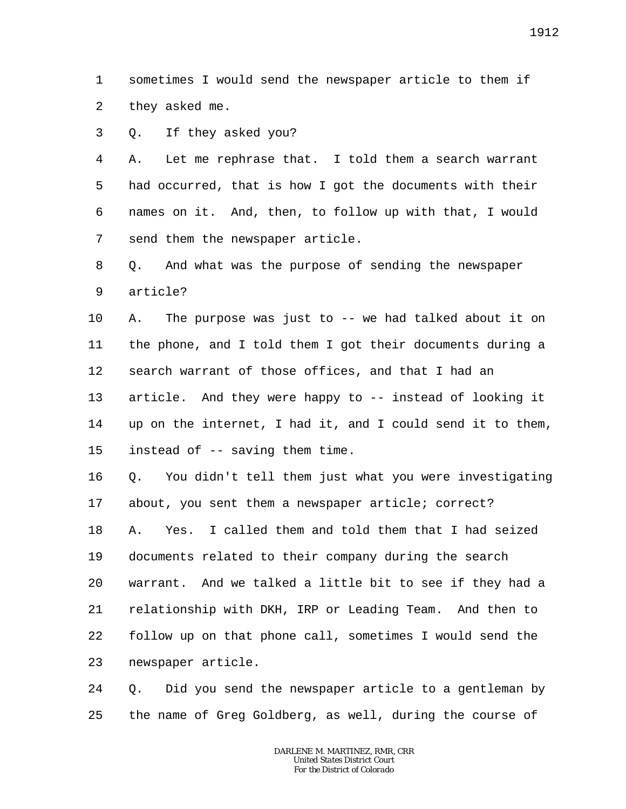1 2 sometimes I would send the newspaper article to them if they asked me.

3 Q. If they asked you?

4 5 6 7 A. Let me rephrase that. I told them a search warrant had occurred, that is how I got the documents with their names on it. And, then, to follow up with that, I would send them the newspaper article.

8 9 Q. And what was the purpose of sending the newspaper article?

10 11 12 13 14 15 A. The purpose was just to -- we had talked about it on the phone, and I told them I got their documents during a search warrant of those offices, and that I had an article. And they were happy to -- instead of looking it up on the internet, I had it, and I could send it to them, instead of -- saving them time.

16 17 Q. You didn't tell them just what you were investigating about, you sent them a newspaper article; correct?

18 19 20 21 22 23 A. Yes. I called them and told them that I had seized documents related to their company during the search warrant. And we talked a little bit to see if they had a relationship with DKH, IRP or Leading Team. And then to follow up on that phone call, sometimes I would send the newspaper article.

24 25 Q. Did you send the newspaper article to a gentleman by the name of Greg Goldberg, as well, during the course of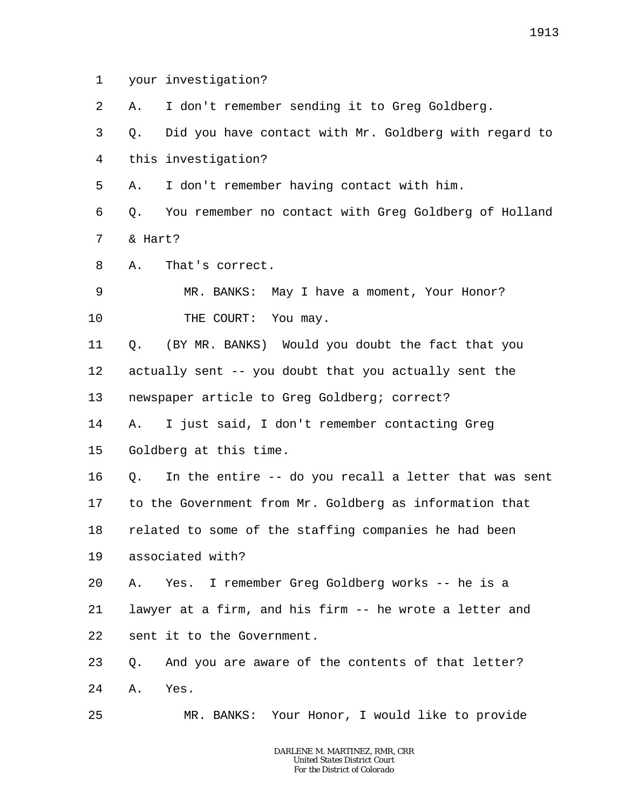1 your investigation?

2 A. I don't remember sending it to Greg Goldberg.

3 4 Q. Did you have contact with Mr. Goldberg with regard to this investigation?

5 A. I don't remember having contact with him.

6 7 Q. You remember no contact with Greg Goldberg of Holland & Hart?

8 A. That's correct.

9 10 MR. BANKS: May I have a moment, Your Honor? THE COURT: You may.

11 12 13 Q. (BY MR. BANKS) Would you doubt the fact that you actually sent -- you doubt that you actually sent the newspaper article to Greg Goldberg; correct?

14 15 A. I just said, I don't remember contacting Greg Goldberg at this time.

16 17 18 19 Q. In the entire -- do you recall a letter that was sent to the Government from Mr. Goldberg as information that related to some of the staffing companies he had been associated with?

20 21 22 A. Yes. I remember Greg Goldberg works -- he is a lawyer at a firm, and his firm -- he wrote a letter and sent it to the Government.

23 24 Q. And you are aware of the contents of that letter? A. Yes.

25 MR. BANKS: Your Honor, I would like to provide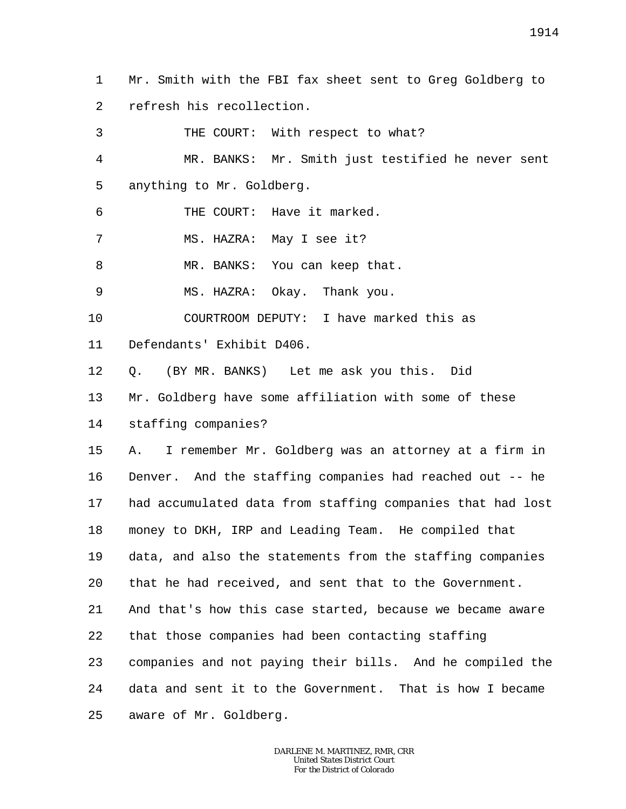1  $\overline{a}$ Mr. Smith with the FBI fax sheet sent to Greg Goldberg to refresh his recollection.

3 4 5 6 7 8 9 10 11 12 13 14 15 16 17 18 19 20 21 22 23 24 25 THE COURT: With respect to what? MR. BANKS: Mr. Smith just testified he never sent anything to Mr. Goldberg. THE COURT: Have it marked. MS. HAZRA: May I see it? MR. BANKS: You can keep that. MS. HAZRA: Okay. Thank you. COURTROOM DEPUTY: I have marked this as Defendants' Exhibit D406. Q. (BY MR. BANKS) Let me ask you this. Did Mr. Goldberg have some affiliation with some of these staffing companies? A. I remember Mr. Goldberg was an attorney at a firm in Denver. And the staffing companies had reached out -- he had accumulated data from staffing companies that had lost money to DKH, IRP and Leading Team. He compiled that data, and also the statements from the staffing companies that he had received, and sent that to the Government. And that's how this case started, because we became aware that those companies had been contacting staffing companies and not paying their bills. And he compiled the data and sent it to the Government. That is how I became aware of Mr. Goldberg.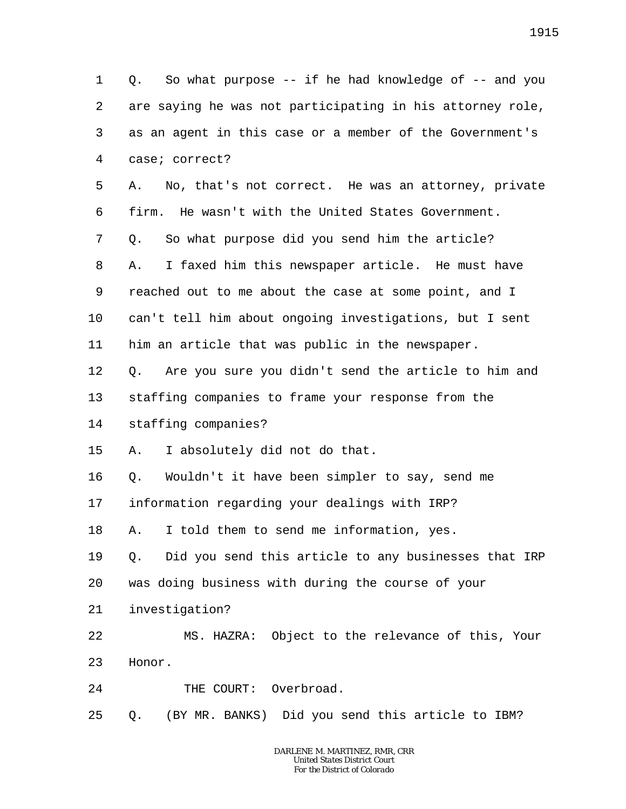1 2 3 4 5 6 7 8 9 10 11 12 13 14 15 16 17 18 19 20 21 22 23 24 25 Q. So what purpose -- if he had knowledge of -- and you are saying he was not participating in his attorney role, as an agent in this case or a member of the Government's case; correct? A. No, that's not correct. He was an attorney, private firm. He wasn't with the United States Government. Q. So what purpose did you send him the article? A. I faxed him this newspaper article. He must have reached out to me about the case at some point, and I can't tell him about ongoing investigations, but I sent him an article that was public in the newspaper. Q. Are you sure you didn't send the article to him and staffing companies to frame your response from the staffing companies? A. I absolutely did not do that. Q. Wouldn't it have been simpler to say, send me information regarding your dealings with IRP? A. I told them to send me information, yes. Q. Did you send this article to any businesses that IRP was doing business with during the course of your investigation? MS. HAZRA: Object to the relevance of this, Your Honor. THE COURT: Overbroad. Q. (BY MR. BANKS) Did you send this article to IBM?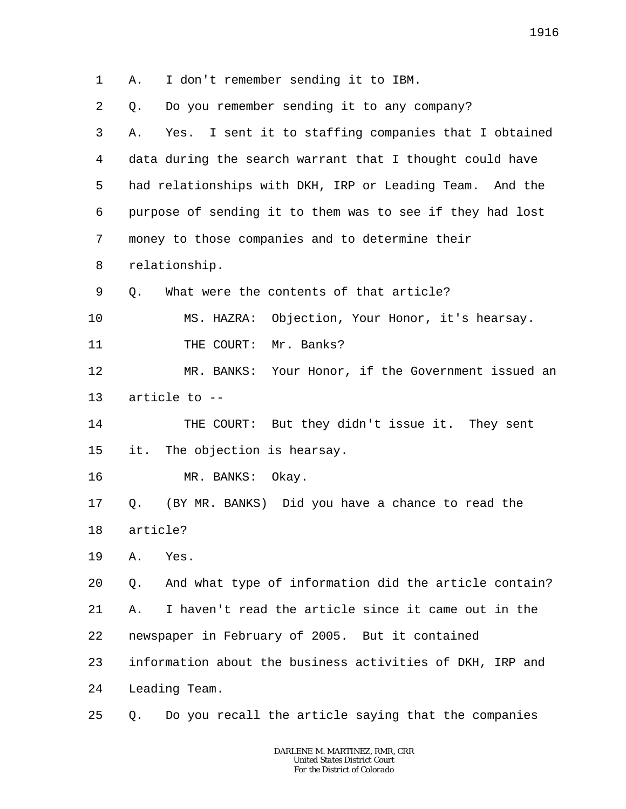1 2 3 4 5 6 7 8 9 10 11 12 13 14 15 16 17 18 19 20 21 22 23 24 25 A. I don't remember sending it to IBM. Q. Do you remember sending it to any company? A. Yes. I sent it to staffing companies that I obtained data during the search warrant that I thought could have had relationships with DKH, IRP or Leading Team. And the purpose of sending it to them was to see if they had lost money to those companies and to determine their relationship. Q. What were the contents of that article? MS. HAZRA: Objection, Your Honor, it's hearsay. THE COURT: Mr. Banks? MR. BANKS: Your Honor, if the Government issued an article to -- THE COURT: But they didn't issue it. They sent it. The objection is hearsay. MR. BANKS: Okay. Q. (BY MR. BANKS) Did you have a chance to read the article? A. Yes. Q. And what type of information did the article contain? A. I haven't read the article since it came out in the newspaper in February of 2005. But it contained information about the business activities of DKH, IRP and Leading Team. Q. Do you recall the article saying that the companies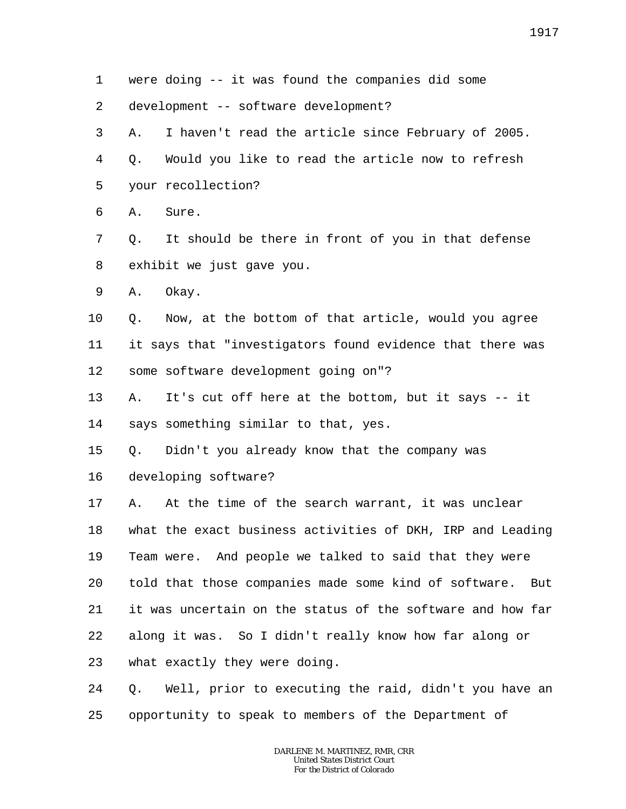5 6 7 8 9 10 11 12 13 14 15 16 17 18 19 20 21 22 23 24 25 your recollection? A. Sure. Q. It should be there in front of you in that defense exhibit we just gave you. A. Okay. Q. Now, at the bottom of that article, would you agree it says that "investigators found evidence that there was some software development going on"? A. It's cut off here at the bottom, but it says -- it says something similar to that, yes. Q. Didn't you already know that the company was developing software? A. At the time of the search warrant, it was unclear what the exact business activities of DKH, IRP and Leading Team were. And people we talked to said that they were told that those companies made some kind of software. But it was uncertain on the status of the software and how far along it was. So I didn't really know how far along or what exactly they were doing. Q. Well, prior to executing the raid, didn't you have an opportunity to speak to members of the Department of

were doing -- it was found the companies did some

A. I haven't read the article since February of 2005.

Q. Would you like to read the article now to refresh

development -- software development?

1

2

3

4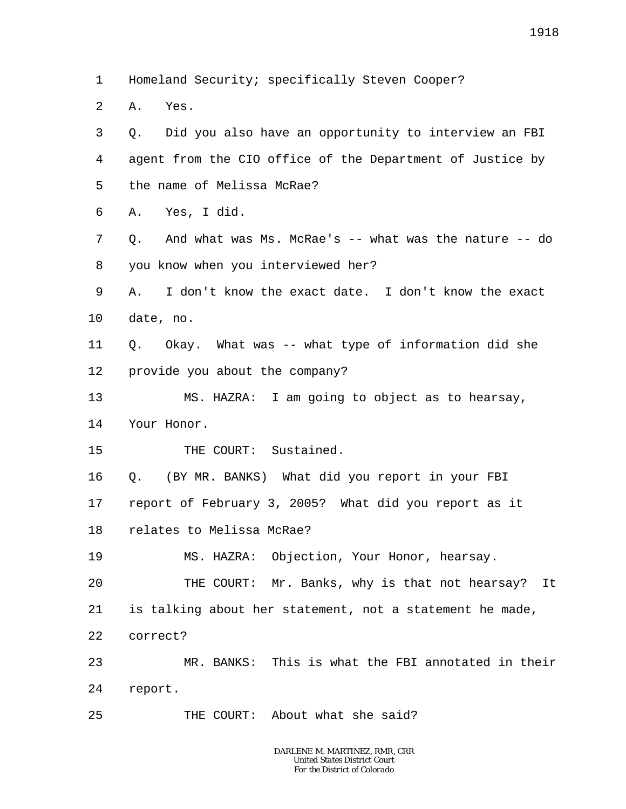1 Homeland Security; specifically Steven Cooper?

2 A. Yes.

3 4 5 6 7 8 9 10 11 12 13 14 15 16 17 18 19 20 21 22 23 24 25 Q. Did you also have an opportunity to interview an FBI agent from the CIO office of the Department of Justice by the name of Melissa McRae? A. Yes, I did. Q. And what was Ms. McRae's -- what was the nature -- do you know when you interviewed her? A. I don't know the exact date. I don't know the exact date, no. Q. Okay. What was -- what type of information did she provide you about the company? MS. HAZRA: I am going to object as to hearsay, Your Honor. THE COURT: Sustained. Q. (BY MR. BANKS) What did you report in your FBI report of February 3, 2005? What did you report as it relates to Melissa McRae? MS. HAZRA: Objection, Your Honor, hearsay. THE COURT: Mr. Banks, why is that not hearsay? It is talking about her statement, not a statement he made, correct? MR. BANKS: This is what the FBI annotated in their report. THE COURT: About what she said?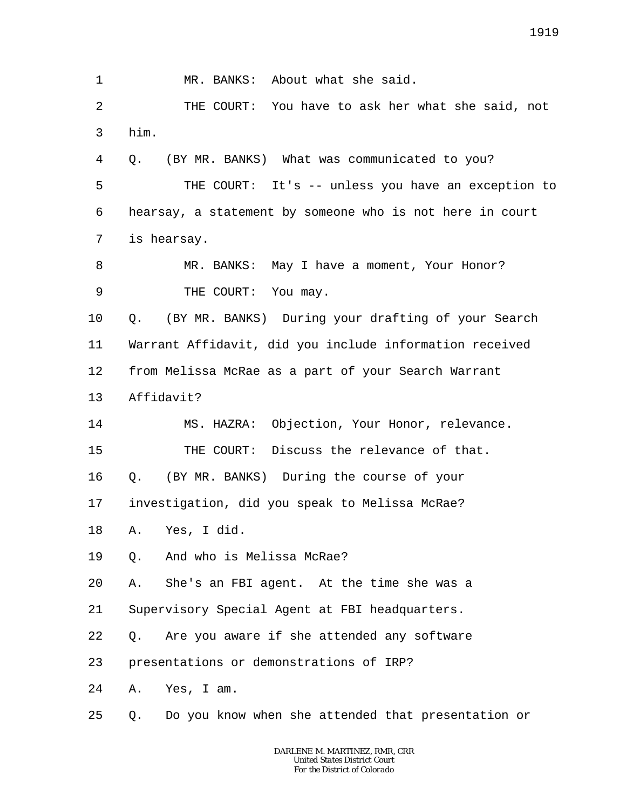1 2 3 4 5 6 7 8 9 10 11 12 13 14 15 16 17 18 19 20 21 22 23 24 25 MR. BANKS: About what she said. THE COURT: You have to ask her what she said, not him. Q. (BY MR. BANKS) What was communicated to you? THE COURT: It's -- unless you have an exception to hearsay, a statement by someone who is not here in court is hearsay. MR. BANKS: May I have a moment, Your Honor? THE COURT: You may. Q. (BY MR. BANKS) During your drafting of your Search Warrant Affidavit, did you include information received from Melissa McRae as a part of your Search Warrant Affidavit? MS. HAZRA: Objection, Your Honor, relevance. THE COURT: Discuss the relevance of that. Q. (BY MR. BANKS) During the course of your investigation, did you speak to Melissa McRae? A. Yes, I did. Q. And who is Melissa McRae? A. She's an FBI agent. At the time she was a Supervisory Special Agent at FBI headquarters. Q. Are you aware if she attended any software presentations or demonstrations of IRP? A. Yes, I am. Q. Do you know when she attended that presentation or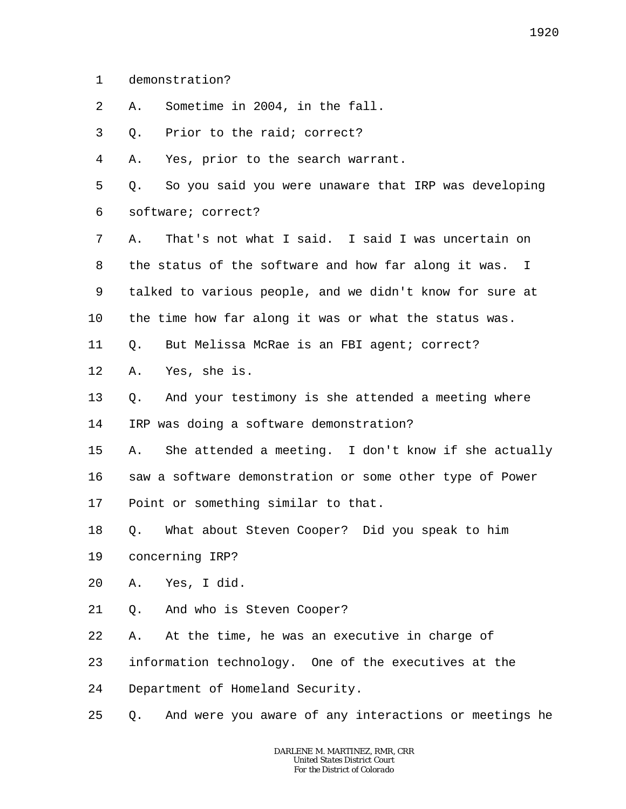- 1 demonstration?
- 2 A. Sometime in 2004, in the fall.
- 3 Q. Prior to the raid; correct?

4 A. Yes, prior to the search warrant.

5 6 Q. So you said you were unaware that IRP was developing software; correct?

7 8 9 10 A. That's not what I said. I said I was uncertain on the status of the software and how far along it was. I talked to various people, and we didn't know for sure at the time how far along it was or what the status was.

- 11 Q. But Melissa McRae is an FBI agent; correct?
- 12 A. Yes, she is.
- 13 Q. And your testimony is she attended a meeting where

14 IRP was doing a software demonstration?

15 A. She attended a meeting. I don't know if she actually

16 saw a software demonstration or some other type of Power

17 Point or something similar to that.

18 Q. What about Steven Cooper? Did you speak to him

- 19 concerning IRP?
- 20 A. Yes, I did.
- 21 Q. And who is Steven Cooper?
- 22 A. At the time, he was an executive in charge of
- 23 information technology. One of the executives at the

24 Department of Homeland Security.

25 Q. And were you aware of any interactions or meetings he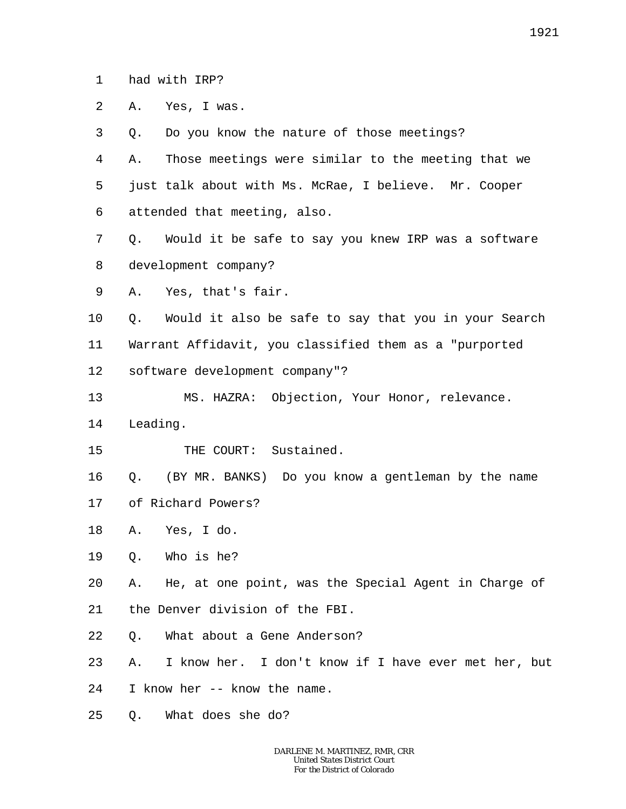1 had with IRP?

2 A. Yes, I was.

3 4 5 6 7 8 9 10 11 12 13 14 15 16 17 18 Q. Do you know the nature of those meetings? A. Those meetings were similar to the meeting that we just talk about with Ms. McRae, I believe. Mr. Cooper attended that meeting, also. Q. Would it be safe to say you knew IRP was a software development company? A. Yes, that's fair. Q. Would it also be safe to say that you in your Search Warrant Affidavit, you classified them as a "purported software development company"? MS. HAZRA: Objection, Your Honor, relevance. Leading. THE COURT: Sustained. Q. (BY MR. BANKS) Do you know a gentleman by the name of Richard Powers? A. Yes, I do.

19 Q. Who is he?

20 21 A. He, at one point, was the Special Agent in Charge of the Denver division of the FBI.

22 Q. What about a Gene Anderson?

23 A. I know her. I don't know if I have ever met her, but

24 I know her -- know the name.

25 Q. What does she do?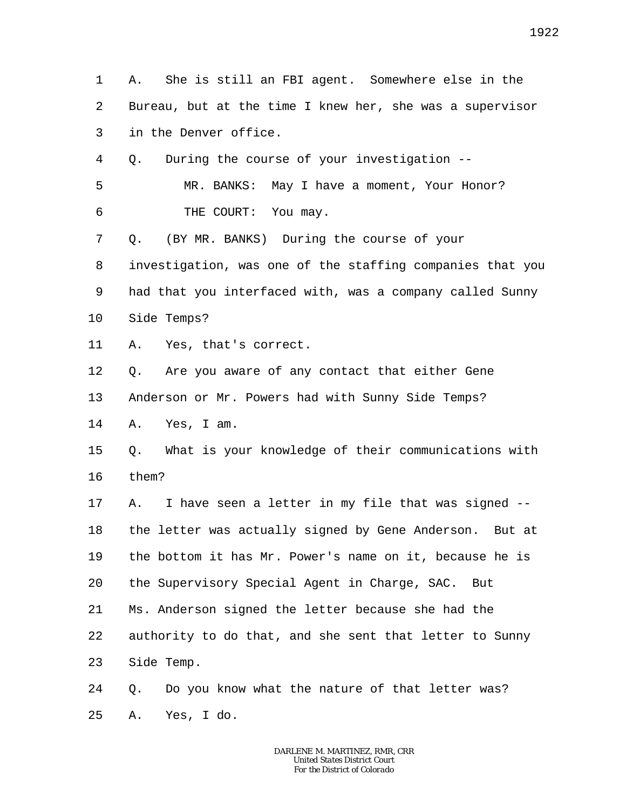1 2 3 4 5 6 7 8 9 10 11 12 13 14 15 16 17 18 19 20 21 22 23 24 25 A. She is still an FBI agent. Somewhere else in the Bureau, but at the time I knew her, she was a supervisor in the Denver office. Q. During the course of your investigation -- MR. BANKS: May I have a moment, Your Honor? THE COURT: You may. Q. (BY MR. BANKS) During the course of your investigation, was one of the staffing companies that you had that you interfaced with, was a company called Sunny Side Temps? A. Yes, that's correct. Q. Are you aware of any contact that either Gene Anderson or Mr. Powers had with Sunny Side Temps? A. Yes, I am. Q. What is your knowledge of their communications with them? A. I have seen a letter in my file that was signed - the letter was actually signed by Gene Anderson. But at the bottom it has Mr. Power's name on it, because he is the Supervisory Special Agent in Charge, SAC. But Ms. Anderson signed the letter because she had the authority to do that, and she sent that letter to Sunny Side Temp. Q. Do you know what the nature of that letter was? A. Yes, I do.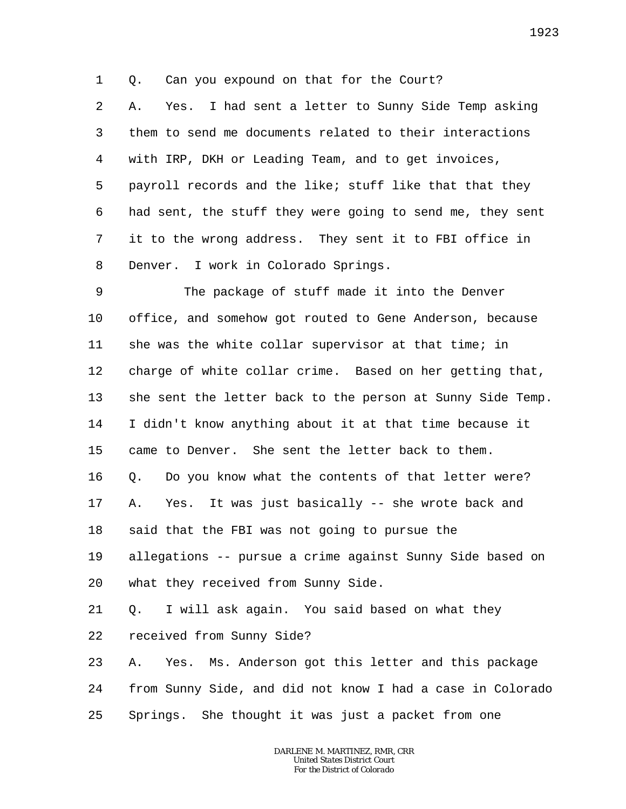1 Q. Can you expound on that for the Court?

2 3 4 5 6 7 8 A. Yes. I had sent a letter to Sunny Side Temp asking them to send me documents related to their interactions with IRP, DKH or Leading Team, and to get invoices, payroll records and the like; stuff like that that they had sent, the stuff they were going to send me, they sent it to the wrong address. They sent it to FBI office in Denver. I work in Colorado Springs.

9 10 11 12 13 14 15 16 17 18 19 20 21 22 23 24 The package of stuff made it into the Denver office, and somehow got routed to Gene Anderson, because she was the white collar supervisor at that time; in charge of white collar crime. Based on her getting that, she sent the letter back to the person at Sunny Side Temp. I didn't know anything about it at that time because it came to Denver. She sent the letter back to them. Q. Do you know what the contents of that letter were? A. Yes. It was just basically -- she wrote back and said that the FBI was not going to pursue the allegations -- pursue a crime against Sunny Side based on what they received from Sunny Side. Q. I will ask again. You said based on what they received from Sunny Side? A. Yes. Ms. Anderson got this letter and this package from Sunny Side, and did not know I had a case in Colorado

25 Springs. She thought it was just a packet from one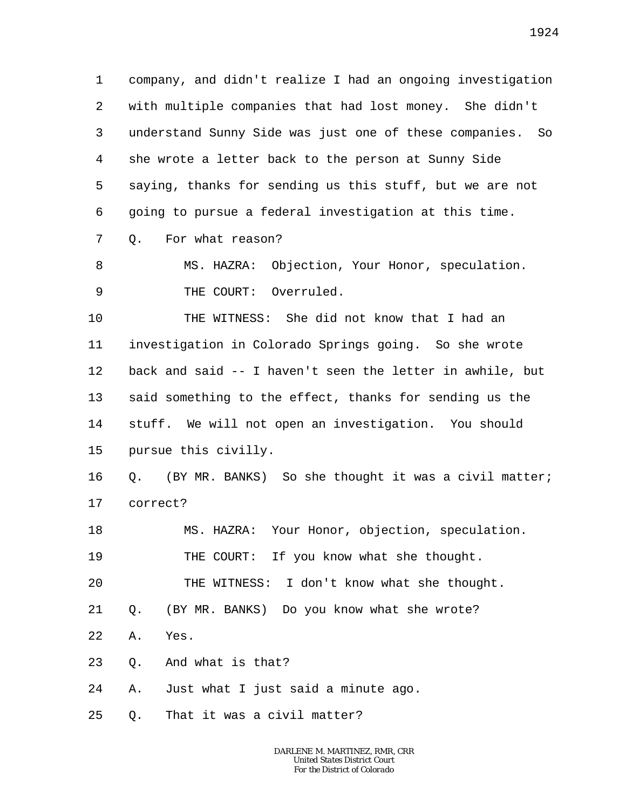1 2 3 4 5 6 company, and didn't realize I had an ongoing investigation with multiple companies that had lost money. She didn't understand Sunny Side was just one of these companies. So she wrote a letter back to the person at Sunny Side saying, thanks for sending us this stuff, but we are not going to pursue a federal investigation at this time.

7 Q. For what reason?

8 9 MS. HAZRA: Objection, Your Honor, speculation. THE COURT: Overruled.

10 11 12 13 14 15 THE WITNESS: She did not know that I had an investigation in Colorado Springs going. So she wrote back and said -- I haven't seen the letter in awhile, but said something to the effect, thanks for sending us the stuff. We will not open an investigation. You should pursue this civilly.

16 17 Q. (BY MR. BANKS) So she thought it was a civil matter; correct?

18 19 20 MS. HAZRA: Your Honor, objection, speculation. THE COURT: If you know what she thought. THE WITNESS: I don't know what she thought.

21 Q. (BY MR. BANKS) Do you know what she wrote?

22 A. Yes.

23 Q. And what is that?

24 A. Just what I just said a minute ago.

25 Q. That it was a civil matter?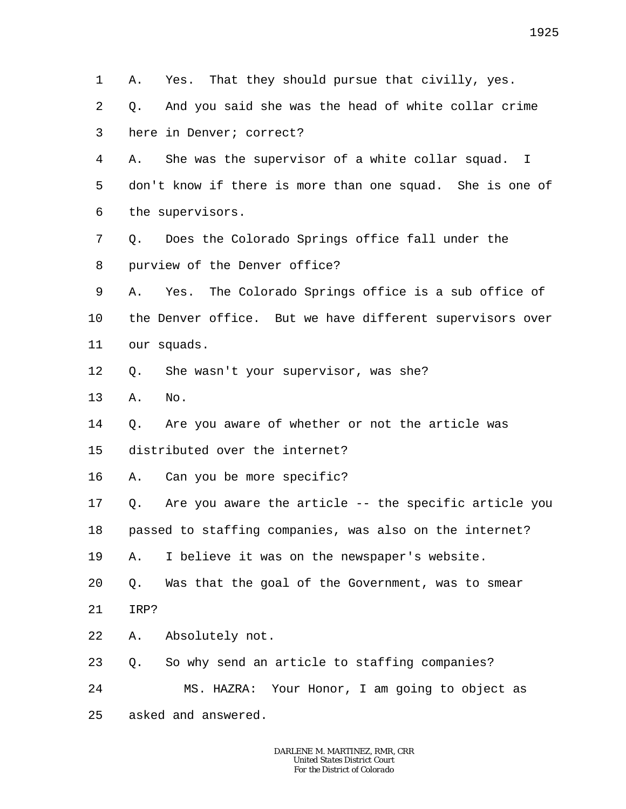1 2 3 4 5 6 7 8 9 10 11 12 13 14 15 16 17 18 19 20 21 22 23 24 25 A. Yes. That they should pursue that civilly, yes. Q. And you said she was the head of white collar crime here in Denver; correct? A. She was the supervisor of a white collar squad. I don't know if there is more than one squad. She is one of the supervisors. Q. Does the Colorado Springs office fall under the purview of the Denver office? A. Yes. The Colorado Springs office is a sub office of the Denver office. But we have different supervisors over our squads. Q. She wasn't your supervisor, was she? A. No. Q. Are you aware of whether or not the article was distributed over the internet? A. Can you be more specific? Q. Are you aware the article -- the specific article you passed to staffing companies, was also on the internet? A. I believe it was on the newspaper's website. Q. Was that the goal of the Government, was to smear IRP? A. Absolutely not. Q. So why send an article to staffing companies? MS. HAZRA: Your Honor, I am going to object as asked and answered.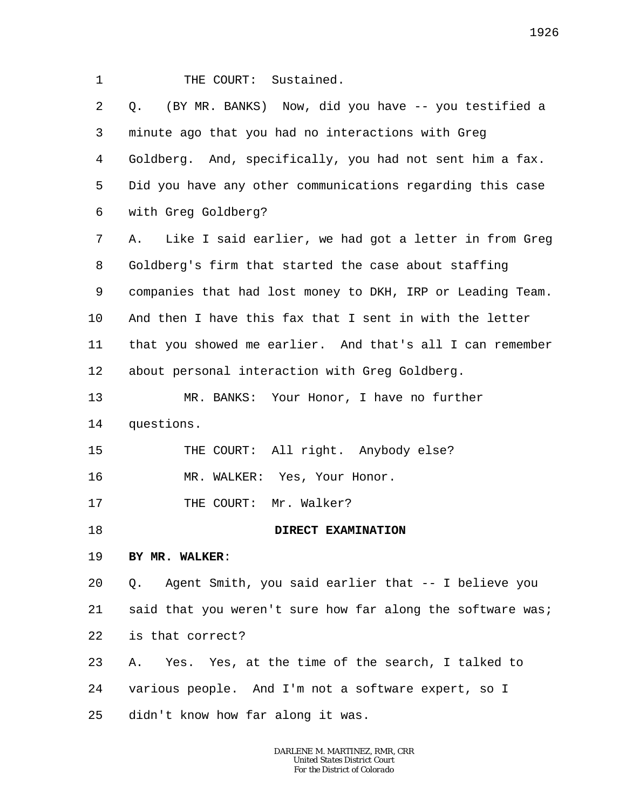1 2 3 4 5 6 7 8 9 10 11 12 13 14 15 16 17 18 19 20 21 22 23 24 25 THE COURT: Sustained. Q. (BY MR. BANKS) Now, did you have -- you testified a minute ago that you had no interactions with Greg Goldberg. And, specifically, you had not sent him a fax. Did you have any other communications regarding this case with Greg Goldberg? A. Like I said earlier, we had got a letter in from Greg Goldberg's firm that started the case about staffing companies that had lost money to DKH, IRP or Leading Team. And then I have this fax that I sent in with the letter that you showed me earlier. And that's all I can remember about personal interaction with Greg Goldberg. MR. BANKS: Your Honor, I have no further questions. THE COURT: All right. Anybody else? MR. WALKER: Yes, Your Honor. THE COURT: Mr. Walker? **DIRECT EXAMINATION BY MR. WALKER**: Q. Agent Smith, you said earlier that -- I believe you said that you weren't sure how far along the software was; is that correct? A. Yes. Yes, at the time of the search, I talked to various people. And I'm not a software expert, so I didn't know how far along it was.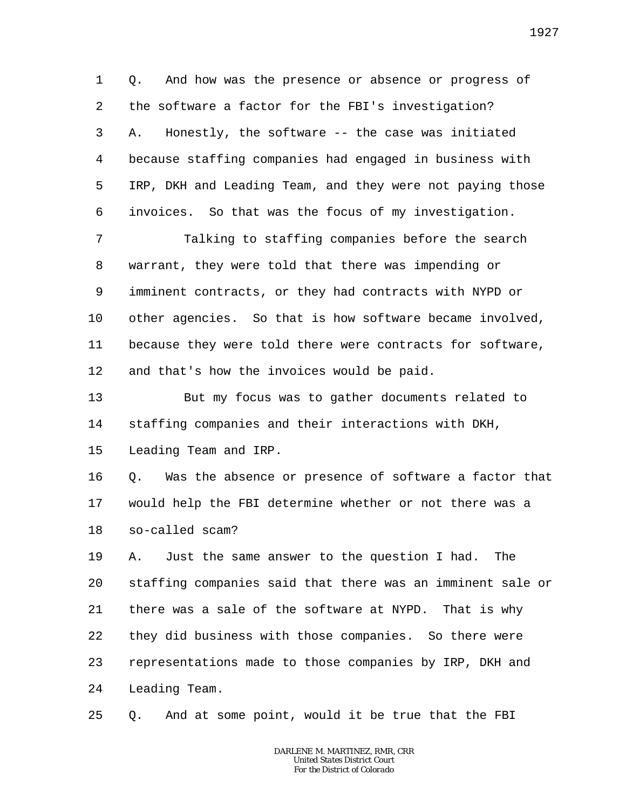1 2 3 4 5 6 Q. And how was the presence or absence or progress of the software a factor for the FBI's investigation? A. Honestly, the software -- the case was initiated because staffing companies had engaged in business with IRP, DKH and Leading Team, and they were not paying those invoices. So that was the focus of my investigation.

7 8 9 10 11 12 Talking to staffing companies before the search warrant, they were told that there was impending or imminent contracts, or they had contracts with NYPD or other agencies. So that is how software became involved, because they were told there were contracts for software, and that's how the invoices would be paid.

13 14 15 But my focus was to gather documents related to staffing companies and their interactions with DKH, Leading Team and IRP.

16 17 18 Q. Was the absence or presence of software a factor that would help the FBI determine whether or not there was a so-called scam?

19 20 21 22 23 24 A. Just the same answer to the question I had. The staffing companies said that there was an imminent sale or there was a sale of the software at NYPD. That is why they did business with those companies. So there were representations made to those companies by IRP, DKH and Leading Team.

25 Q. And at some point, would it be true that the FBI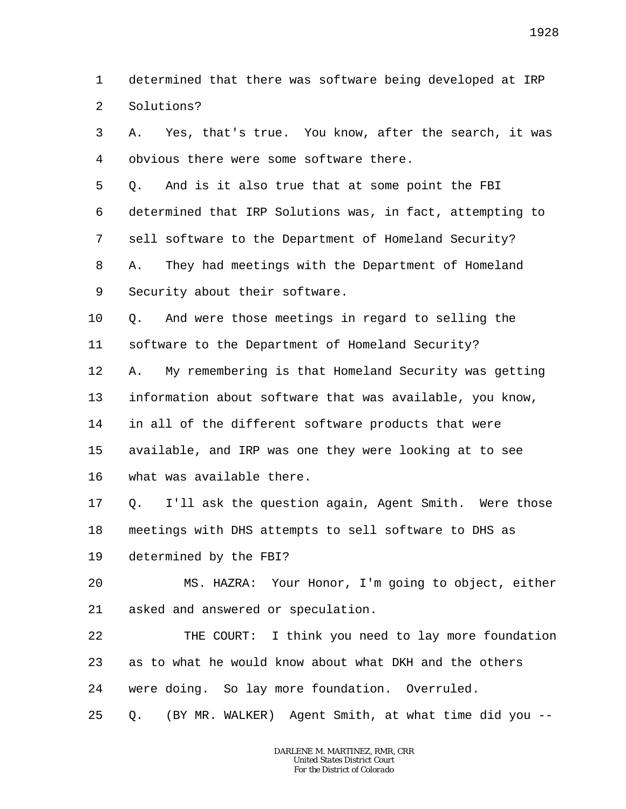1  $\overline{a}$ determined that there was software being developed at IRP Solutions?

3 4 A. Yes, that's true. You know, after the search, it was obvious there were some software there.

5 6 7 8 9 Q. And is it also true that at some point the FBI determined that IRP Solutions was, in fact, attempting to sell software to the Department of Homeland Security? A. They had meetings with the Department of Homeland Security about their software.

10 Q. And were those meetings in regard to selling the

11 software to the Department of Homeland Security?

12 13 14 15 A. My remembering is that Homeland Security was getting information about software that was available, you know, in all of the different software products that were available, and IRP was one they were looking at to see

16 what was available there.

17 18 Q. I'll ask the question again, Agent Smith. Were those meetings with DHS attempts to sell software to DHS as

19 determined by the FBI?

 $2.0$ 21 MS. HAZRA: Your Honor, I'm going to object, either asked and answered or speculation.

22 23 24 THE COURT: I think you need to lay more foundation as to what he would know about what DKH and the others were doing. So lay more foundation. Overruled.

25 Q. (BY MR. WALKER) Agent Smith, at what time did you --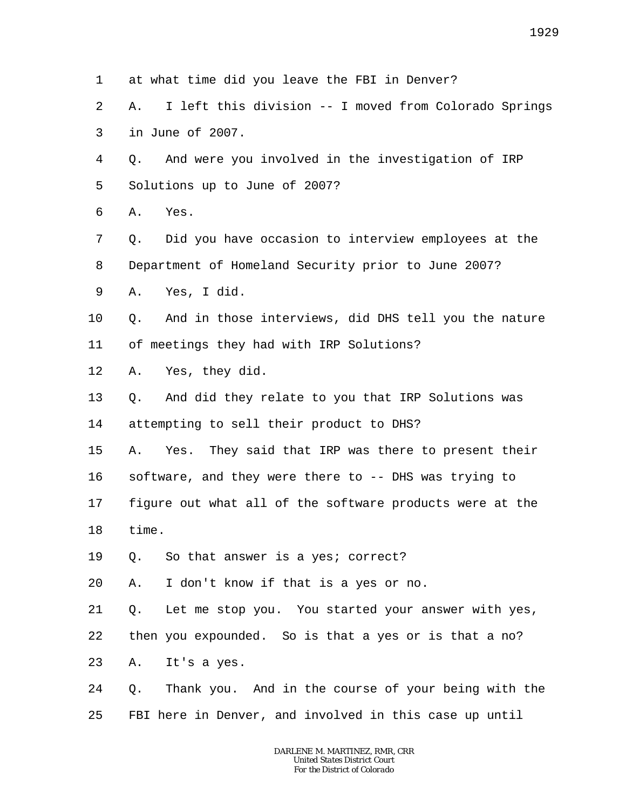1 at what time did you leave the FBI in Denver?

2 3 A. I left this division -- I moved from Colorado Springs in June of 2007.

4 5 Q. And were you involved in the investigation of IRP Solutions up to June of 2007?

6 A. Yes.

7 8 Q. Did you have occasion to interview employees at the Department of Homeland Security prior to June 2007?

9 A. Yes, I did.

10 11 Q. And in those interviews, did DHS tell you the nature of meetings they had with IRP Solutions?

12 A. Yes, they did.

13 14 Q. And did they relate to you that IRP Solutions was attempting to sell their product to DHS?

15 A. Yes. They said that IRP was there to present their

16 software, and they were there to -- DHS was trying to

17 18 figure out what all of the software products were at the time.

19 Q. So that answer is a yes; correct?

20 A. I don't know if that is a yes or no.

21 Q. Let me stop you. You started your answer with yes,

22 then you expounded. So is that a yes or is that a no?

23 A. It's a yes.

24 25 Q. Thank you. And in the course of your being with the FBI here in Denver, and involved in this case up until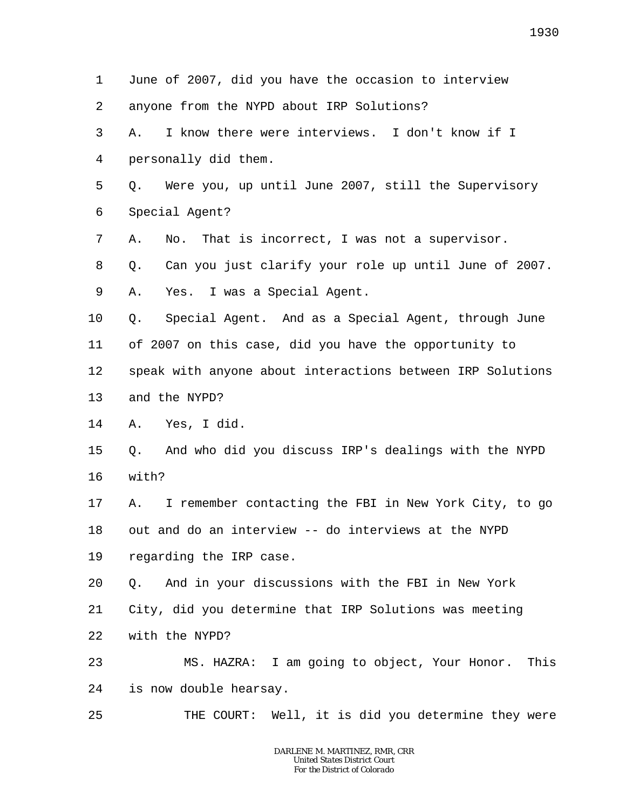1 2 3 4 5 6 7 8 9 10 11 12 13 14 15 16 17 18 19 20 21 22 23 24 25 June of 2007, did you have the occasion to interview anyone from the NYPD about IRP Solutions? A. I know there were interviews. I don't know if I personally did them. Q. Were you, up until June 2007, still the Supervisory Special Agent? A. No. That is incorrect, I was not a supervisor. Q. Can you just clarify your role up until June of 2007. A. Yes. I was a Special Agent. Q. Special Agent. And as a Special Agent, through June of 2007 on this case, did you have the opportunity to speak with anyone about interactions between IRP Solutions and the NYPD? A. Yes, I did. Q. And who did you discuss IRP's dealings with the NYPD with? A. I remember contacting the FBI in New York City, to go out and do an interview -- do interviews at the NYPD regarding the IRP case. Q. And in your discussions with the FBI in New York City, did you determine that IRP Solutions was meeting with the NYPD? MS. HAZRA: I am going to object, Your Honor. This is now double hearsay. THE COURT: Well, it is did you determine they were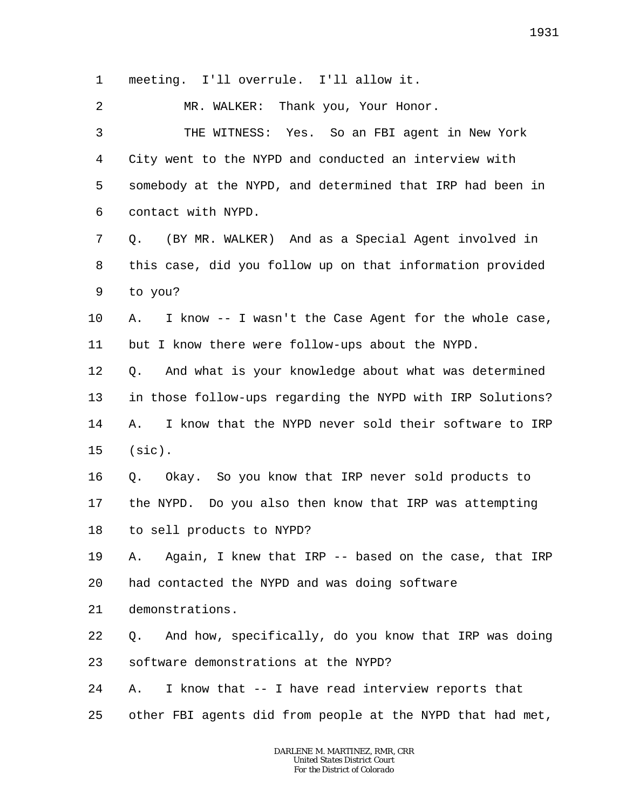1 meeting. I'll overrule. I'll allow it.

2 MR. WALKER: Thank you, Your Honor.

3 4 5 6 THE WITNESS: Yes. So an FBI agent in New York City went to the NYPD and conducted an interview with somebody at the NYPD, and determined that IRP had been in contact with NYPD.

7 8 9 Q. (BY MR. WALKER) And as a Special Agent involved in this case, did you follow up on that information provided to you?

10 11 A. I know -- I wasn't the Case Agent for the whole case, but I know there were follow-ups about the NYPD.

12 13 14 15 Q. And what is your knowledge about what was determined in those follow-ups regarding the NYPD with IRP Solutions? A. I know that the NYPD never sold their software to IRP (sic).

16 17 18 Q. Okay. So you know that IRP never sold products to the NYPD. Do you also then know that IRP was attempting to sell products to NYPD?

19 20 A. Again, I knew that IRP -- based on the case, that IRP had contacted the NYPD and was doing software

21 demonstrations.

22 23 Q. And how, specifically, do you know that IRP was doing software demonstrations at the NYPD?

24 A. I know that -- I have read interview reports that

25 other FBI agents did from people at the NYPD that had met,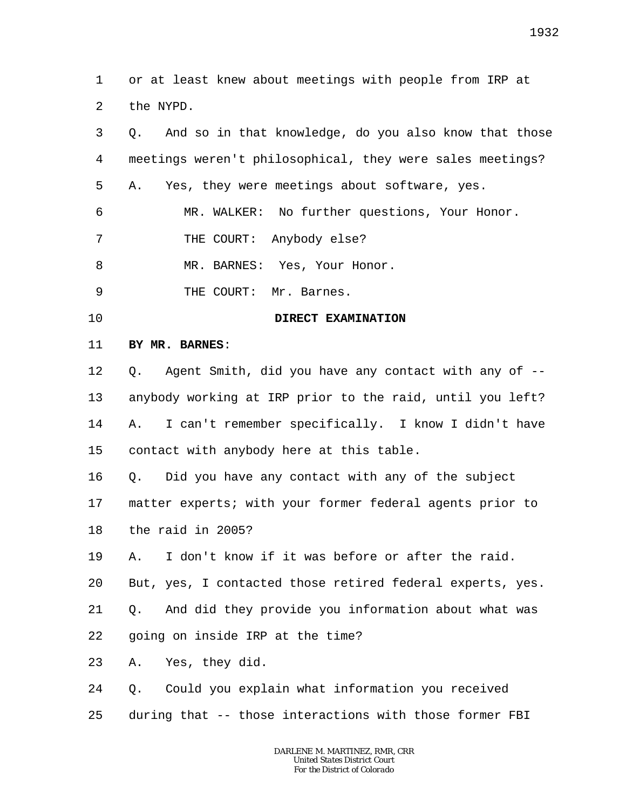1 2 or at least knew about meetings with people from IRP at the NYPD.

| 3  | And so in that knowledge, do you also know that those<br>Q. |
|----|-------------------------------------------------------------|
| 4  | meetings weren't philosophical, they were sales meetings?   |
| 5  | Yes, they were meetings about software, yes.<br>Α.          |
| 6  | MR. WALKER: No further questions, Your Honor.               |
| 7  | THE COURT: Anybody else?                                    |
| 8  | MR. BARNES: Yes, Your Honor.                                |
| 9  | THE COURT:<br>Mr. Barnes.                                   |
| 10 | DIRECT EXAMINATION                                          |
| 11 | BY MR. BARNES:                                              |
| 12 | Agent Smith, did you have any contact with any of --<br>Q.  |
| 13 | anybody working at IRP prior to the raid, until you left?   |
| 14 | I can't remember specifically. I know I didn't have<br>Α.   |
| 15 | contact with anybody here at this table.                    |
| 16 | Did you have any contact with any of the subject<br>Q.      |
| 17 | matter experts; with your former federal agents prior to    |
| 18 | the raid in 2005?                                           |
| 19 | I don't know if it was before or after the raid.<br>Α.      |
| 20 | But, yes, I contacted those retired federal experts, yes.   |
| 21 | And did they provide you information about what was<br>Q.   |
| 22 | going on inside IRP at the time?                            |
| 23 | Yes, they did.<br>Α.                                        |
| 24 | Could you explain what information you received<br>Q.       |
| 25 | during that -- those interactions with those former FBI     |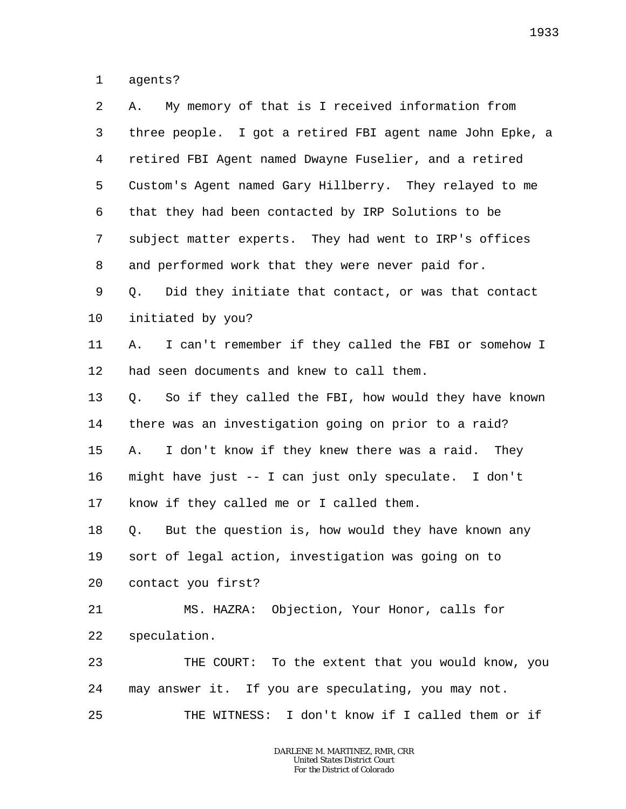1 agents?

| 2  | My memory of that is I received information from<br>Α.     |
|----|------------------------------------------------------------|
| 3  | three people. I got a retired FBI agent name John Epke, a  |
| 4  | retired FBI Agent named Dwayne Fuselier, and a retired     |
| 5  | Custom's Agent named Gary Hillberry. They relayed to me    |
| 6  | that they had been contacted by IRP Solutions to be        |
| 7  | subject matter experts. They had went to IRP's offices     |
| 8  | and performed work that they were never paid for.          |
| 9  | Did they initiate that contact, or was that contact<br>Q.  |
| 10 | initiated by you?                                          |
| 11 | I can't remember if they called the FBI or somehow I<br>Α. |
| 12 | had seen documents and knew to call them.                  |
| 13 | So if they called the FBI, how would they have known<br>Q. |
| 14 | there was an investigation going on prior to a raid?       |
| 15 | I don't know if they knew there was a raid. They<br>Α.     |
| 16 | might have just -- I can just only speculate. I don't      |
| 17 | know if they called me or I called them.                   |
| 18 | But the question is, how would they have known any<br>Q.   |
| 19 | sort of legal action, investigation was going on to        |
| 20 | contact you first?                                         |
| 21 | MS. HAZRA: Objection, Your Honor, calls for                |
| 22 | speculation.                                               |
| 23 | THE COURT: To the extent that you would know, you          |
| 24 | may answer it. If you are speculating, you may not.        |
| 25 | THE WITNESS: I don't know if I called them or if           |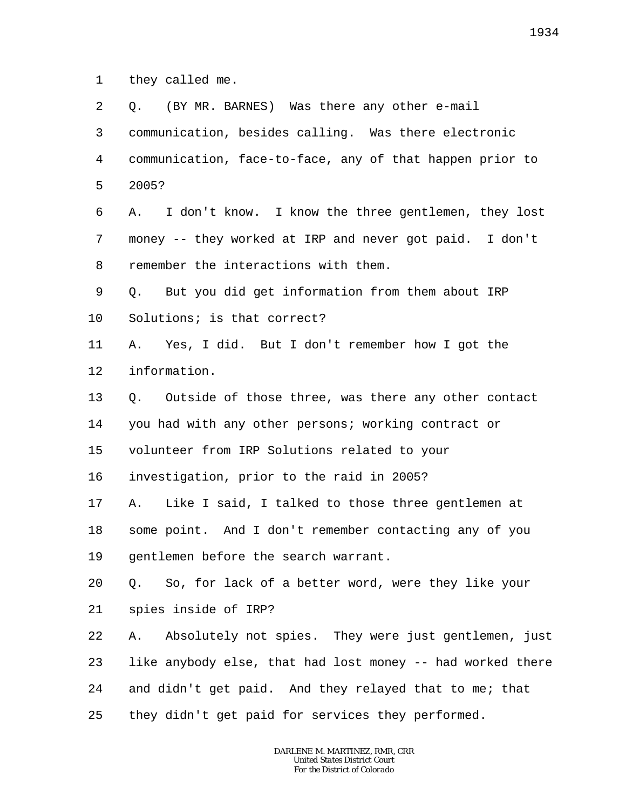1 they called me.

| 2       | (BY MR. BARNES) Was there any other e-mail<br>О.           |
|---------|------------------------------------------------------------|
| 3       | communication, besides calling. Was there electronic       |
| 4       | communication, face-to-face, any of that happen prior to   |
| 5       | 2005?                                                      |
| 6       | I don't know. I know the three gentlemen, they lost<br>Α.  |
| 7       | money -- they worked at IRP and never got paid. I don't    |
| 8       | remember the interactions with them.                       |
| 9       | But you did get information from them about IRP<br>Q.      |
| $10 \,$ | Solutions; is that correct?                                |
| 11      | Yes, I did. But I don't remember how I got the<br>Α.       |
| 12      | information.                                               |
| 13      | Outside of those three, was there any other contact<br>Q.  |
| 14      | you had with any other persons; working contract or        |
| 15      | volunteer from IRP Solutions related to your               |
| 16      | investigation, prior to the raid in 2005?                  |
| 17      | Like I said, I talked to those three gentlemen at<br>Α.    |
| 18      | some point. And I don't remember contacting any of you     |
| 19      | gentlemen before the search warrant.                       |
| 20      | So, for lack of a better word, were they like your<br>Q.   |
| 21      | spies inside of IRP?                                       |
| 22      | Absolutely not spies. They were just gentlemen, just<br>Α. |
| 23      | like anybody else, that had lost money -- had worked there |
| 24      | and didn't get paid. And they relayed that to me; that     |
| 25      | they didn't get paid for services they performed.          |
|         |                                                            |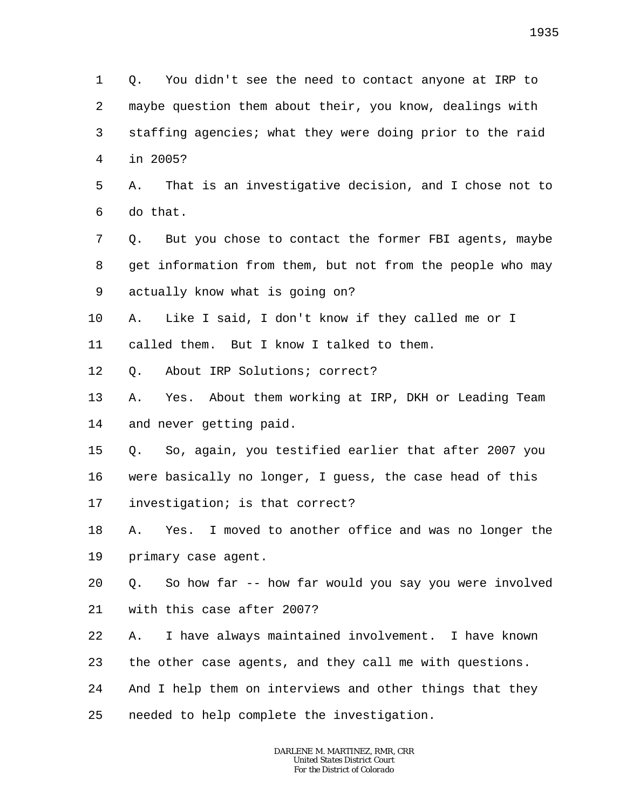1 2 3 4 Q. You didn't see the need to contact anyone at IRP to maybe question them about their, you know, dealings with staffing agencies; what they were doing prior to the raid in 2005?

5 6 A. That is an investigative decision, and I chose not to do that.

7 8 9 Q. But you chose to contact the former FBI agents, maybe get information from them, but not from the people who may actually know what is going on?

10 A. Like I said, I don't know if they called me or I

11 called them. But I know I talked to them.

12 Q. About IRP Solutions; correct?

13 14 A. Yes. About them working at IRP, DKH or Leading Team and never getting paid.

15 16 17 Q. So, again, you testified earlier that after 2007 you were basically no longer, I guess, the case head of this investigation; is that correct?

18 19 A. Yes. I moved to another office and was no longer the primary case agent.

20 21 Q. So how far -- how far would you say you were involved with this case after 2007?

22 A. I have always maintained involvement. I have known

23 the other case agents, and they call me with questions.

24 And I help them on interviews and other things that they

25 needed to help complete the investigation.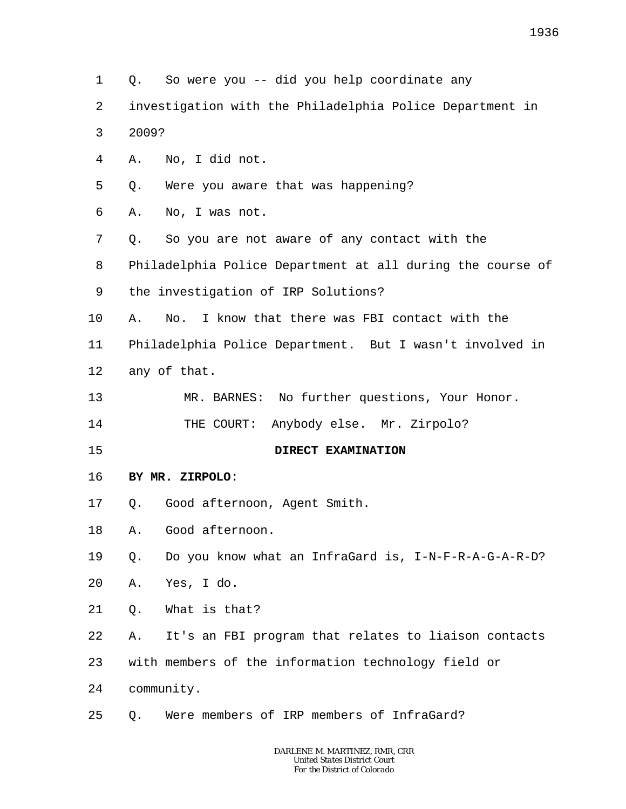1 2 3 4 5 6 7 8 9 10 11 12 13 14 15 16 17 18 19 20 21 22 23 24 25 Q. So were you -- did you help coordinate any investigation with the Philadelphia Police Department in 2009? A. No, I did not. Q. Were you aware that was happening? A. No, I was not. Q. So you are not aware of any contact with the Philadelphia Police Department at all during the course of the investigation of IRP Solutions? A. No. I know that there was FBI contact with the Philadelphia Police Department. But I wasn't involved in any of that. MR. BARNES: No further questions, Your Honor. THE COURT: Anybody else. Mr. Zirpolo? **DIRECT EXAMINATION BY MR. ZIRPOLO**: Q. Good afternoon, Agent Smith. A. Good afternoon. Q. Do you know what an InfraGard is, I-N-F-R-A-G-A-R-D? A. Yes, I do. Q. What is that? A. It's an FBI program that relates to liaison contacts with members of the information technology field or community. Q. Were members of IRP members of InfraGard?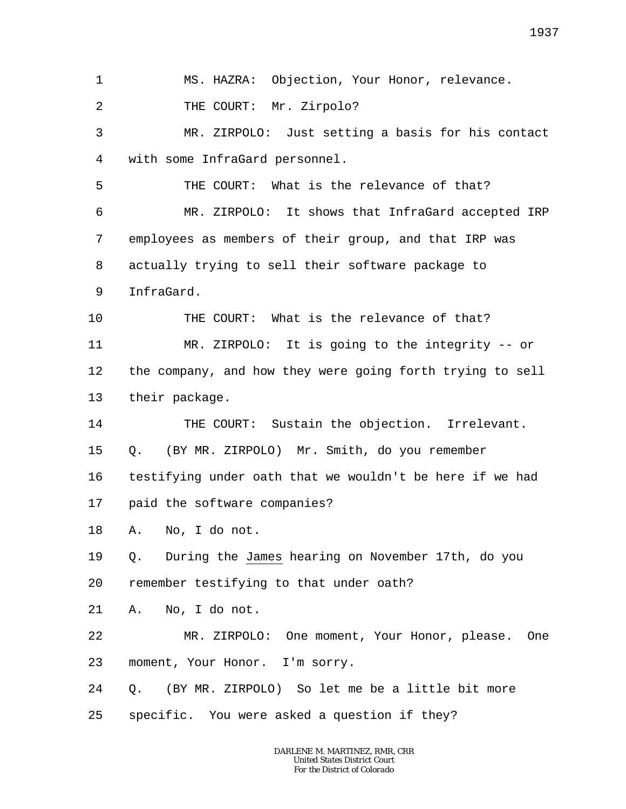1 2 3 4 5 6 7 8 9 10 11 12 13 14 15 16 17 18 19 20 21 22 23 24 25 MS. HAZRA: Objection, Your Honor, relevance. THE COURT: Mr. Zirpolo? MR. ZIRPOLO: Just setting a basis for his contact with some InfraGard personnel. THE COURT: What is the relevance of that? MR. ZIRPOLO: It shows that InfraGard accepted IRP employees as members of their group, and that IRP was actually trying to sell their software package to InfraGard. THE COURT: What is the relevance of that? MR. ZIRPOLO: It is going to the integrity -- or the company, and how they were going forth trying to sell their package. THE COURT: Sustain the objection. Irrelevant. Q. (BY MR. ZIRPOLO) Mr. Smith, do you remember testifying under oath that we wouldn't be here if we had paid the software companies? A. No, I do not. Q. During the James hearing on November 17th, do you remember testifying to that under oath? A. No, I do not. MR. ZIRPOLO: One moment, Your Honor, please. One moment, Your Honor. I'm sorry. Q. (BY MR. ZIRPOLO) So let me be a little bit more specific. You were asked a question if they?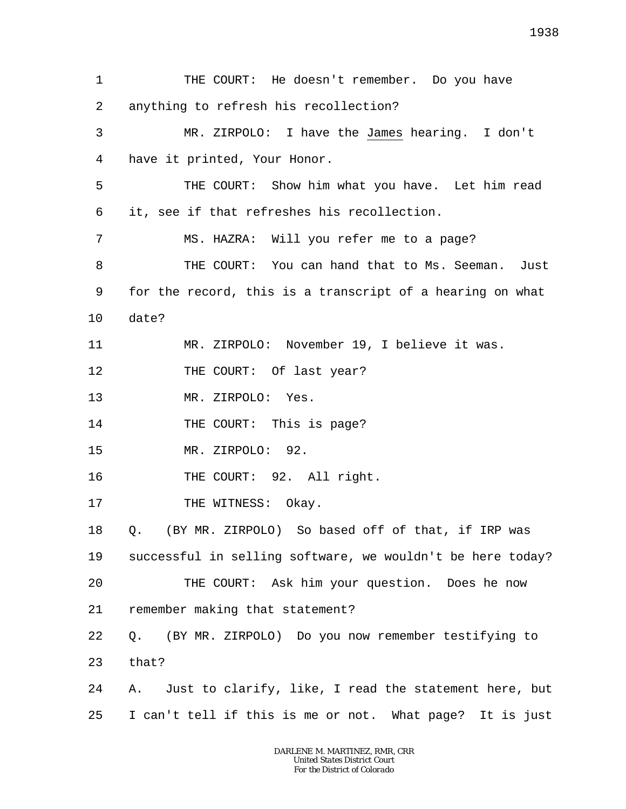1 2 3 4 5 6 7 8 9 10 11 12 13 14 15 16 17 18 19 20 21 22 23 24 25 THE COURT: He doesn't remember. Do you have anything to refresh his recollection? MR. ZIRPOLO: I have the James hearing. I don't have it printed, Your Honor. THE COURT: Show him what you have. Let him read it, see if that refreshes his recollection. MS. HAZRA: Will you refer me to a page? THE COURT: You can hand that to Ms. Seeman. Just for the record, this is a transcript of a hearing on what date? MR. ZIRPOLO: November 19, I believe it was. THE COURT: Of last year? MR. ZIRPOLO: Yes. THE COURT: This is page? MR. ZIRPOLO: 92. THE COURT: 92. All right. THE WITNESS: Okay. Q. (BY MR. ZIRPOLO) So based off of that, if IRP was successful in selling software, we wouldn't be here today? THE COURT: Ask him your question. Does he now remember making that statement? Q. (BY MR. ZIRPOLO) Do you now remember testifying to that? A. Just to clarify, like, I read the statement here, but I can't tell if this is me or not. What page? It is just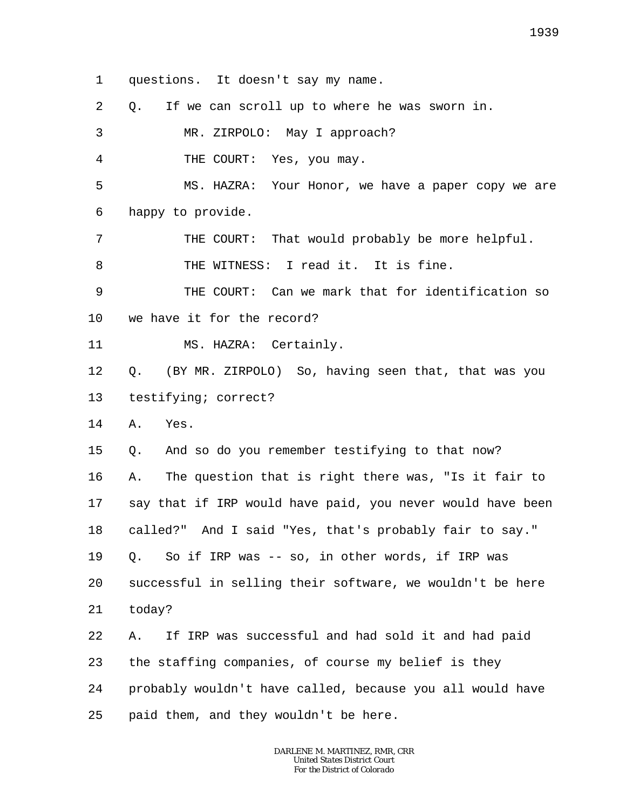1 questions. It doesn't say my name.

2 Q. If we can scroll up to where he was sworn in.

3 MR. ZIRPOLO: May I approach?

4 THE COURT: Yes, you may.

5 6 MS. HAZRA: Your Honor, we have a paper copy we are happy to provide.

7 8 THE COURT: That would probably be more helpful. THE WITNESS: I read it. It is fine.

9 10 THE COURT: Can we mark that for identification so we have it for the record?

11 MS. HAZRA: Certainly.

12 13 Q. (BY MR. ZIRPOLO) So, having seen that, that was you testifying; correct?

14 A. Yes.

15 Q. And so do you remember testifying to that now?

16 17 18 19 20 21 A. The question that is right there was, "Is it fair to say that if IRP would have paid, you never would have been called?" And I said "Yes, that's probably fair to say." Q. So if IRP was -- so, in other words, if IRP was successful in selling their software, we wouldn't be here today?

22 23 24 25 A. If IRP was successful and had sold it and had paid the staffing companies, of course my belief is they probably wouldn't have called, because you all would have paid them, and they wouldn't be here.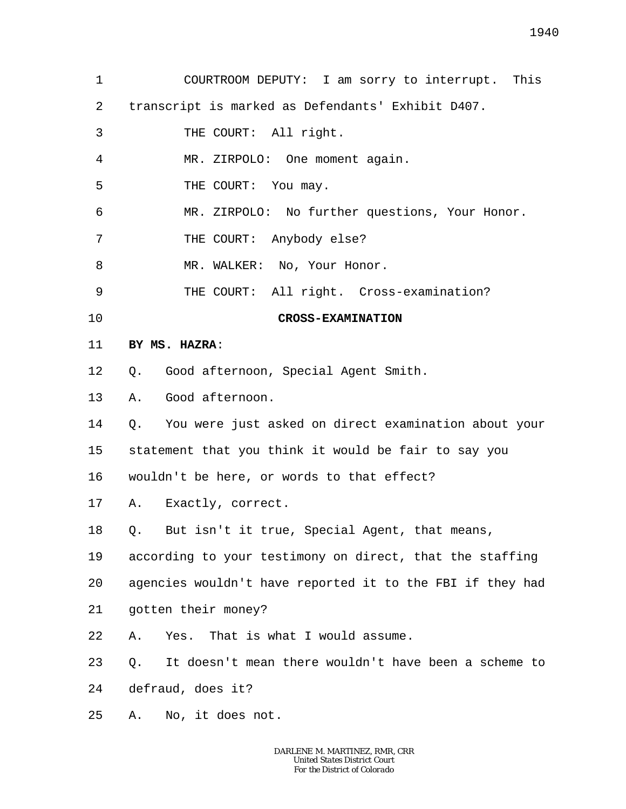| 1  | COURTROOM DEPUTY: I am sorry to interrupt. This            |
|----|------------------------------------------------------------|
| 2  | transcript is marked as Defendants' Exhibit D407.          |
| 3  | THE COURT: All right.                                      |
| 4  | MR. ZIRPOLO: One moment again.                             |
| 5  | THE COURT: You may.                                        |
| 6  | MR. ZIRPOLO: No further questions, Your Honor.             |
| 7  | THE COURT: Anybody else?                                   |
| 8  | MR. WALKER: No, Your Honor.                                |
| 9  | THE COURT: All right. Cross-examination?                   |
| 10 | <b>CROSS-EXAMINATION</b>                                   |
| 11 | BY MS. HAZRA:                                              |
| 12 | Q. Good afternoon, Special Agent Smith.                    |
| 13 | A. Good afternoon.                                         |
| 14 | Q. You were just asked on direct examination about your    |
| 15 | statement that you think it would be fair to say you       |
| 16 | wouldn't be here, or words to that effect?                 |
| 17 | A. Exactly, correct.                                       |
| 18 | But isn't it true, Special Agent, that means,<br>Q.        |
| 19 | according to your testimony on direct, that the staffing   |
| 20 | agencies wouldn't have reported it to the FBI if they had  |
| 21 | gotten their money?                                        |
| 22 | That is what I would assume.<br>Yes.<br>Α.                 |
| 23 | It doesn't mean there wouldn't have been a scheme to<br>Q. |
| 24 | defraud, does it?                                          |
| 25 | No, it does not.<br>Α.                                     |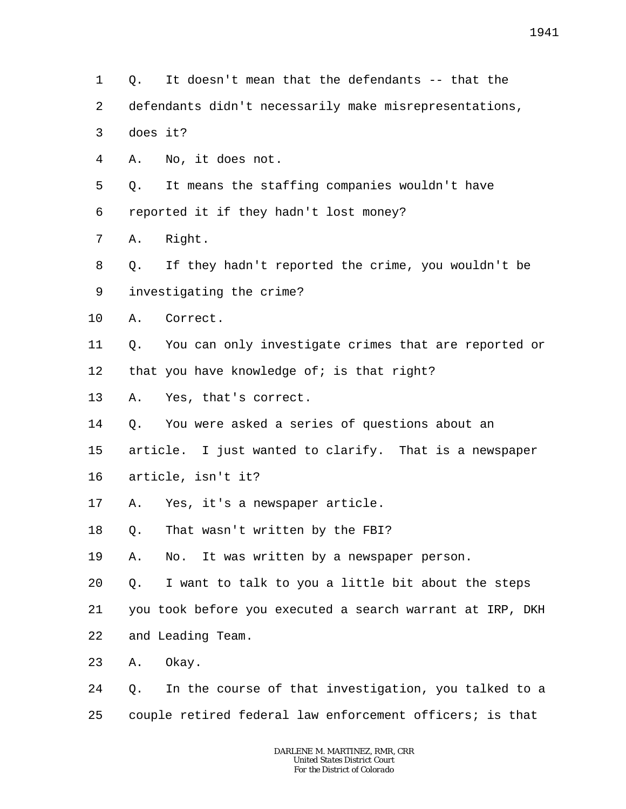2 3 4 5 6 7 8 9 10 11 12 13 14 15 16 17 18 19 20 21 22 23 24 25 does it? A. No, it does not. Q. It means the staffing companies wouldn't have reported it if they hadn't lost money? A. Right. Q. If they hadn't reported the crime, you wouldn't be investigating the crime? A. Correct. that you have knowledge of; is that right? A. Yes, that's correct. Q. You were asked a series of questions about an article. I just wanted to clarify. That is a newspaper article, isn't it? A. Yes, it's a newspaper article. Q. That wasn't written by the FBI? A. No. It was written by a newspaper person. Q. I want to talk to you a little bit about the steps you took before you executed a search warrant at IRP, DKH and Leading Team. A. Okay. Q. In the course of that investigation, you talked to a couple retired federal law enforcement officers; is that

> *DARLENE M. MARTINEZ, RMR, CRR United States District Court For the District of Colorado*

- 1 Q. It doesn't mean that the defendants -- that the
- defendants didn't necessarily make misrepresentations,

Q. You can only investigate crimes that are reported or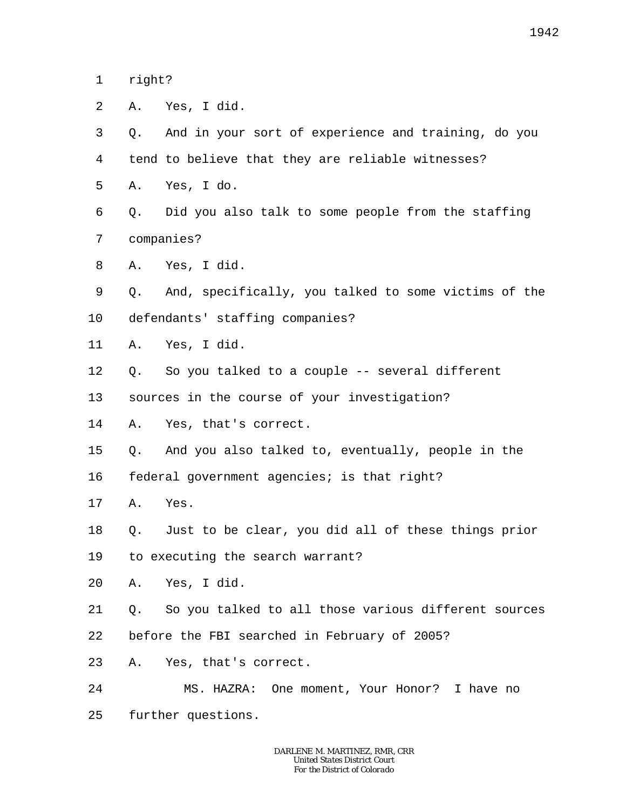1 right?

| 2       | Α. | Yes, I did.                                          |
|---------|----|------------------------------------------------------|
| 3       | Q. | And in your sort of experience and training, do you  |
| 4       |    | tend to believe that they are reliable witnesses?    |
| 5       | Α. | Yes, I do.                                           |
| 6       | Q. | Did you also talk to some people from the staffing   |
| 7       |    | companies?                                           |
| 8       |    | A. Yes, I did.                                       |
| 9       | Q. | And, specifically, you talked to some victims of the |
| $10 \,$ |    | defendants' staffing companies?                      |
| 11      |    | A. Yes, I did.                                       |
| 12      | Q. | So you talked to a couple -- several different       |
| 13      |    | sources in the course of your investigation?         |
| 14      |    | A. Yes, that's correct.                              |
| 15      | Q. | And you also talked to, eventually, people in the    |
| 16      |    | federal government agencies; is that right?          |
| 17      | Α. | Yes.                                                 |
| 18      | Q. | Just to be clear, you did all of these things prior  |
| 19      |    | to executing the search warrant?                     |
| 20      | Α. | Yes, I did.                                          |
| 21      | Q. | So you talked to all those various different sources |
| 22      |    | before the FBI searched in February of 2005?         |
| 23      |    | A. Yes, that's correct.                              |
| 24      |    | MS. HAZRA: One moment, Your Honor? I have no         |
| 25      |    | further questions.                                   |
|         |    |                                                      |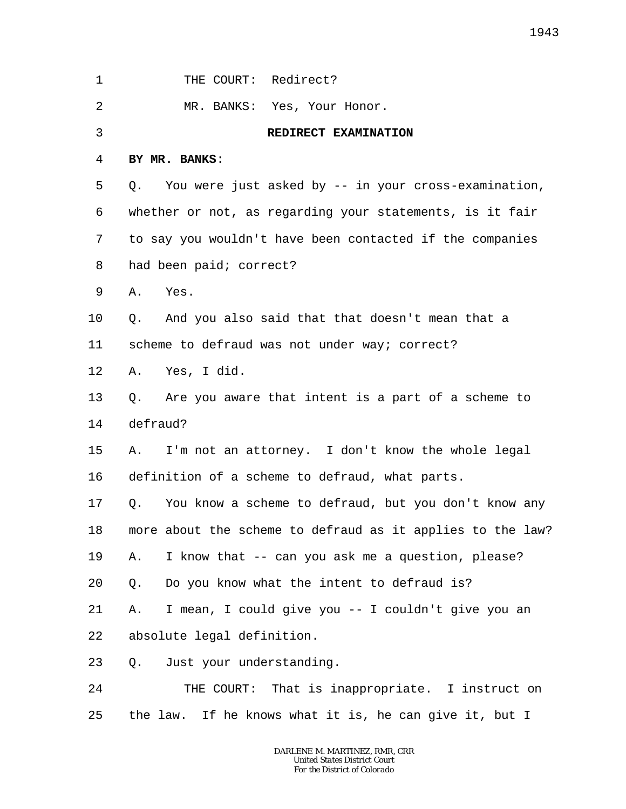| 1  | THE COURT: Redirect?                                       |
|----|------------------------------------------------------------|
| 2  | MR. BANKS: Yes, Your Honor.                                |
| 3  | REDIRECT EXAMINATION                                       |
| 4  | BY MR. BANKS:                                              |
| 5  | You were just asked by -- in your cross-examination,<br>Q. |
| 6  | whether or not, as regarding your statements, is it fair   |
| 7  | to say you wouldn't have been contacted if the companies   |
| 8  | had been paid; correct?                                    |
| 9  | Yes.<br>Α.                                                 |
| 10 | And you also said that that doesn't mean that a<br>Q.      |
| 11 | scheme to defraud was not under way; correct?              |
| 12 | A. Yes, I did.                                             |
| 13 | Q. Are you aware that intent is a part of a scheme to      |
| 14 | defraud?                                                   |
| 15 | I'm not an attorney. I don't know the whole legal<br>A.    |
| 16 | definition of a scheme to defraud, what parts.             |
| 17 | You know a scheme to defraud, but you don't know any<br>Q. |
| 18 | more about the scheme to defraud as it applies to the law? |
| 19 | I know that -- can you ask me a question, please?<br>Α.    |
| 20 | Do you know what the intent to defraud is?<br>$Q$ .        |
| 21 | I mean, I could give you -- I couldn't give you an<br>Α.   |
| 22 | absolute legal definition.                                 |
| 23 | Q. Just your understanding.                                |
| 24 | THE COURT: That is inappropriate. I instruct on            |
| 25 | the law. If he knows what it is, he can give it, but I     |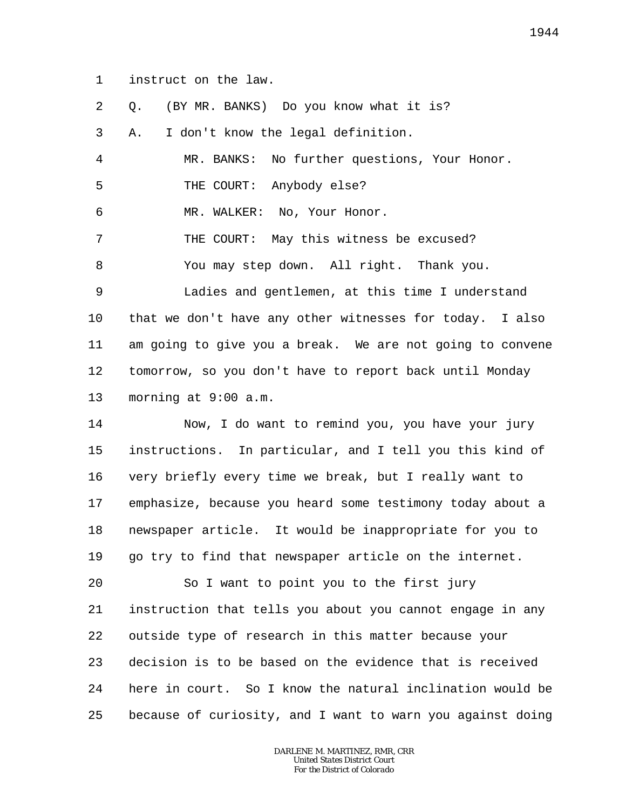1 instruct on the law.

| 2  | (BY MR. BANKS) Do you know what it is?<br>Q.               |
|----|------------------------------------------------------------|
| 3  | I don't know the legal definition.<br>Α.                   |
| 4  | MR. BANKS: No further questions, Your Honor.               |
| 5  | THE COURT: Anybody else?                                   |
| 6  | MR. WALKER: No, Your Honor.                                |
| 7  | THE COURT: May this witness be excused?                    |
| 8  | You may step down. All right. Thank you.                   |
| 9  | Ladies and gentlemen, at this time I understand            |
| 10 | that we don't have any other witnesses for today. I also   |
| 11 | am going to give you a break. We are not going to convene  |
| 12 | tomorrow, so you don't have to report back until Monday    |
| 13 | morning at 9:00 a.m.                                       |
| 14 | Now, I do want to remind you, you have your jury           |
| 15 | instructions. In particular, and I tell you this kind of   |
| 16 | very briefly every time we break, but I really want to     |
| 17 | emphasize, because you heard some testimony today about a  |
| 18 | newspaper article. It would be inappropriate for you to    |
| 19 | go try to find that newspaper article on the internet.     |
| 20 | So I want to point you to the first jury                   |
| 21 | instruction that tells you about you cannot engage in any  |
| 22 | outside type of research in this matter because your       |
| 23 | decision is to be based on the evidence that is received   |
| 24 | here in court. So I know the natural inclination would be  |
| 25 | because of curiosity, and I want to warn you against doing |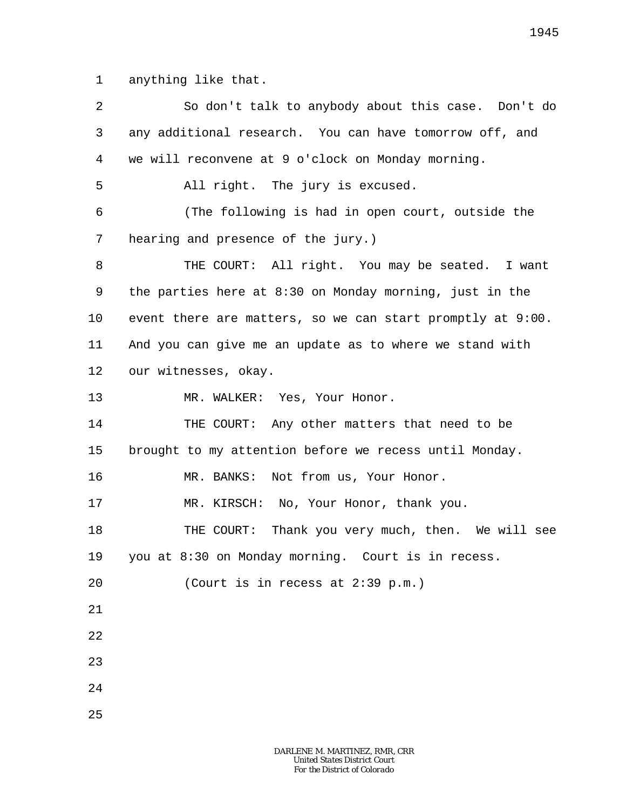1 anything like that.

| $\overline{a}$ | So don't talk to anybody about this case. Don't do         |
|----------------|------------------------------------------------------------|
| 3              | any additional research. You can have tomorrow off, and    |
| 4              | we will reconvene at 9 o'clock on Monday morning.          |
| 5              | All right. The jury is excused.                            |
| 6              | (The following is had in open court, outside the           |
| 7              | hearing and presence of the jury.)                         |
| 8              | THE COURT: All right. You may be seated. I want            |
| 9              | the parties here at 8:30 on Monday morning, just in the    |
| $10 \,$        | event there are matters, so we can start promptly at 9:00. |
| 11             | And you can give me an update as to where we stand with    |
| 12             | our witnesses, okay.                                       |
| 13             | MR. WALKER: Yes, Your Honor.                               |
| 14             | THE COURT: Any other matters that need to be               |
| 15             | brought to my attention before we recess until Monday.     |
| 16             | MR. BANKS: Not from us, Your Honor.                        |
| 17             | MR. KIRSCH: No, Your Honor, thank you.                     |
| 18             | THE COURT: Thank you very much, then. We will see          |
| 19             | you at 8:30 on Monday morning. Court is in recess.         |
| 20             | (Court is in recess at 2:39 p.m.)                          |
| 21             |                                                            |
| 22             |                                                            |
| 23             |                                                            |
| 24             |                                                            |
| 25             |                                                            |
|                |                                                            |